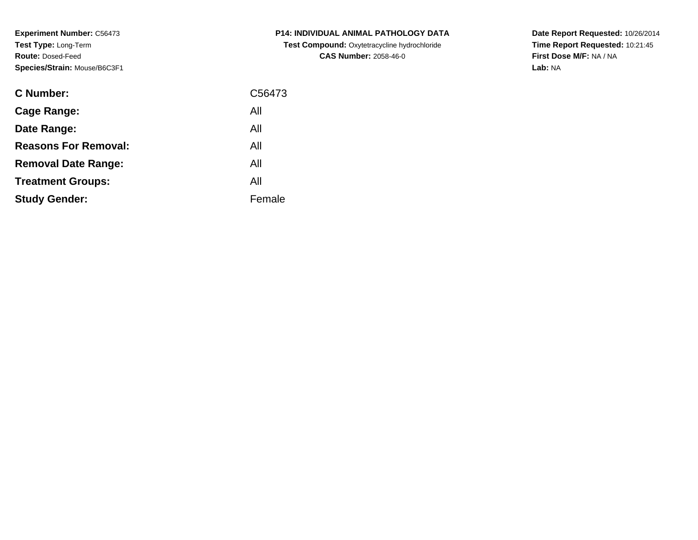**Experiment Number:** C56473**Test Type:** Long-Term**Route:** Dosed-Feed**Species/Strain:** Mouse/B6C3F1

| <b>C Number:</b>            | C56473 |
|-----------------------------|--------|
| <b>Cage Range:</b>          | All    |
| Date Range:                 | All    |
| <b>Reasons For Removal:</b> | All    |
| <b>Removal Date Range:</b>  | All    |
| <b>Treatment Groups:</b>    | All    |
| <b>Study Gender:</b>        | Female |
|                             |        |

**P14: INDIVIDUAL ANIMAL PATHOLOGY DATA Test Compound:** Oxytetracycline hydrochloride**CAS Number:** 2058-46-0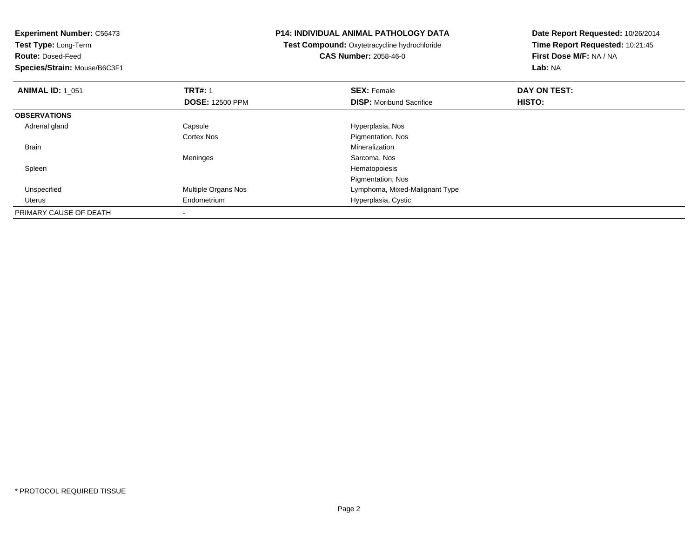| <b>Experiment Number: C56473</b><br>Test Type: Long-Term<br><b>Route: Dosed-Feed</b><br>Species/Strain: Mouse/B6C3F1 |                        | <b>P14: INDIVIDUAL ANIMAL PATHOLOGY DATA</b><br>Test Compound: Oxytetracycline hydrochloride<br><b>CAS Number: 2058-46-0</b> | Date Report Requested: 10/26/2014<br>Time Report Requested: 10:21:45<br>First Dose M/F: NA / NA<br>Lab: NA |
|----------------------------------------------------------------------------------------------------------------------|------------------------|------------------------------------------------------------------------------------------------------------------------------|------------------------------------------------------------------------------------------------------------|
| <b>ANIMAL ID: 1 051</b>                                                                                              | <b>TRT#: 1</b>         | <b>SEX: Female</b>                                                                                                           | DAY ON TEST:                                                                                               |
|                                                                                                                      | <b>DOSE: 12500 PPM</b> | <b>DISP:</b> Moribund Sacrifice                                                                                              | <b>HISTO:</b>                                                                                              |
| <b>OBSERVATIONS</b>                                                                                                  |                        |                                                                                                                              |                                                                                                            |
| Adrenal gland                                                                                                        | Capsule                | Hyperplasia, Nos                                                                                                             |                                                                                                            |
|                                                                                                                      | <b>Cortex Nos</b>      | Pigmentation, Nos                                                                                                            |                                                                                                            |
| <b>Brain</b>                                                                                                         |                        | Mineralization                                                                                                               |                                                                                                            |
|                                                                                                                      | Meninges               | Sarcoma, Nos                                                                                                                 |                                                                                                            |
| Spleen                                                                                                               |                        | Hematopoiesis                                                                                                                |                                                                                                            |
|                                                                                                                      |                        | Pigmentation, Nos                                                                                                            |                                                                                                            |
| Unspecified                                                                                                          | Multiple Organs Nos    | Lymphoma, Mixed-Malignant Type                                                                                               |                                                                                                            |
| <b>Uterus</b>                                                                                                        | Endometrium            | Hyperplasia, Cystic                                                                                                          |                                                                                                            |
| PRIMARY CAUSE OF DEATH                                                                                               |                        |                                                                                                                              |                                                                                                            |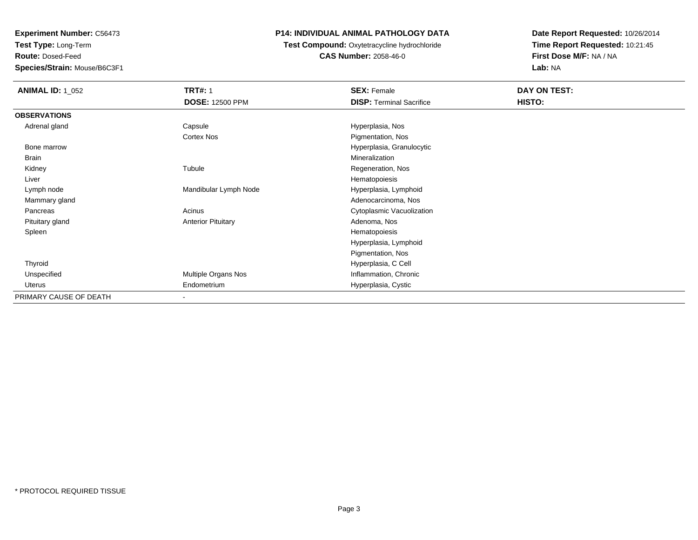**Test Type:** Long-Term

**Route:** Dosed-Feed

**Species/Strain:** Mouse/B6C3F1

### **P14: INDIVIDUAL ANIMAL PATHOLOGY DATA**

**Test Compound:** Oxytetracycline hydrochloride**CAS Number:** 2058-46-0

| <b>ANIMAL ID: 1_052</b> | <b>TRT#: 1</b>            | <b>SEX: Female</b>              | DAY ON TEST: |
|-------------------------|---------------------------|---------------------------------|--------------|
|                         | <b>DOSE: 12500 PPM</b>    | <b>DISP: Terminal Sacrifice</b> | HISTO:       |
| <b>OBSERVATIONS</b>     |                           |                                 |              |
| Adrenal gland           | Capsule                   | Hyperplasia, Nos                |              |
|                         | Cortex Nos                | Pigmentation, Nos               |              |
| Bone marrow             |                           | Hyperplasia, Granulocytic       |              |
| Brain                   |                           | Mineralization                  |              |
| Kidney                  | Tubule                    | Regeneration, Nos               |              |
| Liver                   |                           | Hematopoiesis                   |              |
| Lymph node              | Mandibular Lymph Node     | Hyperplasia, Lymphoid           |              |
| Mammary gland           |                           | Adenocarcinoma, Nos             |              |
| Pancreas                | Acinus                    | Cytoplasmic Vacuolization       |              |
| Pituitary gland         | <b>Anterior Pituitary</b> | Adenoma, Nos                    |              |
| Spleen                  |                           | Hematopoiesis                   |              |
|                         |                           | Hyperplasia, Lymphoid           |              |
|                         |                           | Pigmentation, Nos               |              |
| Thyroid                 |                           | Hyperplasia, C Cell             |              |
| Unspecified             | Multiple Organs Nos       | Inflammation, Chronic           |              |
| Uterus                  | Endometrium               | Hyperplasia, Cystic             |              |
| PRIMARY CAUSE OF DEATH  | ۰                         |                                 |              |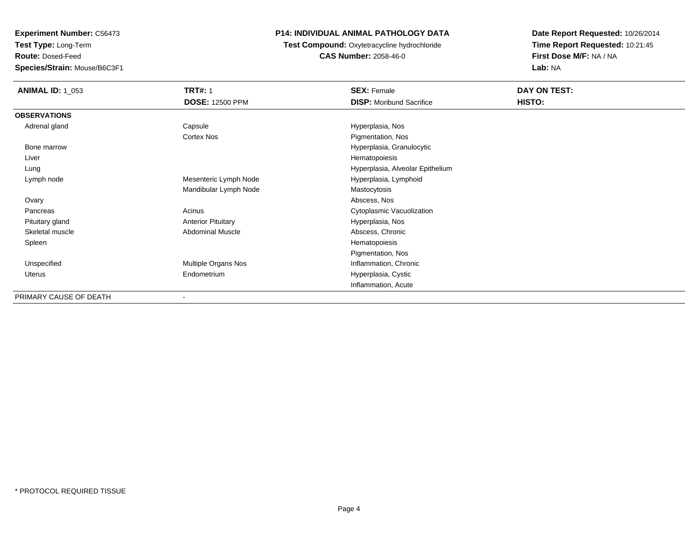**Test Type:** Long-Term

**Route:** Dosed-Feed

**Species/Strain:** Mouse/B6C3F1

### **P14: INDIVIDUAL ANIMAL PATHOLOGY DATA**

**Test Compound:** Oxytetracycline hydrochloride**CAS Number:** 2058-46-0

| <b>ANIMAL ID: 1_053</b> | <b>TRT#: 1</b><br><b>DOSE: 12500 PPM</b> | <b>SEX: Female</b><br><b>DISP:</b> Moribund Sacrifice | DAY ON TEST:<br>HISTO: |
|-------------------------|------------------------------------------|-------------------------------------------------------|------------------------|
| <b>OBSERVATIONS</b>     |                                          |                                                       |                        |
| Adrenal gland           | Capsule                                  | Hyperplasia, Nos                                      |                        |
|                         | Cortex Nos                               | Pigmentation, Nos                                     |                        |
| Bone marrow             |                                          | Hyperplasia, Granulocytic                             |                        |
| Liver                   |                                          | Hematopoiesis                                         |                        |
| Lung                    |                                          | Hyperplasia, Alveolar Epithelium                      |                        |
| Lymph node              | Mesenteric Lymph Node                    | Hyperplasia, Lymphoid                                 |                        |
|                         | Mandibular Lymph Node                    | Mastocytosis                                          |                        |
| Ovary                   |                                          | Abscess, Nos                                          |                        |
| Pancreas                | Acinus                                   | Cytoplasmic Vacuolization                             |                        |
| Pituitary gland         | <b>Anterior Pituitary</b>                | Hyperplasia, Nos                                      |                        |
| Skeletal muscle         | <b>Abdominal Muscle</b>                  | Abscess, Chronic                                      |                        |
| Spleen                  |                                          | Hematopoiesis                                         |                        |
|                         |                                          | Pigmentation, Nos                                     |                        |
| Unspecified             | Multiple Organs Nos                      | Inflammation, Chronic                                 |                        |
| Uterus                  | Endometrium                              | Hyperplasia, Cystic                                   |                        |
|                         |                                          | Inflammation, Acute                                   |                        |
| PRIMARY CAUSE OF DEATH  |                                          |                                                       |                        |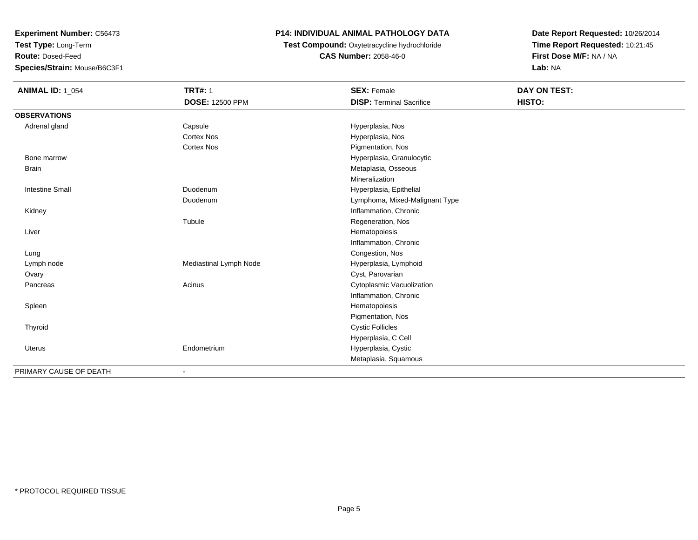**Test Type:** Long-Term

**Route:** Dosed-Feed

**Species/Strain:** Mouse/B6C3F1

### **P14: INDIVIDUAL ANIMAL PATHOLOGY DATA**

**Test Compound:** Oxytetracycline hydrochloride**CAS Number:** 2058-46-0

| <b>ANIMAL ID: 1_054</b> | <b>TRT#: 1</b>           | <b>SEX: Female</b>              | DAY ON TEST: |  |
|-------------------------|--------------------------|---------------------------------|--------------|--|
|                         | <b>DOSE: 12500 PPM</b>   | <b>DISP: Terminal Sacrifice</b> | HISTO:       |  |
| <b>OBSERVATIONS</b>     |                          |                                 |              |  |
| Adrenal gland           | Capsule                  | Hyperplasia, Nos                |              |  |
|                         | Cortex Nos               | Hyperplasia, Nos                |              |  |
|                         | Cortex Nos               | Pigmentation, Nos               |              |  |
| Bone marrow             |                          | Hyperplasia, Granulocytic       |              |  |
| <b>Brain</b>            |                          | Metaplasia, Osseous             |              |  |
|                         |                          | Mineralization                  |              |  |
| <b>Intestine Small</b>  | Duodenum                 | Hyperplasia, Epithelial         |              |  |
|                         | Duodenum                 | Lymphoma, Mixed-Malignant Type  |              |  |
| Kidney                  |                          | Inflammation, Chronic           |              |  |
|                         | Tubule                   | Regeneration, Nos               |              |  |
| Liver                   |                          | Hematopoiesis                   |              |  |
|                         |                          | Inflammation, Chronic           |              |  |
| Lung                    |                          | Congestion, Nos                 |              |  |
| Lymph node              | Mediastinal Lymph Node   | Hyperplasia, Lymphoid           |              |  |
| Ovary                   |                          | Cyst, Parovarian                |              |  |
| Pancreas                | Acinus                   | Cytoplasmic Vacuolization       |              |  |
|                         |                          | Inflammation, Chronic           |              |  |
| Spleen                  |                          | Hematopoiesis                   |              |  |
|                         |                          | Pigmentation, Nos               |              |  |
| Thyroid                 |                          | <b>Cystic Follicles</b>         |              |  |
|                         |                          | Hyperplasia, C Cell             |              |  |
| Uterus                  | Endometrium              | Hyperplasia, Cystic             |              |  |
|                         |                          | Metaplasia, Squamous            |              |  |
| PRIMARY CAUSE OF DEATH  | $\overline{\phantom{a}}$ |                                 |              |  |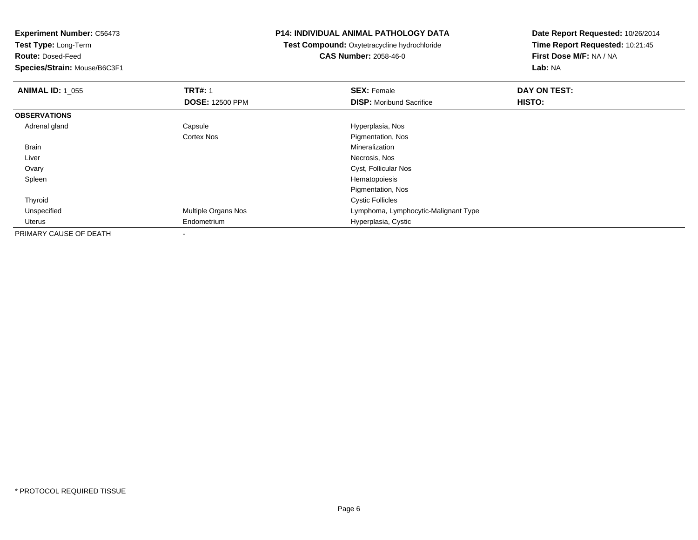**Experiment Number:** C56473**Test Type:** Long-Term**Route:** Dosed-Feed **Species/Strain:** Mouse/B6C3F1**P14: INDIVIDUAL ANIMAL PATHOLOGY DATATest Compound:** Oxytetracycline hydrochloride**CAS Number:** 2058-46-0**Date Report Requested:** 10/26/2014**Time Report Requested:** 10:21:45**First Dose M/F:** NA / NA**Lab:** NA**ANIMAL ID: 1\_055 TRT#:** 1 **SEX:** Female **DAY ON TEST: DOSE:** 12500 PPM**DISP:** Moribund Sacrifice **HISTO: OBSERVATIONS** Adrenal glandCapsule **Capsule Hyperplasia**, Nos Cortex Nos Pigmentation, Nos Brainn and the control of the control of the control of the control of the control of the control of the control of the control of the control of the control of the control of the control of the control of the control of the co Liver Necrosis, Nos Cyst, Follicular Nos Ovary Spleenn and the state of the state of the state of the state of the state of the state of the state of the state of the state of the state of the state of the state of the state of the state of the state of the state of the stat Pigmentation, Nos ThyroidCystic Follicles<br>Multiple Organs Nos<br>Cymphoma, Lyr UnspecifiedLymphoma, Lymphocytic-Malignant Type Uterus Endometrium Hyperplasia, Cystic PRIMARY CAUSE OF DEATH-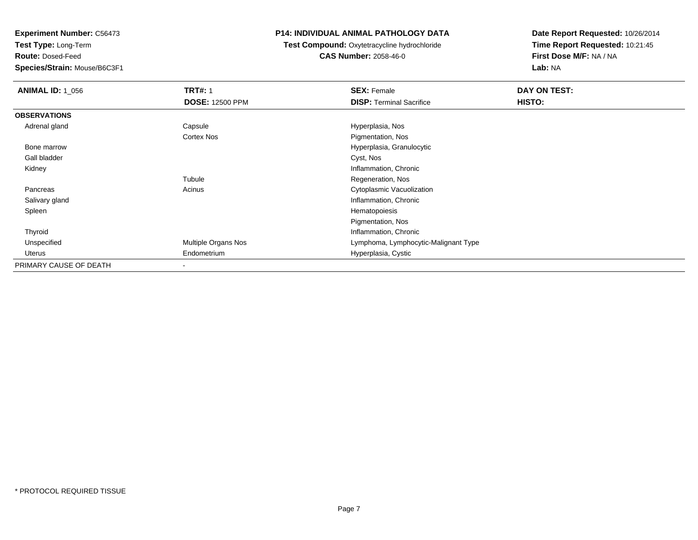**Test Type:** Long-Term

**Route:** Dosed-Feed

**Species/Strain:** Mouse/B6C3F1

#### **P14: INDIVIDUAL ANIMAL PATHOLOGY DATA**

 **Test Compound:** Oxytetracycline hydrochloride**CAS Number:** 2058-46-0

| <b>ANIMAL ID: 1_056</b> | <b>TRT#: 1</b>         | <b>SEX: Female</b>                   | DAY ON TEST: |  |
|-------------------------|------------------------|--------------------------------------|--------------|--|
|                         | <b>DOSE: 12500 PPM</b> | <b>DISP: Terminal Sacrifice</b>      | HISTO:       |  |
| <b>OBSERVATIONS</b>     |                        |                                      |              |  |
| Adrenal gland           | Capsule                | Hyperplasia, Nos                     |              |  |
|                         | Cortex Nos             | Pigmentation, Nos                    |              |  |
| Bone marrow             |                        | Hyperplasia, Granulocytic            |              |  |
| Gall bladder            |                        | Cyst, Nos                            |              |  |
| Kidney                  |                        | Inflammation, Chronic                |              |  |
|                         | Tubule                 | Regeneration, Nos                    |              |  |
| Pancreas                | Acinus                 | Cytoplasmic Vacuolization            |              |  |
| Salivary gland          |                        | Inflammation, Chronic                |              |  |
| Spleen                  |                        | Hematopoiesis                        |              |  |
|                         |                        | Pigmentation, Nos                    |              |  |
| Thyroid                 |                        | Inflammation, Chronic                |              |  |
| Unspecified             | Multiple Organs Nos    | Lymphoma, Lymphocytic-Malignant Type |              |  |
| Uterus                  | Endometrium            | Hyperplasia, Cystic                  |              |  |
| PRIMARY CAUSE OF DEATH  |                        |                                      |              |  |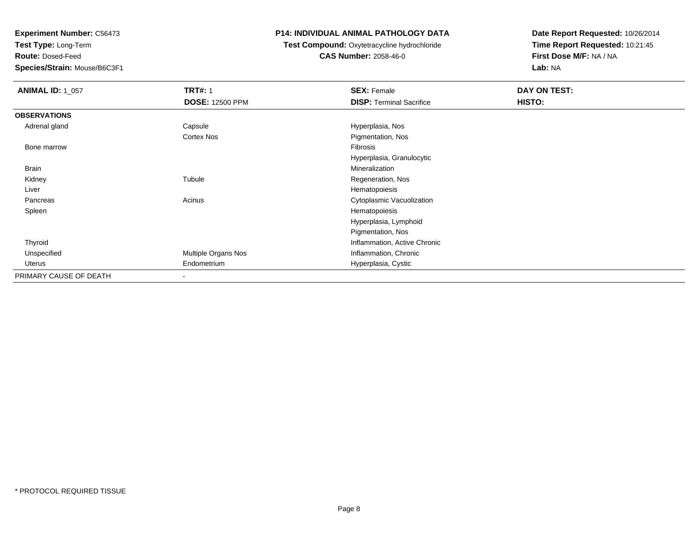**Test Type:** Long-Term

**Route:** Dosed-Feed

**Species/Strain:** Mouse/B6C3F1

#### **P14: INDIVIDUAL ANIMAL PATHOLOGY DATA**

#### **Test Compound:** Oxytetracycline hydrochloride**CAS Number:** 2058-46-0

| <b>ANIMAL ID: 1_057</b> | <b>TRT#: 1</b>         | <b>SEX: Female</b>              | DAY ON TEST: |  |
|-------------------------|------------------------|---------------------------------|--------------|--|
|                         | <b>DOSE: 12500 PPM</b> | <b>DISP: Terminal Sacrifice</b> | HISTO:       |  |
| <b>OBSERVATIONS</b>     |                        |                                 |              |  |
| Adrenal gland           | Capsule                | Hyperplasia, Nos                |              |  |
|                         | Cortex Nos             | Pigmentation, Nos               |              |  |
| Bone marrow             |                        | Fibrosis                        |              |  |
|                         |                        | Hyperplasia, Granulocytic       |              |  |
| Brain                   |                        | Mineralization                  |              |  |
| Kidney                  | Tubule                 | Regeneration, Nos               |              |  |
| Liver                   |                        | Hematopoiesis                   |              |  |
| Pancreas                | Acinus                 | Cytoplasmic Vacuolization       |              |  |
| Spleen                  |                        | Hematopoiesis                   |              |  |
|                         |                        | Hyperplasia, Lymphoid           |              |  |
|                         |                        | Pigmentation, Nos               |              |  |
| Thyroid                 |                        | Inflammation, Active Chronic    |              |  |
| Unspecified             | Multiple Organs Nos    | Inflammation, Chronic           |              |  |
| Uterus                  | Endometrium            | Hyperplasia, Cystic             |              |  |
| PRIMARY CAUSE OF DEATH  | ۰                      |                                 |              |  |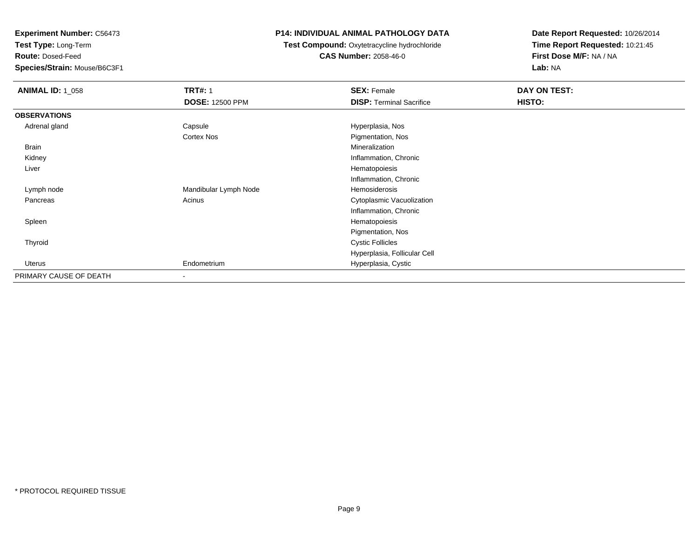**Test Type:** Long-Term

**Route:** Dosed-Feed

**Species/Strain:** Mouse/B6C3F1

### **P14: INDIVIDUAL ANIMAL PATHOLOGY DATA**

#### **Test Compound:** Oxytetracycline hydrochloride**CAS Number:** 2058-46-0

| <b>ANIMAL ID: 1_058</b> | <b>TRT#: 1</b>           | <b>SEX: Female</b>              | DAY ON TEST: |  |
|-------------------------|--------------------------|---------------------------------|--------------|--|
|                         | <b>DOSE: 12500 PPM</b>   | <b>DISP: Terminal Sacrifice</b> | HISTO:       |  |
| <b>OBSERVATIONS</b>     |                          |                                 |              |  |
| Adrenal gland           | Capsule                  | Hyperplasia, Nos                |              |  |
|                         | Cortex Nos               | Pigmentation, Nos               |              |  |
| Brain                   |                          | Mineralization                  |              |  |
| Kidney                  |                          | Inflammation, Chronic           |              |  |
| Liver                   |                          | Hematopoiesis                   |              |  |
|                         |                          | Inflammation, Chronic           |              |  |
| Lymph node              | Mandibular Lymph Node    | Hemosiderosis                   |              |  |
| Pancreas                | Acinus                   | Cytoplasmic Vacuolization       |              |  |
|                         |                          | Inflammation, Chronic           |              |  |
| Spleen                  |                          | Hematopoiesis                   |              |  |
|                         |                          | Pigmentation, Nos               |              |  |
| Thyroid                 |                          | <b>Cystic Follicles</b>         |              |  |
|                         |                          | Hyperplasia, Follicular Cell    |              |  |
| Uterus                  | Endometrium              | Hyperplasia, Cystic             |              |  |
| PRIMARY CAUSE OF DEATH  | $\overline{\phantom{a}}$ |                                 |              |  |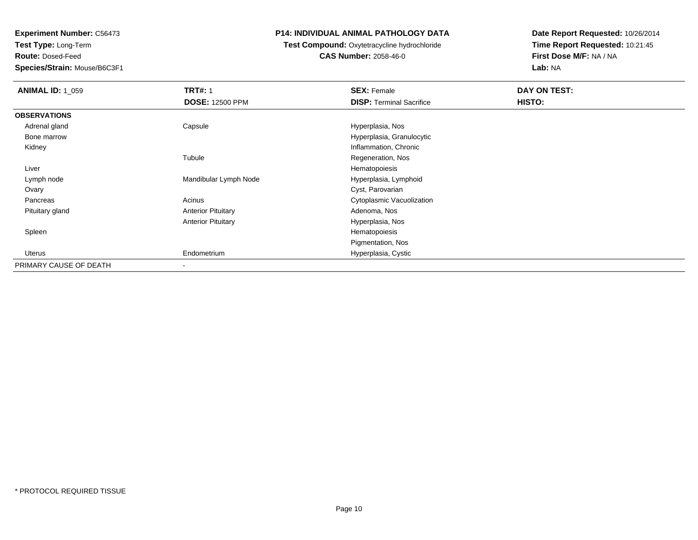**Test Type:** Long-Term

**Route:** Dosed-Feed

**Species/Strain:** Mouse/B6C3F1

### **P14: INDIVIDUAL ANIMAL PATHOLOGY DATA**

# **Test Compound:** Oxytetracycline hydrochloride**CAS Number:** 2058-46-0

| <b>ANIMAL ID: 1_059</b> | <b>TRT#: 1</b><br><b>DOSE: 12500 PPM</b> | <b>SEX: Female</b><br><b>DISP: Terminal Sacrifice</b> | DAY ON TEST:<br>HISTO: |
|-------------------------|------------------------------------------|-------------------------------------------------------|------------------------|
| <b>OBSERVATIONS</b>     |                                          |                                                       |                        |
| Adrenal gland           | Capsule                                  | Hyperplasia, Nos                                      |                        |
| Bone marrow             |                                          | Hyperplasia, Granulocytic                             |                        |
| Kidney                  |                                          | Inflammation, Chronic                                 |                        |
|                         | Tubule                                   | Regeneration, Nos                                     |                        |
| Liver                   |                                          | Hematopoiesis                                         |                        |
| Lymph node              | Mandibular Lymph Node                    | Hyperplasia, Lymphoid                                 |                        |
| Ovary                   |                                          | Cyst, Parovarian                                      |                        |
| Pancreas                | Acinus                                   | Cytoplasmic Vacuolization                             |                        |
| Pituitary gland         | <b>Anterior Pituitary</b>                | Adenoma, Nos                                          |                        |
|                         | <b>Anterior Pituitary</b>                | Hyperplasia, Nos                                      |                        |
| Spleen                  |                                          | Hematopoiesis                                         |                        |
|                         |                                          | Pigmentation, Nos                                     |                        |
| Uterus                  | Endometrium                              | Hyperplasia, Cystic                                   |                        |
| PRIMARY CAUSE OF DEATH  |                                          |                                                       |                        |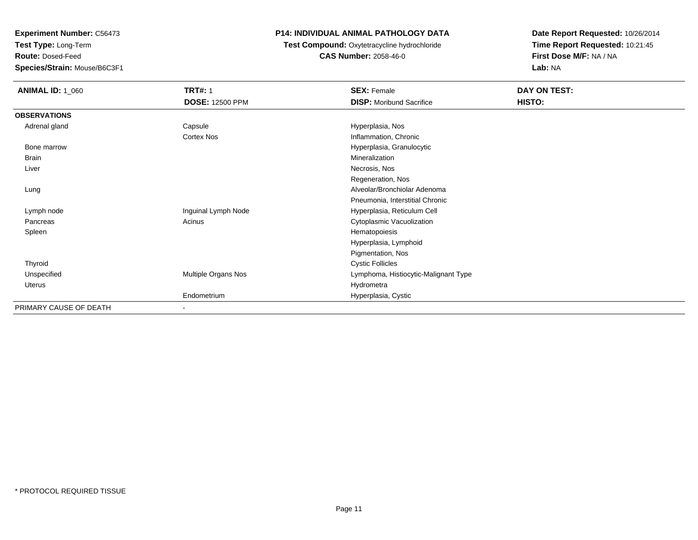**Test Type:** Long-Term

**Route:** Dosed-Feed

**Species/Strain:** Mouse/B6C3F1

### **P14: INDIVIDUAL ANIMAL PATHOLOGY DATA**

# **Test Compound:** Oxytetracycline hydrochloride**CAS Number:** 2058-46-0

| <b>ANIMAL ID: 1_060</b> | <b>TRT#: 1</b>         | <b>SEX: Female</b>                   | DAY ON TEST: |
|-------------------------|------------------------|--------------------------------------|--------------|
|                         | <b>DOSE: 12500 PPM</b> | <b>DISP:</b> Moribund Sacrifice      | HISTO:       |
| <b>OBSERVATIONS</b>     |                        |                                      |              |
| Adrenal gland           | Capsule                | Hyperplasia, Nos                     |              |
|                         | Cortex Nos             | Inflammation, Chronic                |              |
| Bone marrow             |                        | Hyperplasia, Granulocytic            |              |
| Brain                   |                        | Mineralization                       |              |
| Liver                   |                        | Necrosis, Nos                        |              |
|                         |                        | Regeneration, Nos                    |              |
| Lung                    |                        | Alveolar/Bronchiolar Adenoma         |              |
|                         |                        | Pneumonia, Interstitial Chronic      |              |
| Lymph node              | Inguinal Lymph Node    | Hyperplasia, Reticulum Cell          |              |
| Pancreas                | Acinus                 | Cytoplasmic Vacuolization            |              |
| Spleen                  |                        | Hematopoiesis                        |              |
|                         |                        | Hyperplasia, Lymphoid                |              |
|                         |                        | Pigmentation, Nos                    |              |
| Thyroid                 |                        | <b>Cystic Follicles</b>              |              |
| Unspecified             | Multiple Organs Nos    | Lymphoma, Histiocytic-Malignant Type |              |
| Uterus                  |                        | Hydrometra                           |              |
|                         | Endometrium            | Hyperplasia, Cystic                  |              |
| PRIMARY CAUSE OF DEATH  | $\sim$                 |                                      |              |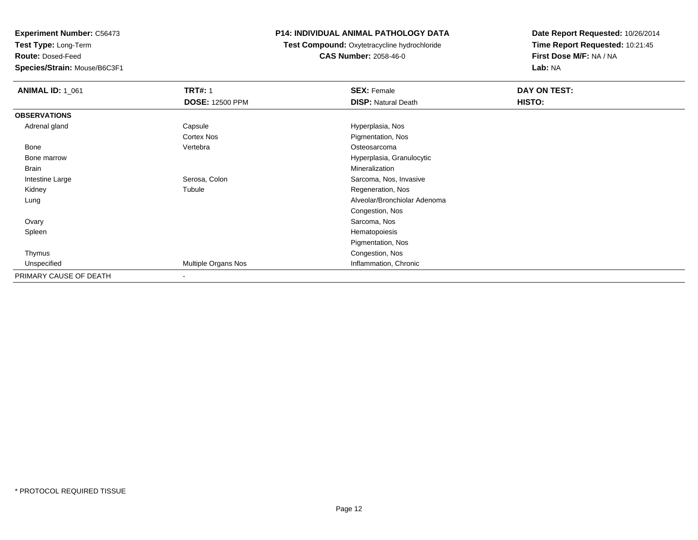**Test Type:** Long-Term

**Route:** Dosed-Feed

**Species/Strain:** Mouse/B6C3F1

#### **P14: INDIVIDUAL ANIMAL PATHOLOGY DATA**

 **Test Compound:** Oxytetracycline hydrochloride**CAS Number:** 2058-46-0

| <b>ANIMAL ID: 1_061</b> | <b>TRT#: 1</b>           | <b>SEX: Female</b>           | DAY ON TEST: |  |
|-------------------------|--------------------------|------------------------------|--------------|--|
|                         | <b>DOSE: 12500 PPM</b>   | <b>DISP: Natural Death</b>   | HISTO:       |  |
| <b>OBSERVATIONS</b>     |                          |                              |              |  |
| Adrenal gland           | Capsule                  | Hyperplasia, Nos             |              |  |
|                         | Cortex Nos               | Pigmentation, Nos            |              |  |
| Bone                    | Vertebra                 | Osteosarcoma                 |              |  |
| Bone marrow             |                          | Hyperplasia, Granulocytic    |              |  |
| Brain                   |                          | Mineralization               |              |  |
| Intestine Large         | Serosa, Colon            | Sarcoma, Nos, Invasive       |              |  |
| Kidney                  | Tubule                   | Regeneration, Nos            |              |  |
| Lung                    |                          | Alveolar/Bronchiolar Adenoma |              |  |
|                         |                          | Congestion, Nos              |              |  |
| Ovary                   |                          | Sarcoma, Nos                 |              |  |
| Spleen                  |                          | Hematopoiesis                |              |  |
|                         |                          | Pigmentation, Nos            |              |  |
| Thymus                  |                          | Congestion, Nos              |              |  |
| Unspecified             | Multiple Organs Nos      | Inflammation, Chronic        |              |  |
| PRIMARY CAUSE OF DEATH  | $\overline{\phantom{a}}$ |                              |              |  |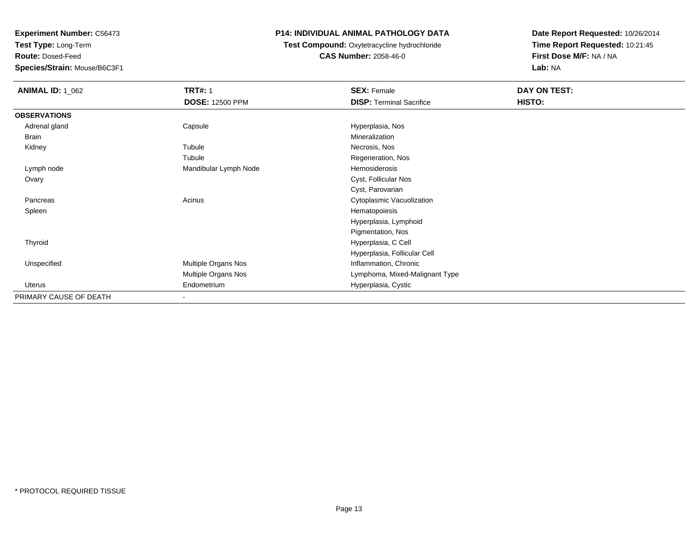**Test Type:** Long-Term

**Route:** Dosed-Feed

**Species/Strain:** Mouse/B6C3F1

### **P14: INDIVIDUAL ANIMAL PATHOLOGY DATA**

**Test Compound:** Oxytetracycline hydrochloride**CAS Number:** 2058-46-0

| <b>ANIMAL ID: 1_062</b> | <b>TRT#: 1</b>           | <b>SEX: Female</b>              | DAY ON TEST: |  |
|-------------------------|--------------------------|---------------------------------|--------------|--|
|                         | <b>DOSE: 12500 PPM</b>   | <b>DISP: Terminal Sacrifice</b> | HISTO:       |  |
| <b>OBSERVATIONS</b>     |                          |                                 |              |  |
| Adrenal gland           | Capsule                  | Hyperplasia, Nos                |              |  |
| Brain                   |                          | Mineralization                  |              |  |
| Kidney                  | Tubule                   | Necrosis, Nos                   |              |  |
|                         | Tubule                   | Regeneration, Nos               |              |  |
| Lymph node              | Mandibular Lymph Node    | Hemosiderosis                   |              |  |
| Ovary                   |                          | Cyst, Follicular Nos            |              |  |
|                         |                          | Cyst, Parovarian                |              |  |
| Pancreas                | Acinus                   | Cytoplasmic Vacuolization       |              |  |
| Spleen                  |                          | Hematopoiesis                   |              |  |
|                         |                          | Hyperplasia, Lymphoid           |              |  |
|                         |                          | Pigmentation, Nos               |              |  |
| Thyroid                 |                          | Hyperplasia, C Cell             |              |  |
|                         |                          | Hyperplasia, Follicular Cell    |              |  |
| Unspecified             | Multiple Organs Nos      | Inflammation, Chronic           |              |  |
|                         | Multiple Organs Nos      | Lymphoma, Mixed-Malignant Type  |              |  |
| <b>Uterus</b>           | Endometrium              | Hyperplasia, Cystic             |              |  |
| PRIMARY CAUSE OF DEATH  | $\overline{\phantom{a}}$ |                                 |              |  |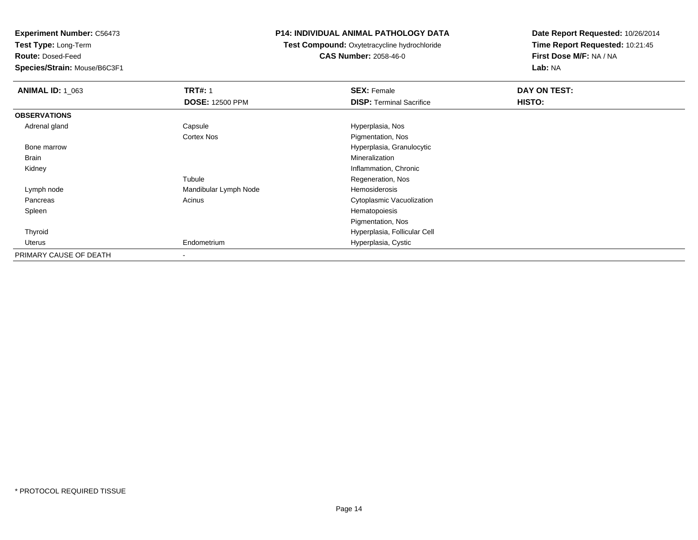**Test Type:** Long-Term

**Route:** Dosed-Feed

**Species/Strain:** Mouse/B6C3F1

#### **P14: INDIVIDUAL ANIMAL PATHOLOGY DATA**

**Test Compound:** Oxytetracycline hydrochloride**CAS Number:** 2058-46-0

| <b>ANIMAL ID: 1 063</b> | <b>TRT#: 1</b>         | <b>SEX: Female</b>              | DAY ON TEST: |
|-------------------------|------------------------|---------------------------------|--------------|
|                         | <b>DOSE: 12500 PPM</b> | <b>DISP: Terminal Sacrifice</b> | HISTO:       |
| <b>OBSERVATIONS</b>     |                        |                                 |              |
| Adrenal gland           | Capsule                | Hyperplasia, Nos                |              |
|                         | <b>Cortex Nos</b>      | Pigmentation, Nos               |              |
| Bone marrow             |                        | Hyperplasia, Granulocytic       |              |
| Brain                   |                        | Mineralization                  |              |
| Kidney                  |                        | Inflammation, Chronic           |              |
|                         | Tubule                 | Regeneration, Nos               |              |
| Lymph node              | Mandibular Lymph Node  | <b>Hemosiderosis</b>            |              |
| Pancreas                | Acinus                 | Cytoplasmic Vacuolization       |              |
| Spleen                  |                        | Hematopoiesis                   |              |
|                         |                        | Pigmentation, Nos               |              |
| Thyroid                 |                        | Hyperplasia, Follicular Cell    |              |
| Uterus                  | Endometrium            | Hyperplasia, Cystic             |              |
| PRIMARY CAUSE OF DEATH  |                        |                                 |              |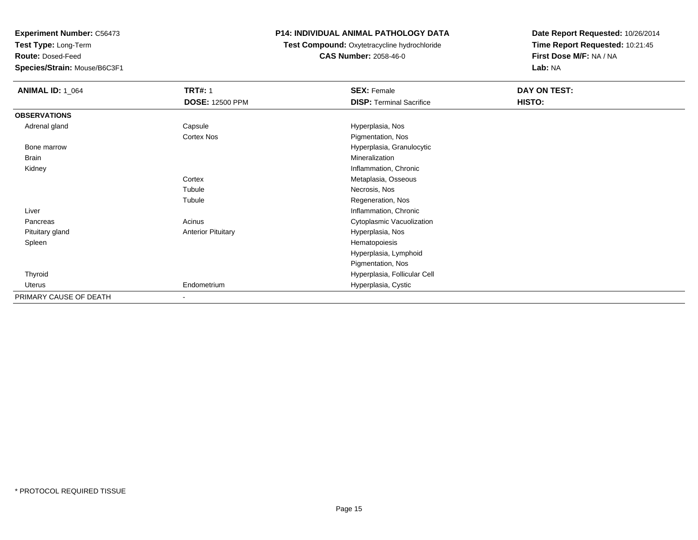**Test Type:** Long-Term

**Route:** Dosed-Feed

**Species/Strain:** Mouse/B6C3F1

### **P14: INDIVIDUAL ANIMAL PATHOLOGY DATA**

**Test Compound:** Oxytetracycline hydrochloride**CAS Number:** 2058-46-0

| <b>ANIMAL ID: 1_064</b> | <b>TRT#: 1</b>            | <b>SEX: Female</b>              | DAY ON TEST: |  |
|-------------------------|---------------------------|---------------------------------|--------------|--|
|                         | <b>DOSE: 12500 PPM</b>    | <b>DISP: Terminal Sacrifice</b> | HISTO:       |  |
| <b>OBSERVATIONS</b>     |                           |                                 |              |  |
| Adrenal gland           | Capsule                   | Hyperplasia, Nos                |              |  |
|                         | Cortex Nos                | Pigmentation, Nos               |              |  |
| Bone marrow             |                           | Hyperplasia, Granulocytic       |              |  |
| Brain                   |                           | Mineralization                  |              |  |
| Kidney                  |                           | Inflammation, Chronic           |              |  |
|                         | Cortex                    | Metaplasia, Osseous             |              |  |
|                         | Tubule                    | Necrosis, Nos                   |              |  |
|                         | Tubule                    | Regeneration, Nos               |              |  |
| Liver                   |                           | Inflammation, Chronic           |              |  |
| Pancreas                | Acinus                    | Cytoplasmic Vacuolization       |              |  |
| Pituitary gland         | <b>Anterior Pituitary</b> | Hyperplasia, Nos                |              |  |
| Spleen                  |                           | Hematopoiesis                   |              |  |
|                         |                           | Hyperplasia, Lymphoid           |              |  |
|                         |                           | Pigmentation, Nos               |              |  |
| Thyroid                 |                           | Hyperplasia, Follicular Cell    |              |  |
| Uterus                  | Endometrium               | Hyperplasia, Cystic             |              |  |
| PRIMARY CAUSE OF DEATH  |                           |                                 |              |  |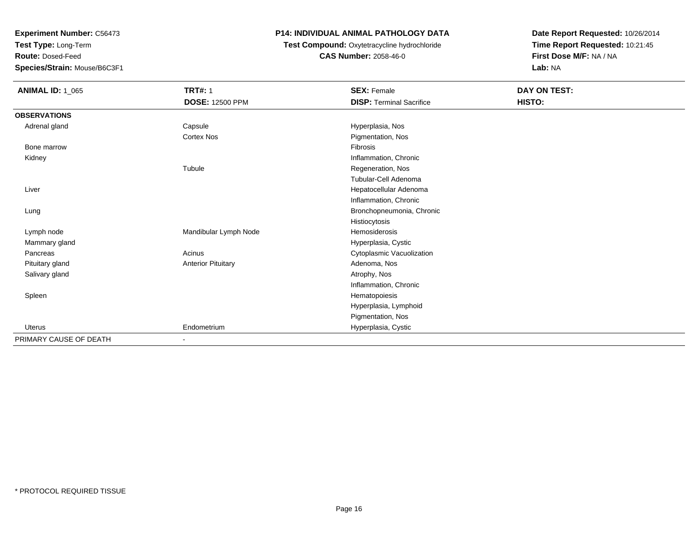**Test Type:** Long-Term

**Route:** Dosed-Feed

**Species/Strain:** Mouse/B6C3F1

### **P14: INDIVIDUAL ANIMAL PATHOLOGY DATA**

**Test Compound:** Oxytetracycline hydrochloride**CAS Number:** 2058-46-0

| <b>ANIMAL ID: 1_065</b> | <b>TRT#: 1</b>            | <b>SEX: Female</b>              | DAY ON TEST: |
|-------------------------|---------------------------|---------------------------------|--------------|
|                         | <b>DOSE: 12500 PPM</b>    | <b>DISP: Terminal Sacrifice</b> | HISTO:       |
| <b>OBSERVATIONS</b>     |                           |                                 |              |
| Adrenal gland           | Capsule                   | Hyperplasia, Nos                |              |
|                         | Cortex Nos                | Pigmentation, Nos               |              |
| Bone marrow             |                           | <b>Fibrosis</b>                 |              |
| Kidney                  |                           | Inflammation, Chronic           |              |
|                         | Tubule                    | Regeneration, Nos               |              |
|                         |                           | Tubular-Cell Adenoma            |              |
| Liver                   |                           | Hepatocellular Adenoma          |              |
|                         |                           | Inflammation, Chronic           |              |
| Lung                    |                           | Bronchopneumonia, Chronic       |              |
|                         |                           | Histiocytosis                   |              |
| Lymph node              | Mandibular Lymph Node     | <b>Hemosiderosis</b>            |              |
| Mammary gland           |                           | Hyperplasia, Cystic             |              |
| Pancreas                | Acinus                    | Cytoplasmic Vacuolization       |              |
| Pituitary gland         | <b>Anterior Pituitary</b> | Adenoma, Nos                    |              |
| Salivary gland          |                           | Atrophy, Nos                    |              |
|                         |                           | Inflammation, Chronic           |              |
| Spleen                  |                           | Hematopoiesis                   |              |
|                         |                           | Hyperplasia, Lymphoid           |              |
|                         |                           | Pigmentation, Nos               |              |
| Uterus                  | Endometrium               | Hyperplasia, Cystic             |              |
| PRIMARY CAUSE OF DEATH  | $\overline{\phantom{a}}$  |                                 |              |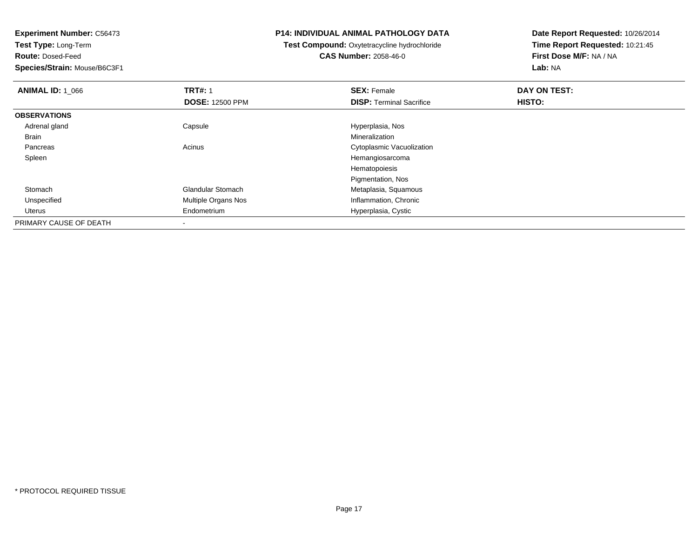**Test Type:** Long-Term

**Route:** Dosed-Feed

**Species/Strain:** Mouse/B6C3F1

#### **P14: INDIVIDUAL ANIMAL PATHOLOGY DATA**

**Test Compound:** Oxytetracycline hydrochloride**CAS Number:** 2058-46-0

| <b>ANIMAL ID: 1_066</b> | <b>TRT#: 1</b>             | <b>SEX: Female</b>              | DAY ON TEST: |  |
|-------------------------|----------------------------|---------------------------------|--------------|--|
|                         | <b>DOSE: 12500 PPM</b>     | <b>DISP: Terminal Sacrifice</b> | HISTO:       |  |
| <b>OBSERVATIONS</b>     |                            |                                 |              |  |
| Adrenal gland           | Capsule                    | Hyperplasia, Nos                |              |  |
| Brain                   |                            | Mineralization                  |              |  |
| Pancreas                | Acinus                     | Cytoplasmic Vacuolization       |              |  |
| Spleen                  |                            | Hemangiosarcoma                 |              |  |
|                         |                            | Hematopoiesis                   |              |  |
|                         |                            | Pigmentation, Nos               |              |  |
| Stomach                 | <b>Glandular Stomach</b>   | Metaplasia, Squamous            |              |  |
| Unspecified             | <b>Multiple Organs Nos</b> | Inflammation, Chronic           |              |  |
| Uterus                  | Endometrium                | Hyperplasia, Cystic             |              |  |
| PRIMARY CAUSE OF DEATH  |                            |                                 |              |  |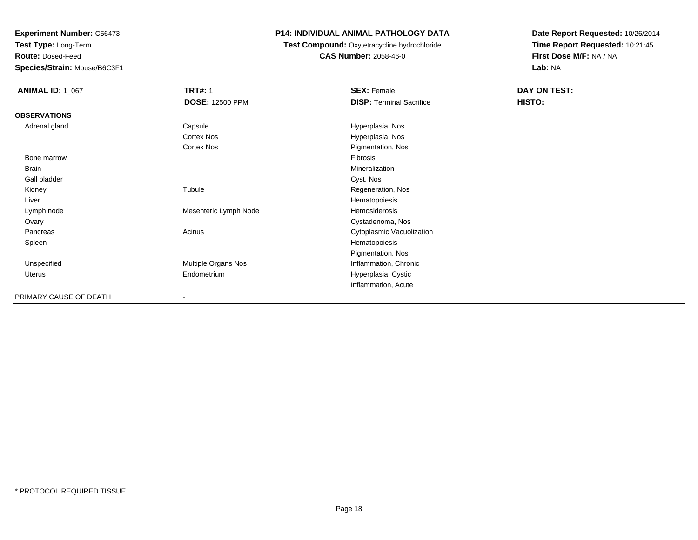**Test Type:** Long-Term

**Route:** Dosed-Feed

**Species/Strain:** Mouse/B6C3F1

### **P14: INDIVIDUAL ANIMAL PATHOLOGY DATA**

**Test Compound:** Oxytetracycline hydrochloride**CAS Number:** 2058-46-0

| <b>ANIMAL ID: 1_067</b> | <b>TRT#: 1</b>         | <b>SEX: Female</b>              | DAY ON TEST: |  |
|-------------------------|------------------------|---------------------------------|--------------|--|
|                         | <b>DOSE: 12500 PPM</b> | <b>DISP: Terminal Sacrifice</b> | HISTO:       |  |
| <b>OBSERVATIONS</b>     |                        |                                 |              |  |
| Adrenal gland           | Capsule                | Hyperplasia, Nos                |              |  |
|                         | Cortex Nos             | Hyperplasia, Nos                |              |  |
|                         | Cortex Nos             | Pigmentation, Nos               |              |  |
| Bone marrow             |                        | Fibrosis                        |              |  |
| Brain                   |                        | Mineralization                  |              |  |
| Gall bladder            |                        | Cyst, Nos                       |              |  |
| Kidney                  | Tubule                 | Regeneration, Nos               |              |  |
| Liver                   |                        | Hematopoiesis                   |              |  |
| Lymph node              | Mesenteric Lymph Node  | Hemosiderosis                   |              |  |
| Ovary                   |                        | Cystadenoma, Nos                |              |  |
| Pancreas                | Acinus                 | Cytoplasmic Vacuolization       |              |  |
| Spleen                  |                        | Hematopoiesis                   |              |  |
|                         |                        | Pigmentation, Nos               |              |  |
| Unspecified             | Multiple Organs Nos    | Inflammation, Chronic           |              |  |
| Uterus                  | Endometrium            | Hyperplasia, Cystic             |              |  |
|                         |                        | Inflammation, Acute             |              |  |
| PRIMARY CAUSE OF DEATH  | ۰                      |                                 |              |  |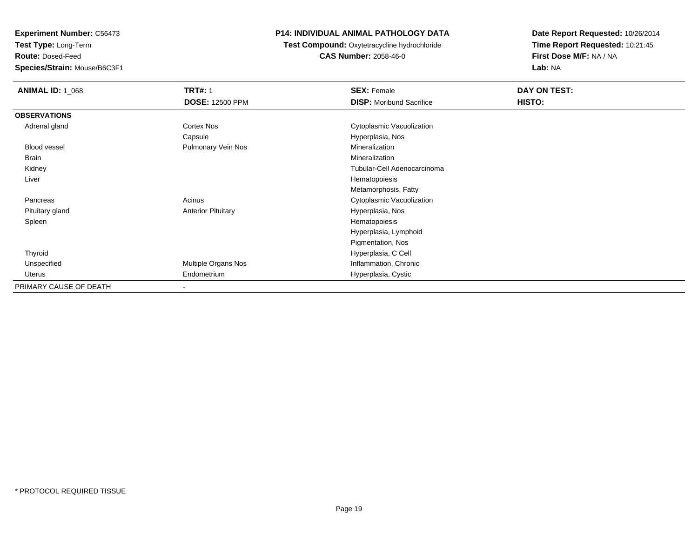**Test Type:** Long-Term

**Route:** Dosed-Feed

**Species/Strain:** Mouse/B6C3F1

### **P14: INDIVIDUAL ANIMAL PATHOLOGY DATA**

**Test Compound:** Oxytetracycline hydrochloride**CAS Number:** 2058-46-0

| <b>ANIMAL ID: 1_068</b> | <b>TRT#: 1</b>            | <b>SEX: Female</b>              | DAY ON TEST:  |  |
|-------------------------|---------------------------|---------------------------------|---------------|--|
|                         | <b>DOSE: 12500 PPM</b>    | <b>DISP:</b> Moribund Sacrifice | <b>HISTO:</b> |  |
| <b>OBSERVATIONS</b>     |                           |                                 |               |  |
| Adrenal gland           | Cortex Nos                | Cytoplasmic Vacuolization       |               |  |
|                         | Capsule                   | Hyperplasia, Nos                |               |  |
| <b>Blood vessel</b>     | Pulmonary Vein Nos        | Mineralization                  |               |  |
| Brain                   |                           | Mineralization                  |               |  |
| Kidney                  |                           | Tubular-Cell Adenocarcinoma     |               |  |
| Liver                   |                           | Hematopoiesis                   |               |  |
|                         |                           | Metamorphosis, Fatty            |               |  |
| Pancreas                | Acinus                    | Cytoplasmic Vacuolization       |               |  |
| Pituitary gland         | <b>Anterior Pituitary</b> | Hyperplasia, Nos                |               |  |
| Spleen                  |                           | Hematopoiesis                   |               |  |
|                         |                           | Hyperplasia, Lymphoid           |               |  |
|                         |                           | Pigmentation, Nos               |               |  |
| Thyroid                 |                           | Hyperplasia, C Cell             |               |  |
| Unspecified             | Multiple Organs Nos       | Inflammation, Chronic           |               |  |
| Uterus                  | Endometrium               | Hyperplasia, Cystic             |               |  |
| PRIMARY CAUSE OF DEATH  | $\overline{\phantom{a}}$  |                                 |               |  |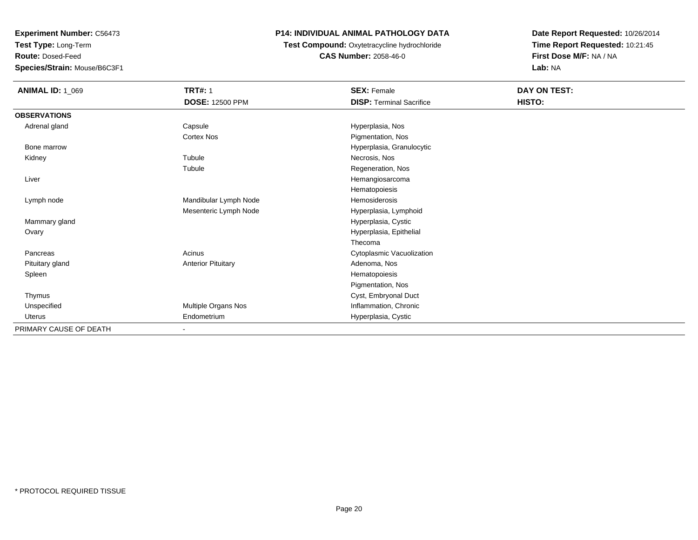**Test Type:** Long-Term

**Route:** Dosed-Feed

**Species/Strain:** Mouse/B6C3F1

### **P14: INDIVIDUAL ANIMAL PATHOLOGY DATA**

**Test Compound:** Oxytetracycline hydrochloride**CAS Number:** 2058-46-0

| <b>ANIMAL ID: 1_069</b> | <b>TRT#: 1</b>            | <b>SEX: Female</b>              | DAY ON TEST: |
|-------------------------|---------------------------|---------------------------------|--------------|
|                         | <b>DOSE: 12500 PPM</b>    | <b>DISP: Terminal Sacrifice</b> | HISTO:       |
| <b>OBSERVATIONS</b>     |                           |                                 |              |
| Adrenal gland           | Capsule                   | Hyperplasia, Nos                |              |
|                         | <b>Cortex Nos</b>         | Pigmentation, Nos               |              |
| Bone marrow             |                           | Hyperplasia, Granulocytic       |              |
| Kidney                  | Tubule                    | Necrosis, Nos                   |              |
|                         | Tubule                    | Regeneration, Nos               |              |
| Liver                   |                           | Hemangiosarcoma                 |              |
|                         |                           | Hematopoiesis                   |              |
| Lymph node              | Mandibular Lymph Node     | Hemosiderosis                   |              |
|                         | Mesenteric Lymph Node     | Hyperplasia, Lymphoid           |              |
| Mammary gland           |                           | Hyperplasia, Cystic             |              |
| Ovary                   |                           | Hyperplasia, Epithelial         |              |
|                         |                           | Thecoma                         |              |
| Pancreas                | Acinus                    | Cytoplasmic Vacuolization       |              |
| Pituitary gland         | <b>Anterior Pituitary</b> | Adenoma, Nos                    |              |
| Spleen                  |                           | Hematopoiesis                   |              |
|                         |                           | Pigmentation, Nos               |              |
| Thymus                  |                           | Cyst, Embryonal Duct            |              |
| Unspecified             | Multiple Organs Nos       | Inflammation, Chronic           |              |
| Uterus                  | Endometrium               | Hyperplasia, Cystic             |              |
| PRIMARY CAUSE OF DEATH  | $\blacksquare$            |                                 |              |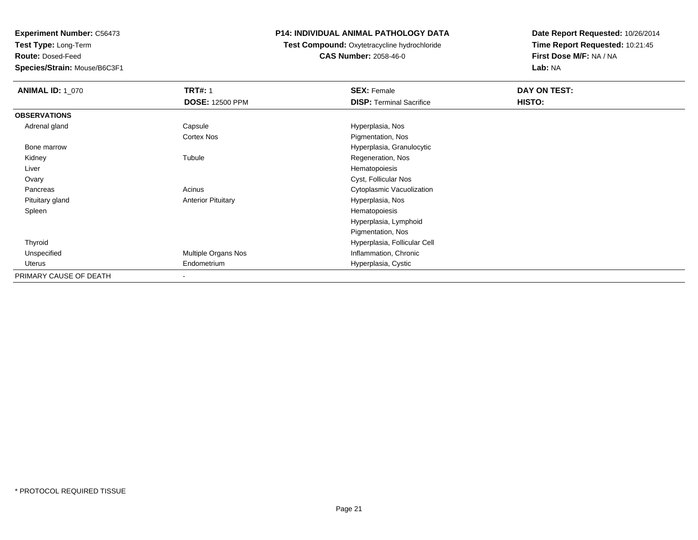**Test Type:** Long-Term

**Route:** Dosed-Feed

**Species/Strain:** Mouse/B6C3F1

### **P14: INDIVIDUAL ANIMAL PATHOLOGY DATA**

 **Test Compound:** Oxytetracycline hydrochloride**CAS Number:** 2058-46-0

| <b>ANIMAL ID: 1 070</b> | <b>TRT#: 1</b>            | <b>SEX: Female</b>              | DAY ON TEST: |
|-------------------------|---------------------------|---------------------------------|--------------|
|                         | <b>DOSE: 12500 PPM</b>    | <b>DISP: Terminal Sacrifice</b> | HISTO:       |
| <b>OBSERVATIONS</b>     |                           |                                 |              |
| Adrenal gland           | Capsule                   | Hyperplasia, Nos                |              |
|                         | Cortex Nos                | Pigmentation, Nos               |              |
| Bone marrow             |                           | Hyperplasia, Granulocytic       |              |
| Kidney                  | Tubule                    | Regeneration, Nos               |              |
| Liver                   |                           | Hematopoiesis                   |              |
| Ovary                   |                           | Cyst, Follicular Nos            |              |
| Pancreas                | Acinus                    | Cytoplasmic Vacuolization       |              |
| Pituitary gland         | <b>Anterior Pituitary</b> | Hyperplasia, Nos                |              |
| Spleen                  |                           | Hematopoiesis                   |              |
|                         |                           | Hyperplasia, Lymphoid           |              |
|                         |                           | Pigmentation, Nos               |              |
| Thyroid                 |                           | Hyperplasia, Follicular Cell    |              |
| Unspecified             | Multiple Organs Nos       | Inflammation, Chronic           |              |
| Uterus                  | Endometrium               | Hyperplasia, Cystic             |              |
| PRIMARY CAUSE OF DEATH  | $\overline{\phantom{a}}$  |                                 |              |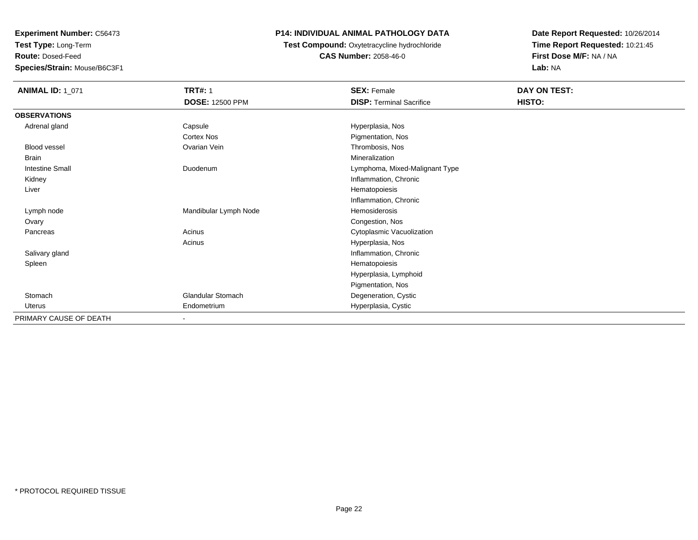**Test Type:** Long-Term

**Route:** Dosed-Feed

**Species/Strain:** Mouse/B6C3F1

### **P14: INDIVIDUAL ANIMAL PATHOLOGY DATA**

**Test Compound:** Oxytetracycline hydrochloride**CAS Number:** 2058-46-0

| <b>ANIMAL ID: 1_071</b> | <b>TRT#: 1</b>           | <b>SEX: Female</b>              | DAY ON TEST: |  |
|-------------------------|--------------------------|---------------------------------|--------------|--|
|                         | <b>DOSE: 12500 PPM</b>   | <b>DISP: Terminal Sacrifice</b> | HISTO:       |  |
| <b>OBSERVATIONS</b>     |                          |                                 |              |  |
| Adrenal gland           | Capsule                  | Hyperplasia, Nos                |              |  |
|                         | Cortex Nos               | Pigmentation, Nos               |              |  |
| <b>Blood vessel</b>     | Ovarian Vein             | Thrombosis, Nos                 |              |  |
| Brain                   |                          | Mineralization                  |              |  |
| <b>Intestine Small</b>  | Duodenum                 | Lymphoma, Mixed-Malignant Type  |              |  |
| Kidney                  |                          | Inflammation, Chronic           |              |  |
| Liver                   |                          | Hematopoiesis                   |              |  |
|                         |                          | Inflammation, Chronic           |              |  |
| Lymph node              | Mandibular Lymph Node    | Hemosiderosis                   |              |  |
| Ovary                   |                          | Congestion, Nos                 |              |  |
| Pancreas                | Acinus                   | Cytoplasmic Vacuolization       |              |  |
|                         | Acinus                   | Hyperplasia, Nos                |              |  |
| Salivary gland          |                          | Inflammation, Chronic           |              |  |
| Spleen                  |                          | Hematopoiesis                   |              |  |
|                         |                          | Hyperplasia, Lymphoid           |              |  |
|                         |                          | Pigmentation, Nos               |              |  |
| Stomach                 | <b>Glandular Stomach</b> | Degeneration, Cystic            |              |  |
| <b>Uterus</b>           | Endometrium              | Hyperplasia, Cystic             |              |  |
| PRIMARY CAUSE OF DEATH  | ۰                        |                                 |              |  |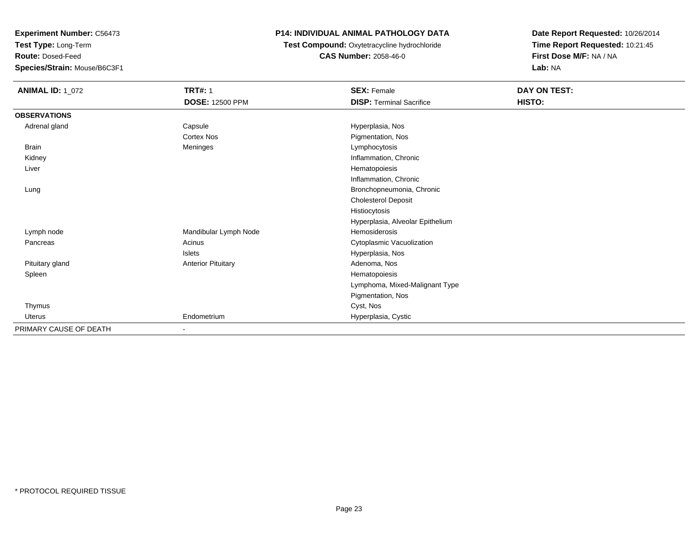**Test Type:** Long-Term

**Route:** Dosed-Feed

**Species/Strain:** Mouse/B6C3F1

### **P14: INDIVIDUAL ANIMAL PATHOLOGY DATA**

**Test Compound:** Oxytetracycline hydrochloride**CAS Number:** 2058-46-0

| <b>ANIMAL ID: 1_072</b> | <b>TRT#: 1</b>            | <b>SEX: Female</b>               | DAY ON TEST: |  |
|-------------------------|---------------------------|----------------------------------|--------------|--|
|                         | <b>DOSE: 12500 PPM</b>    | <b>DISP: Terminal Sacrifice</b>  | HISTO:       |  |
| <b>OBSERVATIONS</b>     |                           |                                  |              |  |
| Adrenal gland           | Capsule                   | Hyperplasia, Nos                 |              |  |
|                         | <b>Cortex Nos</b>         | Pigmentation, Nos                |              |  |
| <b>Brain</b>            | Meninges                  | Lymphocytosis                    |              |  |
| Kidney                  |                           | Inflammation, Chronic            |              |  |
| Liver                   |                           | Hematopoiesis                    |              |  |
|                         |                           | Inflammation, Chronic            |              |  |
| Lung                    |                           | Bronchopneumonia, Chronic        |              |  |
|                         |                           | <b>Cholesterol Deposit</b>       |              |  |
|                         |                           | Histiocytosis                    |              |  |
|                         |                           | Hyperplasia, Alveolar Epithelium |              |  |
| Lymph node              | Mandibular Lymph Node     | <b>Hemosiderosis</b>             |              |  |
| Pancreas                | Acinus                    | Cytoplasmic Vacuolization        |              |  |
|                         | Islets                    | Hyperplasia, Nos                 |              |  |
| Pituitary gland         | <b>Anterior Pituitary</b> | Adenoma, Nos                     |              |  |
| Spleen                  |                           | Hematopoiesis                    |              |  |
|                         |                           | Lymphoma, Mixed-Malignant Type   |              |  |
|                         |                           | Pigmentation, Nos                |              |  |
| Thymus                  |                           | Cyst, Nos                        |              |  |
| <b>Uterus</b>           | Endometrium               | Hyperplasia, Cystic              |              |  |
| PRIMARY CAUSE OF DEATH  | ٠                         |                                  |              |  |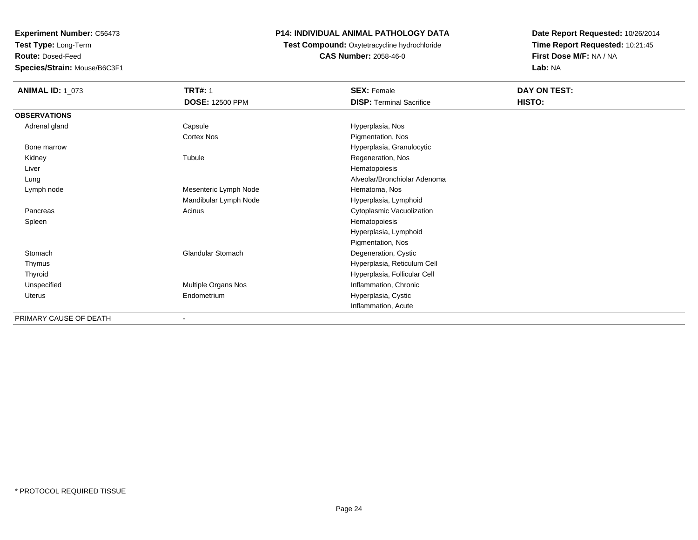**Test Type:** Long-Term

**Route:** Dosed-Feed

**Species/Strain:** Mouse/B6C3F1

### **P14: INDIVIDUAL ANIMAL PATHOLOGY DATA**

**Test Compound:** Oxytetracycline hydrochloride**CAS Number:** 2058-46-0

| <b>ANIMAL ID: 1_073</b> | <b>TRT#: 1</b>           | <b>SEX: Female</b>              | DAY ON TEST: |  |
|-------------------------|--------------------------|---------------------------------|--------------|--|
|                         | <b>DOSE: 12500 PPM</b>   | <b>DISP: Terminal Sacrifice</b> | HISTO:       |  |
| <b>OBSERVATIONS</b>     |                          |                                 |              |  |
| Adrenal gland           | Capsule                  | Hyperplasia, Nos                |              |  |
|                         | Cortex Nos               | Pigmentation, Nos               |              |  |
| Bone marrow             |                          | Hyperplasia, Granulocytic       |              |  |
| Kidney                  | Tubule                   | Regeneration, Nos               |              |  |
| Liver                   |                          | Hematopoiesis                   |              |  |
| Lung                    |                          | Alveolar/Bronchiolar Adenoma    |              |  |
| Lymph node              | Mesenteric Lymph Node    | Hematoma, Nos                   |              |  |
|                         | Mandibular Lymph Node    | Hyperplasia, Lymphoid           |              |  |
| Pancreas                | Acinus                   | Cytoplasmic Vacuolization       |              |  |
| Spleen                  |                          | Hematopoiesis                   |              |  |
|                         |                          | Hyperplasia, Lymphoid           |              |  |
|                         |                          | Pigmentation, Nos               |              |  |
| Stomach                 | <b>Glandular Stomach</b> | Degeneration, Cystic            |              |  |
| Thymus                  |                          | Hyperplasia, Reticulum Cell     |              |  |
| Thyroid                 |                          | Hyperplasia, Follicular Cell    |              |  |
| Unspecified             | Multiple Organs Nos      | Inflammation, Chronic           |              |  |
| Uterus                  | Endometrium              | Hyperplasia, Cystic             |              |  |
|                         |                          | Inflammation, Acute             |              |  |
| PRIMARY CAUSE OF DEATH  |                          |                                 |              |  |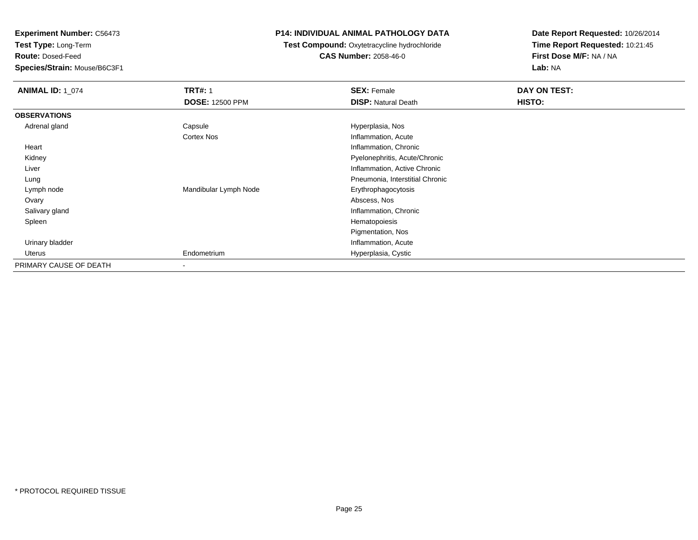**Test Type:** Long-Term

**Route:** Dosed-Feed

**Species/Strain:** Mouse/B6C3F1

#### **P14: INDIVIDUAL ANIMAL PATHOLOGY DATA**

**Test Compound:** Oxytetracycline hydrochloride**CAS Number:** 2058-46-0

| <b>ANIMAL ID: 1_074</b> | <b>TRT#: 1</b>         | <b>SEX: Female</b>              | DAY ON TEST: |
|-------------------------|------------------------|---------------------------------|--------------|
|                         | <b>DOSE: 12500 PPM</b> | <b>DISP: Natural Death</b>      | HISTO:       |
| <b>OBSERVATIONS</b>     |                        |                                 |              |
| Adrenal gland           | Capsule                | Hyperplasia, Nos                |              |
|                         | Cortex Nos             | Inflammation, Acute             |              |
| Heart                   |                        | Inflammation, Chronic           |              |
| Kidney                  |                        | Pyelonephritis, Acute/Chronic   |              |
| Liver                   |                        | Inflammation, Active Chronic    |              |
| Lung                    |                        | Pneumonia, Interstitial Chronic |              |
| Lymph node              | Mandibular Lymph Node  | Erythrophagocytosis             |              |
| Ovary                   |                        | Abscess, Nos                    |              |
| Salivary gland          |                        | Inflammation, Chronic           |              |
| Spleen                  |                        | Hematopoiesis                   |              |
|                         |                        | Pigmentation, Nos               |              |
| Urinary bladder         |                        | Inflammation, Acute             |              |
| Uterus                  | Endometrium            | Hyperplasia, Cystic             |              |
| PRIMARY CAUSE OF DEATH  |                        |                                 |              |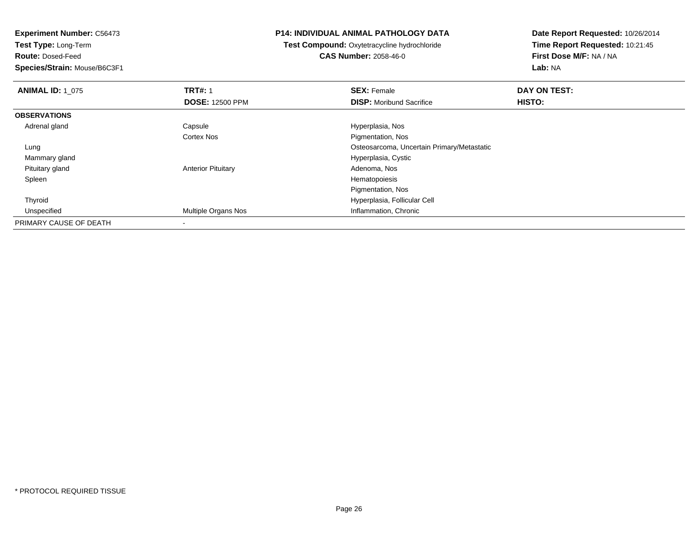**Test Type:** Long-Term

**Route:** Dosed-Feed

**Species/Strain:** Mouse/B6C3F1

#### **P14: INDIVIDUAL ANIMAL PATHOLOGY DATA**

**Test Compound:** Oxytetracycline hydrochloride**CAS Number:** 2058-46-0

| <b>ANIMAL ID: 1 075</b> | <b>TRT#: 1</b>             | <b>SEX: Female</b>                         | DAY ON TEST: |  |
|-------------------------|----------------------------|--------------------------------------------|--------------|--|
|                         | <b>DOSE: 12500 PPM</b>     | <b>DISP:</b> Moribund Sacrifice            | HISTO:       |  |
| <b>OBSERVATIONS</b>     |                            |                                            |              |  |
| Adrenal gland           | Capsule                    | Hyperplasia, Nos                           |              |  |
|                         | <b>Cortex Nos</b>          | Pigmentation, Nos                          |              |  |
| Lung                    |                            | Osteosarcoma, Uncertain Primary/Metastatic |              |  |
| Mammary gland           |                            | Hyperplasia, Cystic                        |              |  |
| Pituitary gland         | <b>Anterior Pituitary</b>  | Adenoma, Nos                               |              |  |
| Spleen                  |                            | Hematopoiesis                              |              |  |
|                         |                            | Pigmentation, Nos                          |              |  |
| Thyroid                 |                            | Hyperplasia, Follicular Cell               |              |  |
| Unspecified             | <b>Multiple Organs Nos</b> | Inflammation, Chronic                      |              |  |
| PRIMARY CAUSE OF DEATH  |                            |                                            |              |  |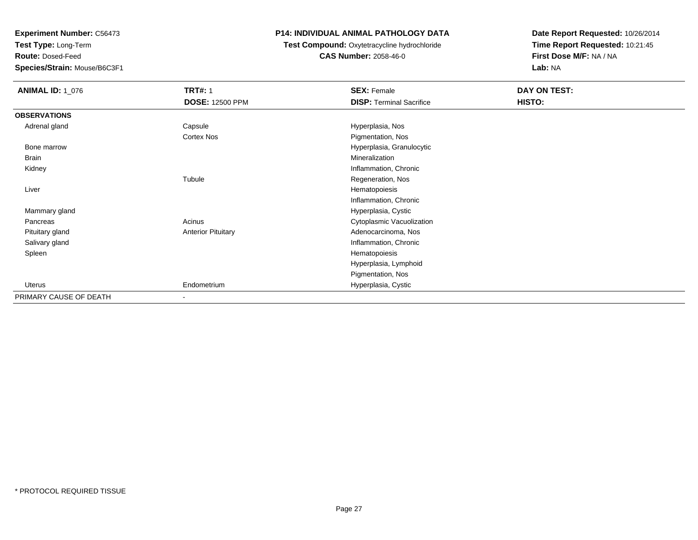**Test Type:** Long-Term

**Route:** Dosed-Feed

**Species/Strain:** Mouse/B6C3F1

### **P14: INDIVIDUAL ANIMAL PATHOLOGY DATA**

 **Test Compound:** Oxytetracycline hydrochloride**CAS Number:** 2058-46-0

| <b>ANIMAL ID: 1_076</b> | <b>TRT#: 1</b>            | <b>SEX: Female</b>              | DAY ON TEST: |
|-------------------------|---------------------------|---------------------------------|--------------|
|                         | <b>DOSE: 12500 PPM</b>    | <b>DISP: Terminal Sacrifice</b> | HISTO:       |
| <b>OBSERVATIONS</b>     |                           |                                 |              |
| Adrenal gland           | Capsule                   | Hyperplasia, Nos                |              |
|                         | Cortex Nos                | Pigmentation, Nos               |              |
| Bone marrow             |                           | Hyperplasia, Granulocytic       |              |
| Brain                   |                           | Mineralization                  |              |
| Kidney                  |                           | Inflammation, Chronic           |              |
|                         | Tubule                    | Regeneration, Nos               |              |
| Liver                   |                           | Hematopoiesis                   |              |
|                         |                           | Inflammation, Chronic           |              |
| Mammary gland           |                           | Hyperplasia, Cystic             |              |
| Pancreas                | Acinus                    | Cytoplasmic Vacuolization       |              |
| Pituitary gland         | <b>Anterior Pituitary</b> | Adenocarcinoma, Nos             |              |
| Salivary gland          |                           | Inflammation, Chronic           |              |
| Spleen                  |                           | Hematopoiesis                   |              |
|                         |                           | Hyperplasia, Lymphoid           |              |
|                         |                           | Pigmentation, Nos               |              |
| Uterus                  | Endometrium               | Hyperplasia, Cystic             |              |
| PRIMARY CAUSE OF DEATH  | $\overline{\phantom{a}}$  |                                 |              |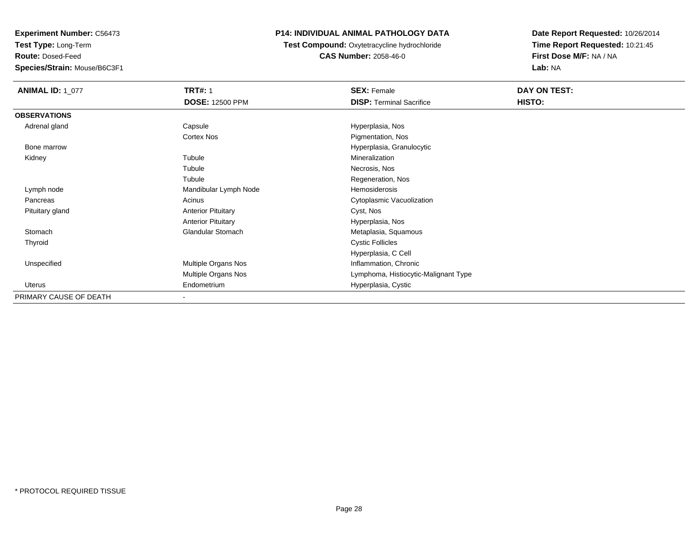**Test Type:** Long-Term

**Route:** Dosed-Feed

**Species/Strain:** Mouse/B6C3F1

### **P14: INDIVIDUAL ANIMAL PATHOLOGY DATA**

**Test Compound:** Oxytetracycline hydrochloride**CAS Number:** 2058-46-0

| <b>ANIMAL ID: 1_077</b> | <b>TRT#: 1</b>               | <b>SEX: Female</b>                   | DAY ON TEST: |  |
|-------------------------|------------------------------|--------------------------------------|--------------|--|
|                         | <b>DOSE: 12500 PPM</b>       | <b>DISP: Terminal Sacrifice</b>      | HISTO:       |  |
| <b>OBSERVATIONS</b>     |                              |                                      |              |  |
| Adrenal gland           | Capsule                      | Hyperplasia, Nos                     |              |  |
|                         | Cortex Nos                   | Pigmentation, Nos                    |              |  |
| Bone marrow             |                              | Hyperplasia, Granulocytic            |              |  |
| Kidney                  | Tubule                       | Mineralization                       |              |  |
|                         | Tubule                       | Necrosis, Nos                        |              |  |
|                         | Tubule                       | Regeneration, Nos                    |              |  |
| Lymph node              | Mandibular Lymph Node        | Hemosiderosis                        |              |  |
| Pancreas                | Acinus                       | Cytoplasmic Vacuolization            |              |  |
| Pituitary gland         | <b>Anterior Pituitary</b>    | Cyst, Nos                            |              |  |
|                         | <b>Anterior Pituitary</b>    | Hyperplasia, Nos                     |              |  |
| Stomach                 | <b>Glandular Stomach</b>     | Metaplasia, Squamous                 |              |  |
| Thyroid                 |                              | <b>Cystic Follicles</b>              |              |  |
|                         |                              | Hyperplasia, C Cell                  |              |  |
| Unspecified             | Multiple Organs Nos          | Inflammation, Chronic                |              |  |
|                         | Multiple Organs Nos          | Lymphoma, Histiocytic-Malignant Type |              |  |
| Uterus                  | Endometrium                  | Hyperplasia, Cystic                  |              |  |
| PRIMARY CAUSE OF DEATH  | $\qquad \qquad \blacksquare$ |                                      |              |  |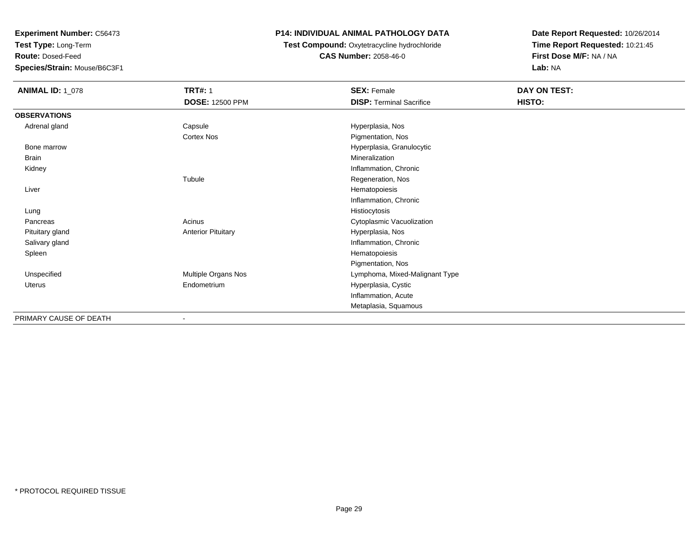**Test Type:** Long-Term

**Route:** Dosed-Feed

**Species/Strain:** Mouse/B6C3F1

#### **P14: INDIVIDUAL ANIMAL PATHOLOGY DATA**

# **Test Compound:** Oxytetracycline hydrochloride**CAS Number:** 2058-46-0

| <b>ANIMAL ID: 1_078</b> | <b>TRT#: 1</b>            | <b>SEX: Female</b>              | DAY ON TEST: |
|-------------------------|---------------------------|---------------------------------|--------------|
|                         | <b>DOSE: 12500 PPM</b>    | <b>DISP: Terminal Sacrifice</b> | HISTO:       |
| <b>OBSERVATIONS</b>     |                           |                                 |              |
| Adrenal gland           | Capsule                   | Hyperplasia, Nos                |              |
|                         | Cortex Nos                | Pigmentation, Nos               |              |
| Bone marrow             |                           | Hyperplasia, Granulocytic       |              |
| <b>Brain</b>            |                           | Mineralization                  |              |
| Kidney                  |                           | Inflammation, Chronic           |              |
|                         | Tubule                    | Regeneration, Nos               |              |
| Liver                   |                           | Hematopoiesis                   |              |
|                         |                           | Inflammation, Chronic           |              |
| Lung                    |                           | Histiocytosis                   |              |
| Pancreas                | Acinus                    | Cytoplasmic Vacuolization       |              |
| Pituitary gland         | <b>Anterior Pituitary</b> | Hyperplasia, Nos                |              |
| Salivary gland          |                           | Inflammation, Chronic           |              |
| Spleen                  |                           | Hematopoiesis                   |              |
|                         |                           | Pigmentation, Nos               |              |
| Unspecified             | Multiple Organs Nos       | Lymphoma, Mixed-Malignant Type  |              |
| Uterus                  | Endometrium               | Hyperplasia, Cystic             |              |
|                         |                           | Inflammation, Acute             |              |
|                         |                           | Metaplasia, Squamous            |              |
| PRIMARY CAUSE OF DEATH  | ٠                         |                                 |              |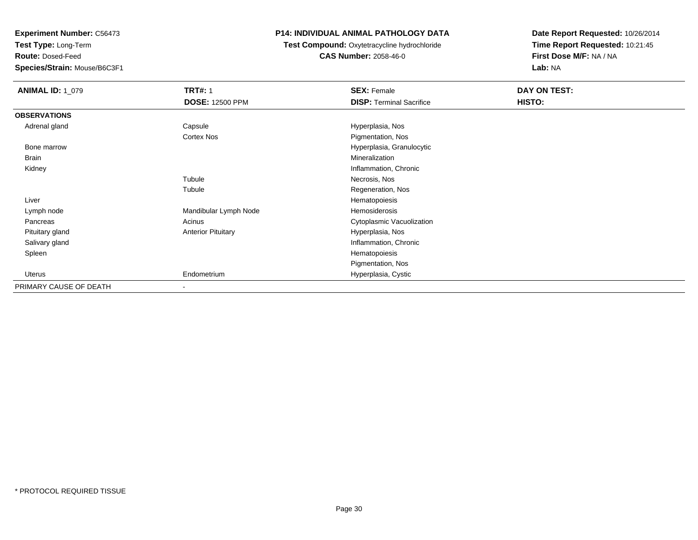**Test Type:** Long-Term

**Route:** Dosed-Feed

**Species/Strain:** Mouse/B6C3F1

#### **P14: INDIVIDUAL ANIMAL PATHOLOGY DATA**

**Test Compound:** Oxytetracycline hydrochloride**CAS Number:** 2058-46-0

| <b>ANIMAL ID: 1_079</b> | <b>TRT#: 1</b>            | <b>SEX: Female</b>              | DAY ON TEST: |  |
|-------------------------|---------------------------|---------------------------------|--------------|--|
|                         | <b>DOSE: 12500 PPM</b>    | <b>DISP: Terminal Sacrifice</b> | HISTO:       |  |
| <b>OBSERVATIONS</b>     |                           |                                 |              |  |
| Adrenal gland           | Capsule                   | Hyperplasia, Nos                |              |  |
|                         | Cortex Nos                | Pigmentation, Nos               |              |  |
| Bone marrow             |                           | Hyperplasia, Granulocytic       |              |  |
| Brain                   |                           | Mineralization                  |              |  |
| Kidney                  |                           | Inflammation, Chronic           |              |  |
|                         | Tubule                    | Necrosis, Nos                   |              |  |
|                         | Tubule                    | Regeneration, Nos               |              |  |
| Liver                   |                           | Hematopoiesis                   |              |  |
| Lymph node              | Mandibular Lymph Node     | Hemosiderosis                   |              |  |
| Pancreas                | Acinus                    | Cytoplasmic Vacuolization       |              |  |
| Pituitary gland         | <b>Anterior Pituitary</b> | Hyperplasia, Nos                |              |  |
| Salivary gland          |                           | Inflammation, Chronic           |              |  |
| Spleen                  |                           | Hematopoiesis                   |              |  |
|                         |                           | Pigmentation, Nos               |              |  |
| Uterus                  | Endometrium               | Hyperplasia, Cystic             |              |  |
| PRIMARY CAUSE OF DEATH  | $\overline{\phantom{a}}$  |                                 |              |  |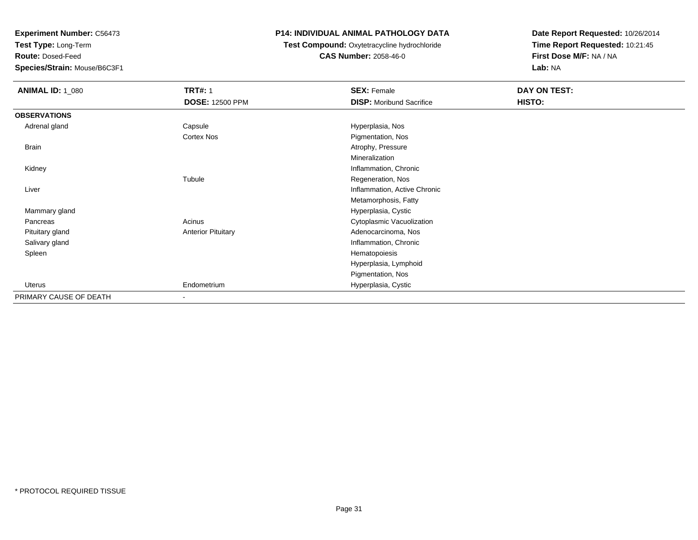**Test Type:** Long-Term

**Route:** Dosed-Feed

**Species/Strain:** Mouse/B6C3F1

### **P14: INDIVIDUAL ANIMAL PATHOLOGY DATA**

#### **Test Compound:** Oxytetracycline hydrochloride**CAS Number:** 2058-46-0

| <b>ANIMAL ID: 1_080</b> | <b>TRT#: 1</b>            | <b>SEX: Female</b>              | DAY ON TEST: |  |
|-------------------------|---------------------------|---------------------------------|--------------|--|
|                         | <b>DOSE: 12500 PPM</b>    | <b>DISP:</b> Moribund Sacrifice | HISTO:       |  |
| <b>OBSERVATIONS</b>     |                           |                                 |              |  |
| Adrenal gland           | Capsule                   | Hyperplasia, Nos                |              |  |
|                         | Cortex Nos                | Pigmentation, Nos               |              |  |
| Brain                   |                           | Atrophy, Pressure               |              |  |
|                         |                           | Mineralization                  |              |  |
| Kidney                  |                           | Inflammation, Chronic           |              |  |
|                         | Tubule                    | Regeneration, Nos               |              |  |
| Liver                   |                           | Inflammation, Active Chronic    |              |  |
|                         |                           | Metamorphosis, Fatty            |              |  |
| Mammary gland           |                           | Hyperplasia, Cystic             |              |  |
| Pancreas                | Acinus                    | Cytoplasmic Vacuolization       |              |  |
| Pituitary gland         | <b>Anterior Pituitary</b> | Adenocarcinoma, Nos             |              |  |
| Salivary gland          |                           | Inflammation, Chronic           |              |  |
| Spleen                  |                           | Hematopoiesis                   |              |  |
|                         |                           | Hyperplasia, Lymphoid           |              |  |
|                         |                           | Pigmentation, Nos               |              |  |
| Uterus                  | Endometrium               | Hyperplasia, Cystic             |              |  |
| PRIMARY CAUSE OF DEATH  |                           |                                 |              |  |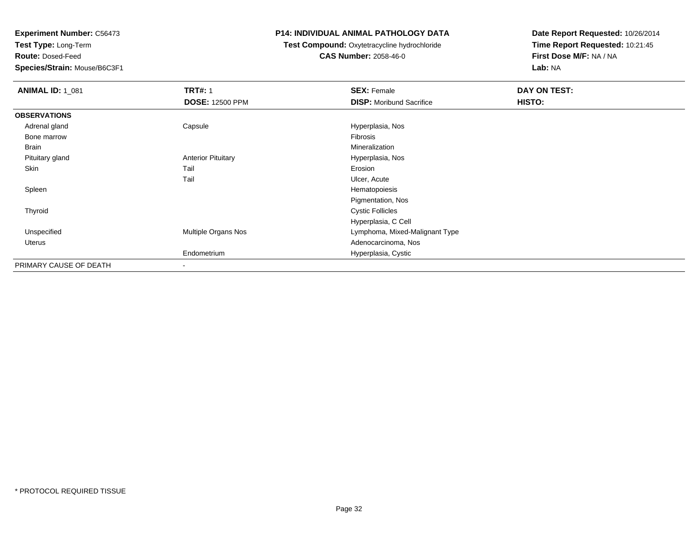**Test Type:** Long-Term

**Route:** Dosed-Feed

**Species/Strain:** Mouse/B6C3F1

#### **P14: INDIVIDUAL ANIMAL PATHOLOGY DATA**

# **Test Compound:** Oxytetracycline hydrochloride**CAS Number:** 2058-46-0

| <b>ANIMAL ID: 1_081</b> | <b>TRT#: 1</b>            | <b>SEX: Female</b>              | DAY ON TEST: |  |
|-------------------------|---------------------------|---------------------------------|--------------|--|
|                         | <b>DOSE: 12500 PPM</b>    | <b>DISP:</b> Moribund Sacrifice | HISTO:       |  |
| <b>OBSERVATIONS</b>     |                           |                                 |              |  |
| Adrenal gland           | Capsule                   | Hyperplasia, Nos                |              |  |
| Bone marrow             |                           | Fibrosis                        |              |  |
| Brain                   |                           | Mineralization                  |              |  |
| Pituitary gland         | <b>Anterior Pituitary</b> | Hyperplasia, Nos                |              |  |
| Skin                    | Tail                      | Erosion                         |              |  |
|                         | Tail                      | Ulcer, Acute                    |              |  |
| Spleen                  |                           | Hematopoiesis                   |              |  |
|                         |                           | Pigmentation, Nos               |              |  |
| Thyroid                 |                           | <b>Cystic Follicles</b>         |              |  |
|                         |                           | Hyperplasia, C Cell             |              |  |
| Unspecified             | Multiple Organs Nos       | Lymphoma, Mixed-Malignant Type  |              |  |
| Uterus                  |                           | Adenocarcinoma, Nos             |              |  |
|                         | Endometrium               | Hyperplasia, Cystic             |              |  |
| PRIMARY CAUSE OF DEATH  |                           |                                 |              |  |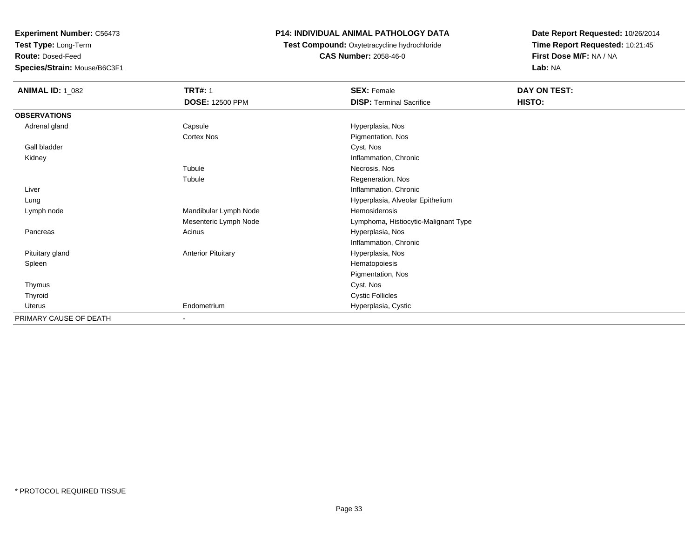**Test Type:** Long-Term

**Route:** Dosed-Feed

**Species/Strain:** Mouse/B6C3F1

### **P14: INDIVIDUAL ANIMAL PATHOLOGY DATA**

**Test Compound:** Oxytetracycline hydrochloride**CAS Number:** 2058-46-0

| <b>ANIMAL ID: 1_082</b> | <b>TRT#: 1</b>               | <b>SEX: Female</b>                   | DAY ON TEST: |  |
|-------------------------|------------------------------|--------------------------------------|--------------|--|
|                         | <b>DOSE: 12500 PPM</b>       | <b>DISP: Terminal Sacrifice</b>      | HISTO:       |  |
| <b>OBSERVATIONS</b>     |                              |                                      |              |  |
| Adrenal gland           | Capsule                      | Hyperplasia, Nos                     |              |  |
|                         | Cortex Nos                   | Pigmentation, Nos                    |              |  |
| Gall bladder            |                              | Cyst, Nos                            |              |  |
| Kidney                  |                              | Inflammation, Chronic                |              |  |
|                         | Tubule                       | Necrosis, Nos                        |              |  |
|                         | Tubule                       | Regeneration, Nos                    |              |  |
| Liver                   |                              | Inflammation, Chronic                |              |  |
| Lung                    |                              | Hyperplasia, Alveolar Epithelium     |              |  |
| Lymph node              | Mandibular Lymph Node        | Hemosiderosis                        |              |  |
|                         | Mesenteric Lymph Node        | Lymphoma, Histiocytic-Malignant Type |              |  |
| Pancreas                | Acinus                       | Hyperplasia, Nos                     |              |  |
|                         |                              | Inflammation, Chronic                |              |  |
| Pituitary gland         | <b>Anterior Pituitary</b>    | Hyperplasia, Nos                     |              |  |
| Spleen                  |                              | Hematopoiesis                        |              |  |
|                         |                              | Pigmentation, Nos                    |              |  |
| Thymus                  |                              | Cyst, Nos                            |              |  |
| Thyroid                 |                              | <b>Cystic Follicles</b>              |              |  |
| Uterus                  | Endometrium                  | Hyperplasia, Cystic                  |              |  |
| PRIMARY CAUSE OF DEATH  | $\qquad \qquad \blacksquare$ |                                      |              |  |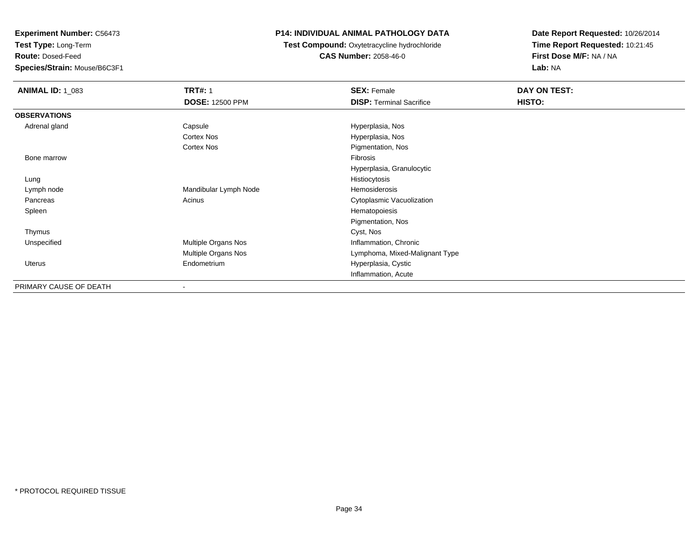**Test Type:** Long-Term

**Route:** Dosed-Feed

**Species/Strain:** Mouse/B6C3F1

### **P14: INDIVIDUAL ANIMAL PATHOLOGY DATA**

**Test Compound:** Oxytetracycline hydrochloride**CAS Number:** 2058-46-0

| <b>ANIMAL ID: 1_083</b> | <b>TRT#: 1</b>           | <b>SEX: Female</b>              | DAY ON TEST: |
|-------------------------|--------------------------|---------------------------------|--------------|
|                         | <b>DOSE: 12500 PPM</b>   | <b>DISP: Terminal Sacrifice</b> | HISTO:       |
| <b>OBSERVATIONS</b>     |                          |                                 |              |
| Adrenal gland           | Capsule                  | Hyperplasia, Nos                |              |
|                         | Cortex Nos               | Hyperplasia, Nos                |              |
|                         | Cortex Nos               | Pigmentation, Nos               |              |
| Bone marrow             |                          | Fibrosis                        |              |
|                         |                          | Hyperplasia, Granulocytic       |              |
| Lung                    |                          | Histiocytosis                   |              |
| Lymph node              | Mandibular Lymph Node    | Hemosiderosis                   |              |
| Pancreas                | Acinus                   | Cytoplasmic Vacuolization       |              |
| Spleen                  |                          | Hematopoiesis                   |              |
|                         |                          | Pigmentation, Nos               |              |
| Thymus                  |                          | Cyst, Nos                       |              |
| Unspecified             | Multiple Organs Nos      | Inflammation, Chronic           |              |
|                         | Multiple Organs Nos      | Lymphoma, Mixed-Malignant Type  |              |
| Uterus                  | Endometrium              | Hyperplasia, Cystic             |              |
|                         |                          | Inflammation, Acute             |              |
| PRIMARY CAUSE OF DEATH  | $\overline{\phantom{a}}$ |                                 |              |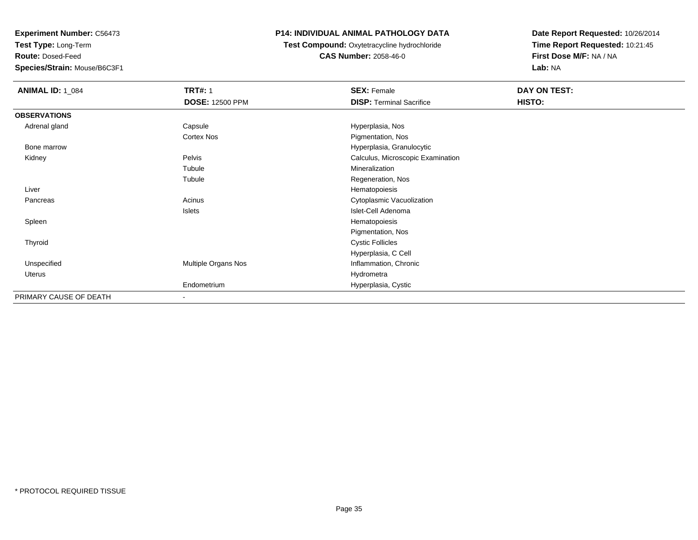**Test Type:** Long-Term

**Route:** Dosed-Feed

**Species/Strain:** Mouse/B6C3F1

### **P14: INDIVIDUAL ANIMAL PATHOLOGY DATA**

**Test Compound:** Oxytetracycline hydrochloride**CAS Number:** 2058-46-0

| <b>ANIMAL ID: 1_084</b> | <b>TRT#: 1</b>               | <b>SEX: Female</b>                | <b>DAY ON TEST:</b> |  |
|-------------------------|------------------------------|-----------------------------------|---------------------|--|
|                         | <b>DOSE: 12500 PPM</b>       | <b>DISP: Terminal Sacrifice</b>   | HISTO:              |  |
| <b>OBSERVATIONS</b>     |                              |                                   |                     |  |
| Adrenal gland           | Capsule                      | Hyperplasia, Nos                  |                     |  |
|                         | Cortex Nos                   | Pigmentation, Nos                 |                     |  |
| Bone marrow             |                              | Hyperplasia, Granulocytic         |                     |  |
| Kidney                  | Pelvis                       | Calculus, Microscopic Examination |                     |  |
|                         | Tubule                       | Mineralization                    |                     |  |
|                         | Tubule                       | Regeneration, Nos                 |                     |  |
| Liver                   |                              | Hematopoiesis                     |                     |  |
| Pancreas                | Acinus                       | Cytoplasmic Vacuolization         |                     |  |
|                         | Islets                       | Islet-Cell Adenoma                |                     |  |
| Spleen                  |                              | Hematopoiesis                     |                     |  |
|                         |                              | Pigmentation, Nos                 |                     |  |
| Thyroid                 |                              | <b>Cystic Follicles</b>           |                     |  |
|                         |                              | Hyperplasia, C Cell               |                     |  |
| Unspecified             | Multiple Organs Nos          | Inflammation, Chronic             |                     |  |
| <b>Uterus</b>           |                              | Hydrometra                        |                     |  |
|                         | Endometrium                  | Hyperplasia, Cystic               |                     |  |
| PRIMARY CAUSE OF DEATH  | $\qquad \qquad \blacksquare$ |                                   |                     |  |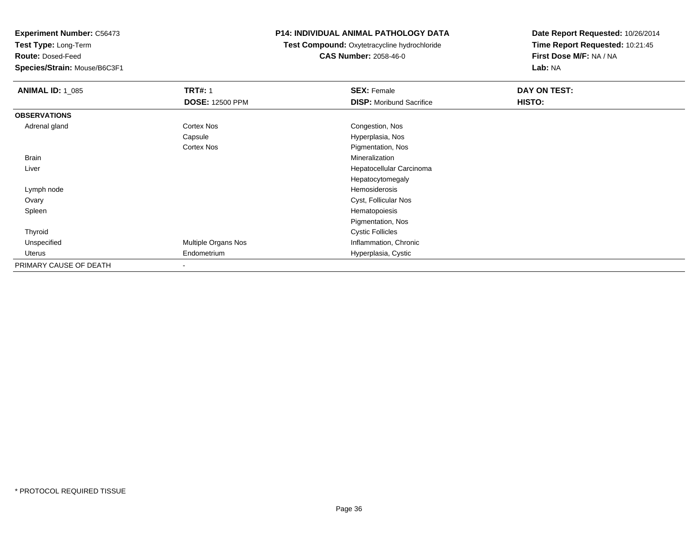**Test Type:** Long-Term

**Route:** Dosed-Feed

**Species/Strain:** Mouse/B6C3F1

### **P14: INDIVIDUAL ANIMAL PATHOLOGY DATA**

**Test Compound:** Oxytetracycline hydrochloride**CAS Number:** 2058-46-0

| <b>ANIMAL ID: 1_085</b> | <b>TRT#: 1</b>         | <b>SEX: Female</b>              | DAY ON TEST: |  |
|-------------------------|------------------------|---------------------------------|--------------|--|
|                         | <b>DOSE: 12500 PPM</b> | <b>DISP:</b> Moribund Sacrifice | HISTO:       |  |
| <b>OBSERVATIONS</b>     |                        |                                 |              |  |
| Adrenal gland           | <b>Cortex Nos</b>      | Congestion, Nos                 |              |  |
|                         | Capsule                | Hyperplasia, Nos                |              |  |
|                         | <b>Cortex Nos</b>      | Pigmentation, Nos               |              |  |
| <b>Brain</b>            |                        | Mineralization                  |              |  |
| Liver                   |                        | Hepatocellular Carcinoma        |              |  |
|                         |                        | Hepatocytomegaly                |              |  |
| Lymph node              |                        | Hemosiderosis                   |              |  |
| Ovary                   |                        | Cyst, Follicular Nos            |              |  |
| Spleen                  |                        | Hematopoiesis                   |              |  |
|                         |                        | Pigmentation, Nos               |              |  |
| Thyroid                 |                        | <b>Cystic Follicles</b>         |              |  |
| Unspecified             | Multiple Organs Nos    | Inflammation, Chronic           |              |  |
| Uterus                  | Endometrium            | Hyperplasia, Cystic             |              |  |
| PRIMARY CAUSE OF DEATH  |                        |                                 |              |  |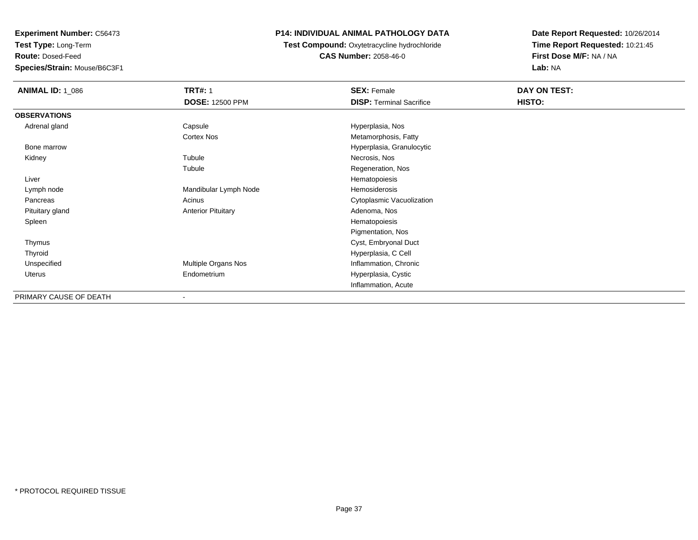**Test Type:** Long-Term

**Route:** Dosed-Feed

**Species/Strain:** Mouse/B6C3F1

### **P14: INDIVIDUAL ANIMAL PATHOLOGY DATA**

**Test Compound:** Oxytetracycline hydrochloride**CAS Number:** 2058-46-0

| <b>ANIMAL ID: 1_086</b> | <b>TRT#: 1</b>            | <b>SEX: Female</b>              | DAY ON TEST: |  |
|-------------------------|---------------------------|---------------------------------|--------------|--|
|                         | <b>DOSE: 12500 PPM</b>    | <b>DISP: Terminal Sacrifice</b> | HISTO:       |  |
| <b>OBSERVATIONS</b>     |                           |                                 |              |  |
| Adrenal gland           | Capsule                   | Hyperplasia, Nos                |              |  |
|                         | Cortex Nos                | Metamorphosis, Fatty            |              |  |
| Bone marrow             |                           | Hyperplasia, Granulocytic       |              |  |
| Kidney                  | Tubule                    | Necrosis, Nos                   |              |  |
|                         | Tubule                    | Regeneration, Nos               |              |  |
| Liver                   |                           | Hematopoiesis                   |              |  |
| Lymph node              | Mandibular Lymph Node     | Hemosiderosis                   |              |  |
| Pancreas                | Acinus                    | Cytoplasmic Vacuolization       |              |  |
| Pituitary gland         | <b>Anterior Pituitary</b> | Adenoma, Nos                    |              |  |
| Spleen                  |                           | Hematopoiesis                   |              |  |
|                         |                           | Pigmentation, Nos               |              |  |
| Thymus                  |                           | Cyst, Embryonal Duct            |              |  |
| Thyroid                 |                           | Hyperplasia, C Cell             |              |  |
| Unspecified             | Multiple Organs Nos       | Inflammation, Chronic           |              |  |
| Uterus                  | Endometrium               | Hyperplasia, Cystic             |              |  |
|                         |                           | Inflammation, Acute             |              |  |
| PRIMARY CAUSE OF DEATH  | $\blacksquare$            |                                 |              |  |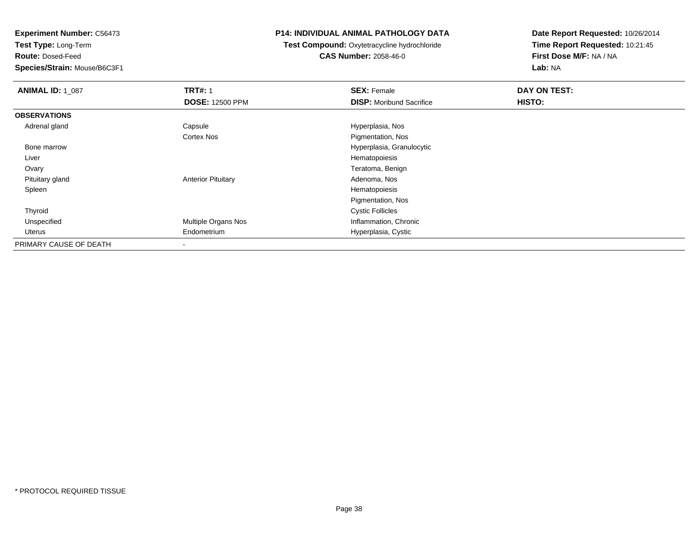**Test Type:** Long-Term

**Route:** Dosed-Feed

**Species/Strain:** Mouse/B6C3F1

### **P14: INDIVIDUAL ANIMAL PATHOLOGY DATA**

**Test Compound:** Oxytetracycline hydrochloride**CAS Number:** 2058-46-0

| <b>ANIMAL ID: 1 087</b> | <b>TRT#: 1</b>             | <b>SEX: Female</b>              | DAY ON TEST: |  |
|-------------------------|----------------------------|---------------------------------|--------------|--|
|                         | <b>DOSE: 12500 PPM</b>     | <b>DISP:</b> Moribund Sacrifice | HISTO:       |  |
| <b>OBSERVATIONS</b>     |                            |                                 |              |  |
| Adrenal gland           | Capsule                    | Hyperplasia, Nos                |              |  |
|                         | <b>Cortex Nos</b>          | Pigmentation, Nos               |              |  |
| Bone marrow             |                            | Hyperplasia, Granulocytic       |              |  |
| Liver                   |                            | Hematopoiesis                   |              |  |
| Ovary                   |                            | Teratoma, Benign                |              |  |
| Pituitary gland         | <b>Anterior Pituitary</b>  | Adenoma, Nos                    |              |  |
| Spleen                  |                            | Hematopoiesis                   |              |  |
|                         |                            | Pigmentation, Nos               |              |  |
| Thyroid                 |                            | <b>Cystic Follicles</b>         |              |  |
| Unspecified             | <b>Multiple Organs Nos</b> | Inflammation, Chronic           |              |  |
| Uterus                  | Endometrium                | Hyperplasia, Cystic             |              |  |
| PRIMARY CAUSE OF DEATH  | $\,$                       |                                 |              |  |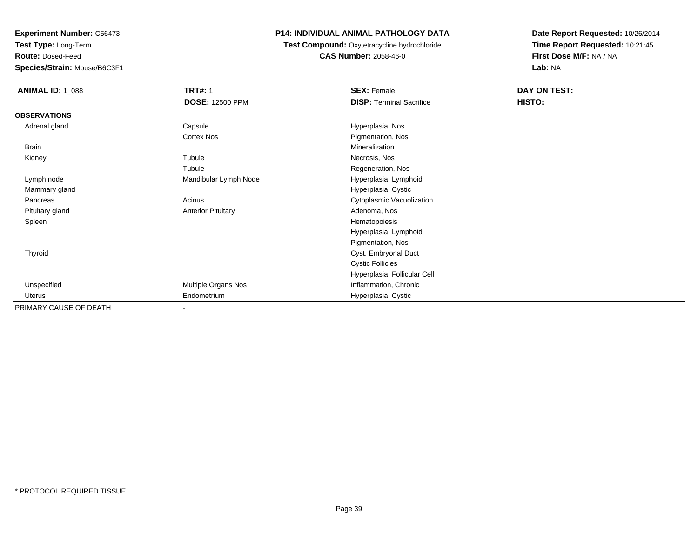**Test Type:** Long-Term

**Route:** Dosed-Feed

**Species/Strain:** Mouse/B6C3F1

## **P14: INDIVIDUAL ANIMAL PATHOLOGY DATA**

**Test Compound:** Oxytetracycline hydrochloride**CAS Number:** 2058-46-0

| <b>ANIMAL ID: 1_088</b> | <b>TRT#: 1</b>            | <b>SEX: Female</b>              | DAY ON TEST: |  |
|-------------------------|---------------------------|---------------------------------|--------------|--|
|                         | <b>DOSE: 12500 PPM</b>    | <b>DISP: Terminal Sacrifice</b> | HISTO:       |  |
| <b>OBSERVATIONS</b>     |                           |                                 |              |  |
| Adrenal gland           | Capsule                   | Hyperplasia, Nos                |              |  |
|                         | Cortex Nos                | Pigmentation, Nos               |              |  |
| <b>Brain</b>            |                           | Mineralization                  |              |  |
| Kidney                  | Tubule                    | Necrosis, Nos                   |              |  |
|                         | Tubule                    | Regeneration, Nos               |              |  |
| Lymph node              | Mandibular Lymph Node     | Hyperplasia, Lymphoid           |              |  |
| Mammary gland           |                           | Hyperplasia, Cystic             |              |  |
| Pancreas                | Acinus                    | Cytoplasmic Vacuolization       |              |  |
| Pituitary gland         | <b>Anterior Pituitary</b> | Adenoma, Nos                    |              |  |
| Spleen                  |                           | Hematopoiesis                   |              |  |
|                         |                           | Hyperplasia, Lymphoid           |              |  |
|                         |                           | Pigmentation, Nos               |              |  |
| Thyroid                 |                           | Cyst, Embryonal Duct            |              |  |
|                         |                           | <b>Cystic Follicles</b>         |              |  |
|                         |                           | Hyperplasia, Follicular Cell    |              |  |
| Unspecified             | Multiple Organs Nos       | Inflammation, Chronic           |              |  |
| Uterus                  | Endometrium               | Hyperplasia, Cystic             |              |  |
| PRIMARY CAUSE OF DEATH  | ٠                         |                                 |              |  |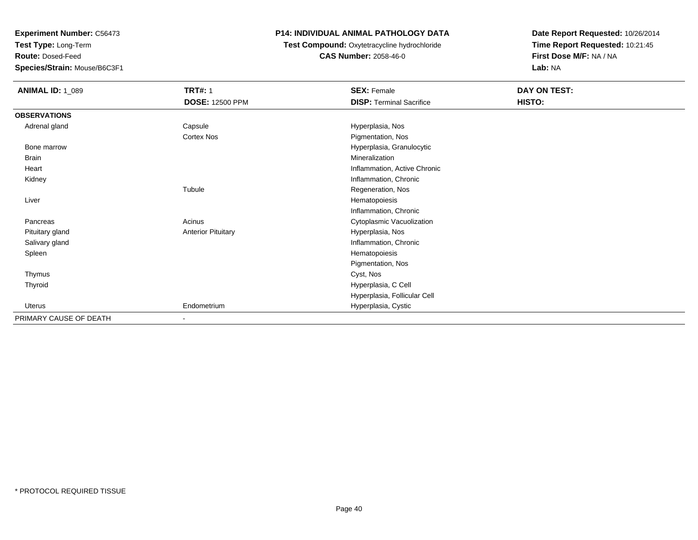**Test Type:** Long-Term

**Route:** Dosed-Feed

**Species/Strain:** Mouse/B6C3F1

### **P14: INDIVIDUAL ANIMAL PATHOLOGY DATA**

# **Test Compound:** Oxytetracycline hydrochloride**CAS Number:** 2058-46-0

| <b>ANIMAL ID: 1_089</b> | <b>TRT#: 1</b>            | <b>SEX: Female</b>              | DAY ON TEST: |  |
|-------------------------|---------------------------|---------------------------------|--------------|--|
|                         | <b>DOSE: 12500 PPM</b>    | <b>DISP: Terminal Sacrifice</b> | HISTO:       |  |
| <b>OBSERVATIONS</b>     |                           |                                 |              |  |
| Adrenal gland           | Capsule                   | Hyperplasia, Nos                |              |  |
|                         | Cortex Nos                | Pigmentation, Nos               |              |  |
| Bone marrow             |                           | Hyperplasia, Granulocytic       |              |  |
| <b>Brain</b>            |                           | Mineralization                  |              |  |
| Heart                   |                           | Inflammation, Active Chronic    |              |  |
| Kidney                  |                           | Inflammation, Chronic           |              |  |
|                         | Tubule                    | Regeneration, Nos               |              |  |
| Liver                   |                           | Hematopoiesis                   |              |  |
|                         |                           | Inflammation, Chronic           |              |  |
| Pancreas                | Acinus                    | Cytoplasmic Vacuolization       |              |  |
| Pituitary gland         | <b>Anterior Pituitary</b> | Hyperplasia, Nos                |              |  |
| Salivary gland          |                           | Inflammation, Chronic           |              |  |
| Spleen                  |                           | Hematopoiesis                   |              |  |
|                         |                           | Pigmentation, Nos               |              |  |
| Thymus                  |                           | Cyst, Nos                       |              |  |
| Thyroid                 |                           | Hyperplasia, C Cell             |              |  |
|                         |                           | Hyperplasia, Follicular Cell    |              |  |
| Uterus                  | Endometrium               | Hyperplasia, Cystic             |              |  |
| PRIMARY CAUSE OF DEATH  | ٠                         |                                 |              |  |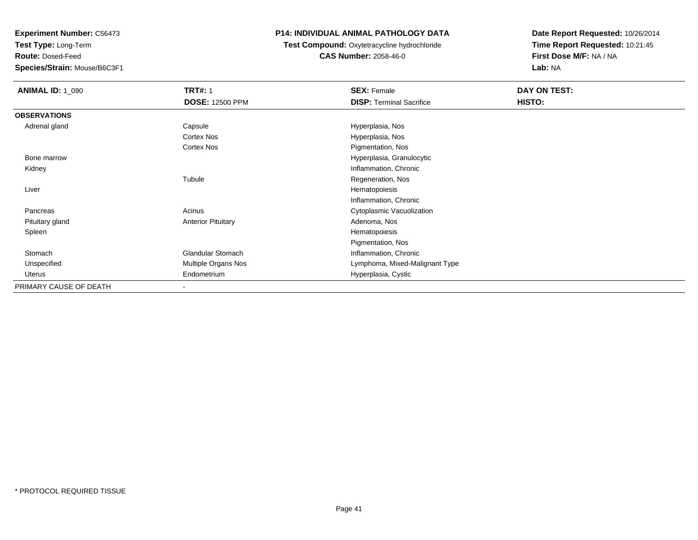**Test Type:** Long-Term

**Route:** Dosed-Feed

**Species/Strain:** Mouse/B6C3F1

### **P14: INDIVIDUAL ANIMAL PATHOLOGY DATA**

**Test Compound:** Oxytetracycline hydrochloride**CAS Number:** 2058-46-0

| <b>ANIMAL ID: 1_090</b> | <b>TRT#: 1</b>            | <b>SEX: Female</b>              | DAY ON TEST: |
|-------------------------|---------------------------|---------------------------------|--------------|
|                         | <b>DOSE: 12500 PPM</b>    | <b>DISP: Terminal Sacrifice</b> | HISTO:       |
| <b>OBSERVATIONS</b>     |                           |                                 |              |
| Adrenal gland           | Capsule                   | Hyperplasia, Nos                |              |
|                         | Cortex Nos                | Hyperplasia, Nos                |              |
|                         | Cortex Nos                | Pigmentation, Nos               |              |
| Bone marrow             |                           | Hyperplasia, Granulocytic       |              |
| Kidney                  |                           | Inflammation, Chronic           |              |
|                         | Tubule                    | Regeneration, Nos               |              |
| Liver                   |                           | Hematopoiesis                   |              |
|                         |                           | Inflammation, Chronic           |              |
| Pancreas                | Acinus                    | Cytoplasmic Vacuolization       |              |
| Pituitary gland         | <b>Anterior Pituitary</b> | Adenoma, Nos                    |              |
| Spleen                  |                           | Hematopoiesis                   |              |
|                         |                           | Pigmentation, Nos               |              |
| Stomach                 | <b>Glandular Stomach</b>  | Inflammation, Chronic           |              |
| Unspecified             | Multiple Organs Nos       | Lymphoma, Mixed-Malignant Type  |              |
| Uterus                  | Endometrium               | Hyperplasia, Cystic             |              |
| PRIMARY CAUSE OF DEATH  |                           |                                 |              |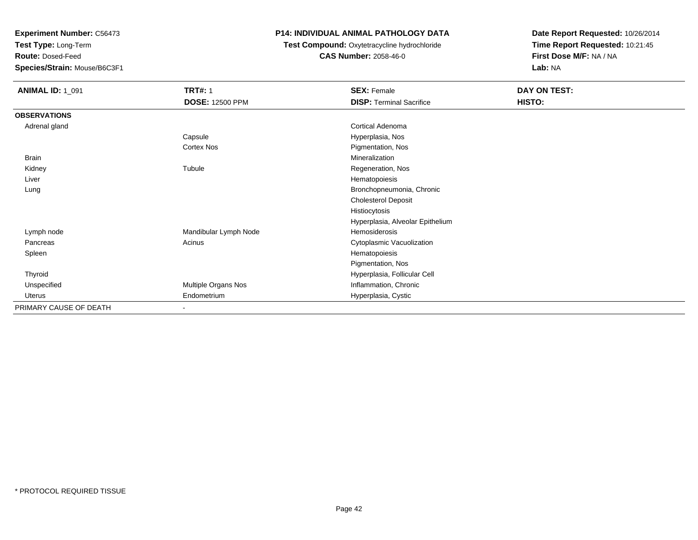**Test Type:** Long-Term

**Route:** Dosed-Feed

**Species/Strain:** Mouse/B6C3F1

## **P14: INDIVIDUAL ANIMAL PATHOLOGY DATA**

**Test Compound:** Oxytetracycline hydrochloride**CAS Number:** 2058-46-0

| <b>ANIMAL ID: 1_091</b> | <b>TRT#: 1</b>           | <b>SEX: Female</b>               | DAY ON TEST: |  |
|-------------------------|--------------------------|----------------------------------|--------------|--|
|                         | <b>DOSE: 12500 PPM</b>   | <b>DISP: Terminal Sacrifice</b>  | HISTO:       |  |
| <b>OBSERVATIONS</b>     |                          |                                  |              |  |
| Adrenal gland           |                          | Cortical Adenoma                 |              |  |
|                         | Capsule                  | Hyperplasia, Nos                 |              |  |
|                         | Cortex Nos               | Pigmentation, Nos                |              |  |
| <b>Brain</b>            |                          | Mineralization                   |              |  |
| Kidney                  | Tubule                   | Regeneration, Nos                |              |  |
| Liver                   |                          | Hematopoiesis                    |              |  |
| Lung                    |                          | Bronchopneumonia, Chronic        |              |  |
|                         |                          | <b>Cholesterol Deposit</b>       |              |  |
|                         |                          | Histiocytosis                    |              |  |
|                         |                          | Hyperplasia, Alveolar Epithelium |              |  |
| Lymph node              | Mandibular Lymph Node    | <b>Hemosiderosis</b>             |              |  |
| Pancreas                | Acinus                   | Cytoplasmic Vacuolization        |              |  |
| Spleen                  |                          | Hematopoiesis                    |              |  |
|                         |                          | Pigmentation, Nos                |              |  |
| Thyroid                 |                          | Hyperplasia, Follicular Cell     |              |  |
| Unspecified             | Multiple Organs Nos      | Inflammation, Chronic            |              |  |
| Uterus                  | Endometrium              | Hyperplasia, Cystic              |              |  |
| PRIMARY CAUSE OF DEATH  | $\overline{\phantom{0}}$ |                                  |              |  |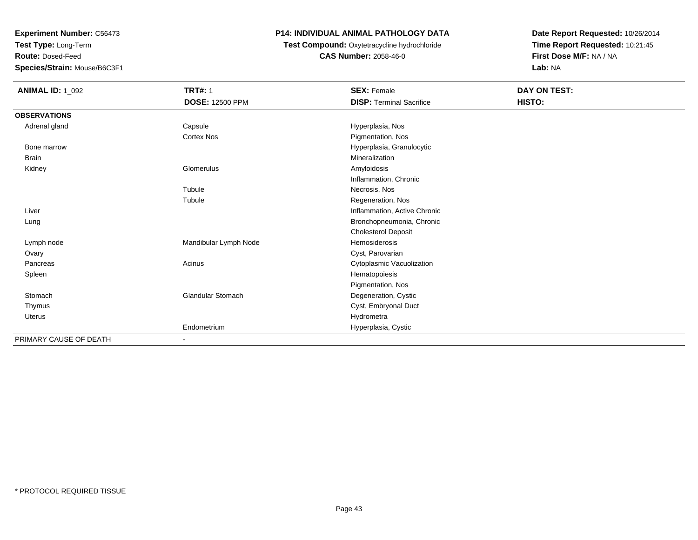**Test Type:** Long-Term

**Route:** Dosed-Feed

**Species/Strain:** Mouse/B6C3F1

## **P14: INDIVIDUAL ANIMAL PATHOLOGY DATA**

**Test Compound:** Oxytetracycline hydrochloride**CAS Number:** 2058-46-0

| <b>ANIMAL ID: 1_092</b> | <b>TRT#: 1</b>               | <b>SEX: Female</b>              | DAY ON TEST: |  |
|-------------------------|------------------------------|---------------------------------|--------------|--|
|                         | <b>DOSE: 12500 PPM</b>       | <b>DISP: Terminal Sacrifice</b> | HISTO:       |  |
| <b>OBSERVATIONS</b>     |                              |                                 |              |  |
| Adrenal gland           | Capsule                      | Hyperplasia, Nos                |              |  |
|                         | Cortex Nos                   | Pigmentation, Nos               |              |  |
| Bone marrow             |                              | Hyperplasia, Granulocytic       |              |  |
| <b>Brain</b>            |                              | Mineralization                  |              |  |
| Kidney                  | Glomerulus                   | Amyloidosis                     |              |  |
|                         |                              | Inflammation, Chronic           |              |  |
|                         | Tubule                       | Necrosis, Nos                   |              |  |
|                         | Tubule                       | Regeneration, Nos               |              |  |
| Liver                   |                              | Inflammation, Active Chronic    |              |  |
| Lung                    |                              | Bronchopneumonia, Chronic       |              |  |
|                         |                              | <b>Cholesterol Deposit</b>      |              |  |
| Lymph node              | Mandibular Lymph Node        | Hemosiderosis                   |              |  |
| Ovary                   |                              | Cyst, Parovarian                |              |  |
| Pancreas                | Acinus                       | Cytoplasmic Vacuolization       |              |  |
| Spleen                  |                              | Hematopoiesis                   |              |  |
|                         |                              | Pigmentation, Nos               |              |  |
| Stomach                 | Glandular Stomach            | Degeneration, Cystic            |              |  |
| Thymus                  |                              | Cyst, Embryonal Duct            |              |  |
| Uterus                  |                              | Hydrometra                      |              |  |
|                         | Endometrium                  | Hyperplasia, Cystic             |              |  |
| PRIMARY CAUSE OF DEATH  | $\qquad \qquad \blacksquare$ |                                 |              |  |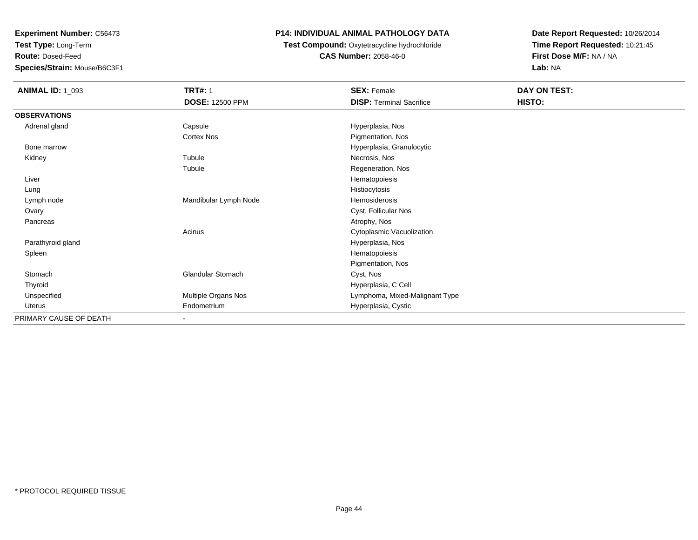**Test Type:** Long-Term

**Route:** Dosed-Feed

**Species/Strain:** Mouse/B6C3F1

## **P14: INDIVIDUAL ANIMAL PATHOLOGY DATA**

**Test Compound:** Oxytetracycline hydrochloride**CAS Number:** 2058-46-0

| <b>ANIMAL ID: 1_093</b> | <b>TRT#: 1</b>           | <b>SEX: Female</b>              | DAY ON TEST: |
|-------------------------|--------------------------|---------------------------------|--------------|
|                         | <b>DOSE: 12500 PPM</b>   | <b>DISP: Terminal Sacrifice</b> | HISTO:       |
| <b>OBSERVATIONS</b>     |                          |                                 |              |
| Adrenal gland           | Capsule                  | Hyperplasia, Nos                |              |
|                         | Cortex Nos               | Pigmentation, Nos               |              |
| Bone marrow             |                          | Hyperplasia, Granulocytic       |              |
| Kidney                  | Tubule                   | Necrosis, Nos                   |              |
|                         | Tubule                   | Regeneration, Nos               |              |
| Liver                   |                          | Hematopoiesis                   |              |
| Lung                    |                          | Histiocytosis                   |              |
| Lymph node              | Mandibular Lymph Node    | Hemosiderosis                   |              |
| Ovary                   |                          | Cyst, Follicular Nos            |              |
| Pancreas                |                          | Atrophy, Nos                    |              |
|                         | Acinus                   | Cytoplasmic Vacuolization       |              |
| Parathyroid gland       |                          | Hyperplasia, Nos                |              |
| Spleen                  |                          | Hematopoiesis                   |              |
|                         |                          | Pigmentation, Nos               |              |
| Stomach                 | Glandular Stomach        | Cyst, Nos                       |              |
| Thyroid                 |                          | Hyperplasia, C Cell             |              |
| Unspecified             | Multiple Organs Nos      | Lymphoma, Mixed-Malignant Type  |              |
| Uterus                  | Endometrium              | Hyperplasia, Cystic             |              |
| PRIMARY CAUSE OF DEATH  | $\overline{\phantom{a}}$ |                                 |              |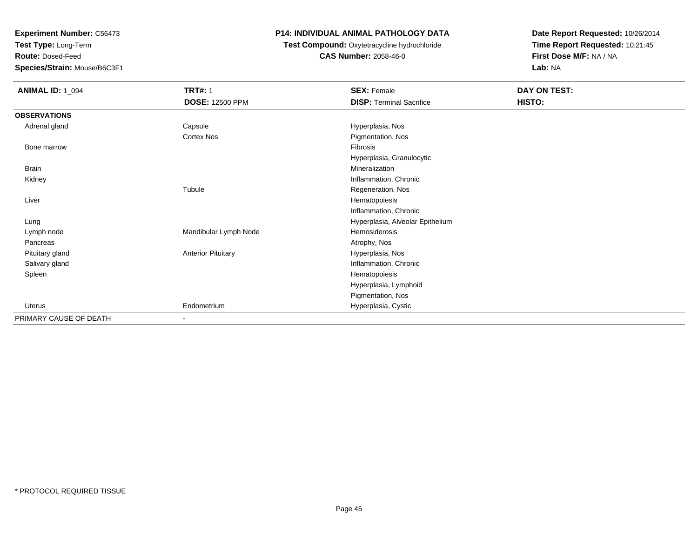**Test Type:** Long-Term

**Route:** Dosed-Feed

**Species/Strain:** Mouse/B6C3F1

### **P14: INDIVIDUAL ANIMAL PATHOLOGY DATA**

**Test Compound:** Oxytetracycline hydrochloride**CAS Number:** 2058-46-0

| <b>ANIMAL ID: 1_094</b> | <b>TRT#: 1</b>               | <b>SEX: Female</b>               | DAY ON TEST: |  |
|-------------------------|------------------------------|----------------------------------|--------------|--|
|                         | <b>DOSE: 12500 PPM</b>       | <b>DISP: Terminal Sacrifice</b>  | HISTO:       |  |
| <b>OBSERVATIONS</b>     |                              |                                  |              |  |
| Adrenal gland           | Capsule                      | Hyperplasia, Nos                 |              |  |
|                         | Cortex Nos                   | Pigmentation, Nos                |              |  |
| Bone marrow             |                              | Fibrosis                         |              |  |
|                         |                              | Hyperplasia, Granulocytic        |              |  |
| <b>Brain</b>            |                              | Mineralization                   |              |  |
| Kidney                  |                              | Inflammation, Chronic            |              |  |
|                         | Tubule                       | Regeneration, Nos                |              |  |
| Liver                   |                              | Hematopoiesis                    |              |  |
|                         |                              | Inflammation, Chronic            |              |  |
| Lung                    |                              | Hyperplasia, Alveolar Epithelium |              |  |
| Lymph node              | Mandibular Lymph Node        | Hemosiderosis                    |              |  |
| Pancreas                |                              | Atrophy, Nos                     |              |  |
| Pituitary gland         | <b>Anterior Pituitary</b>    | Hyperplasia, Nos                 |              |  |
| Salivary gland          |                              | Inflammation, Chronic            |              |  |
| Spleen                  |                              | Hematopoiesis                    |              |  |
|                         |                              | Hyperplasia, Lymphoid            |              |  |
|                         |                              | Pigmentation, Nos                |              |  |
| Uterus                  | Endometrium                  | Hyperplasia, Cystic              |              |  |
| PRIMARY CAUSE OF DEATH  | $\qquad \qquad \blacksquare$ |                                  |              |  |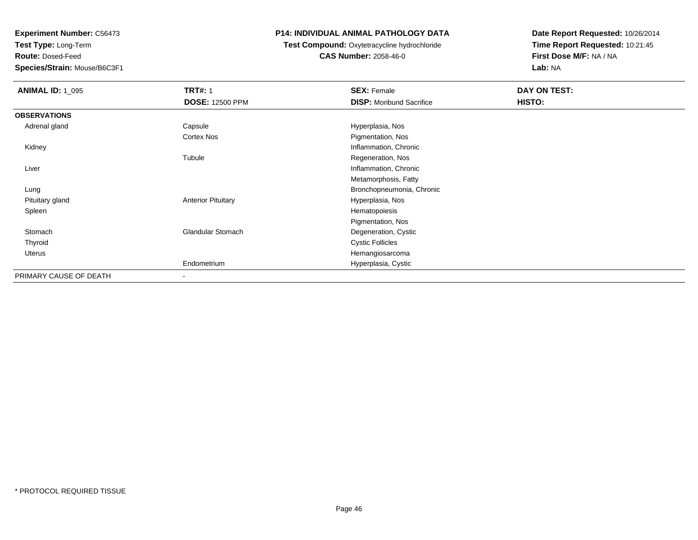**Test Type:** Long-Term

**Route:** Dosed-Feed

**Species/Strain:** Mouse/B6C3F1

### **P14: INDIVIDUAL ANIMAL PATHOLOGY DATA**

### **Test Compound:** Oxytetracycline hydrochloride**CAS Number:** 2058-46-0

| <b>ANIMAL ID: 1_095</b> | <b>TRT#: 1</b>            | <b>SEX: Female</b>              | DAY ON TEST: |  |
|-------------------------|---------------------------|---------------------------------|--------------|--|
|                         | <b>DOSE: 12500 PPM</b>    | <b>DISP:</b> Moribund Sacrifice | HISTO:       |  |
| <b>OBSERVATIONS</b>     |                           |                                 |              |  |
| Adrenal gland           | Capsule                   | Hyperplasia, Nos                |              |  |
|                         | Cortex Nos                | Pigmentation, Nos               |              |  |
| Kidney                  |                           | Inflammation, Chronic           |              |  |
|                         | Tubule                    | Regeneration, Nos               |              |  |
| Liver                   |                           | Inflammation, Chronic           |              |  |
|                         |                           | Metamorphosis, Fatty            |              |  |
| Lung                    |                           | Bronchopneumonia, Chronic       |              |  |
| Pituitary gland         | <b>Anterior Pituitary</b> | Hyperplasia, Nos                |              |  |
| Spleen                  |                           | Hematopoiesis                   |              |  |
|                         |                           | Pigmentation, Nos               |              |  |
| Stomach                 | <b>Glandular Stomach</b>  | Degeneration, Cystic            |              |  |
| Thyroid                 |                           | <b>Cystic Follicles</b>         |              |  |
| Uterus                  |                           | Hemangiosarcoma                 |              |  |
|                         | Endometrium               | Hyperplasia, Cystic             |              |  |
| PRIMARY CAUSE OF DEATH  | $\blacksquare$            |                                 |              |  |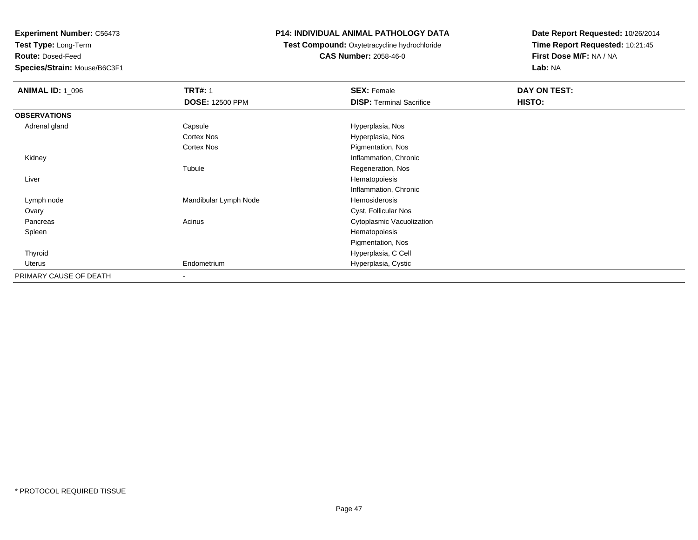**Test Type:** Long-Term

**Route:** Dosed-Feed

**Species/Strain:** Mouse/B6C3F1

### **P14: INDIVIDUAL ANIMAL PATHOLOGY DATA**

 **Test Compound:** Oxytetracycline hydrochloride**CAS Number:** 2058-46-0

| <b>ANIMAL ID: 1_096</b> | <b>TRT#: 1</b>           | <b>SEX: Female</b>              | DAY ON TEST: |
|-------------------------|--------------------------|---------------------------------|--------------|
|                         | <b>DOSE: 12500 PPM</b>   | <b>DISP: Terminal Sacrifice</b> | HISTO:       |
| <b>OBSERVATIONS</b>     |                          |                                 |              |
| Adrenal gland           | Capsule                  | Hyperplasia, Nos                |              |
|                         | Cortex Nos               | Hyperplasia, Nos                |              |
|                         | Cortex Nos               | Pigmentation, Nos               |              |
| Kidney                  |                          | Inflammation, Chronic           |              |
|                         | Tubule                   | Regeneration, Nos               |              |
| Liver                   |                          | Hematopoiesis                   |              |
|                         |                          | Inflammation, Chronic           |              |
| Lymph node              | Mandibular Lymph Node    | Hemosiderosis                   |              |
| Ovary                   |                          | Cyst, Follicular Nos            |              |
| Pancreas                | Acinus                   | Cytoplasmic Vacuolization       |              |
| Spleen                  |                          | Hematopoiesis                   |              |
|                         |                          | Pigmentation, Nos               |              |
| Thyroid                 |                          | Hyperplasia, C Cell             |              |
| Uterus                  | Endometrium              | Hyperplasia, Cystic             |              |
| PRIMARY CAUSE OF DEATH  | $\overline{\phantom{a}}$ |                                 |              |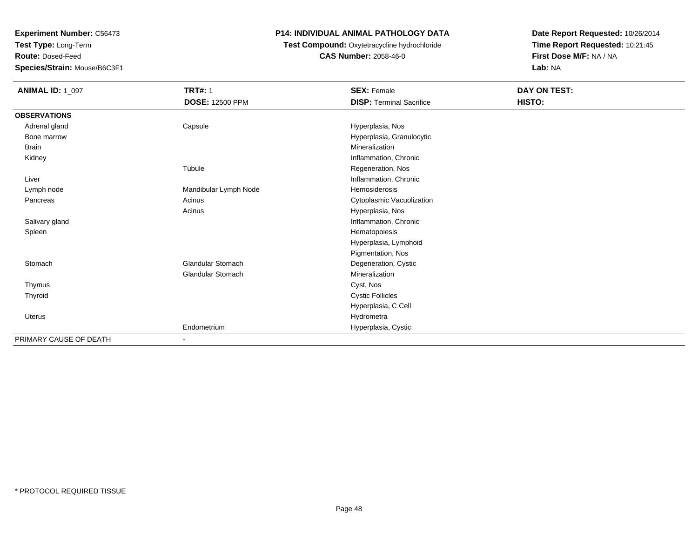**Test Type:** Long-Term

**Route:** Dosed-Feed

**Species/Strain:** Mouse/B6C3F1

### **P14: INDIVIDUAL ANIMAL PATHOLOGY DATA**

# **Test Compound:** Oxytetracycline hydrochloride**CAS Number:** 2058-46-0

| <b>ANIMAL ID: 1_097</b> | <b>TRT#: 1</b>           | <b>SEX: Female</b>              | DAY ON TEST: |  |
|-------------------------|--------------------------|---------------------------------|--------------|--|
|                         | <b>DOSE: 12500 PPM</b>   | <b>DISP: Terminal Sacrifice</b> | HISTO:       |  |
| <b>OBSERVATIONS</b>     |                          |                                 |              |  |
| Adrenal gland           | Capsule                  | Hyperplasia, Nos                |              |  |
| Bone marrow             |                          | Hyperplasia, Granulocytic       |              |  |
| <b>Brain</b>            |                          | Mineralization                  |              |  |
| Kidney                  |                          | Inflammation, Chronic           |              |  |
|                         | Tubule                   | Regeneration, Nos               |              |  |
| Liver                   |                          | Inflammation, Chronic           |              |  |
| Lymph node              | Mandibular Lymph Node    | Hemosiderosis                   |              |  |
| Pancreas                | Acinus                   | Cytoplasmic Vacuolization       |              |  |
|                         | Acinus                   | Hyperplasia, Nos                |              |  |
| Salivary gland          |                          | Inflammation, Chronic           |              |  |
| Spleen                  |                          | Hematopoiesis                   |              |  |
|                         |                          | Hyperplasia, Lymphoid           |              |  |
|                         |                          | Pigmentation, Nos               |              |  |
| Stomach                 | <b>Glandular Stomach</b> | Degeneration, Cystic            |              |  |
|                         | Glandular Stomach        | Mineralization                  |              |  |
| Thymus                  |                          | Cyst, Nos                       |              |  |
| Thyroid                 |                          | <b>Cystic Follicles</b>         |              |  |
|                         |                          | Hyperplasia, C Cell             |              |  |
| Uterus                  |                          | Hydrometra                      |              |  |
|                         | Endometrium              | Hyperplasia, Cystic             |              |  |
| PRIMARY CAUSE OF DEATH  |                          |                                 |              |  |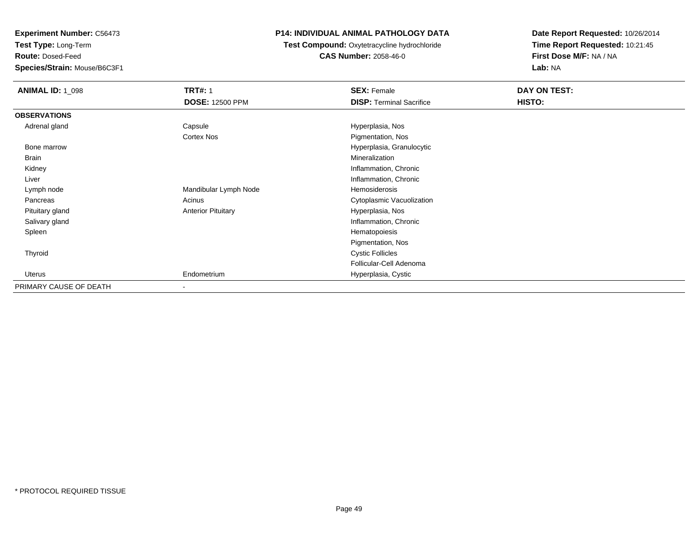**Test Type:** Long-Term

**Route:** Dosed-Feed

**Species/Strain:** Mouse/B6C3F1

### **P14: INDIVIDUAL ANIMAL PATHOLOGY DATA**

**Test Compound:** Oxytetracycline hydrochloride**CAS Number:** 2058-46-0

| <b>ANIMAL ID: 1 098</b> | <b>TRT#: 1</b>            | <b>SEX: Female</b>              | DAY ON TEST: |
|-------------------------|---------------------------|---------------------------------|--------------|
|                         | <b>DOSE: 12500 PPM</b>    | <b>DISP: Terminal Sacrifice</b> | HISTO:       |
| <b>OBSERVATIONS</b>     |                           |                                 |              |
| Adrenal gland           | Capsule                   | Hyperplasia, Nos                |              |
|                         | Cortex Nos                | Pigmentation, Nos               |              |
| Bone marrow             |                           | Hyperplasia, Granulocytic       |              |
| Brain                   |                           | Mineralization                  |              |
| Kidney                  |                           | Inflammation, Chronic           |              |
| Liver                   |                           | Inflammation, Chronic           |              |
| Lymph node              | Mandibular Lymph Node     | Hemosiderosis                   |              |
| Pancreas                | Acinus                    | Cytoplasmic Vacuolization       |              |
| Pituitary gland         | <b>Anterior Pituitary</b> | Hyperplasia, Nos                |              |
| Salivary gland          |                           | Inflammation, Chronic           |              |
| Spleen                  |                           | Hematopoiesis                   |              |
|                         |                           | Pigmentation, Nos               |              |
| Thyroid                 |                           | <b>Cystic Follicles</b>         |              |
|                         |                           | Follicular-Cell Adenoma         |              |
| Uterus                  | Endometrium               | Hyperplasia, Cystic             |              |
| PRIMARY CAUSE OF DEATH  | $\overline{\phantom{a}}$  |                                 |              |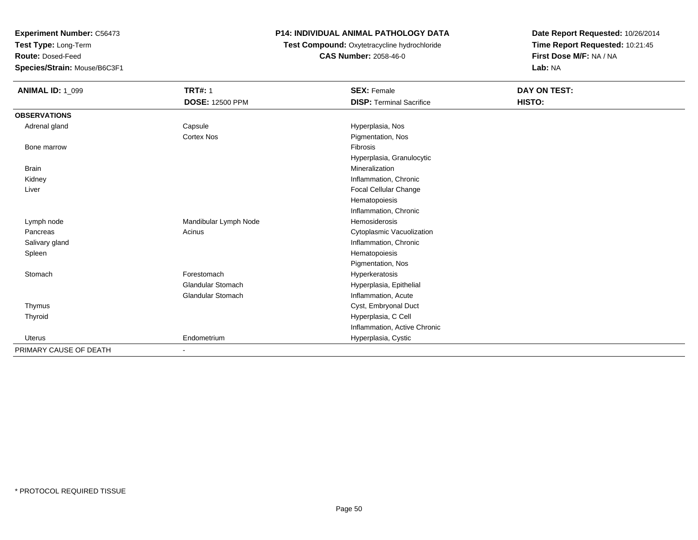**Test Type:** Long-Term

**Route:** Dosed-Feed

**Species/Strain:** Mouse/B6C3F1

### **P14: INDIVIDUAL ANIMAL PATHOLOGY DATA**

**Test Compound:** Oxytetracycline hydrochloride**CAS Number:** 2058-46-0

| <b>ANIMAL ID: 1_099</b> | <b>TRT#: 1</b>           | <b>SEX: Female</b>              | DAY ON TEST: |
|-------------------------|--------------------------|---------------------------------|--------------|
|                         | <b>DOSE: 12500 PPM</b>   | <b>DISP: Terminal Sacrifice</b> | HISTO:       |
| <b>OBSERVATIONS</b>     |                          |                                 |              |
| Adrenal gland           | Capsule                  | Hyperplasia, Nos                |              |
|                         | <b>Cortex Nos</b>        | Pigmentation, Nos               |              |
| Bone marrow             |                          | Fibrosis                        |              |
|                         |                          | Hyperplasia, Granulocytic       |              |
| <b>Brain</b>            |                          | Mineralization                  |              |
| Kidney                  |                          | Inflammation, Chronic           |              |
| Liver                   |                          | Focal Cellular Change           |              |
|                         |                          | Hematopoiesis                   |              |
|                         |                          | Inflammation, Chronic           |              |
| Lymph node              | Mandibular Lymph Node    | <b>Hemosiderosis</b>            |              |
| Pancreas                | Acinus                   | Cytoplasmic Vacuolization       |              |
| Salivary gland          |                          | Inflammation, Chronic           |              |
| Spleen                  |                          | Hematopoiesis                   |              |
|                         |                          | Pigmentation, Nos               |              |
| Stomach                 | Forestomach              | Hyperkeratosis                  |              |
|                         | <b>Glandular Stomach</b> | Hyperplasia, Epithelial         |              |
|                         | Glandular Stomach        | Inflammation, Acute             |              |
| Thymus                  |                          | Cyst, Embryonal Duct            |              |
| Thyroid                 |                          | Hyperplasia, C Cell             |              |
|                         |                          | Inflammation, Active Chronic    |              |
| Uterus                  | Endometrium              | Hyperplasia, Cystic             |              |
| PRIMARY CAUSE OF DEATH  |                          |                                 |              |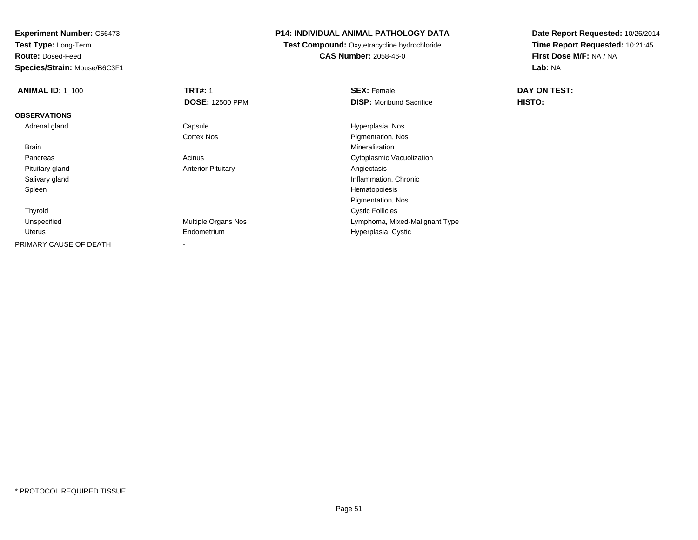**Test Type:** Long-Term

**Route:** Dosed-Feed

**Species/Strain:** Mouse/B6C3F1

### **P14: INDIVIDUAL ANIMAL PATHOLOGY DATA**

**Test Compound:** Oxytetracycline hydrochloride**CAS Number:** 2058-46-0

| <b>ANIMAL ID: 1_100</b> | <b>TRT#: 1</b>             | <b>SEX: Female</b>              | DAY ON TEST: |  |
|-------------------------|----------------------------|---------------------------------|--------------|--|
|                         | <b>DOSE: 12500 PPM</b>     | <b>DISP:</b> Moribund Sacrifice | HISTO:       |  |
| <b>OBSERVATIONS</b>     |                            |                                 |              |  |
| Adrenal gland           | Capsule                    | Hyperplasia, Nos                |              |  |
|                         | <b>Cortex Nos</b>          | Pigmentation, Nos               |              |  |
| Brain                   |                            | Mineralization                  |              |  |
| Pancreas                | Acinus                     | Cytoplasmic Vacuolization       |              |  |
| Pituitary gland         | <b>Anterior Pituitary</b>  | Angiectasis                     |              |  |
| Salivary gland          |                            | Inflammation, Chronic           |              |  |
| Spleen                  |                            | Hematopoiesis                   |              |  |
|                         |                            | Pigmentation, Nos               |              |  |
| Thyroid                 |                            | <b>Cystic Follicles</b>         |              |  |
| Unspecified             | <b>Multiple Organs Nos</b> | Lymphoma, Mixed-Malignant Type  |              |  |
| Uterus                  | Endometrium                | Hyperplasia, Cystic             |              |  |
| PRIMARY CAUSE OF DEATH  |                            |                                 |              |  |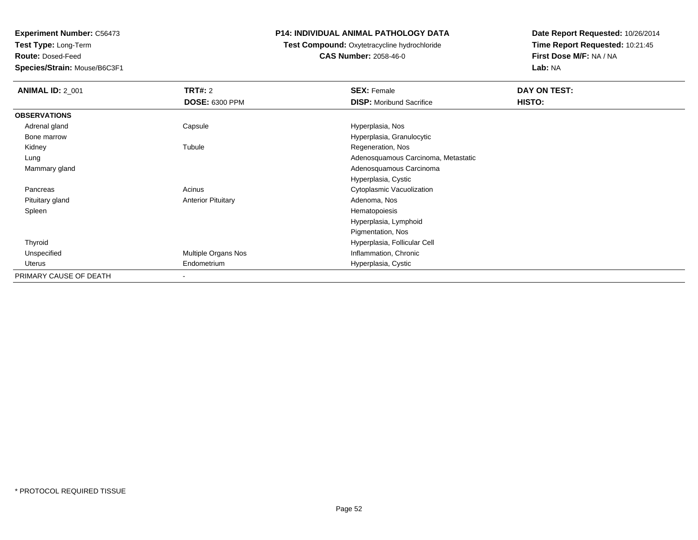**Test Type:** Long-Term

**Route:** Dosed-Feed

**Species/Strain:** Mouse/B6C3F1

### **P14: INDIVIDUAL ANIMAL PATHOLOGY DATA**

 **Test Compound:** Oxytetracycline hydrochloride**CAS Number:** 2058-46-0

| <b>ANIMAL ID: 2 001</b> | TRT#: 2                   | <b>SEX: Female</b>                  | DAY ON TEST: |
|-------------------------|---------------------------|-------------------------------------|--------------|
|                         | <b>DOSE: 6300 PPM</b>     | <b>DISP:</b> Moribund Sacrifice     | HISTO:       |
| <b>OBSERVATIONS</b>     |                           |                                     |              |
| Adrenal gland           | Capsule                   | Hyperplasia, Nos                    |              |
| Bone marrow             |                           | Hyperplasia, Granulocytic           |              |
| Kidney                  | Tubule                    | Regeneration, Nos                   |              |
| Lung                    |                           | Adenosquamous Carcinoma, Metastatic |              |
| Mammary gland           |                           | Adenosquamous Carcinoma             |              |
|                         |                           | Hyperplasia, Cystic                 |              |
| Pancreas                | Acinus                    | Cytoplasmic Vacuolization           |              |
| Pituitary gland         | <b>Anterior Pituitary</b> | Adenoma, Nos                        |              |
| Spleen                  |                           | Hematopoiesis                       |              |
|                         |                           | Hyperplasia, Lymphoid               |              |
|                         |                           | Pigmentation, Nos                   |              |
| Thyroid                 |                           | Hyperplasia, Follicular Cell        |              |
| Unspecified             | Multiple Organs Nos       | Inflammation, Chronic               |              |
| Uterus                  | Endometrium               | Hyperplasia, Cystic                 |              |
| PRIMARY CAUSE OF DEATH  | ۰                         |                                     |              |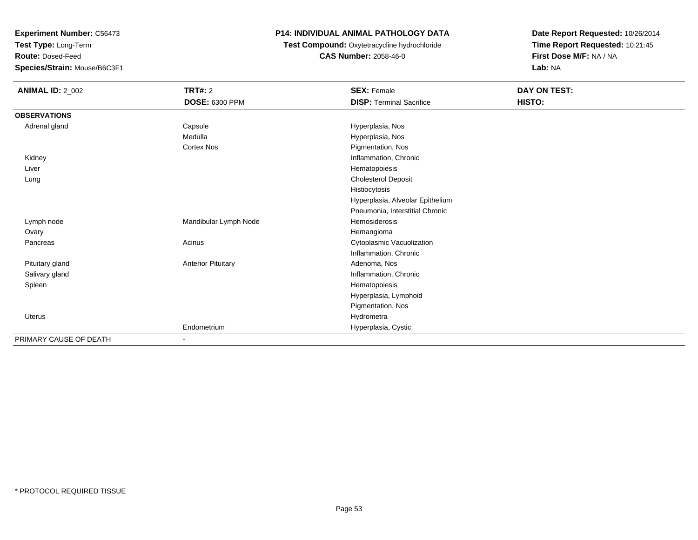**Test Type:** Long-Term

**Route:** Dosed-Feed

**Species/Strain:** Mouse/B6C3F1

### **P14: INDIVIDUAL ANIMAL PATHOLOGY DATA**

**Test Compound:** Oxytetracycline hydrochloride**CAS Number:** 2058-46-0

| <b>ANIMAL ID: 2_002</b> | <b>TRT#: 2</b>            | <b>SEX: Female</b>               | DAY ON TEST: |
|-------------------------|---------------------------|----------------------------------|--------------|
|                         | DOSE: 6300 PPM            | <b>DISP: Terminal Sacrifice</b>  | HISTO:       |
| <b>OBSERVATIONS</b>     |                           |                                  |              |
| Adrenal gland           | Capsule                   | Hyperplasia, Nos                 |              |
|                         | Medulla                   | Hyperplasia, Nos                 |              |
|                         | Cortex Nos                | Pigmentation, Nos                |              |
| Kidney                  |                           | Inflammation, Chronic            |              |
| Liver                   |                           | Hematopoiesis                    |              |
| Lung                    |                           | <b>Cholesterol Deposit</b>       |              |
|                         |                           | Histiocytosis                    |              |
|                         |                           | Hyperplasia, Alveolar Epithelium |              |
|                         |                           | Pneumonia, Interstitial Chronic  |              |
| Lymph node              | Mandibular Lymph Node     | <b>Hemosiderosis</b>             |              |
| Ovary                   |                           | Hemangioma                       |              |
| Pancreas                | Acinus                    | Cytoplasmic Vacuolization        |              |
|                         |                           | Inflammation, Chronic            |              |
| Pituitary gland         | <b>Anterior Pituitary</b> | Adenoma, Nos                     |              |
| Salivary gland          |                           | Inflammation, Chronic            |              |
| Spleen                  |                           | Hematopoiesis                    |              |
|                         |                           | Hyperplasia, Lymphoid            |              |
|                         |                           | Pigmentation, Nos                |              |
| Uterus                  |                           | Hydrometra                       |              |
|                         | Endometrium               | Hyperplasia, Cystic              |              |
| PRIMARY CAUSE OF DEATH  | ٠                         |                                  |              |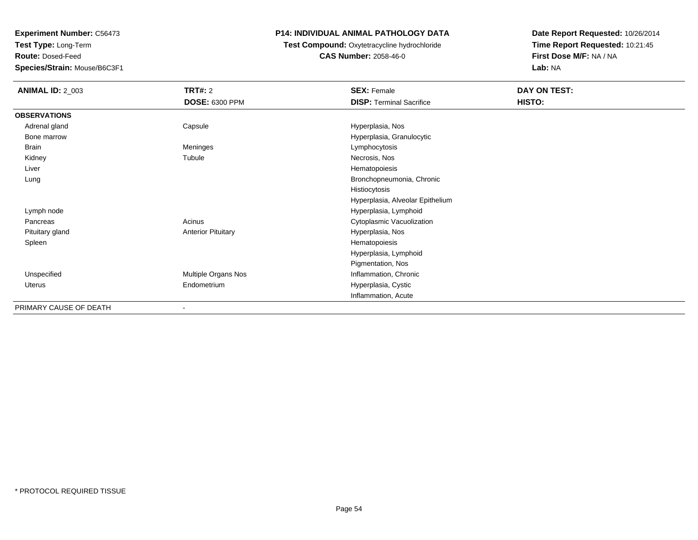**Test Type:** Long-Term

**Route:** Dosed-Feed

**Species/Strain:** Mouse/B6C3F1

#### **P14: INDIVIDUAL ANIMAL PATHOLOGY DATA**

**Test Compound:** Oxytetracycline hydrochloride**CAS Number:** 2058-46-0

| <b>ANIMAL ID: 2_003</b> | <b>TRT#: 2</b>            | <b>SEX: Female</b>               | <b>DAY ON TEST:</b> |  |
|-------------------------|---------------------------|----------------------------------|---------------------|--|
|                         | <b>DOSE: 6300 PPM</b>     | <b>DISP: Terminal Sacrifice</b>  | HISTO:              |  |
| <b>OBSERVATIONS</b>     |                           |                                  |                     |  |
| Adrenal gland           | Capsule                   | Hyperplasia, Nos                 |                     |  |
| Bone marrow             |                           | Hyperplasia, Granulocytic        |                     |  |
| Brain                   | Meninges                  | Lymphocytosis                    |                     |  |
| Kidney                  | Tubule                    | Necrosis, Nos                    |                     |  |
| Liver                   |                           | Hematopoiesis                    |                     |  |
| Lung                    |                           | Bronchopneumonia, Chronic        |                     |  |
|                         |                           | Histiocytosis                    |                     |  |
|                         |                           | Hyperplasia, Alveolar Epithelium |                     |  |
| Lymph node              |                           | Hyperplasia, Lymphoid            |                     |  |
| Pancreas                | Acinus                    | Cytoplasmic Vacuolization        |                     |  |
| Pituitary gland         | <b>Anterior Pituitary</b> | Hyperplasia, Nos                 |                     |  |
| Spleen                  |                           | Hematopoiesis                    |                     |  |
|                         |                           | Hyperplasia, Lymphoid            |                     |  |
|                         |                           | Pigmentation, Nos                |                     |  |
| Unspecified             | Multiple Organs Nos       | Inflammation, Chronic            |                     |  |
| Uterus                  | Endometrium               | Hyperplasia, Cystic              |                     |  |
|                         |                           | Inflammation, Acute              |                     |  |
| PRIMARY CAUSE OF DEATH  |                           |                                  |                     |  |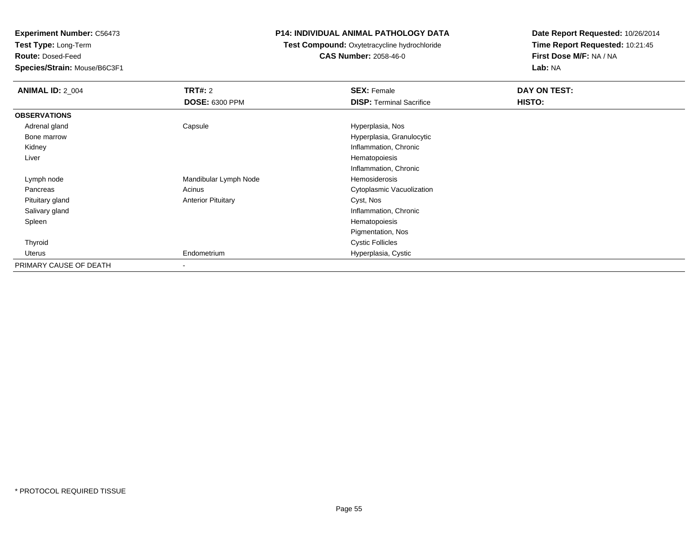**Test Type:** Long-Term

**Route:** Dosed-Feed

**Species/Strain:** Mouse/B6C3F1

### **P14: INDIVIDUAL ANIMAL PATHOLOGY DATA**

# **Test Compound:** Oxytetracycline hydrochloride**CAS Number:** 2058-46-0

| <b>ANIMAL ID: 2_004</b> | <b>TRT#: 2</b>            | <b>SEX: Female</b>              | DAY ON TEST: |  |
|-------------------------|---------------------------|---------------------------------|--------------|--|
|                         | <b>DOSE: 6300 PPM</b>     | <b>DISP: Terminal Sacrifice</b> | HISTO:       |  |
| <b>OBSERVATIONS</b>     |                           |                                 |              |  |
| Adrenal gland           | Capsule                   | Hyperplasia, Nos                |              |  |
| Bone marrow             |                           | Hyperplasia, Granulocytic       |              |  |
| Kidney                  |                           | Inflammation, Chronic           |              |  |
| Liver                   |                           | Hematopoiesis                   |              |  |
|                         |                           | Inflammation, Chronic           |              |  |
| Lymph node              | Mandibular Lymph Node     | Hemosiderosis                   |              |  |
| Pancreas                | Acinus                    | Cytoplasmic Vacuolization       |              |  |
| Pituitary gland         | <b>Anterior Pituitary</b> | Cyst, Nos                       |              |  |
| Salivary gland          |                           | Inflammation, Chronic           |              |  |
| Spleen                  |                           | Hematopoiesis                   |              |  |
|                         |                           | Pigmentation, Nos               |              |  |
| Thyroid                 |                           | <b>Cystic Follicles</b>         |              |  |
| Uterus                  | Endometrium               | Hyperplasia, Cystic             |              |  |
| PRIMARY CAUSE OF DEATH  |                           |                                 |              |  |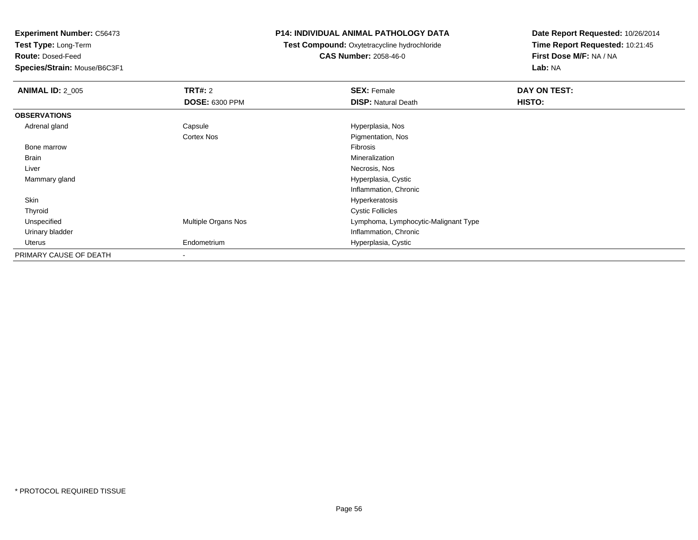**Test Type:** Long-Term

**Route:** Dosed-Feed

**Species/Strain:** Mouse/B6C3F1

### **P14: INDIVIDUAL ANIMAL PATHOLOGY DATA**

**Test Compound:** Oxytetracycline hydrochloride**CAS Number:** 2058-46-0

| <b>ANIMAL ID: 2 005</b> | TRT#: 2                  | <b>SEX: Female</b>                   | DAY ON TEST: |  |
|-------------------------|--------------------------|--------------------------------------|--------------|--|
|                         | <b>DOSE: 6300 PPM</b>    | <b>DISP: Natural Death</b>           | HISTO:       |  |
| <b>OBSERVATIONS</b>     |                          |                                      |              |  |
| Adrenal gland           | Capsule                  | Hyperplasia, Nos                     |              |  |
|                         | Cortex Nos               | Pigmentation, Nos                    |              |  |
| Bone marrow             |                          | Fibrosis                             |              |  |
| Brain                   |                          | Mineralization                       |              |  |
| Liver                   |                          | Necrosis, Nos                        |              |  |
| Mammary gland           |                          | Hyperplasia, Cystic                  |              |  |
|                         |                          | Inflammation, Chronic                |              |  |
| Skin                    |                          | Hyperkeratosis                       |              |  |
| Thyroid                 |                          | <b>Cystic Follicles</b>              |              |  |
| Unspecified             | Multiple Organs Nos      | Lymphoma, Lymphocytic-Malignant Type |              |  |
| Urinary bladder         |                          | Inflammation, Chronic                |              |  |
| Uterus                  | Endometrium              | Hyperplasia, Cystic                  |              |  |
| PRIMARY CAUSE OF DEATH  | $\overline{\phantom{a}}$ |                                      |              |  |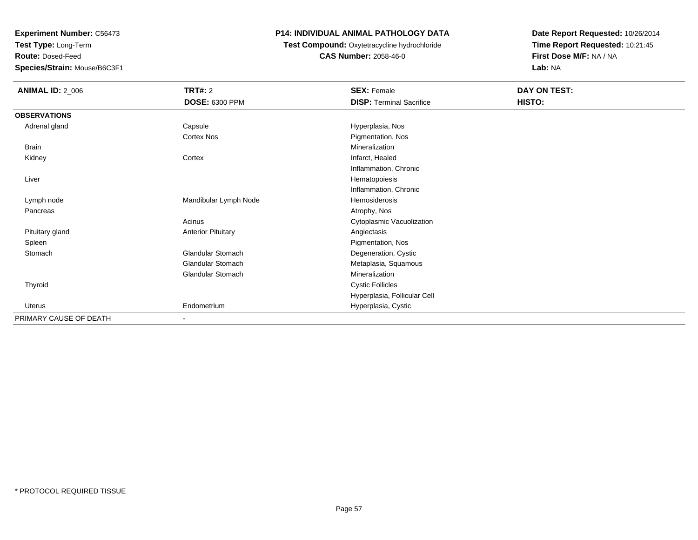**Test Type:** Long-Term

**Route:** Dosed-Feed

**Species/Strain:** Mouse/B6C3F1

### **P14: INDIVIDUAL ANIMAL PATHOLOGY DATA**

**Test Compound:** Oxytetracycline hydrochloride**CAS Number:** 2058-46-0

| <b>ANIMAL ID: 2_006</b> | TRT#: 2                   | <b>SEX: Female</b>              | DAY ON TEST: |
|-------------------------|---------------------------|---------------------------------|--------------|
|                         | DOSE: 6300 PPM            | <b>DISP: Terminal Sacrifice</b> | HISTO:       |
| <b>OBSERVATIONS</b>     |                           |                                 |              |
| Adrenal gland           | Capsule                   | Hyperplasia, Nos                |              |
|                         | Cortex Nos                | Pigmentation, Nos               |              |
| Brain                   |                           | Mineralization                  |              |
| Kidney                  | Cortex                    | Infarct, Healed                 |              |
|                         |                           | Inflammation, Chronic           |              |
| Liver                   |                           | Hematopoiesis                   |              |
|                         |                           | Inflammation, Chronic           |              |
| Lymph node              | Mandibular Lymph Node     | <b>Hemosiderosis</b>            |              |
| Pancreas                |                           | Atrophy, Nos                    |              |
|                         | Acinus                    | Cytoplasmic Vacuolization       |              |
| Pituitary gland         | <b>Anterior Pituitary</b> | Angiectasis                     |              |
| Spleen                  |                           | Pigmentation, Nos               |              |
| Stomach                 | Glandular Stomach         | Degeneration, Cystic            |              |
|                         | Glandular Stomach         | Metaplasia, Squamous            |              |
|                         | Glandular Stomach         | Mineralization                  |              |
| Thyroid                 |                           | <b>Cystic Follicles</b>         |              |
|                         |                           | Hyperplasia, Follicular Cell    |              |
| Uterus                  | Endometrium               | Hyperplasia, Cystic             |              |
| PRIMARY CAUSE OF DEATH  | $\overline{\phantom{a}}$  |                                 |              |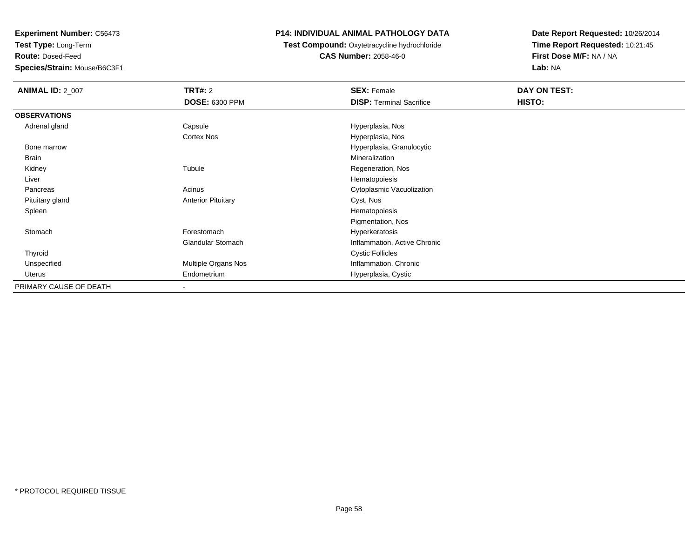**Test Type:** Long-Term

**Route:** Dosed-Feed

**Species/Strain:** Mouse/B6C3F1

### **P14: INDIVIDUAL ANIMAL PATHOLOGY DATA**

**Test Compound:** Oxytetracycline hydrochloride**CAS Number:** 2058-46-0

| <b>ANIMAL ID: 2_007</b> | <b>TRT#: 2</b>            | <b>SEX: Female</b>              | DAY ON TEST: |
|-------------------------|---------------------------|---------------------------------|--------------|
|                         | <b>DOSE: 6300 PPM</b>     | <b>DISP: Terminal Sacrifice</b> | HISTO:       |
| <b>OBSERVATIONS</b>     |                           |                                 |              |
| Adrenal gland           | Capsule                   | Hyperplasia, Nos                |              |
|                         | Cortex Nos                | Hyperplasia, Nos                |              |
| Bone marrow             |                           | Hyperplasia, Granulocytic       |              |
| Brain                   |                           | Mineralization                  |              |
| Kidney                  | Tubule                    | Regeneration, Nos               |              |
| Liver                   |                           | Hematopoiesis                   |              |
| Pancreas                | Acinus                    | Cytoplasmic Vacuolization       |              |
| Pituitary gland         | <b>Anterior Pituitary</b> | Cyst, Nos                       |              |
| Spleen                  |                           | Hematopoiesis                   |              |
|                         |                           | Pigmentation, Nos               |              |
| Stomach                 | Forestomach               | Hyperkeratosis                  |              |
|                         | Glandular Stomach         | Inflammation, Active Chronic    |              |
| Thyroid                 |                           | <b>Cystic Follicles</b>         |              |
| Unspecified             | Multiple Organs Nos       | Inflammation, Chronic           |              |
| Uterus                  | Endometrium               | Hyperplasia, Cystic             |              |
| PRIMARY CAUSE OF DEATH  | $\overline{\phantom{a}}$  |                                 |              |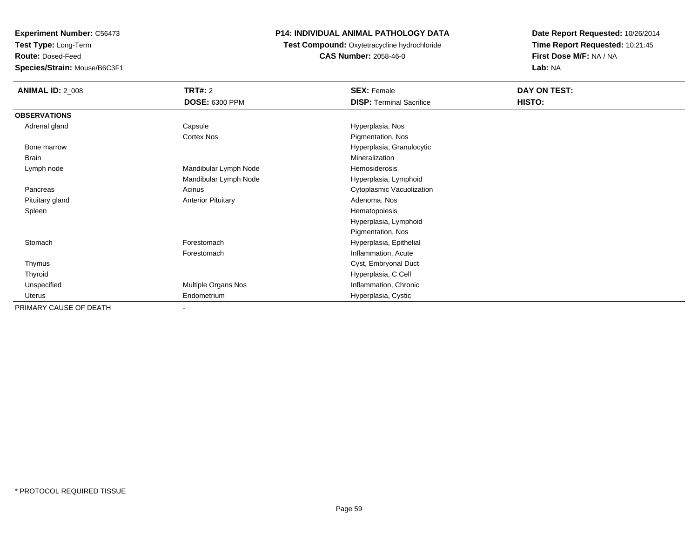**Test Type:** Long-Term

**Route:** Dosed-Feed

**Species/Strain:** Mouse/B6C3F1

## **P14: INDIVIDUAL ANIMAL PATHOLOGY DATA**

**Test Compound:** Oxytetracycline hydrochloride**CAS Number:** 2058-46-0

| <b>ANIMAL ID: 2_008</b> | TRT#: 2                   | <b>SEX: Female</b>              | DAY ON TEST: |
|-------------------------|---------------------------|---------------------------------|--------------|
|                         | <b>DOSE: 6300 PPM</b>     | <b>DISP: Terminal Sacrifice</b> | HISTO:       |
| <b>OBSERVATIONS</b>     |                           |                                 |              |
| Adrenal gland           | Capsule                   | Hyperplasia, Nos                |              |
|                         | Cortex Nos                | Pigmentation, Nos               |              |
| Bone marrow             |                           | Hyperplasia, Granulocytic       |              |
| Brain                   |                           | Mineralization                  |              |
| Lymph node              | Mandibular Lymph Node     | Hemosiderosis                   |              |
|                         | Mandibular Lymph Node     | Hyperplasia, Lymphoid           |              |
| Pancreas                | Acinus                    | Cytoplasmic Vacuolization       |              |
| Pituitary gland         | <b>Anterior Pituitary</b> | Adenoma, Nos                    |              |
| Spleen                  |                           | Hematopoiesis                   |              |
|                         |                           | Hyperplasia, Lymphoid           |              |
|                         |                           | Pigmentation, Nos               |              |
| Stomach                 | Forestomach               | Hyperplasia, Epithelial         |              |
|                         | Forestomach               | Inflammation, Acute             |              |
| Thymus                  |                           | Cyst, Embryonal Duct            |              |
| Thyroid                 |                           | Hyperplasia, C Cell             |              |
| Unspecified             | Multiple Organs Nos       | Inflammation, Chronic           |              |
| <b>Uterus</b>           | Endometrium               | Hyperplasia, Cystic             |              |
| PRIMARY CAUSE OF DEATH  | $\sim$                    |                                 |              |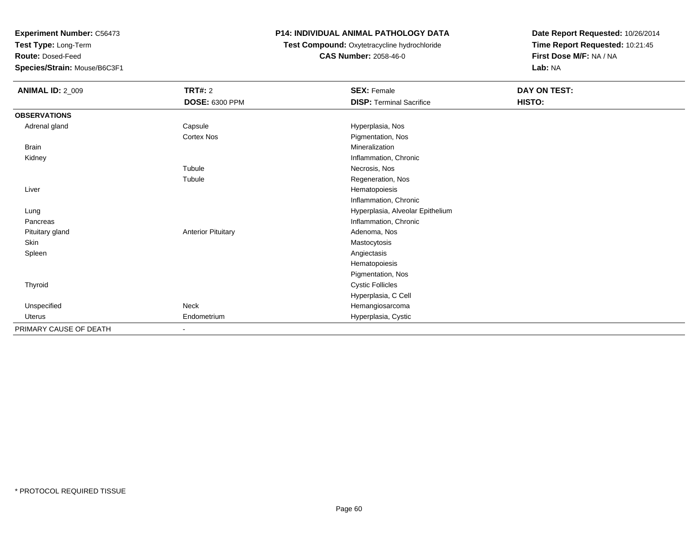**Test Type:** Long-Term

**Route:** Dosed-Feed

**Species/Strain:** Mouse/B6C3F1

### **P14: INDIVIDUAL ANIMAL PATHOLOGY DATA**

**Test Compound:** Oxytetracycline hydrochloride**CAS Number:** 2058-46-0

| <b>ANIMAL ID: 2_009</b> | <b>TRT#: 2</b>            | <b>SEX: Female</b>               | DAY ON TEST: |
|-------------------------|---------------------------|----------------------------------|--------------|
|                         | <b>DOSE: 6300 PPM</b>     | <b>DISP: Terminal Sacrifice</b>  | HISTO:       |
| <b>OBSERVATIONS</b>     |                           |                                  |              |
| Adrenal gland           | Capsule                   | Hyperplasia, Nos                 |              |
|                         | Cortex Nos                | Pigmentation, Nos                |              |
| Brain                   |                           | Mineralization                   |              |
| Kidney                  |                           | Inflammation, Chronic            |              |
|                         | Tubule                    | Necrosis, Nos                    |              |
|                         | Tubule                    | Regeneration, Nos                |              |
| Liver                   |                           | Hematopoiesis                    |              |
|                         |                           | Inflammation, Chronic            |              |
| Lung                    |                           | Hyperplasia, Alveolar Epithelium |              |
| Pancreas                |                           | Inflammation, Chronic            |              |
| Pituitary gland         | <b>Anterior Pituitary</b> | Adenoma, Nos                     |              |
| Skin                    |                           | Mastocytosis                     |              |
| Spleen                  |                           | Angiectasis                      |              |
|                         |                           | Hematopoiesis                    |              |
|                         |                           | Pigmentation, Nos                |              |
| Thyroid                 |                           | <b>Cystic Follicles</b>          |              |
|                         |                           | Hyperplasia, C Cell              |              |
| Unspecified             | Neck                      | Hemangiosarcoma                  |              |
| Uterus                  | Endometrium               | Hyperplasia, Cystic              |              |
| PRIMARY CAUSE OF DEATH  | $\blacksquare$            |                                  |              |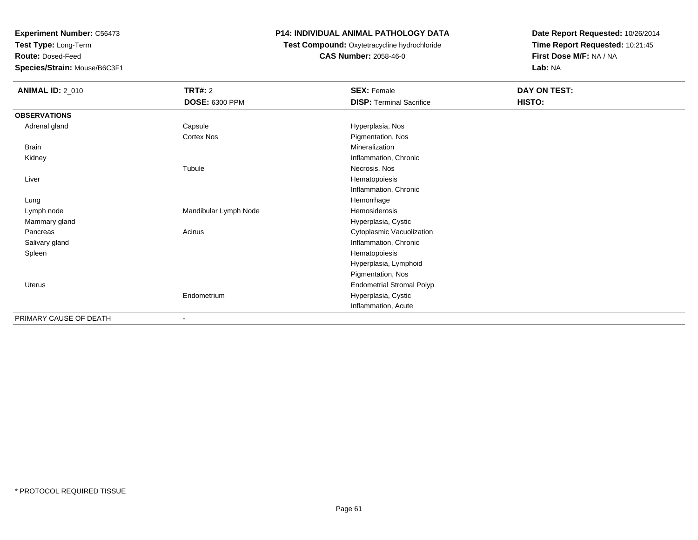**Test Type:** Long-Term

**Route:** Dosed-Feed

**Species/Strain:** Mouse/B6C3F1

### **P14: INDIVIDUAL ANIMAL PATHOLOGY DATA**

**Test Compound:** Oxytetracycline hydrochloride**CAS Number:** 2058-46-0

| <b>ANIMAL ID: 2_010</b> | <b>TRT#: 2</b>        | <b>SEX: Female</b>               | DAY ON TEST: |
|-------------------------|-----------------------|----------------------------------|--------------|
|                         | <b>DOSE: 6300 PPM</b> | <b>DISP: Terminal Sacrifice</b>  | HISTO:       |
| <b>OBSERVATIONS</b>     |                       |                                  |              |
| Adrenal gland           | Capsule               | Hyperplasia, Nos                 |              |
|                         | <b>Cortex Nos</b>     | Pigmentation, Nos                |              |
| <b>Brain</b>            |                       | Mineralization                   |              |
| Kidney                  |                       | Inflammation, Chronic            |              |
|                         | Tubule                | Necrosis, Nos                    |              |
| Liver                   |                       | Hematopoiesis                    |              |
|                         |                       | Inflammation, Chronic            |              |
| Lung                    |                       | Hemorrhage                       |              |
| Lymph node              | Mandibular Lymph Node | Hemosiderosis                    |              |
| Mammary gland           |                       | Hyperplasia, Cystic              |              |
| Pancreas                | Acinus                | Cytoplasmic Vacuolization        |              |
| Salivary gland          |                       | Inflammation, Chronic            |              |
| Spleen                  |                       | Hematopoiesis                    |              |
|                         |                       | Hyperplasia, Lymphoid            |              |
|                         |                       | Pigmentation, Nos                |              |
| Uterus                  |                       | <b>Endometrial Stromal Polyp</b> |              |
|                         | Endometrium           | Hyperplasia, Cystic              |              |
|                         |                       | Inflammation, Acute              |              |
| PRIMARY CAUSE OF DEATH  | $\blacksquare$        |                                  |              |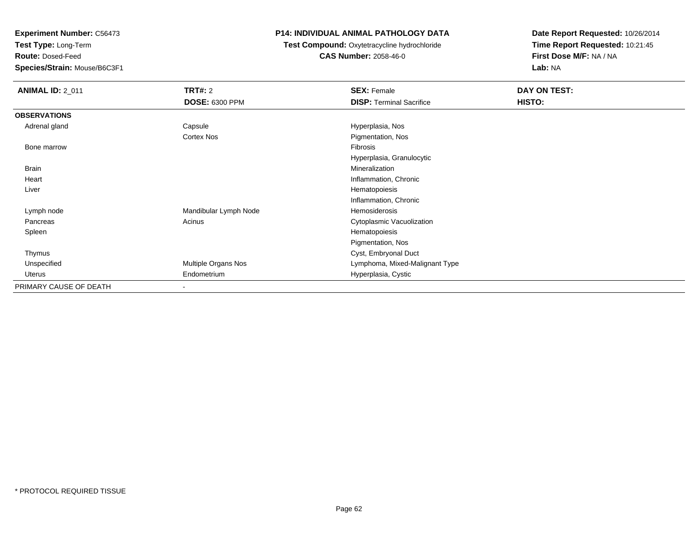**Test Type:** Long-Term

**Route:** Dosed-Feed

**Species/Strain:** Mouse/B6C3F1

### **P14: INDIVIDUAL ANIMAL PATHOLOGY DATA**

 **Test Compound:** Oxytetracycline hydrochloride**CAS Number:** 2058-46-0

| <b>ANIMAL ID: 2_011</b> | <b>TRT#:</b> 2        | <b>SEX: Female</b>              | DAY ON TEST:  |  |
|-------------------------|-----------------------|---------------------------------|---------------|--|
|                         | <b>DOSE: 6300 PPM</b> | <b>DISP: Terminal Sacrifice</b> | <b>HISTO:</b> |  |
| <b>OBSERVATIONS</b>     |                       |                                 |               |  |
| Adrenal gland           | Capsule               | Hyperplasia, Nos                |               |  |
|                         | Cortex Nos            | Pigmentation, Nos               |               |  |
| Bone marrow             |                       | Fibrosis                        |               |  |
|                         |                       | Hyperplasia, Granulocytic       |               |  |
| <b>Brain</b>            |                       | Mineralization                  |               |  |
| Heart                   |                       | Inflammation, Chronic           |               |  |
| Liver                   |                       | Hematopoiesis                   |               |  |
|                         |                       | Inflammation, Chronic           |               |  |
| Lymph node              | Mandibular Lymph Node | Hemosiderosis                   |               |  |
| Pancreas                | Acinus                | Cytoplasmic Vacuolization       |               |  |
| Spleen                  |                       | Hematopoiesis                   |               |  |
|                         |                       | Pigmentation, Nos               |               |  |
| Thymus                  |                       | Cyst, Embryonal Duct            |               |  |
| Unspecified             | Multiple Organs Nos   | Lymphoma, Mixed-Malignant Type  |               |  |
| Uterus                  | Endometrium           | Hyperplasia, Cystic             |               |  |
| PRIMARY CAUSE OF DEATH  |                       |                                 |               |  |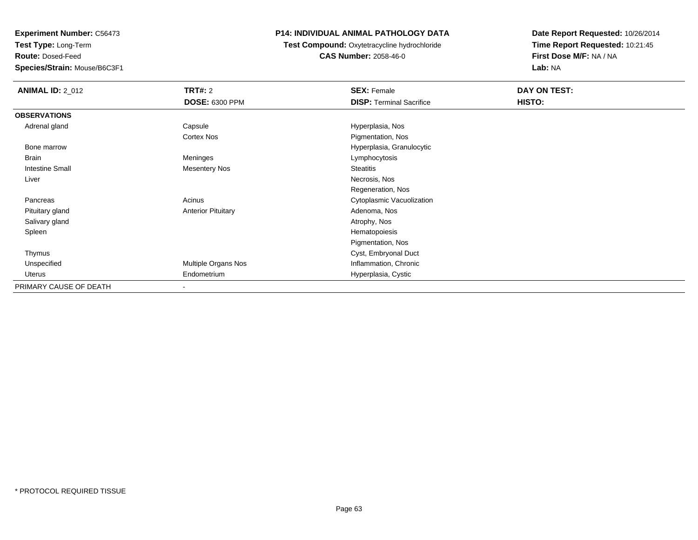**Test Type:** Long-Term

**Route:** Dosed-Feed

**Species/Strain:** Mouse/B6C3F1

### **P14: INDIVIDUAL ANIMAL PATHOLOGY DATA**

**Test Compound:** Oxytetracycline hydrochloride**CAS Number:** 2058-46-0

| <b>ANIMAL ID: 2_012</b> | <b>TRT#: 2</b>            | <b>SEX: Female</b>              | DAY ON TEST: |  |
|-------------------------|---------------------------|---------------------------------|--------------|--|
|                         | <b>DOSE: 6300 PPM</b>     | <b>DISP: Terminal Sacrifice</b> | HISTO:       |  |
| <b>OBSERVATIONS</b>     |                           |                                 |              |  |
| Adrenal gland           | Capsule                   | Hyperplasia, Nos                |              |  |
|                         | Cortex Nos                | Pigmentation, Nos               |              |  |
| Bone marrow             |                           | Hyperplasia, Granulocytic       |              |  |
| <b>Brain</b>            | Meninges                  | Lymphocytosis                   |              |  |
| <b>Intestine Small</b>  | <b>Mesentery Nos</b>      | <b>Steatitis</b>                |              |  |
| Liver                   |                           | Necrosis, Nos                   |              |  |
|                         |                           | Regeneration, Nos               |              |  |
| Pancreas                | Acinus                    | Cytoplasmic Vacuolization       |              |  |
| Pituitary gland         | <b>Anterior Pituitary</b> | Adenoma, Nos                    |              |  |
| Salivary gland          |                           | Atrophy, Nos                    |              |  |
| Spleen                  |                           | Hematopoiesis                   |              |  |
|                         |                           | Pigmentation, Nos               |              |  |
| Thymus                  |                           | Cyst, Embryonal Duct            |              |  |
| Unspecified             | Multiple Organs Nos       | Inflammation, Chronic           |              |  |
| Uterus                  | Endometrium               | Hyperplasia, Cystic             |              |  |
| PRIMARY CAUSE OF DEATH  | -                         |                                 |              |  |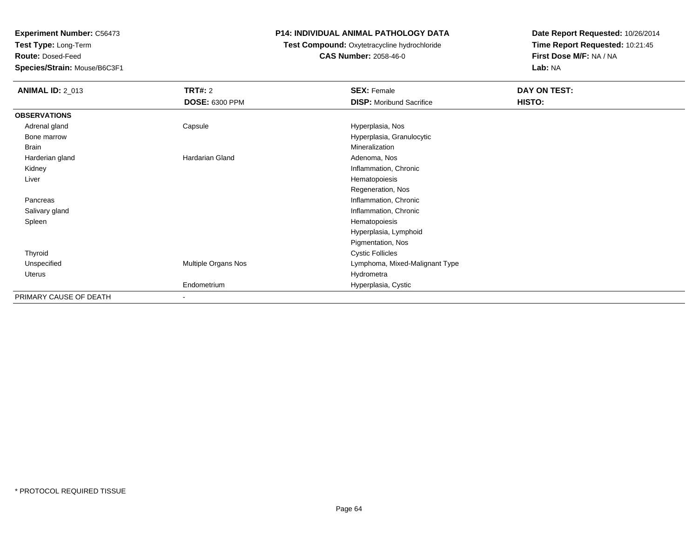**Test Type:** Long-Term

**Route:** Dosed-Feed

**Species/Strain:** Mouse/B6C3F1

### **P14: INDIVIDUAL ANIMAL PATHOLOGY DATA**

# **Test Compound:** Oxytetracycline hydrochloride**CAS Number:** 2058-46-0

| <b>ANIMAL ID: 2_013</b> | <b>TRT#: 2</b>        | <b>SEX: Female</b>              | DAY ON TEST: |  |
|-------------------------|-----------------------|---------------------------------|--------------|--|
|                         | <b>DOSE: 6300 PPM</b> | <b>DISP:</b> Moribund Sacrifice | HISTO:       |  |
| <b>OBSERVATIONS</b>     |                       |                                 |              |  |
| Adrenal gland           | Capsule               | Hyperplasia, Nos                |              |  |
| Bone marrow             |                       | Hyperplasia, Granulocytic       |              |  |
| <b>Brain</b>            |                       | Mineralization                  |              |  |
| Harderian gland         | Hardarian Gland       | Adenoma, Nos                    |              |  |
| Kidney                  |                       | Inflammation, Chronic           |              |  |
| Liver                   |                       | Hematopoiesis                   |              |  |
|                         |                       | Regeneration, Nos               |              |  |
| Pancreas                |                       | Inflammation, Chronic           |              |  |
| Salivary gland          |                       | Inflammation, Chronic           |              |  |
| Spleen                  |                       | Hematopoiesis                   |              |  |
|                         |                       | Hyperplasia, Lymphoid           |              |  |
|                         |                       | Pigmentation, Nos               |              |  |
| Thyroid                 |                       | <b>Cystic Follicles</b>         |              |  |
| Unspecified             | Multiple Organs Nos   | Lymphoma, Mixed-Malignant Type  |              |  |
| Uterus                  |                       | Hydrometra                      |              |  |
|                         | Endometrium           | Hyperplasia, Cystic             |              |  |
| PRIMARY CAUSE OF DEATH  | ۰                     |                                 |              |  |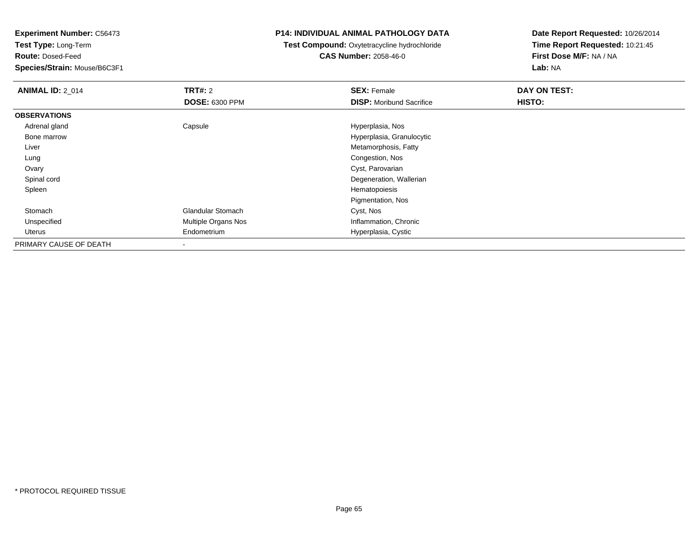**Test Type:** Long-Term

**Route:** Dosed-Feed

**Species/Strain:** Mouse/B6C3F1

#### **P14: INDIVIDUAL ANIMAL PATHOLOGY DATA**

# **Test Compound:** Oxytetracycline hydrochloride**CAS Number:** 2058-46-0

| <b>ANIMAL ID: 2_014</b> | <b>TRT#: 2</b>           | <b>SEX: Female</b>              | DAY ON TEST: |  |
|-------------------------|--------------------------|---------------------------------|--------------|--|
|                         | <b>DOSE: 6300 PPM</b>    | <b>DISP:</b> Moribund Sacrifice | HISTO:       |  |
| <b>OBSERVATIONS</b>     |                          |                                 |              |  |
| Adrenal gland           | Capsule                  | Hyperplasia, Nos                |              |  |
| Bone marrow             |                          | Hyperplasia, Granulocytic       |              |  |
| Liver                   |                          | Metamorphosis, Fatty            |              |  |
| Lung                    |                          | Congestion, Nos                 |              |  |
| Ovary                   |                          | Cyst, Parovarian                |              |  |
| Spinal cord             |                          | Degeneration, Wallerian         |              |  |
| Spleen                  |                          | Hematopoiesis                   |              |  |
|                         |                          | Pigmentation, Nos               |              |  |
| Stomach                 | <b>Glandular Stomach</b> | Cyst, Nos                       |              |  |
| Unspecified             | Multiple Organs Nos      | Inflammation, Chronic           |              |  |
| Uterus                  | Endometrium              | Hyperplasia, Cystic             |              |  |
| PRIMARY CAUSE OF DEATH  |                          |                                 |              |  |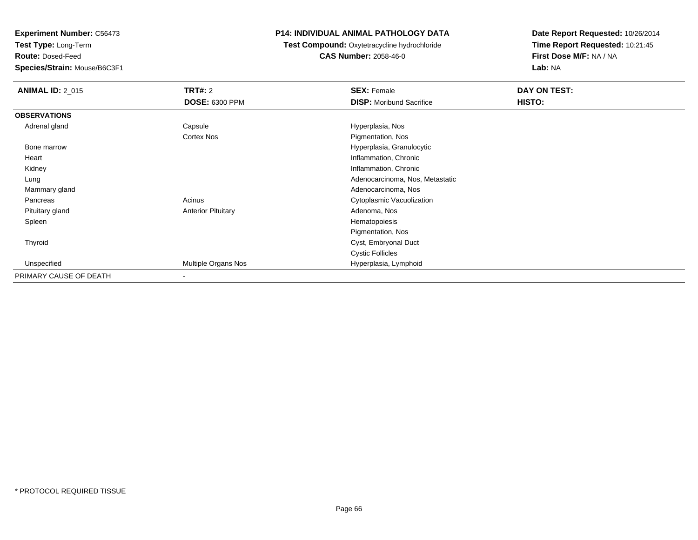**Test Type:** Long-Term

**Route:** Dosed-Feed

**Species/Strain:** Mouse/B6C3F1

### **P14: INDIVIDUAL ANIMAL PATHOLOGY DATA**

#### **Test Compound:** Oxytetracycline hydrochloride**CAS Number:** 2058-46-0

| <b>ANIMAL ID: 2_015</b> | <b>TRT#: 2</b>            | <b>SEX: Female</b>              | DAY ON TEST: |  |
|-------------------------|---------------------------|---------------------------------|--------------|--|
|                         | <b>DOSE: 6300 PPM</b>     | <b>DISP:</b> Moribund Sacrifice | HISTO:       |  |
| <b>OBSERVATIONS</b>     |                           |                                 |              |  |
| Adrenal gland           | Capsule                   | Hyperplasia, Nos                |              |  |
|                         | Cortex Nos                | Pigmentation, Nos               |              |  |
| Bone marrow             |                           | Hyperplasia, Granulocytic       |              |  |
| Heart                   |                           | Inflammation, Chronic           |              |  |
| Kidney                  |                           | Inflammation, Chronic           |              |  |
| Lung                    |                           | Adenocarcinoma, Nos, Metastatic |              |  |
| Mammary gland           |                           | Adenocarcinoma, Nos             |              |  |
| Pancreas                | Acinus                    | Cytoplasmic Vacuolization       |              |  |
| Pituitary gland         | <b>Anterior Pituitary</b> | Adenoma, Nos                    |              |  |
| Spleen                  |                           | Hematopoiesis                   |              |  |
|                         |                           | Pigmentation, Nos               |              |  |
| Thyroid                 |                           | Cyst, Embryonal Duct            |              |  |
|                         |                           | <b>Cystic Follicles</b>         |              |  |
| Unspecified             | Multiple Organs Nos       | Hyperplasia, Lymphoid           |              |  |
| PRIMARY CAUSE OF DEATH  | -                         |                                 |              |  |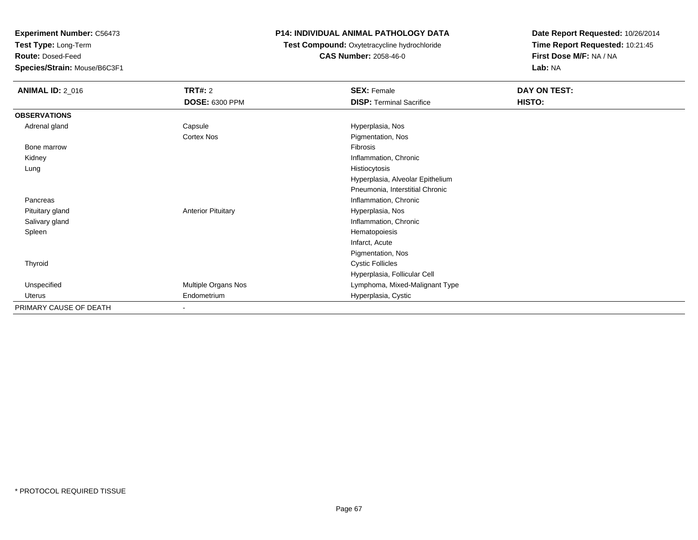**Test Type:** Long-Term

**Route:** Dosed-Feed

**Species/Strain:** Mouse/B6C3F1

### **P14: INDIVIDUAL ANIMAL PATHOLOGY DATA**

**Test Compound:** Oxytetracycline hydrochloride**CAS Number:** 2058-46-0

| <b>ANIMAL ID: 2_016</b> | TRT#: 2                   | <b>SEX: Female</b>               | DAY ON TEST: |
|-------------------------|---------------------------|----------------------------------|--------------|
|                         | DOSE: 6300 PPM            | <b>DISP: Terminal Sacrifice</b>  | HISTO:       |
| <b>OBSERVATIONS</b>     |                           |                                  |              |
| Adrenal gland           | Capsule                   | Hyperplasia, Nos                 |              |
|                         | Cortex Nos                | Pigmentation, Nos                |              |
| Bone marrow             |                           | Fibrosis                         |              |
| Kidney                  |                           | Inflammation, Chronic            |              |
| Lung                    |                           | Histiocytosis                    |              |
|                         |                           | Hyperplasia, Alveolar Epithelium |              |
|                         |                           | Pneumonia, Interstitial Chronic  |              |
| Pancreas                |                           | Inflammation, Chronic            |              |
| Pituitary gland         | <b>Anterior Pituitary</b> | Hyperplasia, Nos                 |              |
| Salivary gland          |                           | Inflammation, Chronic            |              |
| Spleen                  |                           | Hematopoiesis                    |              |
|                         |                           | Infarct, Acute                   |              |
|                         |                           | Pigmentation, Nos                |              |
| Thyroid                 |                           | <b>Cystic Follicles</b>          |              |
|                         |                           | Hyperplasia, Follicular Cell     |              |
| Unspecified             | Multiple Organs Nos       | Lymphoma, Mixed-Malignant Type   |              |
| Uterus                  | Endometrium               | Hyperplasia, Cystic              |              |
| PRIMARY CAUSE OF DEATH  |                           |                                  |              |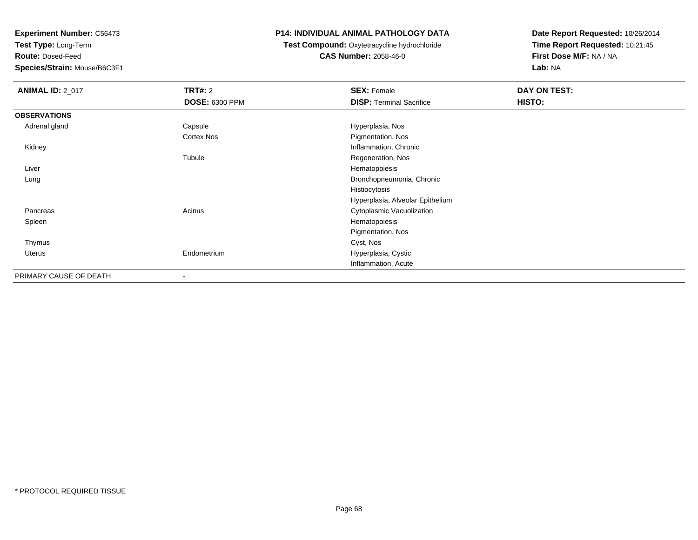**Test Type:** Long-Term

**Route:** Dosed-Feed

**Species/Strain:** Mouse/B6C3F1

### **P14: INDIVIDUAL ANIMAL PATHOLOGY DATA**

#### **Test Compound:** Oxytetracycline hydrochloride**CAS Number:** 2058-46-0

| <b>ANIMAL ID: 2_017</b> | <b>TRT#: 2</b>           | <b>SEX: Female</b>               | <b>DAY ON TEST:</b> |  |
|-------------------------|--------------------------|----------------------------------|---------------------|--|
|                         | <b>DOSE: 6300 PPM</b>    | <b>DISP: Terminal Sacrifice</b>  | HISTO:              |  |
| <b>OBSERVATIONS</b>     |                          |                                  |                     |  |
| Adrenal gland           | Capsule                  | Hyperplasia, Nos                 |                     |  |
|                         | Cortex Nos               | Pigmentation, Nos                |                     |  |
| Kidney                  |                          | Inflammation, Chronic            |                     |  |
|                         | Tubule                   | Regeneration, Nos                |                     |  |
| Liver                   |                          | Hematopoiesis                    |                     |  |
| Lung                    |                          | Bronchopneumonia, Chronic        |                     |  |
|                         |                          | Histiocytosis                    |                     |  |
|                         |                          | Hyperplasia, Alveolar Epithelium |                     |  |
| Pancreas                | Acinus                   | Cytoplasmic Vacuolization        |                     |  |
| Spleen                  |                          | Hematopoiesis                    |                     |  |
|                         |                          | Pigmentation, Nos                |                     |  |
| Thymus                  |                          | Cyst, Nos                        |                     |  |
| Uterus                  | Endometrium              | Hyperplasia, Cystic              |                     |  |
|                         |                          | Inflammation, Acute              |                     |  |
| PRIMARY CAUSE OF DEATH  | $\overline{\phantom{a}}$ |                                  |                     |  |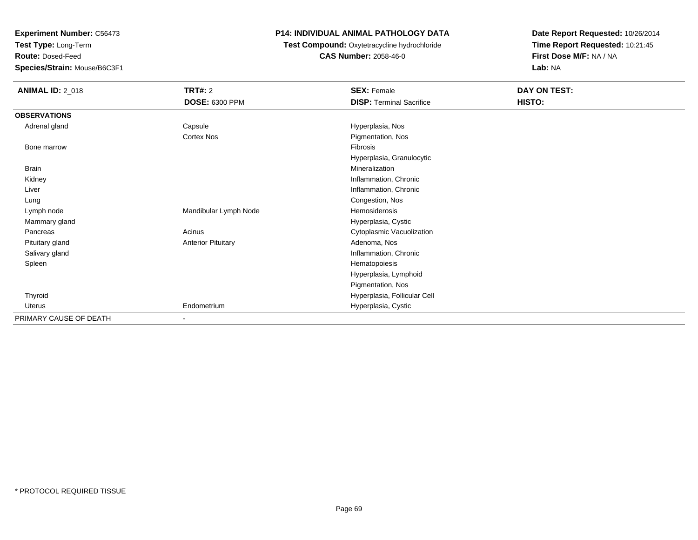**Test Type:** Long-Term

**Route:** Dosed-Feed

**Species/Strain:** Mouse/B6C3F1

### **P14: INDIVIDUAL ANIMAL PATHOLOGY DATA**

**Test Compound:** Oxytetracycline hydrochloride**CAS Number:** 2058-46-0

| <b>ANIMAL ID: 2_018</b> | <b>TRT#: 2</b>            | <b>SEX: Female</b>              | DAY ON TEST: |
|-------------------------|---------------------------|---------------------------------|--------------|
|                         | <b>DOSE: 6300 PPM</b>     | <b>DISP: Terminal Sacrifice</b> | HISTO:       |
| <b>OBSERVATIONS</b>     |                           |                                 |              |
| Adrenal gland           | Capsule                   | Hyperplasia, Nos                |              |
|                         | Cortex Nos                | Pigmentation, Nos               |              |
| Bone marrow             |                           | Fibrosis                        |              |
|                         |                           | Hyperplasia, Granulocytic       |              |
| <b>Brain</b>            |                           | Mineralization                  |              |
| Kidney                  |                           | Inflammation, Chronic           |              |
| Liver                   |                           | Inflammation, Chronic           |              |
| Lung                    |                           | Congestion, Nos                 |              |
| Lymph node              | Mandibular Lymph Node     | Hemosiderosis                   |              |
| Mammary gland           |                           | Hyperplasia, Cystic             |              |
| Pancreas                | Acinus                    | Cytoplasmic Vacuolization       |              |
| Pituitary gland         | <b>Anterior Pituitary</b> | Adenoma, Nos                    |              |
| Salivary gland          |                           | Inflammation, Chronic           |              |
| Spleen                  |                           | Hematopoiesis                   |              |
|                         |                           | Hyperplasia, Lymphoid           |              |
|                         |                           | Pigmentation, Nos               |              |
| Thyroid                 |                           | Hyperplasia, Follicular Cell    |              |
| <b>Uterus</b>           | Endometrium               | Hyperplasia, Cystic             |              |
| PRIMARY CAUSE OF DEATH  | $\blacksquare$            |                                 |              |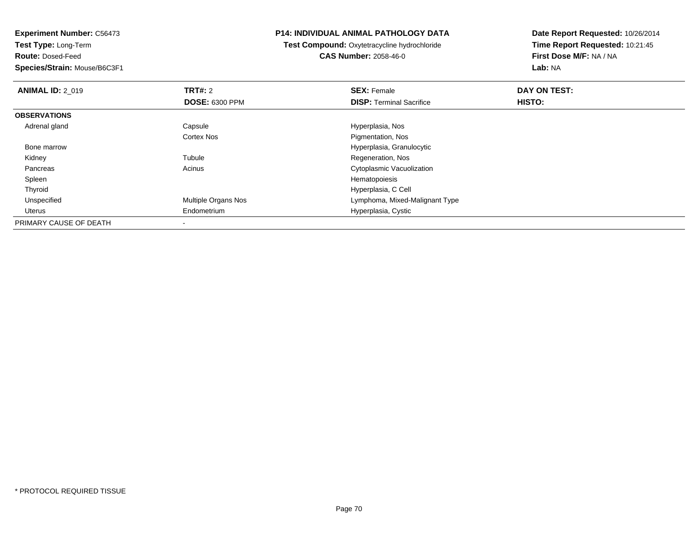**Test Type:** Long-Term

**Route:** Dosed-Feed

**Species/Strain:** Mouse/B6C3F1

#### **P14: INDIVIDUAL ANIMAL PATHOLOGY DATA**

**Test Compound:** Oxytetracycline hydrochloride**CAS Number:** 2058-46-0

| <b>ANIMAL ID: 2 019</b> | TRT#: 2                    | <b>SEX: Female</b>              | DAY ON TEST: |  |
|-------------------------|----------------------------|---------------------------------|--------------|--|
|                         | <b>DOSE: 6300 PPM</b>      | <b>DISP:</b> Terminal Sacrifice | HISTO:       |  |
| <b>OBSERVATIONS</b>     |                            |                                 |              |  |
| Adrenal gland           | Capsule                    | Hyperplasia, Nos                |              |  |
|                         | <b>Cortex Nos</b>          | Pigmentation, Nos               |              |  |
| Bone marrow             |                            | Hyperplasia, Granulocytic       |              |  |
| Kidney                  | Tubule                     | Regeneration, Nos               |              |  |
| Pancreas                | Acinus                     | Cytoplasmic Vacuolization       |              |  |
| Spleen                  |                            | Hematopoiesis                   |              |  |
| Thyroid                 |                            | Hyperplasia, C Cell             |              |  |
| Unspecified             | <b>Multiple Organs Nos</b> | Lymphoma, Mixed-Malignant Type  |              |  |
| Uterus                  | Endometrium                | Hyperplasia, Cystic             |              |  |
| PRIMARY CAUSE OF DEATH  |                            |                                 |              |  |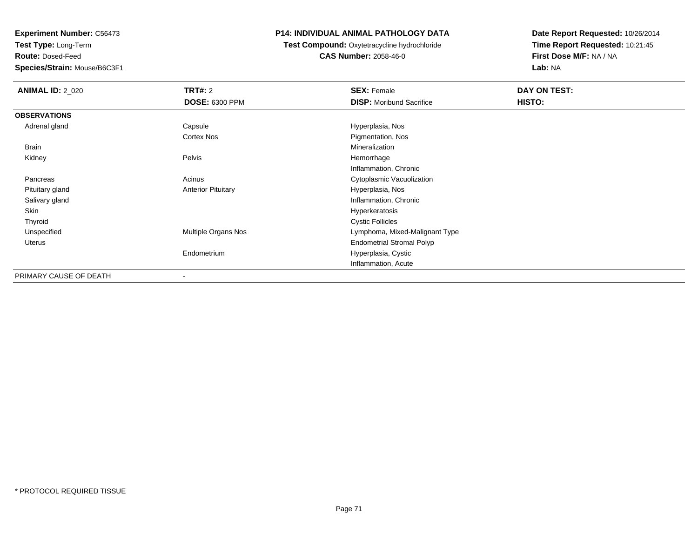**Test Type:** Long-Term

**Route:** Dosed-Feed

**Species/Strain:** Mouse/B6C3F1

### **P14: INDIVIDUAL ANIMAL PATHOLOGY DATA**

 **Test Compound:** Oxytetracycline hydrochloride**CAS Number:** 2058-46-0

| <b>ANIMAL ID: 2_020</b> | TRT#: 2                   | <b>SEX: Female</b>               | DAY ON TEST: |
|-------------------------|---------------------------|----------------------------------|--------------|
|                         | <b>DOSE: 6300 PPM</b>     | <b>DISP:</b> Moribund Sacrifice  | HISTO:       |
| <b>OBSERVATIONS</b>     |                           |                                  |              |
| Adrenal gland           | Capsule                   | Hyperplasia, Nos                 |              |
|                         | Cortex Nos                | Pigmentation, Nos                |              |
| <b>Brain</b>            |                           | Mineralization                   |              |
| Kidney                  | Pelvis                    | Hemorrhage                       |              |
|                         |                           | Inflammation, Chronic            |              |
| Pancreas                | Acinus                    | Cytoplasmic Vacuolization        |              |
| Pituitary gland         | <b>Anterior Pituitary</b> | Hyperplasia, Nos                 |              |
| Salivary gland          |                           | Inflammation, Chronic            |              |
| Skin                    |                           | Hyperkeratosis                   |              |
| Thyroid                 |                           | <b>Cystic Follicles</b>          |              |
| Unspecified             | Multiple Organs Nos       | Lymphoma, Mixed-Malignant Type   |              |
| Uterus                  |                           | <b>Endometrial Stromal Polyp</b> |              |
|                         | Endometrium               | Hyperplasia, Cystic              |              |
|                         |                           | Inflammation, Acute              |              |
| PRIMARY CAUSE OF DEATH  | ۰                         |                                  |              |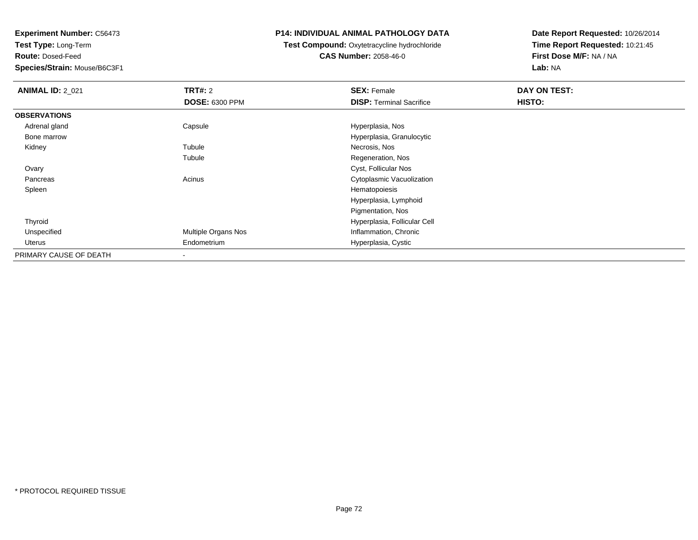**Test Type:** Long-Term

**Route:** Dosed-Feed

**Species/Strain:** Mouse/B6C3F1

#### **P14: INDIVIDUAL ANIMAL PATHOLOGY DATA**

#### **Test Compound:** Oxytetracycline hydrochloride**CAS Number:** 2058-46-0

| <b>ANIMAL ID: 2 021</b> | <b>TRT#: 2</b>        | <b>SEX: Female</b>              | DAY ON TEST: |
|-------------------------|-----------------------|---------------------------------|--------------|
|                         | <b>DOSE: 6300 PPM</b> | <b>DISP: Terminal Sacrifice</b> | HISTO:       |
| <b>OBSERVATIONS</b>     |                       |                                 |              |
| Adrenal gland           | Capsule               | Hyperplasia, Nos                |              |
| Bone marrow             |                       | Hyperplasia, Granulocytic       |              |
| Kidney                  | Tubule                | Necrosis, Nos                   |              |
|                         | Tubule                | Regeneration, Nos               |              |
| Ovary                   |                       | Cyst, Follicular Nos            |              |
| Pancreas                | Acinus                | Cytoplasmic Vacuolization       |              |
| Spleen                  |                       | Hematopoiesis                   |              |
|                         |                       | Hyperplasia, Lymphoid           |              |
|                         |                       | Pigmentation, Nos               |              |
| Thyroid                 |                       | Hyperplasia, Follicular Cell    |              |
| Unspecified             | Multiple Organs Nos   | Inflammation, Chronic           |              |
| Uterus                  | Endometrium           | Hyperplasia, Cystic             |              |
| PRIMARY CAUSE OF DEATH  |                       |                                 |              |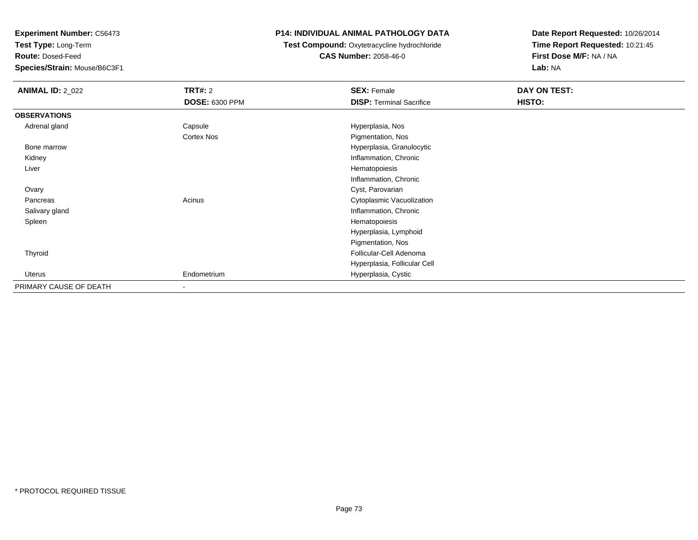**Test Type:** Long-Term

**Route:** Dosed-Feed

**Species/Strain:** Mouse/B6C3F1

## **P14: INDIVIDUAL ANIMAL PATHOLOGY DATA**

**Test Compound:** Oxytetracycline hydrochloride**CAS Number:** 2058-46-0

| <b>ANIMAL ID: 2_022</b> | <b>TRT#:</b> 2        | <b>SEX: Female</b>              | DAY ON TEST: |  |
|-------------------------|-----------------------|---------------------------------|--------------|--|
|                         | <b>DOSE: 6300 PPM</b> | <b>DISP: Terminal Sacrifice</b> | HISTO:       |  |
| <b>OBSERVATIONS</b>     |                       |                                 |              |  |
| Adrenal gland           | Capsule               | Hyperplasia, Nos                |              |  |
|                         | Cortex Nos            | Pigmentation, Nos               |              |  |
| Bone marrow             |                       | Hyperplasia, Granulocytic       |              |  |
| Kidney                  |                       | Inflammation, Chronic           |              |  |
| Liver                   |                       | Hematopoiesis                   |              |  |
|                         |                       | Inflammation, Chronic           |              |  |
| Ovary                   |                       | Cyst, Parovarian                |              |  |
| Pancreas                | Acinus                | Cytoplasmic Vacuolization       |              |  |
| Salivary gland          |                       | Inflammation, Chronic           |              |  |
| Spleen                  |                       | Hematopoiesis                   |              |  |
|                         |                       | Hyperplasia, Lymphoid           |              |  |
|                         |                       | Pigmentation, Nos               |              |  |
| Thyroid                 |                       | Follicular-Cell Adenoma         |              |  |
|                         |                       | Hyperplasia, Follicular Cell    |              |  |
| Uterus                  | Endometrium           | Hyperplasia, Cystic             |              |  |
| PRIMARY CAUSE OF DEATH  |                       |                                 |              |  |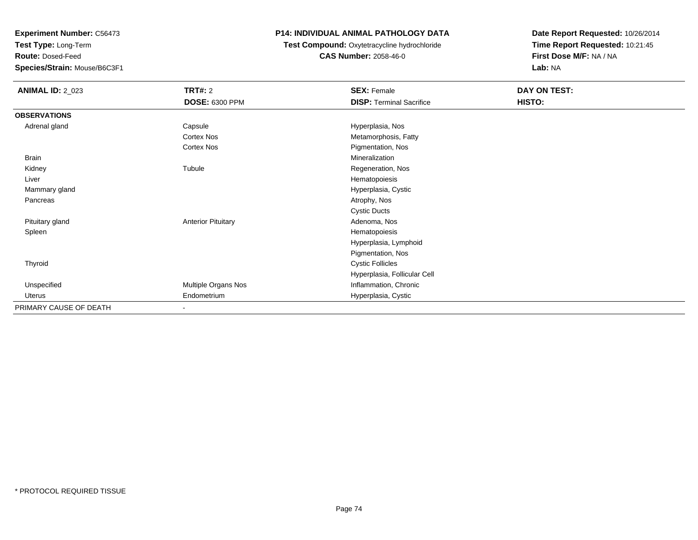**Test Type:** Long-Term

**Route:** Dosed-Feed

**Species/Strain:** Mouse/B6C3F1

## **P14: INDIVIDUAL ANIMAL PATHOLOGY DATA**

## **Test Compound:** Oxytetracycline hydrochloride**CAS Number:** 2058-46-0

| <b>ANIMAL ID: 2_023</b> | TRT#: 2                   | <b>SEX: Female</b>              | DAY ON TEST: |
|-------------------------|---------------------------|---------------------------------|--------------|
|                         | <b>DOSE: 6300 PPM</b>     | <b>DISP: Terminal Sacrifice</b> | HISTO:       |
| <b>OBSERVATIONS</b>     |                           |                                 |              |
| Adrenal gland           | Capsule                   | Hyperplasia, Nos                |              |
|                         | Cortex Nos                | Metamorphosis, Fatty            |              |
|                         | Cortex Nos                | Pigmentation, Nos               |              |
| <b>Brain</b>            |                           | Mineralization                  |              |
| Kidney                  | Tubule                    | Regeneration, Nos               |              |
| Liver                   |                           | Hematopoiesis                   |              |
| Mammary gland           |                           | Hyperplasia, Cystic             |              |
| Pancreas                |                           | Atrophy, Nos                    |              |
|                         |                           | <b>Cystic Ducts</b>             |              |
| Pituitary gland         | <b>Anterior Pituitary</b> | Adenoma, Nos                    |              |
| Spleen                  |                           | Hematopoiesis                   |              |
|                         |                           | Hyperplasia, Lymphoid           |              |
|                         |                           | Pigmentation, Nos               |              |
| Thyroid                 |                           | <b>Cystic Follicles</b>         |              |
|                         |                           | Hyperplasia, Follicular Cell    |              |
| Unspecified             | Multiple Organs Nos       | Inflammation, Chronic           |              |
| Uterus                  | Endometrium               | Hyperplasia, Cystic             |              |
| PRIMARY CAUSE OF DEATH  | $\sim$                    |                                 |              |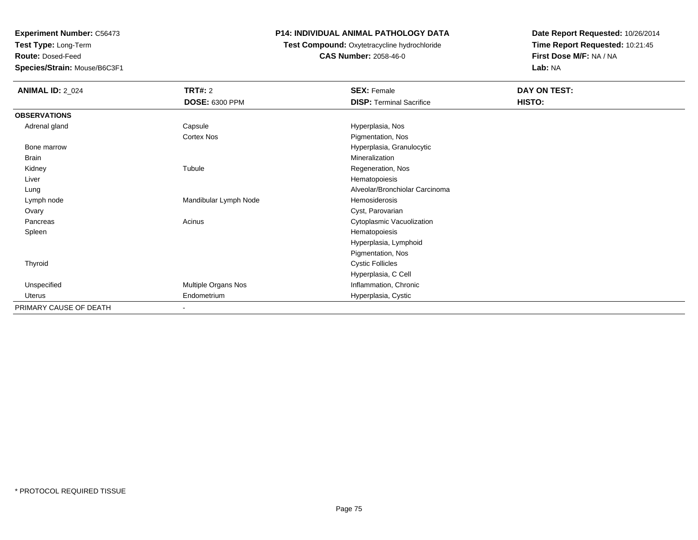**Test Type:** Long-Term

**Route:** Dosed-Feed

**Species/Strain:** Mouse/B6C3F1

### **P14: INDIVIDUAL ANIMAL PATHOLOGY DATA**

**Test Compound:** Oxytetracycline hydrochloride**CAS Number:** 2058-46-0

| <b>ANIMAL ID: 2_024</b> | TRT#: 2               | <b>SEX: Female</b>              | DAY ON TEST: |
|-------------------------|-----------------------|---------------------------------|--------------|
|                         | <b>DOSE: 6300 PPM</b> | <b>DISP: Terminal Sacrifice</b> | HISTO:       |
| <b>OBSERVATIONS</b>     |                       |                                 |              |
| Adrenal gland           | Capsule               | Hyperplasia, Nos                |              |
|                         | Cortex Nos            | Pigmentation, Nos               |              |
| Bone marrow             |                       | Hyperplasia, Granulocytic       |              |
| Brain                   |                       | Mineralization                  |              |
| Kidney                  | Tubule                | Regeneration, Nos               |              |
| Liver                   |                       | Hematopoiesis                   |              |
| Lung                    |                       | Alveolar/Bronchiolar Carcinoma  |              |
| Lymph node              | Mandibular Lymph Node | Hemosiderosis                   |              |
| Ovary                   |                       | Cyst, Parovarian                |              |
| Pancreas                | Acinus                | Cytoplasmic Vacuolization       |              |
| Spleen                  |                       | Hematopoiesis                   |              |
|                         |                       | Hyperplasia, Lymphoid           |              |
|                         |                       | Pigmentation, Nos               |              |
| Thyroid                 |                       | <b>Cystic Follicles</b>         |              |
|                         |                       | Hyperplasia, C Cell             |              |
| Unspecified             | Multiple Organs Nos   | Inflammation, Chronic           |              |
| Uterus                  | Endometrium           | Hyperplasia, Cystic             |              |
| PRIMARY CAUSE OF DEATH  | $\sim$                |                                 |              |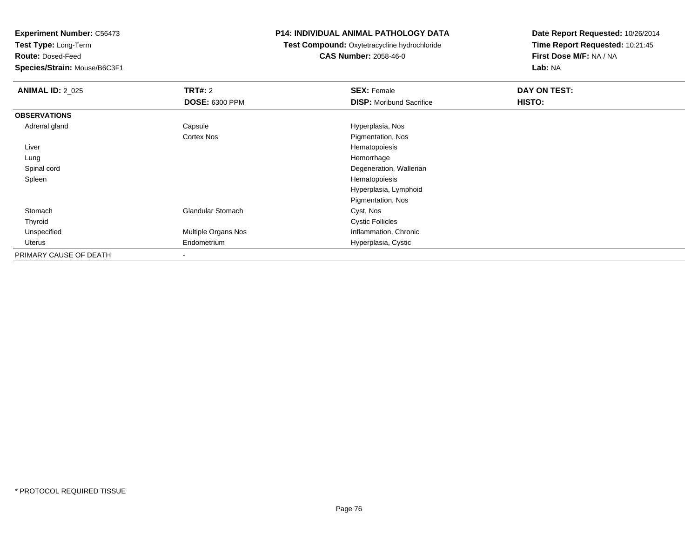**Test Type:** Long-Term

**Route:** Dosed-Feed

**Species/Strain:** Mouse/B6C3F1

### **P14: INDIVIDUAL ANIMAL PATHOLOGY DATA**

**Test Compound:** Oxytetracycline hydrochloride**CAS Number:** 2058-46-0

| <b>ANIMAL ID: 2_025</b> | <b>TRT#: 2</b>           | <b>SEX: Female</b>              | DAY ON TEST: |  |
|-------------------------|--------------------------|---------------------------------|--------------|--|
|                         | <b>DOSE: 6300 PPM</b>    | <b>DISP:</b> Moribund Sacrifice | HISTO:       |  |
| <b>OBSERVATIONS</b>     |                          |                                 |              |  |
| Adrenal gland           | Capsule                  | Hyperplasia, Nos                |              |  |
|                         | <b>Cortex Nos</b>        | Pigmentation, Nos               |              |  |
| Liver                   |                          | Hematopoiesis                   |              |  |
| Lung                    |                          | Hemorrhage                      |              |  |
| Spinal cord             |                          | Degeneration, Wallerian         |              |  |
| Spleen                  |                          | Hematopoiesis                   |              |  |
|                         |                          | Hyperplasia, Lymphoid           |              |  |
|                         |                          | Pigmentation, Nos               |              |  |
| Stomach                 | <b>Glandular Stomach</b> | Cyst, Nos                       |              |  |
| Thyroid                 |                          | <b>Cystic Follicles</b>         |              |  |
| Unspecified             | Multiple Organs Nos      | Inflammation, Chronic           |              |  |
| Uterus                  | Endometrium              | Hyperplasia, Cystic             |              |  |
| PRIMARY CAUSE OF DEATH  |                          |                                 |              |  |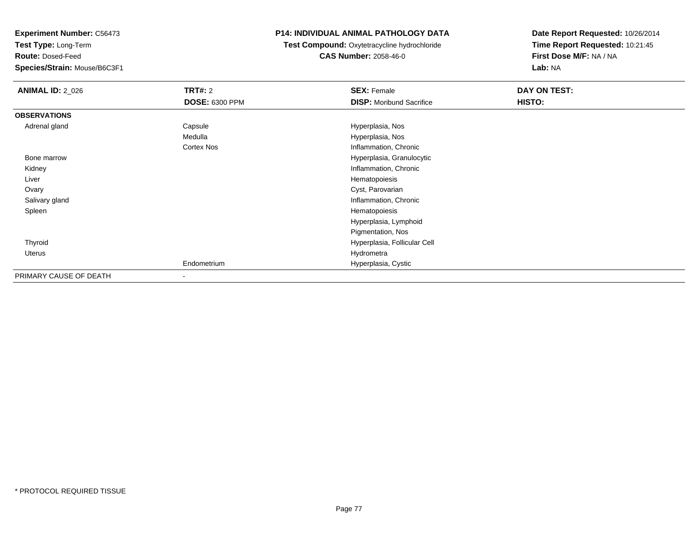**Test Type:** Long-Term

**Route:** Dosed-Feed

**Species/Strain:** Mouse/B6C3F1

## **P14: INDIVIDUAL ANIMAL PATHOLOGY DATA**

### **Test Compound:** Oxytetracycline hydrochloride**CAS Number:** 2058-46-0

| <b>ANIMAL ID: 2_026</b> | <b>TRT#: 2</b>        | <b>SEX: Female</b>              | DAY ON TEST: |  |
|-------------------------|-----------------------|---------------------------------|--------------|--|
|                         | <b>DOSE: 6300 PPM</b> | <b>DISP:</b> Moribund Sacrifice | HISTO:       |  |
| <b>OBSERVATIONS</b>     |                       |                                 |              |  |
| Adrenal gland           | Capsule               | Hyperplasia, Nos                |              |  |
|                         | Medulla               | Hyperplasia, Nos                |              |  |
|                         | Cortex Nos            | Inflammation, Chronic           |              |  |
| Bone marrow             |                       | Hyperplasia, Granulocytic       |              |  |
| Kidney                  |                       | Inflammation, Chronic           |              |  |
| Liver                   |                       | Hematopoiesis                   |              |  |
| Ovary                   |                       | Cyst, Parovarian                |              |  |
| Salivary gland          |                       | Inflammation, Chronic           |              |  |
| Spleen                  |                       | Hematopoiesis                   |              |  |
|                         |                       | Hyperplasia, Lymphoid           |              |  |
|                         |                       | Pigmentation, Nos               |              |  |
| Thyroid                 |                       | Hyperplasia, Follicular Cell    |              |  |
| Uterus                  |                       | Hydrometra                      |              |  |
|                         | Endometrium           | Hyperplasia, Cystic             |              |  |
| PRIMARY CAUSE OF DEATH  | $\blacksquare$        |                                 |              |  |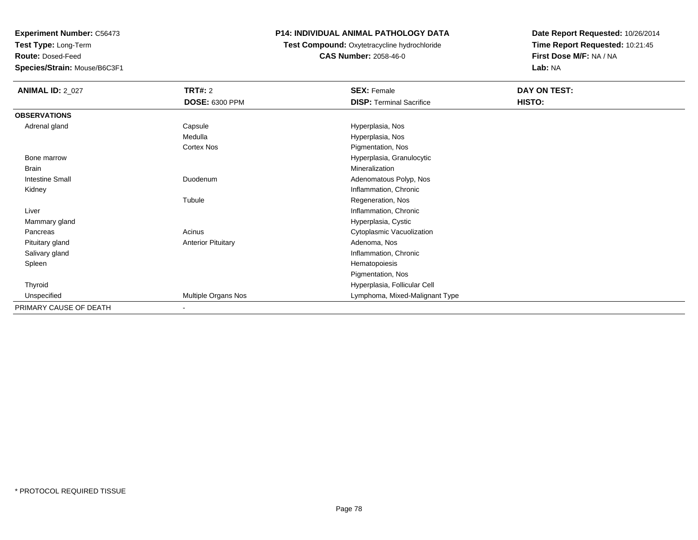**Test Type:** Long-Term

**Route:** Dosed-Feed

**Species/Strain:** Mouse/B6C3F1

## **P14: INDIVIDUAL ANIMAL PATHOLOGY DATA**

**Test Compound:** Oxytetracycline hydrochloride**CAS Number:** 2058-46-0

| <b>ANIMAL ID: 2_027</b> | TRT#: 2                   | <b>SEX: Female</b>              | DAY ON TEST: |  |
|-------------------------|---------------------------|---------------------------------|--------------|--|
|                         | <b>DOSE: 6300 PPM</b>     | <b>DISP: Terminal Sacrifice</b> | HISTO:       |  |
| <b>OBSERVATIONS</b>     |                           |                                 |              |  |
| Adrenal gland           | Capsule                   | Hyperplasia, Nos                |              |  |
|                         | Medulla                   | Hyperplasia, Nos                |              |  |
|                         | Cortex Nos                | Pigmentation, Nos               |              |  |
| Bone marrow             |                           | Hyperplasia, Granulocytic       |              |  |
| <b>Brain</b>            |                           | Mineralization                  |              |  |
| <b>Intestine Small</b>  | Duodenum                  | Adenomatous Polyp, Nos          |              |  |
| Kidney                  |                           | Inflammation, Chronic           |              |  |
|                         | Tubule                    | Regeneration, Nos               |              |  |
| Liver                   |                           | Inflammation, Chronic           |              |  |
| Mammary gland           |                           | Hyperplasia, Cystic             |              |  |
| Pancreas                | Acinus                    | Cytoplasmic Vacuolization       |              |  |
| Pituitary gland         | <b>Anterior Pituitary</b> | Adenoma, Nos                    |              |  |
| Salivary gland          |                           | Inflammation, Chronic           |              |  |
| Spleen                  |                           | Hematopoiesis                   |              |  |
|                         |                           | Pigmentation, Nos               |              |  |
| Thyroid                 |                           | Hyperplasia, Follicular Cell    |              |  |
| Unspecified             | Multiple Organs Nos       | Lymphoma, Mixed-Malignant Type  |              |  |
| PRIMARY CAUSE OF DEATH  | $\overline{\phantom{a}}$  |                                 |              |  |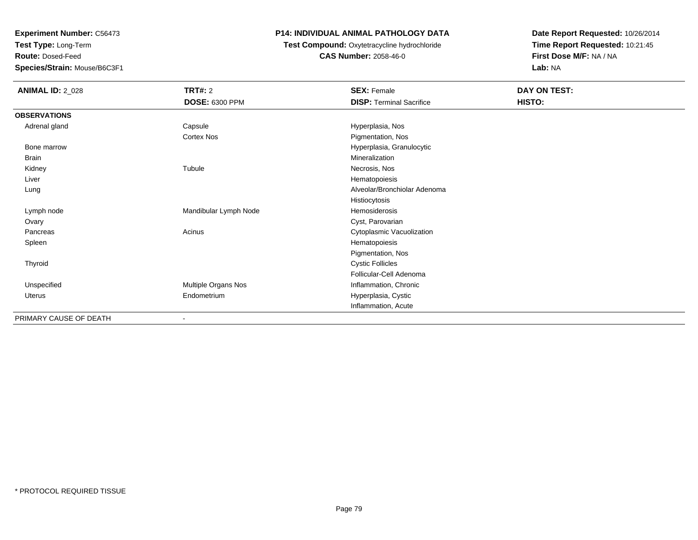**Test Type:** Long-Term

**Route:** Dosed-Feed

**Species/Strain:** Mouse/B6C3F1

### **P14: INDIVIDUAL ANIMAL PATHOLOGY DATA**

**Test Compound:** Oxytetracycline hydrochloride**CAS Number:** 2058-46-0

| <b>ANIMAL ID: 2_028</b> | TRT#: 2                  | <b>SEX: Female</b>              | DAY ON TEST: |
|-------------------------|--------------------------|---------------------------------|--------------|
|                         | <b>DOSE: 6300 PPM</b>    | <b>DISP: Terminal Sacrifice</b> | HISTO:       |
| <b>OBSERVATIONS</b>     |                          |                                 |              |
| Adrenal gland           | Capsule                  | Hyperplasia, Nos                |              |
|                         | Cortex Nos               | Pigmentation, Nos               |              |
| Bone marrow             |                          | Hyperplasia, Granulocytic       |              |
| <b>Brain</b>            |                          | Mineralization                  |              |
| Kidney                  | Tubule                   | Necrosis, Nos                   |              |
| Liver                   |                          | Hematopoiesis                   |              |
| Lung                    |                          | Alveolar/Bronchiolar Adenoma    |              |
|                         |                          | Histiocytosis                   |              |
| Lymph node              | Mandibular Lymph Node    | Hemosiderosis                   |              |
| Ovary                   |                          | Cyst, Parovarian                |              |
| Pancreas                | Acinus                   | Cytoplasmic Vacuolization       |              |
| Spleen                  |                          | Hematopoiesis                   |              |
|                         |                          | Pigmentation, Nos               |              |
| Thyroid                 |                          | <b>Cystic Follicles</b>         |              |
|                         |                          | Follicular-Cell Adenoma         |              |
| Unspecified             | Multiple Organs Nos      | Inflammation, Chronic           |              |
| Uterus                  | Endometrium              | Hyperplasia, Cystic             |              |
|                         |                          | Inflammation, Acute             |              |
| PRIMARY CAUSE OF DEATH  | $\overline{\phantom{0}}$ |                                 |              |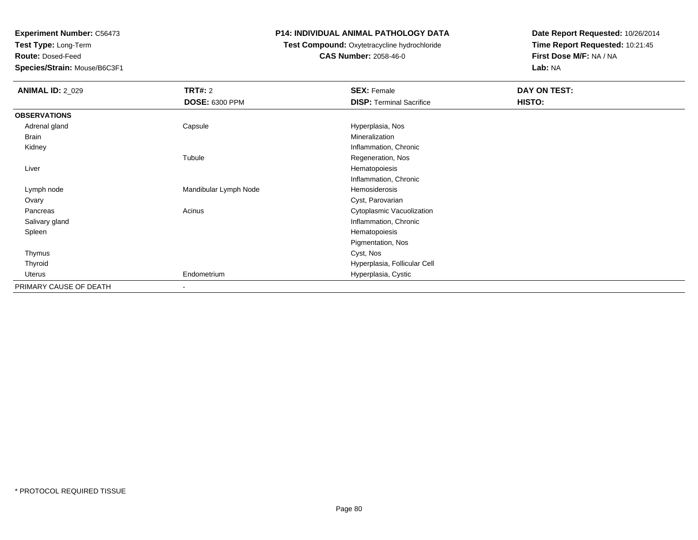**Test Type:** Long-Term

**Route:** Dosed-Feed

**Species/Strain:** Mouse/B6C3F1

### **P14: INDIVIDUAL ANIMAL PATHOLOGY DATA**

## **Test Compound:** Oxytetracycline hydrochloride**CAS Number:** 2058-46-0

| <b>ANIMAL ID: 2_029</b> | <b>TRT#: 2</b>           | <b>SEX: Female</b>              | DAY ON TEST: |
|-------------------------|--------------------------|---------------------------------|--------------|
|                         | <b>DOSE: 6300 PPM</b>    | <b>DISP: Terminal Sacrifice</b> | HISTO:       |
| <b>OBSERVATIONS</b>     |                          |                                 |              |
| Adrenal gland           | Capsule                  | Hyperplasia, Nos                |              |
| Brain                   |                          | Mineralization                  |              |
| Kidney                  |                          | Inflammation, Chronic           |              |
|                         | Tubule                   | Regeneration, Nos               |              |
| Liver                   |                          | Hematopoiesis                   |              |
|                         |                          | Inflammation, Chronic           |              |
| Lymph node              | Mandibular Lymph Node    | Hemosiderosis                   |              |
| Ovary                   |                          | Cyst, Parovarian                |              |
| Pancreas                | Acinus                   | Cytoplasmic Vacuolization       |              |
| Salivary gland          |                          | Inflammation, Chronic           |              |
| Spleen                  |                          | Hematopoiesis                   |              |
|                         |                          | Pigmentation, Nos               |              |
| Thymus                  |                          | Cyst, Nos                       |              |
| Thyroid                 |                          | Hyperplasia, Follicular Cell    |              |
| Uterus                  | Endometrium              | Hyperplasia, Cystic             |              |
| PRIMARY CAUSE OF DEATH  | $\overline{\phantom{a}}$ |                                 |              |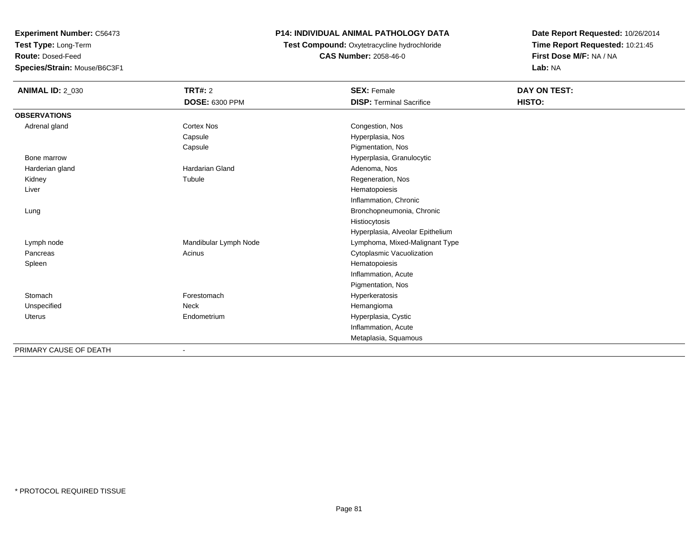**Test Type:** Long-Term

**Route:** Dosed-Feed

**Species/Strain:** Mouse/B6C3F1

## **P14: INDIVIDUAL ANIMAL PATHOLOGY DATA**

**Test Compound:** Oxytetracycline hydrochloride**CAS Number:** 2058-46-0

| <b>ANIMAL ID: 2_030</b> | TRT#: 2                  | <b>SEX: Female</b>               | DAY ON TEST: |  |
|-------------------------|--------------------------|----------------------------------|--------------|--|
|                         | DOSE: 6300 PPM           | <b>DISP: Terminal Sacrifice</b>  | HISTO:       |  |
| <b>OBSERVATIONS</b>     |                          |                                  |              |  |
| Adrenal gland           | Cortex Nos               | Congestion, Nos                  |              |  |
|                         | Capsule                  | Hyperplasia, Nos                 |              |  |
|                         | Capsule                  | Pigmentation, Nos                |              |  |
| Bone marrow             |                          | Hyperplasia, Granulocytic        |              |  |
| Harderian gland         | <b>Hardarian Gland</b>   | Adenoma, Nos                     |              |  |
| Kidney                  | Tubule                   | Regeneration, Nos                |              |  |
| Liver                   |                          | Hematopoiesis                    |              |  |
|                         |                          | Inflammation, Chronic            |              |  |
| Lung                    |                          | Bronchopneumonia, Chronic        |              |  |
|                         |                          | Histiocytosis                    |              |  |
|                         |                          | Hyperplasia, Alveolar Epithelium |              |  |
| Lymph node              | Mandibular Lymph Node    | Lymphoma, Mixed-Malignant Type   |              |  |
| Pancreas                | Acinus                   | Cytoplasmic Vacuolization        |              |  |
| Spleen                  |                          | Hematopoiesis                    |              |  |
|                         |                          | Inflammation, Acute              |              |  |
|                         |                          | Pigmentation, Nos                |              |  |
| Stomach                 | Forestomach              | Hyperkeratosis                   |              |  |
| Unspecified             | Neck                     | Hemangioma                       |              |  |
| Uterus                  | Endometrium              | Hyperplasia, Cystic              |              |  |
|                         |                          | Inflammation, Acute              |              |  |
|                         |                          | Metaplasia, Squamous             |              |  |
| PRIMARY CAUSE OF DEATH  | $\overline{\phantom{a}}$ |                                  |              |  |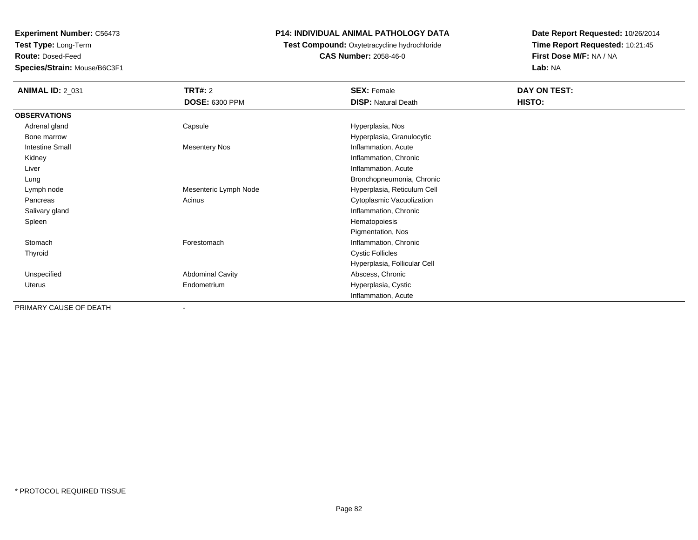**Test Type:** Long-Term

**Route:** Dosed-Feed

**Species/Strain:** Mouse/B6C3F1

## **P14: INDIVIDUAL ANIMAL PATHOLOGY DATA**

## **Test Compound:** Oxytetracycline hydrochloride**CAS Number:** 2058-46-0

| <b>ANIMAL ID: 2_031</b> | TRT#: 2                 | <b>SEX: Female</b>           | DAY ON TEST: |
|-------------------------|-------------------------|------------------------------|--------------|
|                         | DOSE: 6300 PPM          | <b>DISP: Natural Death</b>   | HISTO:       |
| <b>OBSERVATIONS</b>     |                         |                              |              |
| Adrenal gland           | Capsule                 | Hyperplasia, Nos             |              |
| Bone marrow             |                         | Hyperplasia, Granulocytic    |              |
| <b>Intestine Small</b>  | <b>Mesentery Nos</b>    | Inflammation, Acute          |              |
| Kidney                  |                         | Inflammation, Chronic        |              |
| Liver                   |                         | Inflammation, Acute          |              |
| Lung                    |                         | Bronchopneumonia, Chronic    |              |
| Lymph node              | Mesenteric Lymph Node   | Hyperplasia, Reticulum Cell  |              |
| Pancreas                | Acinus                  | Cytoplasmic Vacuolization    |              |
| Salivary gland          |                         | Inflammation, Chronic        |              |
| Spleen                  |                         | Hematopoiesis                |              |
|                         |                         | Pigmentation, Nos            |              |
| Stomach                 | Forestomach             | Inflammation, Chronic        |              |
| Thyroid                 |                         | <b>Cystic Follicles</b>      |              |
|                         |                         | Hyperplasia, Follicular Cell |              |
| Unspecified             | <b>Abdominal Cavity</b> | Abscess, Chronic             |              |
| Uterus                  | Endometrium             | Hyperplasia, Cystic          |              |
|                         |                         | Inflammation, Acute          |              |
| PRIMARY CAUSE OF DEATH  |                         |                              |              |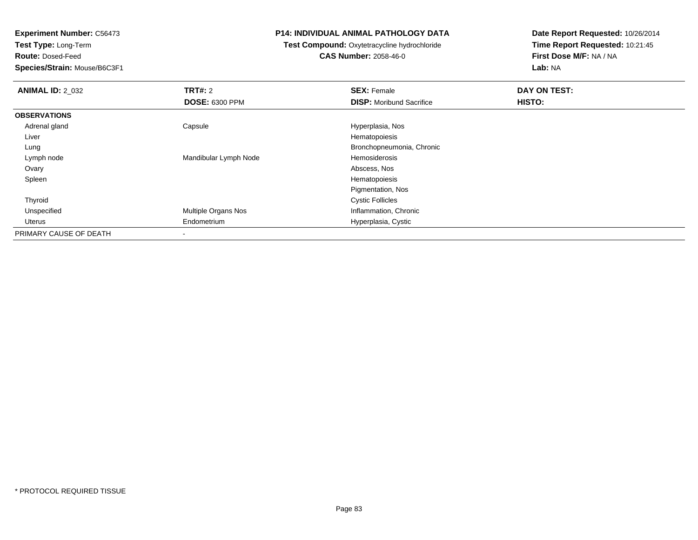**Test Type:** Long-Term

**Route:** Dosed-Feed

**Species/Strain:** Mouse/B6C3F1

### **P14: INDIVIDUAL ANIMAL PATHOLOGY DATA**

### **Test Compound:** Oxytetracycline hydrochloride**CAS Number:** 2058-46-0

| <b>ANIMAL ID: 2_032</b> | <b>TRT#: 2</b>           | <b>SEX: Female</b>              | DAY ON TEST: |  |
|-------------------------|--------------------------|---------------------------------|--------------|--|
|                         | <b>DOSE: 6300 PPM</b>    | <b>DISP:</b> Moribund Sacrifice | HISTO:       |  |
| <b>OBSERVATIONS</b>     |                          |                                 |              |  |
| Adrenal gland           | Capsule                  | Hyperplasia, Nos                |              |  |
| Liver                   |                          | Hematopoiesis                   |              |  |
| Lung                    |                          | Bronchopneumonia, Chronic       |              |  |
| Lymph node              | Mandibular Lymph Node    | Hemosiderosis                   |              |  |
| Ovary                   |                          | Abscess, Nos                    |              |  |
| Spleen                  |                          | Hematopoiesis                   |              |  |
|                         |                          | Pigmentation, Nos               |              |  |
| Thyroid                 |                          | <b>Cystic Follicles</b>         |              |  |
| Unspecified             | Multiple Organs Nos      | Inflammation, Chronic           |              |  |
| Uterus                  | Endometrium              | Hyperplasia, Cystic             |              |  |
| PRIMARY CAUSE OF DEATH  | $\overline{\phantom{a}}$ |                                 |              |  |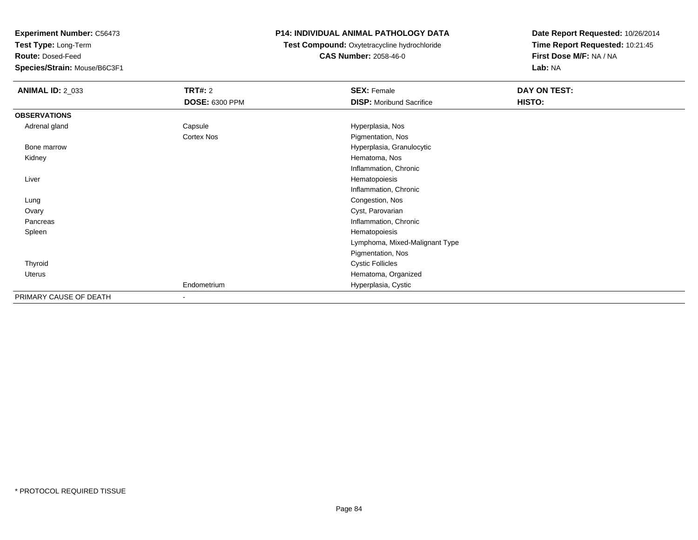**Test Type:** Long-Term

**Route:** Dosed-Feed

**Species/Strain:** Mouse/B6C3F1

## **P14: INDIVIDUAL ANIMAL PATHOLOGY DATA**

## **Test Compound:** Oxytetracycline hydrochloride**CAS Number:** 2058-46-0

| <b>ANIMAL ID: 2_033</b> | <b>TRT#: 2</b>        | <b>SEX: Female</b>              | DAY ON TEST: |
|-------------------------|-----------------------|---------------------------------|--------------|
|                         | <b>DOSE: 6300 PPM</b> | <b>DISP:</b> Moribund Sacrifice | HISTO:       |
| <b>OBSERVATIONS</b>     |                       |                                 |              |
| Adrenal gland           | Capsule               | Hyperplasia, Nos                |              |
|                         | Cortex Nos            | Pigmentation, Nos               |              |
| Bone marrow             |                       | Hyperplasia, Granulocytic       |              |
| Kidney                  |                       | Hematoma, Nos                   |              |
|                         |                       | Inflammation, Chronic           |              |
| Liver                   |                       | Hematopoiesis                   |              |
|                         |                       | Inflammation, Chronic           |              |
| Lung                    |                       | Congestion, Nos                 |              |
| Ovary                   |                       | Cyst, Parovarian                |              |
| Pancreas                |                       | Inflammation, Chronic           |              |
| Spleen                  |                       | Hematopoiesis                   |              |
|                         |                       | Lymphoma, Mixed-Malignant Type  |              |
|                         |                       | Pigmentation, Nos               |              |
| Thyroid                 |                       | <b>Cystic Follicles</b>         |              |
| Uterus                  |                       | Hematoma, Organized             |              |
|                         | Endometrium           | Hyperplasia, Cystic             |              |
| PRIMARY CAUSE OF DEATH  | ٠                     |                                 |              |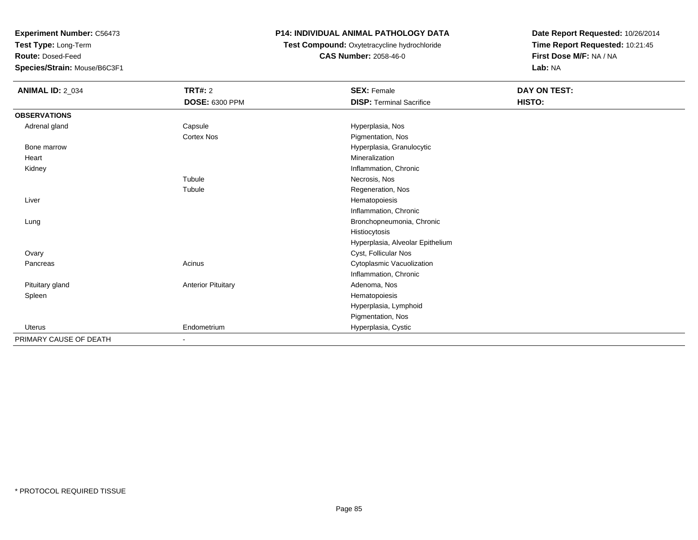**Test Type:** Long-Term

**Route:** Dosed-Feed

**Species/Strain:** Mouse/B6C3F1

## **P14: INDIVIDUAL ANIMAL PATHOLOGY DATA**

**Test Compound:** Oxytetracycline hydrochloride**CAS Number:** 2058-46-0

| <b>ANIMAL ID: 2_034</b> | <b>TRT#: 2</b>               | <b>SEX: Female</b>               | DAY ON TEST: |
|-------------------------|------------------------------|----------------------------------|--------------|
|                         | <b>DOSE: 6300 PPM</b>        | <b>DISP: Terminal Sacrifice</b>  | HISTO:       |
| <b>OBSERVATIONS</b>     |                              |                                  |              |
| Adrenal gland           | Capsule                      | Hyperplasia, Nos                 |              |
|                         | Cortex Nos                   | Pigmentation, Nos                |              |
| Bone marrow             |                              | Hyperplasia, Granulocytic        |              |
| Heart                   |                              | Mineralization                   |              |
| Kidney                  |                              | Inflammation, Chronic            |              |
|                         | Tubule                       | Necrosis, Nos                    |              |
|                         | Tubule                       | Regeneration, Nos                |              |
| Liver                   |                              | Hematopoiesis                    |              |
|                         |                              | Inflammation, Chronic            |              |
| Lung                    |                              | Bronchopneumonia, Chronic        |              |
|                         |                              | Histiocytosis                    |              |
|                         |                              | Hyperplasia, Alveolar Epithelium |              |
| Ovary                   |                              | Cyst, Follicular Nos             |              |
| Pancreas                | Acinus                       | Cytoplasmic Vacuolization        |              |
|                         |                              | Inflammation, Chronic            |              |
| Pituitary gland         | <b>Anterior Pituitary</b>    | Adenoma, Nos                     |              |
| Spleen                  |                              | Hematopoiesis                    |              |
|                         |                              | Hyperplasia, Lymphoid            |              |
|                         |                              | Pigmentation, Nos                |              |
| Uterus                  | Endometrium                  | Hyperplasia, Cystic              |              |
| PRIMARY CAUSE OF DEATH  | $\qquad \qquad \blacksquare$ |                                  |              |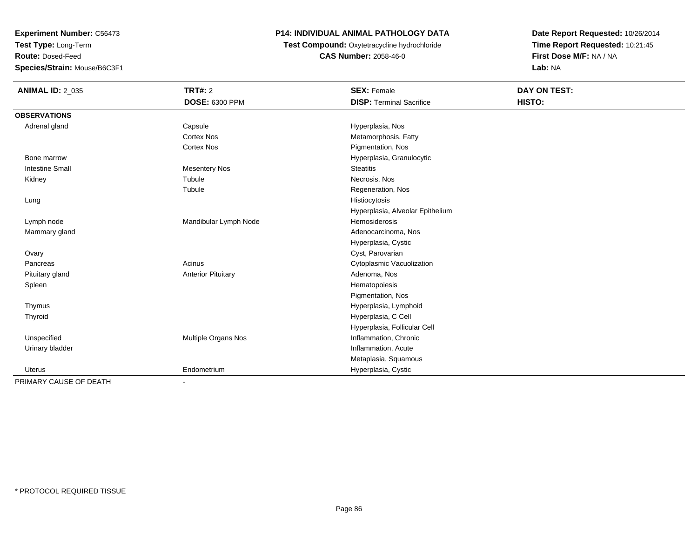**Test Type:** Long-Term

**Route:** Dosed-Feed

**Species/Strain:** Mouse/B6C3F1

## **P14: INDIVIDUAL ANIMAL PATHOLOGY DATA**

**Test Compound:** Oxytetracycline hydrochloride**CAS Number:** 2058-46-0

| <b>ANIMAL ID: 2_035</b> | <b>TRT#: 2</b>            | <b>SEX: Female</b>               | <b>DAY ON TEST:</b> |
|-------------------------|---------------------------|----------------------------------|---------------------|
|                         | DOSE: 6300 PPM            | <b>DISP: Terminal Sacrifice</b>  | HISTO:              |
| <b>OBSERVATIONS</b>     |                           |                                  |                     |
| Adrenal gland           | Capsule                   | Hyperplasia, Nos                 |                     |
|                         | <b>Cortex Nos</b>         | Metamorphosis, Fatty             |                     |
|                         | <b>Cortex Nos</b>         | Pigmentation, Nos                |                     |
| Bone marrow             |                           | Hyperplasia, Granulocytic        |                     |
| <b>Intestine Small</b>  | <b>Mesentery Nos</b>      | <b>Steatitis</b>                 |                     |
| Kidney                  | Tubule                    | Necrosis, Nos                    |                     |
|                         | Tubule                    | Regeneration, Nos                |                     |
| Lung                    |                           | Histiocytosis                    |                     |
|                         |                           | Hyperplasia, Alveolar Epithelium |                     |
| Lymph node              | Mandibular Lymph Node     | <b>Hemosiderosis</b>             |                     |
| Mammary gland           |                           | Adenocarcinoma, Nos              |                     |
|                         |                           | Hyperplasia, Cystic              |                     |
| Ovary                   |                           | Cyst, Parovarian                 |                     |
| Pancreas                | Acinus                    | Cytoplasmic Vacuolization        |                     |
| Pituitary gland         | <b>Anterior Pituitary</b> | Adenoma, Nos                     |                     |
| Spleen                  |                           | Hematopoiesis                    |                     |
|                         |                           | Pigmentation, Nos                |                     |
| Thymus                  |                           | Hyperplasia, Lymphoid            |                     |
| Thyroid                 |                           | Hyperplasia, C Cell              |                     |
|                         |                           | Hyperplasia, Follicular Cell     |                     |
| Unspecified             | Multiple Organs Nos       | Inflammation, Chronic            |                     |
| Urinary bladder         |                           | Inflammation, Acute              |                     |
|                         |                           | Metaplasia, Squamous             |                     |
| Uterus                  | Endometrium               | Hyperplasia, Cystic              |                     |
| PRIMARY CAUSE OF DEATH  |                           |                                  |                     |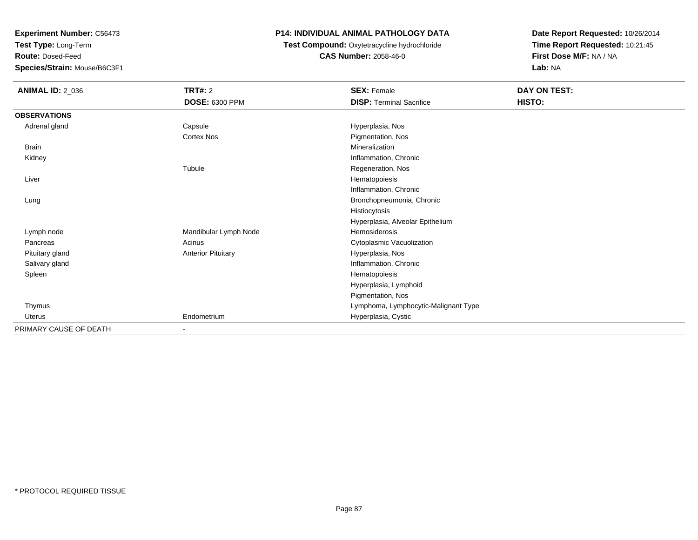**Test Type:** Long-Term

**Route:** Dosed-Feed

**Species/Strain:** Mouse/B6C3F1

## **P14: INDIVIDUAL ANIMAL PATHOLOGY DATA**

# **Test Compound:** Oxytetracycline hydrochloride**CAS Number:** 2058-46-0

| <b>ANIMAL ID: 2_036</b> | <b>TRT#: 2</b>            | <b>SEX: Female</b>                   | DAY ON TEST: |  |
|-------------------------|---------------------------|--------------------------------------|--------------|--|
|                         | <b>DOSE: 6300 PPM</b>     | <b>DISP: Terminal Sacrifice</b>      | HISTO:       |  |
| <b>OBSERVATIONS</b>     |                           |                                      |              |  |
| Adrenal gland           | Capsule                   | Hyperplasia, Nos                     |              |  |
|                         | Cortex Nos                | Pigmentation, Nos                    |              |  |
| <b>Brain</b>            |                           | Mineralization                       |              |  |
| Kidney                  |                           | Inflammation, Chronic                |              |  |
|                         | Tubule                    | Regeneration, Nos                    |              |  |
| Liver                   |                           | Hematopoiesis                        |              |  |
|                         |                           | Inflammation, Chronic                |              |  |
| Lung                    |                           | Bronchopneumonia, Chronic            |              |  |
|                         |                           | Histiocytosis                        |              |  |
|                         |                           | Hyperplasia, Alveolar Epithelium     |              |  |
| Lymph node              | Mandibular Lymph Node     | Hemosiderosis                        |              |  |
| Pancreas                | Acinus                    | Cytoplasmic Vacuolization            |              |  |
| Pituitary gland         | <b>Anterior Pituitary</b> | Hyperplasia, Nos                     |              |  |
| Salivary gland          |                           | Inflammation, Chronic                |              |  |
| Spleen                  |                           | Hematopoiesis                        |              |  |
|                         |                           | Hyperplasia, Lymphoid                |              |  |
|                         |                           | Pigmentation, Nos                    |              |  |
| Thymus                  |                           | Lymphoma, Lymphocytic-Malignant Type |              |  |
| Uterus                  | Endometrium               | Hyperplasia, Cystic                  |              |  |
| PRIMARY CAUSE OF DEATH  | ٠                         |                                      |              |  |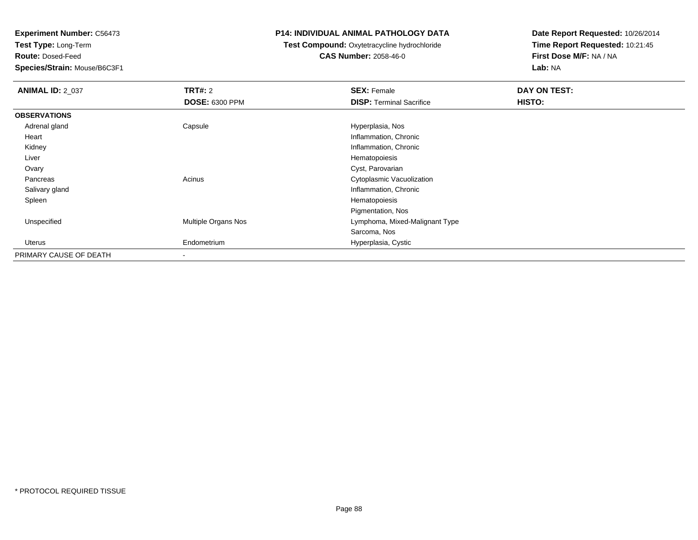**Test Type:** Long-Term

**Route:** Dosed-Feed

**Species/Strain:** Mouse/B6C3F1

#### **P14: INDIVIDUAL ANIMAL PATHOLOGY DATA**

## **Test Compound:** Oxytetracycline hydrochloride**CAS Number:** 2058-46-0

| <b>ANIMAL ID: 2_037</b> | TRT#: 2                  | <b>SEX: Female</b>              | DAY ON TEST: |  |
|-------------------------|--------------------------|---------------------------------|--------------|--|
|                         | <b>DOSE: 6300 PPM</b>    | <b>DISP:</b> Terminal Sacrifice | HISTO:       |  |
| <b>OBSERVATIONS</b>     |                          |                                 |              |  |
| Adrenal gland           | Capsule                  | Hyperplasia, Nos                |              |  |
| Heart                   |                          | Inflammation, Chronic           |              |  |
| Kidney                  |                          | Inflammation, Chronic           |              |  |
| Liver                   |                          | Hematopoiesis                   |              |  |
| Ovary                   |                          | Cyst, Parovarian                |              |  |
| Pancreas                | Acinus                   | Cytoplasmic Vacuolization       |              |  |
| Salivary gland          |                          | Inflammation, Chronic           |              |  |
| Spleen                  |                          | Hematopoiesis                   |              |  |
|                         |                          | Pigmentation, Nos               |              |  |
| Unspecified             | Multiple Organs Nos      | Lymphoma, Mixed-Malignant Type  |              |  |
|                         |                          | Sarcoma, Nos                    |              |  |
| Uterus                  | Endometrium              | Hyperplasia, Cystic             |              |  |
| PRIMARY CAUSE OF DEATH  | $\overline{\phantom{a}}$ |                                 |              |  |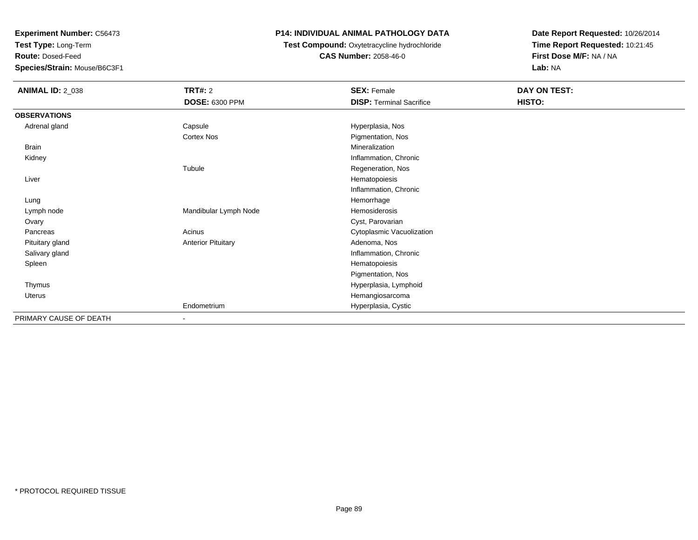**Test Type:** Long-Term

**Route:** Dosed-Feed

**Species/Strain:** Mouse/B6C3F1

## **P14: INDIVIDUAL ANIMAL PATHOLOGY DATA**

**Test Compound:** Oxytetracycline hydrochloride**CAS Number:** 2058-46-0

| <b>ANIMAL ID: 2_038</b> | <b>TRT#: 2</b>            | <b>SEX: Female</b>              | DAY ON TEST: |
|-------------------------|---------------------------|---------------------------------|--------------|
|                         | DOSE: 6300 PPM            | <b>DISP: Terminal Sacrifice</b> | HISTO:       |
| <b>OBSERVATIONS</b>     |                           |                                 |              |
| Adrenal gland           | Capsule                   | Hyperplasia, Nos                |              |
|                         | Cortex Nos                | Pigmentation, Nos               |              |
| Brain                   |                           | Mineralization                  |              |
| Kidney                  |                           | Inflammation, Chronic           |              |
|                         | Tubule                    | Regeneration, Nos               |              |
| Liver                   |                           | Hematopoiesis                   |              |
|                         |                           | Inflammation, Chronic           |              |
| Lung                    |                           | Hemorrhage                      |              |
| Lymph node              | Mandibular Lymph Node     | Hemosiderosis                   |              |
| Ovary                   |                           | Cyst, Parovarian                |              |
| Pancreas                | Acinus                    | Cytoplasmic Vacuolization       |              |
| Pituitary gland         | <b>Anterior Pituitary</b> | Adenoma, Nos                    |              |
| Salivary gland          |                           | Inflammation, Chronic           |              |
| Spleen                  |                           | Hematopoiesis                   |              |
|                         |                           | Pigmentation, Nos               |              |
| Thymus                  |                           | Hyperplasia, Lymphoid           |              |
| Uterus                  |                           | Hemangiosarcoma                 |              |
|                         | Endometrium               | Hyperplasia, Cystic             |              |
| PRIMARY CAUSE OF DEATH  | ٠                         |                                 |              |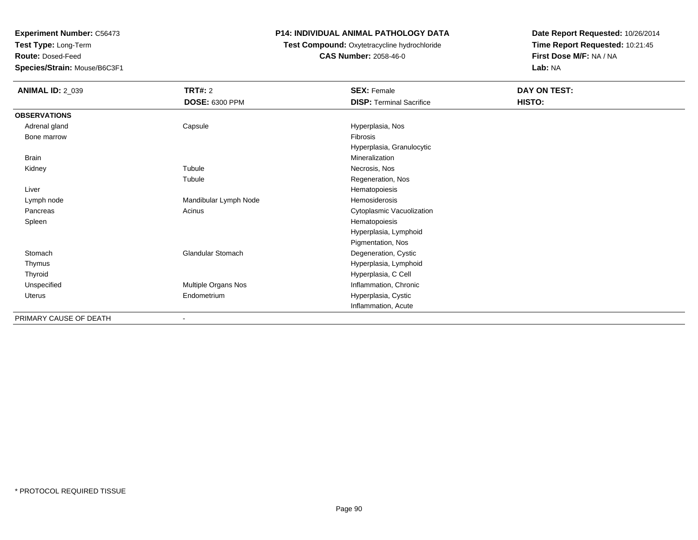**Test Type:** Long-Term

**Route:** Dosed-Feed

**Species/Strain:** Mouse/B6C3F1

### **P14: INDIVIDUAL ANIMAL PATHOLOGY DATA**

**Test Compound:** Oxytetracycline hydrochloride**CAS Number:** 2058-46-0

| <b>ANIMAL ID: 2_039</b> | TRT#: 2                  | <b>SEX: Female</b>              | DAY ON TEST: |
|-------------------------|--------------------------|---------------------------------|--------------|
|                         | <b>DOSE: 6300 PPM</b>    | <b>DISP: Terminal Sacrifice</b> | HISTO:       |
| <b>OBSERVATIONS</b>     |                          |                                 |              |
| Adrenal gland           | Capsule                  | Hyperplasia, Nos                |              |
| Bone marrow             |                          | Fibrosis                        |              |
|                         |                          | Hyperplasia, Granulocytic       |              |
| <b>Brain</b>            |                          | Mineralization                  |              |
| Kidney                  | Tubule                   | Necrosis, Nos                   |              |
|                         | Tubule                   | Regeneration, Nos               |              |
| Liver                   |                          | Hematopoiesis                   |              |
| Lymph node              | Mandibular Lymph Node    | Hemosiderosis                   |              |
| Pancreas                | Acinus                   | Cytoplasmic Vacuolization       |              |
| Spleen                  |                          | Hematopoiesis                   |              |
|                         |                          | Hyperplasia, Lymphoid           |              |
|                         |                          | Pigmentation, Nos               |              |
| Stomach                 | <b>Glandular Stomach</b> | Degeneration, Cystic            |              |
| Thymus                  |                          | Hyperplasia, Lymphoid           |              |
| Thyroid                 |                          | Hyperplasia, C Cell             |              |
| Unspecified             | Multiple Organs Nos      | Inflammation, Chronic           |              |
| Uterus                  | Endometrium              | Hyperplasia, Cystic             |              |
|                         |                          | Inflammation, Acute             |              |
| PRIMARY CAUSE OF DEATH  |                          |                                 |              |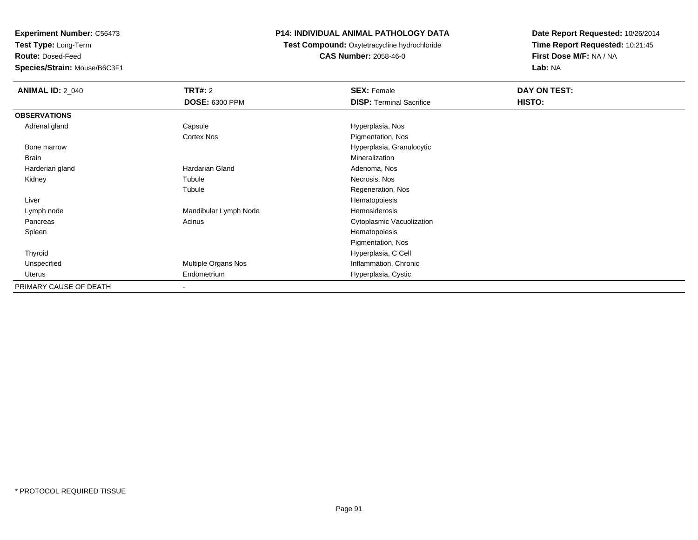**Test Type:** Long-Term

**Route:** Dosed-Feed

**Species/Strain:** Mouse/B6C3F1

## **P14: INDIVIDUAL ANIMAL PATHOLOGY DATA**

**Test Compound:** Oxytetracycline hydrochloride**CAS Number:** 2058-46-0

| <b>ANIMAL ID: 2_040</b> | <b>TRT#: 2</b>           | <b>SEX: Female</b>              | DAY ON TEST: |
|-------------------------|--------------------------|---------------------------------|--------------|
|                         | <b>DOSE: 6300 PPM</b>    | <b>DISP: Terminal Sacrifice</b> | HISTO:       |
| <b>OBSERVATIONS</b>     |                          |                                 |              |
| Adrenal gland           | Capsule                  | Hyperplasia, Nos                |              |
|                         | Cortex Nos               | Pigmentation, Nos               |              |
| Bone marrow             |                          | Hyperplasia, Granulocytic       |              |
| Brain                   |                          | Mineralization                  |              |
| Harderian gland         | Hardarian Gland          | Adenoma, Nos                    |              |
| Kidney                  | Tubule                   | Necrosis, Nos                   |              |
|                         | Tubule                   | Regeneration, Nos               |              |
| Liver                   |                          | Hematopoiesis                   |              |
| Lymph node              | Mandibular Lymph Node    | Hemosiderosis                   |              |
| Pancreas                | Acinus                   | Cytoplasmic Vacuolization       |              |
| Spleen                  |                          | Hematopoiesis                   |              |
|                         |                          | Pigmentation, Nos               |              |
| Thyroid                 |                          | Hyperplasia, C Cell             |              |
| Unspecified             | Multiple Organs Nos      | Inflammation, Chronic           |              |
| Uterus                  | Endometrium              | Hyperplasia, Cystic             |              |
| PRIMARY CAUSE OF DEATH  | $\overline{\phantom{a}}$ |                                 |              |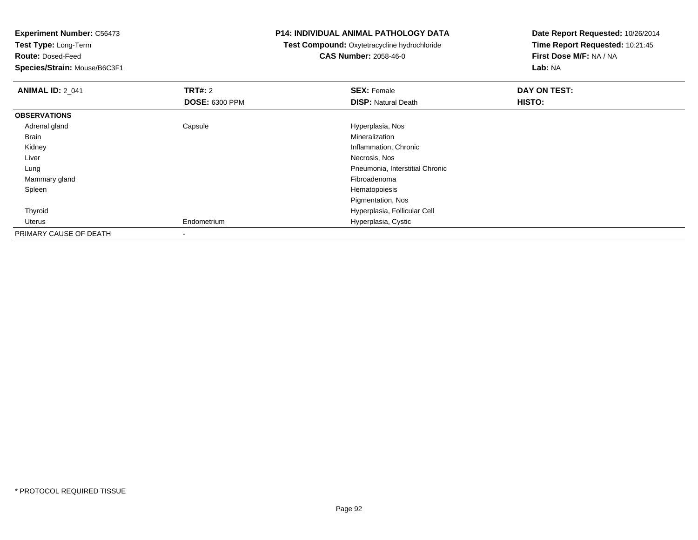**Test Type:** Long-Term

**Route:** Dosed-Feed

**Species/Strain:** Mouse/B6C3F1

#### **P14: INDIVIDUAL ANIMAL PATHOLOGY DATA**

 **Test Compound:** Oxytetracycline hydrochloride**CAS Number:** 2058-46-0

| <b>ANIMAL ID: 2_041</b> | <b>TRT#: 2</b>        | <b>SEX: Female</b>              | DAY ON TEST: |  |
|-------------------------|-----------------------|---------------------------------|--------------|--|
|                         | <b>DOSE: 6300 PPM</b> | <b>DISP: Natural Death</b>      | HISTO:       |  |
| <b>OBSERVATIONS</b>     |                       |                                 |              |  |
| Adrenal gland           | Capsule               | Hyperplasia, Nos                |              |  |
| Brain                   |                       | Mineralization                  |              |  |
| Kidney                  |                       | Inflammation, Chronic           |              |  |
| Liver                   |                       | Necrosis, Nos                   |              |  |
| Lung                    |                       | Pneumonia, Interstitial Chronic |              |  |
| Mammary gland           |                       | Fibroadenoma                    |              |  |
| Spleen                  |                       | Hematopoiesis                   |              |  |
|                         |                       | Pigmentation, Nos               |              |  |
| Thyroid                 |                       | Hyperplasia, Follicular Cell    |              |  |
| Uterus                  | Endometrium           | Hyperplasia, Cystic             |              |  |
| PRIMARY CAUSE OF DEATH  |                       |                                 |              |  |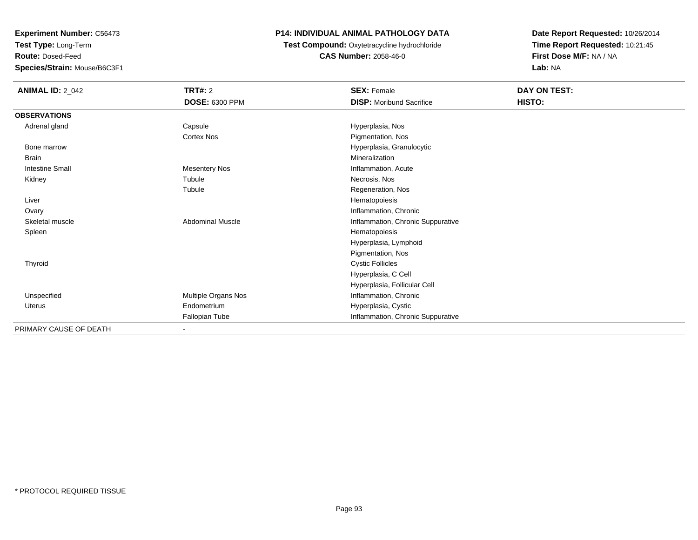**Test Type:** Long-Term

**Route:** Dosed-Feed

**Species/Strain:** Mouse/B6C3F1

## **P14: INDIVIDUAL ANIMAL PATHOLOGY DATA**

**Test Compound:** Oxytetracycline hydrochloride**CAS Number:** 2058-46-0

| <b>ANIMAL ID: 2_042</b> | TRT#: 2                 | <b>SEX: Female</b>                | DAY ON TEST: |  |
|-------------------------|-------------------------|-----------------------------------|--------------|--|
|                         | <b>DOSE: 6300 PPM</b>   | <b>DISP:</b> Moribund Sacrifice   | HISTO:       |  |
| <b>OBSERVATIONS</b>     |                         |                                   |              |  |
| Adrenal gland           | Capsule                 | Hyperplasia, Nos                  |              |  |
|                         | <b>Cortex Nos</b>       | Pigmentation, Nos                 |              |  |
| Bone marrow             |                         | Hyperplasia, Granulocytic         |              |  |
| Brain                   |                         | Mineralization                    |              |  |
| <b>Intestine Small</b>  | <b>Mesentery Nos</b>    | Inflammation, Acute               |              |  |
| Kidney                  | Tubule                  | Necrosis, Nos                     |              |  |
|                         | Tubule                  | Regeneration, Nos                 |              |  |
| Liver                   |                         | Hematopoiesis                     |              |  |
| Ovary                   |                         | Inflammation, Chronic             |              |  |
| Skeletal muscle         | <b>Abdominal Muscle</b> | Inflammation, Chronic Suppurative |              |  |
| Spleen                  |                         | Hematopoiesis                     |              |  |
|                         |                         | Hyperplasia, Lymphoid             |              |  |
|                         |                         | Pigmentation, Nos                 |              |  |
| Thyroid                 |                         | <b>Cystic Follicles</b>           |              |  |
|                         |                         | Hyperplasia, C Cell               |              |  |
|                         |                         | Hyperplasia, Follicular Cell      |              |  |
| Unspecified             | Multiple Organs Nos     | Inflammation, Chronic             |              |  |
| Uterus                  | Endometrium             | Hyperplasia, Cystic               |              |  |
|                         | Fallopian Tube          | Inflammation, Chronic Suppurative |              |  |
| PRIMARY CAUSE OF DEATH  |                         |                                   |              |  |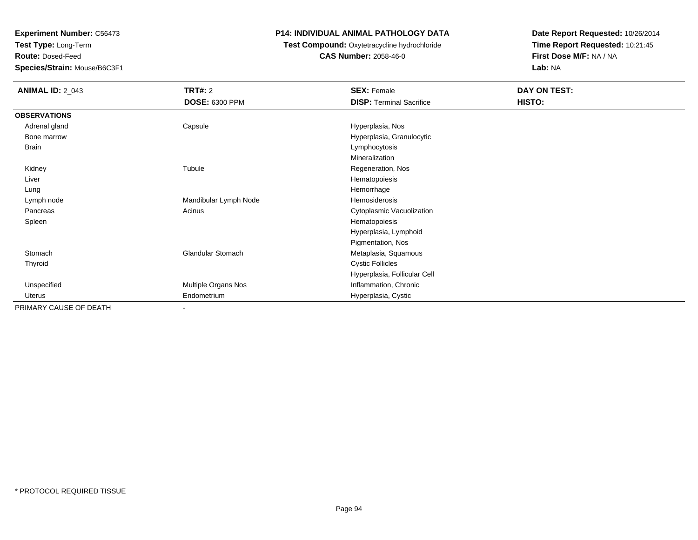**Test Type:** Long-Term

**Route:** Dosed-Feed

**Species/Strain:** Mouse/B6C3F1

## **P14: INDIVIDUAL ANIMAL PATHOLOGY DATA**

## **Test Compound:** Oxytetracycline hydrochloride**CAS Number:** 2058-46-0

| <b>ANIMAL ID: 2_043</b> | TRT#: 2               | <b>SEX: Female</b>              | DAY ON TEST: |
|-------------------------|-----------------------|---------------------------------|--------------|
|                         | <b>DOSE: 6300 PPM</b> | <b>DISP: Terminal Sacrifice</b> | HISTO:       |
| <b>OBSERVATIONS</b>     |                       |                                 |              |
| Adrenal gland           | Capsule               | Hyperplasia, Nos                |              |
| Bone marrow             |                       | Hyperplasia, Granulocytic       |              |
| Brain                   |                       | Lymphocytosis                   |              |
|                         |                       | Mineralization                  |              |
| Kidney                  | Tubule                | Regeneration, Nos               |              |
| Liver                   |                       | Hematopoiesis                   |              |
| Lung                    |                       | Hemorrhage                      |              |
| Lymph node              | Mandibular Lymph Node | Hemosiderosis                   |              |
| Pancreas                | Acinus                | Cytoplasmic Vacuolization       |              |
| Spleen                  |                       | Hematopoiesis                   |              |
|                         |                       | Hyperplasia, Lymphoid           |              |
|                         |                       | Pigmentation, Nos               |              |
| Stomach                 | Glandular Stomach     | Metaplasia, Squamous            |              |
| Thyroid                 |                       | <b>Cystic Follicles</b>         |              |
|                         |                       | Hyperplasia, Follicular Cell    |              |
| Unspecified             | Multiple Organs Nos   | Inflammation, Chronic           |              |
| Uterus                  | Endometrium           | Hyperplasia, Cystic             |              |
| PRIMARY CAUSE OF DEATH  | $\sim$                |                                 |              |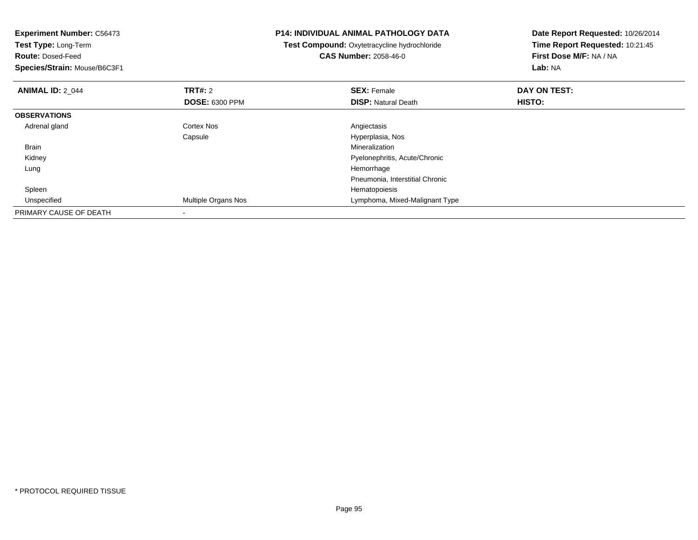| <b>Experiment Number: C56473</b><br>Test Type: Long-Term |                       | <b>P14: INDIVIDUAL ANIMAL PATHOLOGY DATA</b> | Date Report Requested: 10/26/2014 |
|----------------------------------------------------------|-----------------------|----------------------------------------------|-----------------------------------|
|                                                          |                       | Test Compound: Oxytetracycline hydrochloride | Time Report Requested: 10:21:45   |
| <b>Route: Dosed-Feed</b>                                 |                       | <b>CAS Number: 2058-46-0</b>                 | First Dose M/F: NA / NA           |
| Species/Strain: Mouse/B6C3F1                             |                       |                                              | Lab: NA                           |
| <b>ANIMAL ID: 2 044</b>                                  | <b>TRT#: 2</b>        | <b>SEX: Female</b>                           | DAY ON TEST:                      |
|                                                          | <b>DOSE: 6300 PPM</b> | <b>DISP:</b> Natural Death                   | <b>HISTO:</b>                     |
| <b>OBSERVATIONS</b>                                      |                       |                                              |                                   |
| Adrenal gland                                            | <b>Cortex Nos</b>     | Angiectasis                                  |                                   |
|                                                          | Capsule               | Hyperplasia, Nos                             |                                   |
| <b>Brain</b>                                             |                       | <b>Mineralization</b>                        |                                   |
| Kidney                                                   |                       | Pyelonephritis, Acute/Chronic                |                                   |
| Lung                                                     |                       | Hemorrhage                                   |                                   |
|                                                          |                       | Pneumonia, Interstitial Chronic              |                                   |
| Spleen                                                   |                       | Hematopoiesis                                |                                   |
| Unspecified                                              | Multiple Organs Nos   | Lymphoma, Mixed-Malignant Type               |                                   |
| PRIMARY CAUSE OF DEATH                                   |                       |                                              |                                   |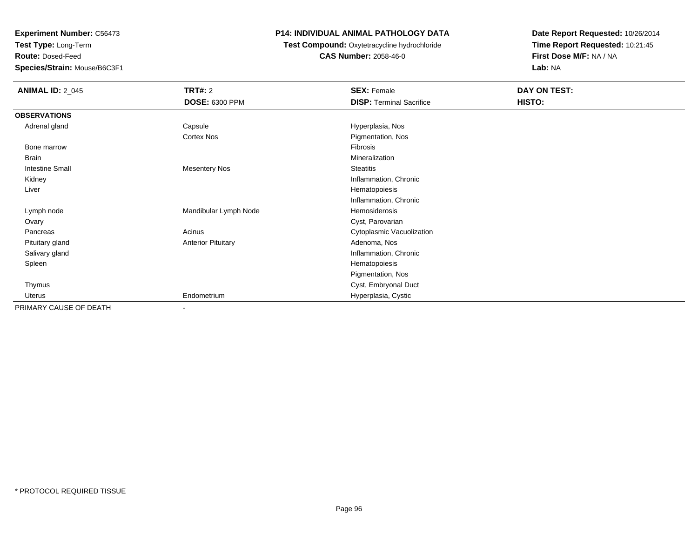**Test Type:** Long-Term

**Route:** Dosed-Feed

**Species/Strain:** Mouse/B6C3F1

## **P14: INDIVIDUAL ANIMAL PATHOLOGY DATA**

**Test Compound:** Oxytetracycline hydrochloride**CAS Number:** 2058-46-0

| <b>ANIMAL ID: 2_045</b> | <b>TRT#: 2</b>            | <b>SEX: Female</b>              | DAY ON TEST: |  |
|-------------------------|---------------------------|---------------------------------|--------------|--|
|                         | DOSE: 6300 PPM            | <b>DISP: Terminal Sacrifice</b> | HISTO:       |  |
| <b>OBSERVATIONS</b>     |                           |                                 |              |  |
| Adrenal gland           | Capsule                   | Hyperplasia, Nos                |              |  |
|                         | Cortex Nos                | Pigmentation, Nos               |              |  |
| Bone marrow             |                           | Fibrosis                        |              |  |
| <b>Brain</b>            |                           | Mineralization                  |              |  |
| <b>Intestine Small</b>  | <b>Mesentery Nos</b>      | <b>Steatitis</b>                |              |  |
| Kidney                  |                           | Inflammation, Chronic           |              |  |
| Liver                   |                           | Hematopoiesis                   |              |  |
|                         |                           | Inflammation, Chronic           |              |  |
| Lymph node              | Mandibular Lymph Node     | Hemosiderosis                   |              |  |
| Ovary                   |                           | Cyst, Parovarian                |              |  |
| Pancreas                | Acinus                    | Cytoplasmic Vacuolization       |              |  |
| Pituitary gland         | <b>Anterior Pituitary</b> | Adenoma, Nos                    |              |  |
| Salivary gland          |                           | Inflammation, Chronic           |              |  |
| Spleen                  |                           | Hematopoiesis                   |              |  |
|                         |                           | Pigmentation, Nos               |              |  |
| Thymus                  |                           | Cyst, Embryonal Duct            |              |  |
| Uterus                  | Endometrium               | Hyperplasia, Cystic             |              |  |
| PRIMARY CAUSE OF DEATH  | $\overline{\phantom{a}}$  |                                 |              |  |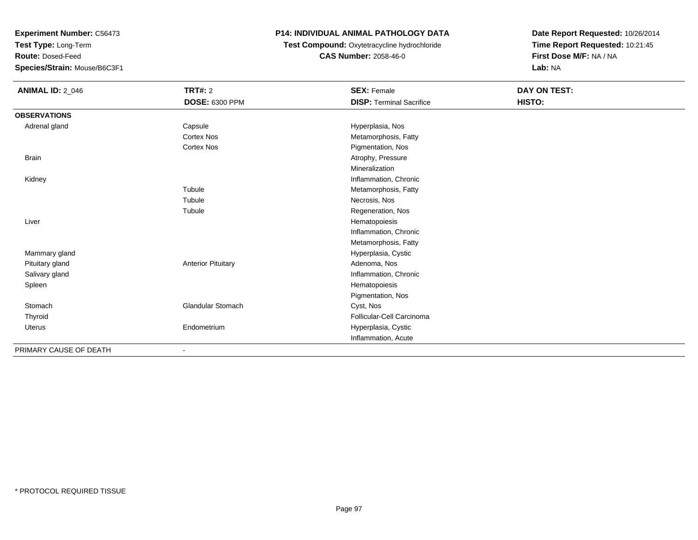**Test Type:** Long-Term

**Route:** Dosed-Feed

**Species/Strain:** Mouse/B6C3F1

## **P14: INDIVIDUAL ANIMAL PATHOLOGY DATA**

**Test Compound:** Oxytetracycline hydrochloride**CAS Number:** 2058-46-0

| <b>ANIMAL ID: 2_046</b> | <b>TRT#: 2</b>            | <b>SEX: Female</b>              | DAY ON TEST: |
|-------------------------|---------------------------|---------------------------------|--------------|
|                         | <b>DOSE: 6300 PPM</b>     | <b>DISP: Terminal Sacrifice</b> | HISTO:       |
| <b>OBSERVATIONS</b>     |                           |                                 |              |
| Adrenal gland           | Capsule                   | Hyperplasia, Nos                |              |
|                         | <b>Cortex Nos</b>         | Metamorphosis, Fatty            |              |
|                         | <b>Cortex Nos</b>         | Pigmentation, Nos               |              |
| <b>Brain</b>            |                           | Atrophy, Pressure               |              |
|                         |                           | Mineralization                  |              |
| Kidney                  |                           | Inflammation, Chronic           |              |
|                         | Tubule                    | Metamorphosis, Fatty            |              |
|                         | Tubule                    | Necrosis, Nos                   |              |
|                         | Tubule                    | Regeneration, Nos               |              |
| Liver                   |                           | Hematopoiesis                   |              |
|                         |                           | Inflammation, Chronic           |              |
|                         |                           | Metamorphosis, Fatty            |              |
| Mammary gland           |                           | Hyperplasia, Cystic             |              |
| Pituitary gland         | <b>Anterior Pituitary</b> | Adenoma, Nos                    |              |
| Salivary gland          |                           | Inflammation, Chronic           |              |
| Spleen                  |                           | Hematopoiesis                   |              |
|                         |                           | Pigmentation, Nos               |              |
| Stomach                 | Glandular Stomach         | Cyst, Nos                       |              |
| Thyroid                 |                           | Follicular-Cell Carcinoma       |              |
| Uterus                  | Endometrium               | Hyperplasia, Cystic             |              |
|                         |                           | Inflammation, Acute             |              |
| PRIMARY CAUSE OF DEATH  | $\overline{\phantom{a}}$  |                                 |              |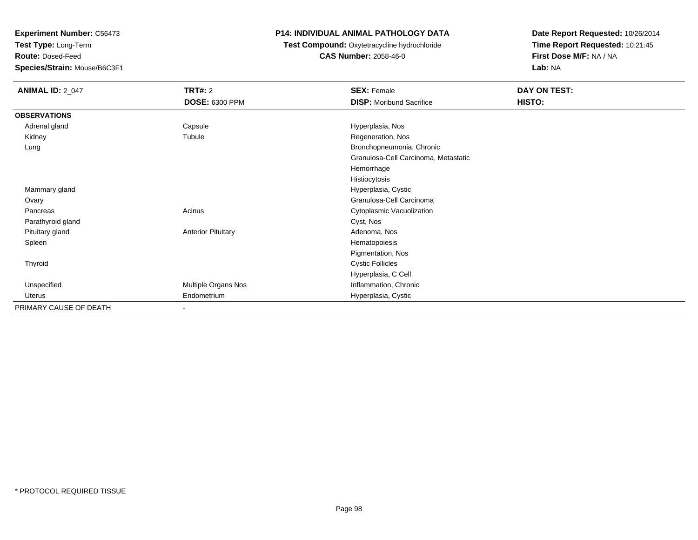**Test Type:** Long-Term

**Route:** Dosed-Feed

**Species/Strain:** Mouse/B6C3F1

### **P14: INDIVIDUAL ANIMAL PATHOLOGY DATA**

**Test Compound:** Oxytetracycline hydrochloride**CAS Number:** 2058-46-0

| <b>ANIMAL ID: 2_047</b> | <b>TRT#: 2</b>            | <b>SEX: Female</b>                   | DAY ON TEST: |  |
|-------------------------|---------------------------|--------------------------------------|--------------|--|
|                         | <b>DOSE: 6300 PPM</b>     | <b>DISP:</b> Moribund Sacrifice      | HISTO:       |  |
| <b>OBSERVATIONS</b>     |                           |                                      |              |  |
| Adrenal gland           | Capsule                   | Hyperplasia, Nos                     |              |  |
| Kidney                  | Tubule                    | Regeneration, Nos                    |              |  |
| Lung                    |                           | Bronchopneumonia, Chronic            |              |  |
|                         |                           | Granulosa-Cell Carcinoma, Metastatic |              |  |
|                         |                           | Hemorrhage                           |              |  |
|                         |                           | Histiocytosis                        |              |  |
| Mammary gland           |                           | Hyperplasia, Cystic                  |              |  |
| Ovary                   |                           | Granulosa-Cell Carcinoma             |              |  |
| Pancreas                | Acinus                    | Cytoplasmic Vacuolization            |              |  |
| Parathyroid gland       |                           | Cyst, Nos                            |              |  |
| Pituitary gland         | <b>Anterior Pituitary</b> | Adenoma, Nos                         |              |  |
| Spleen                  |                           | Hematopoiesis                        |              |  |
|                         |                           | Pigmentation, Nos                    |              |  |
| Thyroid                 |                           | <b>Cystic Follicles</b>              |              |  |
|                         |                           | Hyperplasia, C Cell                  |              |  |
| Unspecified             | Multiple Organs Nos       | Inflammation, Chronic                |              |  |
| Uterus                  | Endometrium               | Hyperplasia, Cystic                  |              |  |
| PRIMARY CAUSE OF DEATH  |                           |                                      |              |  |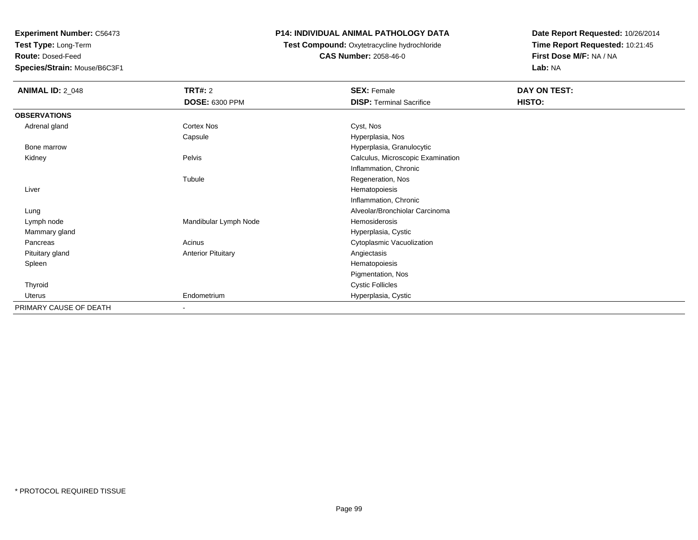**Test Type:** Long-Term

**Route:** Dosed-Feed

**Species/Strain:** Mouse/B6C3F1

### **P14: INDIVIDUAL ANIMAL PATHOLOGY DATA**

**Test Compound:** Oxytetracycline hydrochloride**CAS Number:** 2058-46-0

| <b>ANIMAL ID: 2_048</b> | <b>TRT#: 2</b>            | <b>SEX: Female</b>                | DAY ON TEST: |  |
|-------------------------|---------------------------|-----------------------------------|--------------|--|
|                         | <b>DOSE: 6300 PPM</b>     | <b>DISP: Terminal Sacrifice</b>   | HISTO:       |  |
| <b>OBSERVATIONS</b>     |                           |                                   |              |  |
| Adrenal gland           | Cortex Nos                | Cyst, Nos                         |              |  |
|                         | Capsule                   | Hyperplasia, Nos                  |              |  |
| Bone marrow             |                           | Hyperplasia, Granulocytic         |              |  |
| Kidney                  | Pelvis                    | Calculus, Microscopic Examination |              |  |
|                         |                           | Inflammation, Chronic             |              |  |
|                         | Tubule                    | Regeneration, Nos                 |              |  |
| Liver                   |                           | Hematopoiesis                     |              |  |
|                         |                           | Inflammation, Chronic             |              |  |
| Lung                    |                           | Alveolar/Bronchiolar Carcinoma    |              |  |
| Lymph node              | Mandibular Lymph Node     | Hemosiderosis                     |              |  |
| Mammary gland           |                           | Hyperplasia, Cystic               |              |  |
| Pancreas                | Acinus                    | Cytoplasmic Vacuolization         |              |  |
| Pituitary gland         | <b>Anterior Pituitary</b> | Angiectasis                       |              |  |
| Spleen                  |                           | Hematopoiesis                     |              |  |
|                         |                           | Pigmentation, Nos                 |              |  |
| Thyroid                 |                           | <b>Cystic Follicles</b>           |              |  |
| Uterus                  | Endometrium               | Hyperplasia, Cystic               |              |  |
| PRIMARY CAUSE OF DEATH  | $\sim$                    |                                   |              |  |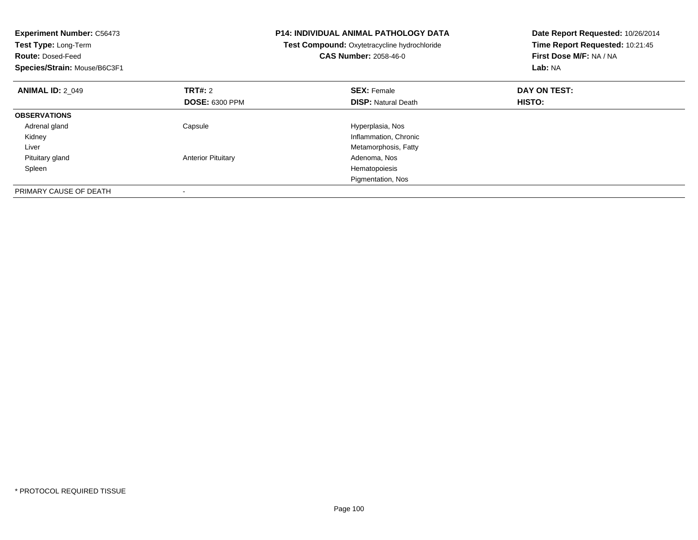| <b>Experiment Number: C56473</b><br>Test Type: Long-Term<br><b>Route: Dosed-Feed</b><br>Species/Strain: Mouse/B6C3F1 |                           | <b>P14: INDIVIDUAL ANIMAL PATHOLOGY DATA</b><br>Test Compound: Oxytetracycline hydrochloride<br><b>CAS Number: 2058-46-0</b> | Date Report Requested: 10/26/2014<br>Time Report Requested: 10:21:45<br>First Dose M/F: NA / NA<br>Lab: NA |
|----------------------------------------------------------------------------------------------------------------------|---------------------------|------------------------------------------------------------------------------------------------------------------------------|------------------------------------------------------------------------------------------------------------|
| <b>ANIMAL ID: 2 049</b>                                                                                              | TRT#: 2                   | <b>SEX: Female</b>                                                                                                           | DAY ON TEST:                                                                                               |
|                                                                                                                      | <b>DOSE: 6300 PPM</b>     | <b>DISP: Natural Death</b>                                                                                                   | <b>HISTO:</b>                                                                                              |
| <b>OBSERVATIONS</b>                                                                                                  |                           |                                                                                                                              |                                                                                                            |
| Adrenal gland                                                                                                        | Capsule                   | Hyperplasia, Nos                                                                                                             |                                                                                                            |
| Kidney                                                                                                               |                           | Inflammation, Chronic                                                                                                        |                                                                                                            |
| Liver                                                                                                                |                           | Metamorphosis, Fatty                                                                                                         |                                                                                                            |
| Pituitary gland                                                                                                      | <b>Anterior Pituitary</b> | Adenoma, Nos                                                                                                                 |                                                                                                            |
| Spleen                                                                                                               |                           | Hematopoiesis                                                                                                                |                                                                                                            |
|                                                                                                                      |                           | Pigmentation, Nos                                                                                                            |                                                                                                            |
| PRIMARY CAUSE OF DEATH                                                                                               |                           |                                                                                                                              |                                                                                                            |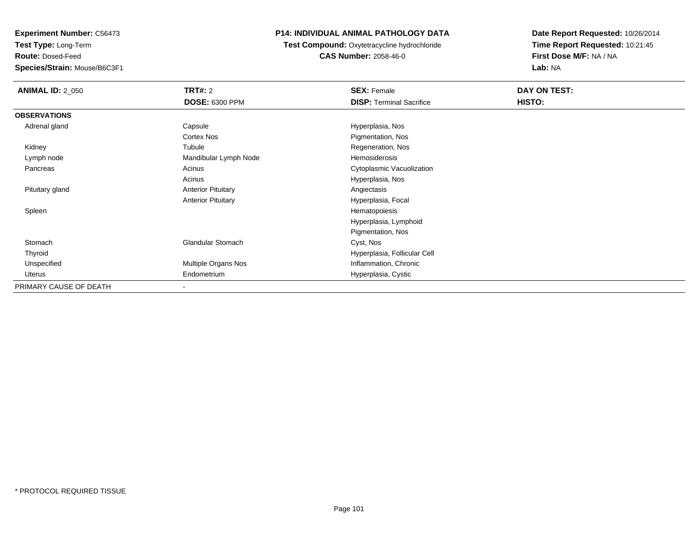**Test Type:** Long-Term

**Route:** Dosed-Feed

**Species/Strain:** Mouse/B6C3F1

## **P14: INDIVIDUAL ANIMAL PATHOLOGY DATA**

**Test Compound:** Oxytetracycline hydrochloride**CAS Number:** 2058-46-0

| <b>ANIMAL ID: 2_050</b> | <b>TRT#: 2</b>            | <b>SEX: Female</b>              | DAY ON TEST: |  |
|-------------------------|---------------------------|---------------------------------|--------------|--|
|                         | <b>DOSE: 6300 PPM</b>     | <b>DISP: Terminal Sacrifice</b> | HISTO:       |  |
| <b>OBSERVATIONS</b>     |                           |                                 |              |  |
| Adrenal gland           | Capsule                   | Hyperplasia, Nos                |              |  |
|                         | Cortex Nos                | Pigmentation, Nos               |              |  |
| Kidney                  | Tubule                    | Regeneration, Nos               |              |  |
| Lymph node              | Mandibular Lymph Node     | Hemosiderosis                   |              |  |
| Pancreas                | Acinus                    | Cytoplasmic Vacuolization       |              |  |
|                         | Acinus                    | Hyperplasia, Nos                |              |  |
| Pituitary gland         | <b>Anterior Pituitary</b> | Angiectasis                     |              |  |
|                         | <b>Anterior Pituitary</b> | Hyperplasia, Focal              |              |  |
| Spleen                  |                           | Hematopoiesis                   |              |  |
|                         |                           | Hyperplasia, Lymphoid           |              |  |
|                         |                           | Pigmentation, Nos               |              |  |
| Stomach                 | <b>Glandular Stomach</b>  | Cyst, Nos                       |              |  |
| Thyroid                 |                           | Hyperplasia, Follicular Cell    |              |  |
| Unspecified             | Multiple Organs Nos       | Inflammation, Chronic           |              |  |
| Uterus                  | Endometrium               | Hyperplasia, Cystic             |              |  |
| PRIMARY CAUSE OF DEATH  | $\overline{\phantom{a}}$  |                                 |              |  |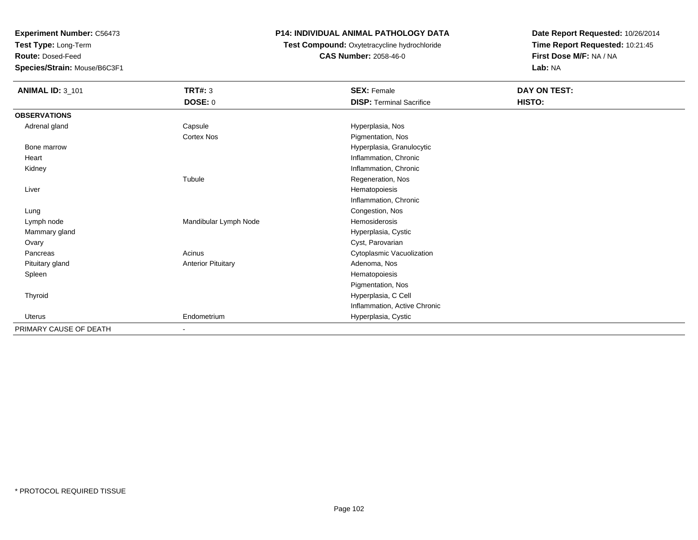**Test Type:** Long-Term

**Route:** Dosed-Feed

**Species/Strain:** Mouse/B6C3F1

### **P14: INDIVIDUAL ANIMAL PATHOLOGY DATA**

**Test Compound:** Oxytetracycline hydrochloride**CAS Number:** 2058-46-0

| <b>ANIMAL ID: 3_101</b> | <b>TRT#: 3</b>            | <b>SEX: Female</b>              | DAY ON TEST: |  |
|-------------------------|---------------------------|---------------------------------|--------------|--|
|                         | <b>DOSE: 0</b>            | <b>DISP: Terminal Sacrifice</b> | HISTO:       |  |
| <b>OBSERVATIONS</b>     |                           |                                 |              |  |
| Adrenal gland           | Capsule                   | Hyperplasia, Nos                |              |  |
|                         | <b>Cortex Nos</b>         | Pigmentation, Nos               |              |  |
| Bone marrow             |                           | Hyperplasia, Granulocytic       |              |  |
| Heart                   |                           | Inflammation, Chronic           |              |  |
| Kidney                  |                           | Inflammation, Chronic           |              |  |
|                         | Tubule                    | Regeneration, Nos               |              |  |
| Liver                   |                           | Hematopoiesis                   |              |  |
|                         |                           | Inflammation, Chronic           |              |  |
| Lung                    |                           | Congestion, Nos                 |              |  |
| Lymph node              | Mandibular Lymph Node     | Hemosiderosis                   |              |  |
| Mammary gland           |                           | Hyperplasia, Cystic             |              |  |
| Ovary                   |                           | Cyst, Parovarian                |              |  |
| Pancreas                | Acinus                    | Cytoplasmic Vacuolization       |              |  |
| Pituitary gland         | <b>Anterior Pituitary</b> | Adenoma, Nos                    |              |  |
| Spleen                  |                           | Hematopoiesis                   |              |  |
|                         |                           | Pigmentation, Nos               |              |  |
| Thyroid                 |                           | Hyperplasia, C Cell             |              |  |
|                         |                           | Inflammation, Active Chronic    |              |  |
| <b>Uterus</b>           | Endometrium               | Hyperplasia, Cystic             |              |  |
| PRIMARY CAUSE OF DEATH  |                           |                                 |              |  |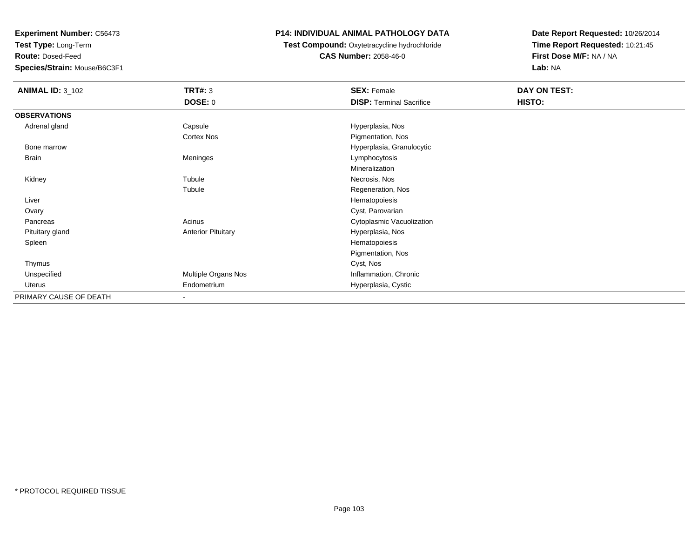**Test Type:** Long-Term

**Route:** Dosed-Feed

**Species/Strain:** Mouse/B6C3F1

### **P14: INDIVIDUAL ANIMAL PATHOLOGY DATA**

 **Test Compound:** Oxytetracycline hydrochloride**CAS Number:** 2058-46-0

| <b>ANIMAL ID: 3_102</b> | <b>TRT#: 3</b>            | <b>SEX: Female</b>              | DAY ON TEST: |
|-------------------------|---------------------------|---------------------------------|--------------|
|                         | <b>DOSE: 0</b>            | <b>DISP: Terminal Sacrifice</b> | HISTO:       |
| <b>OBSERVATIONS</b>     |                           |                                 |              |
| Adrenal gland           | Capsule                   | Hyperplasia, Nos                |              |
|                         | Cortex Nos                | Pigmentation, Nos               |              |
| Bone marrow             |                           | Hyperplasia, Granulocytic       |              |
| <b>Brain</b>            | Meninges                  | Lymphocytosis                   |              |
|                         |                           | Mineralization                  |              |
| Kidney                  | Tubule                    | Necrosis, Nos                   |              |
|                         | Tubule                    | Regeneration, Nos               |              |
| Liver                   |                           | Hematopoiesis                   |              |
| Ovary                   |                           | Cyst, Parovarian                |              |
| Pancreas                | Acinus                    | Cytoplasmic Vacuolization       |              |
| Pituitary gland         | <b>Anterior Pituitary</b> | Hyperplasia, Nos                |              |
| Spleen                  |                           | Hematopoiesis                   |              |
|                         |                           | Pigmentation, Nos               |              |
| Thymus                  |                           | Cyst, Nos                       |              |
| Unspecified             | Multiple Organs Nos       | Inflammation, Chronic           |              |
| Uterus                  | Endometrium               | Hyperplasia, Cystic             |              |
| PRIMARY CAUSE OF DEATH  | ٠                         |                                 |              |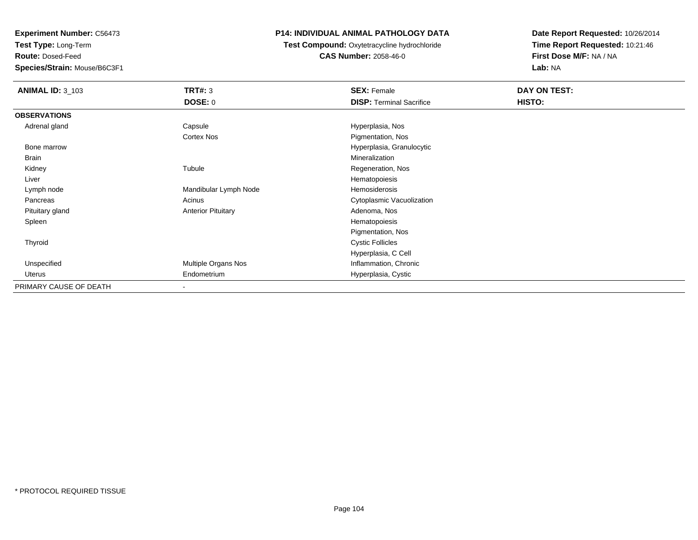**Test Type:** Long-Term

**Route:** Dosed-Feed

**Species/Strain:** Mouse/B6C3F1

### **P14: INDIVIDUAL ANIMAL PATHOLOGY DATA**

 **Test Compound:** Oxytetracycline hydrochloride**CAS Number:** 2058-46-0

| <b>ANIMAL ID: 3_103</b> | <b>TRT#: 3</b>            | <b>SEX: Female</b>              | DAY ON TEST: |  |
|-------------------------|---------------------------|---------------------------------|--------------|--|
|                         | DOSE: 0                   | <b>DISP: Terminal Sacrifice</b> | HISTO:       |  |
| <b>OBSERVATIONS</b>     |                           |                                 |              |  |
| Adrenal gland           | Capsule                   | Hyperplasia, Nos                |              |  |
|                         | Cortex Nos                | Pigmentation, Nos               |              |  |
| Bone marrow             |                           | Hyperplasia, Granulocytic       |              |  |
| Brain                   |                           | Mineralization                  |              |  |
| Kidney                  | Tubule                    | Regeneration, Nos               |              |  |
| Liver                   |                           | Hematopoiesis                   |              |  |
| Lymph node              | Mandibular Lymph Node     | Hemosiderosis                   |              |  |
| Pancreas                | Acinus                    | Cytoplasmic Vacuolization       |              |  |
| Pituitary gland         | <b>Anterior Pituitary</b> | Adenoma, Nos                    |              |  |
| Spleen                  |                           | Hematopoiesis                   |              |  |
|                         |                           | Pigmentation, Nos               |              |  |
| Thyroid                 |                           | <b>Cystic Follicles</b>         |              |  |
|                         |                           | Hyperplasia, C Cell             |              |  |
| Unspecified             | Multiple Organs Nos       | Inflammation, Chronic           |              |  |
| Uterus                  | Endometrium               | Hyperplasia, Cystic             |              |  |
| PRIMARY CAUSE OF DEATH  | -                         |                                 |              |  |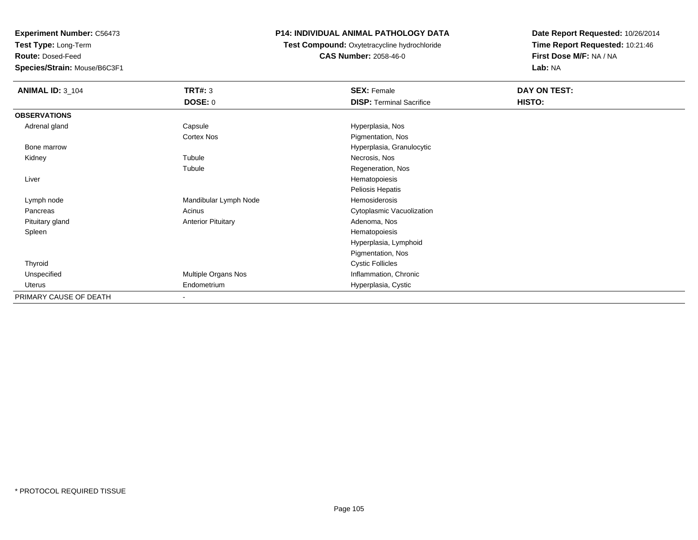**Test Type:** Long-Term

**Route:** Dosed-Feed

**Species/Strain:** Mouse/B6C3F1

## **P14: INDIVIDUAL ANIMAL PATHOLOGY DATA**

**Test Compound:** Oxytetracycline hydrochloride**CAS Number:** 2058-46-0

| <b>ANIMAL ID: 3_104</b> | <b>TRT#: 3</b>            | <b>SEX: Female</b>              | DAY ON TEST: |  |
|-------------------------|---------------------------|---------------------------------|--------------|--|
|                         | <b>DOSE: 0</b>            | <b>DISP: Terminal Sacrifice</b> | HISTO:       |  |
| <b>OBSERVATIONS</b>     |                           |                                 |              |  |
| Adrenal gland           | Capsule                   | Hyperplasia, Nos                |              |  |
|                         | Cortex Nos                | Pigmentation, Nos               |              |  |
| Bone marrow             |                           | Hyperplasia, Granulocytic       |              |  |
| Kidney                  | Tubule                    | Necrosis, Nos                   |              |  |
|                         | Tubule                    | Regeneration, Nos               |              |  |
| Liver                   |                           | Hematopoiesis                   |              |  |
|                         |                           | Peliosis Hepatis                |              |  |
| Lymph node              | Mandibular Lymph Node     | Hemosiderosis                   |              |  |
| Pancreas                | Acinus                    | Cytoplasmic Vacuolization       |              |  |
| Pituitary gland         | <b>Anterior Pituitary</b> | Adenoma, Nos                    |              |  |
| Spleen                  |                           | Hematopoiesis                   |              |  |
|                         |                           | Hyperplasia, Lymphoid           |              |  |
|                         |                           | Pigmentation, Nos               |              |  |
| Thyroid                 |                           | <b>Cystic Follicles</b>         |              |  |
| Unspecified             | Multiple Organs Nos       | Inflammation, Chronic           |              |  |
| Uterus                  | Endometrium               | Hyperplasia, Cystic             |              |  |
| PRIMARY CAUSE OF DEATH  | ۰                         |                                 |              |  |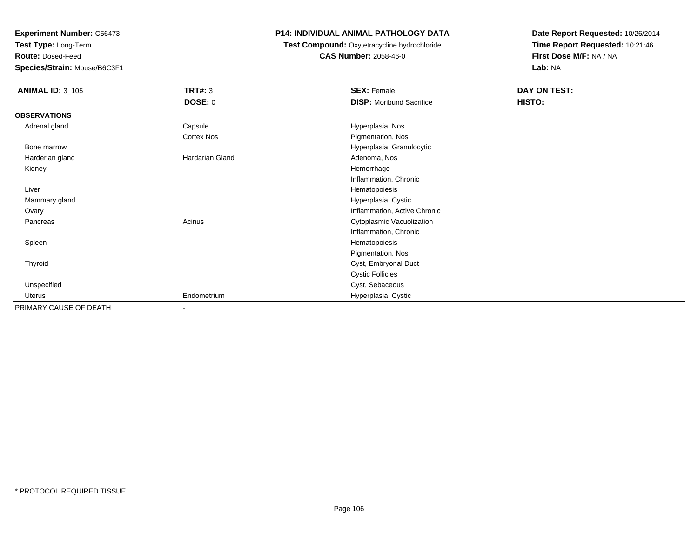**Test Type:** Long-Term

**Route:** Dosed-Feed

**Species/Strain:** Mouse/B6C3F1

## **P14: INDIVIDUAL ANIMAL PATHOLOGY DATA**

**Test Compound:** Oxytetracycline hydrochloride**CAS Number:** 2058-46-0

| <b>ANIMAL ID: 3_105</b> | <b>TRT#: 3</b>  | <b>SEX: Female</b>              | DAY ON TEST: |
|-------------------------|-----------------|---------------------------------|--------------|
|                         | <b>DOSE: 0</b>  | <b>DISP:</b> Moribund Sacrifice | HISTO:       |
| <b>OBSERVATIONS</b>     |                 |                                 |              |
| Adrenal gland           | Capsule         | Hyperplasia, Nos                |              |
|                         | Cortex Nos      | Pigmentation, Nos               |              |
| Bone marrow             |                 | Hyperplasia, Granulocytic       |              |
| Harderian gland         | Hardarian Gland | Adenoma, Nos                    |              |
| Kidney                  |                 | Hemorrhage                      |              |
|                         |                 | Inflammation, Chronic           |              |
| Liver                   |                 | Hematopoiesis                   |              |
| Mammary gland           |                 | Hyperplasia, Cystic             |              |
| Ovary                   |                 | Inflammation, Active Chronic    |              |
| Pancreas                | Acinus          | Cytoplasmic Vacuolization       |              |
|                         |                 | Inflammation, Chronic           |              |
| Spleen                  |                 | Hematopoiesis                   |              |
|                         |                 | Pigmentation, Nos               |              |
| Thyroid                 |                 | Cyst, Embryonal Duct            |              |
|                         |                 | <b>Cystic Follicles</b>         |              |
| Unspecified             |                 | Cyst, Sebaceous                 |              |
| Uterus                  | Endometrium     | Hyperplasia, Cystic             |              |
| PRIMARY CAUSE OF DEATH  | $\sim$          |                                 |              |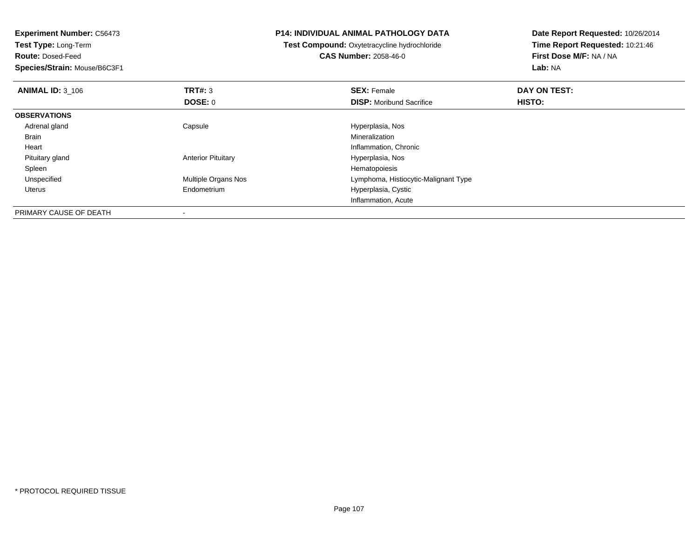**Experiment Number:** C56473**Test Type:** Long-Term**Route:** Dosed-Feed **Species/Strain:** Mouse/B6C3F1**P14: INDIVIDUAL ANIMAL PATHOLOGY DATATest Compound:** Oxytetracycline hydrochloride**CAS Number:** 2058-46-0**Date Report Requested:** 10/26/2014**Time Report Requested:** 10:21:46**First Dose M/F:** NA / NA**Lab:** NA**ANIMAL ID:** 3\_106**6 DAY ON TEST: TRT#:** 3 **SEX: Female SEX: Female DAY ON TEST: DOSE:** 0**DISP:** Moribund Sacrifice **HISTO: OBSERVATIONS** Adrenal glandCapsule **Capsule Capsule Capsule Capsule** Hyperplasia, Nos<br>
Mineralization Brainn and the control of the control of the control of the control of the control of the control of the control of the control of the control of the control of the control of the control of the control of the control of the co Heart Inflammation, Chronic Pituitary glandAnterior Pituitary **Anterior Pituitary** Hyperplasia, Nos Spleenn and the state of the state of the state of the state of the state of the state of the state of the state of the state of the state of the state of the state of the state of the state of the state of the state of the stat Unspecified Multiple Organs Nos Lymphoma, Histiocytic-Malignant Type Uterus Endometrium Hyperplasia, Cystic Inflammation, Acute

PRIMARY CAUSE OF DEATH-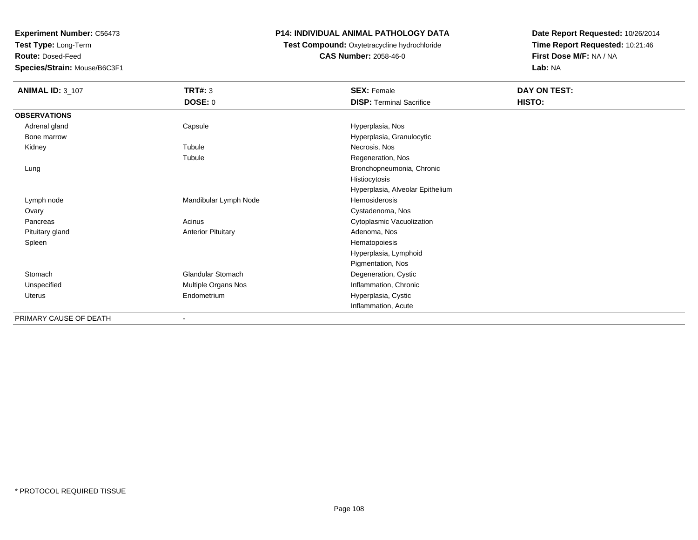**Test Type:** Long-Term

**Route:** Dosed-Feed

**Species/Strain:** Mouse/B6C3F1

### **P14: INDIVIDUAL ANIMAL PATHOLOGY DATA**

**Test Compound:** Oxytetracycline hydrochloride**CAS Number:** 2058-46-0

| <b>ANIMAL ID: 3_107</b> | <b>TRT#: 3</b>            | <b>SEX: Female</b>               | DAY ON TEST: |
|-------------------------|---------------------------|----------------------------------|--------------|
|                         | <b>DOSE: 0</b>            | <b>DISP: Terminal Sacrifice</b>  | HISTO:       |
| <b>OBSERVATIONS</b>     |                           |                                  |              |
| Adrenal gland           | Capsule                   | Hyperplasia, Nos                 |              |
| Bone marrow             |                           | Hyperplasia, Granulocytic        |              |
| Kidney                  | Tubule                    | Necrosis, Nos                    |              |
|                         | Tubule                    | Regeneration, Nos                |              |
| Lung                    |                           | Bronchopneumonia, Chronic        |              |
|                         |                           | Histiocytosis                    |              |
|                         |                           | Hyperplasia, Alveolar Epithelium |              |
| Lymph node              | Mandibular Lymph Node     | Hemosiderosis                    |              |
| Ovary                   |                           | Cystadenoma, Nos                 |              |
| Pancreas                | Acinus                    | Cytoplasmic Vacuolization        |              |
| Pituitary gland         | <b>Anterior Pituitary</b> | Adenoma, Nos                     |              |
| Spleen                  |                           | Hematopoiesis                    |              |
|                         |                           | Hyperplasia, Lymphoid            |              |
|                         |                           | Pigmentation, Nos                |              |
| Stomach                 | Glandular Stomach         | Degeneration, Cystic             |              |
| Unspecified             | Multiple Organs Nos       | Inflammation, Chronic            |              |
| Uterus                  | Endometrium               | Hyperplasia, Cystic              |              |
|                         |                           | Inflammation, Acute              |              |
| PRIMARY CAUSE OF DEATH  | $\overline{\phantom{0}}$  |                                  |              |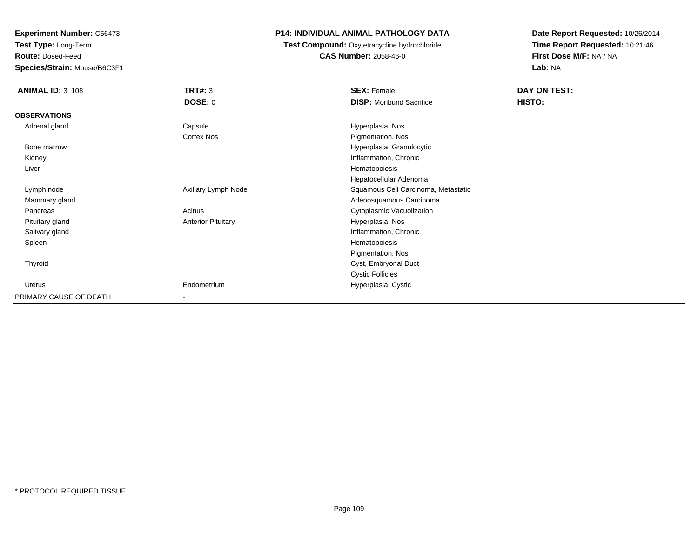**Test Type:** Long-Term

**Route:** Dosed-Feed

**Species/Strain:** Mouse/B6C3F1

#### **P14: INDIVIDUAL ANIMAL PATHOLOGY DATA**

**Test Compound:** Oxytetracycline hydrochloride**CAS Number:** 2058-46-0

| <b>ANIMAL ID: 3_108</b> | <b>TRT#: 3</b>            | <b>SEX: Female</b>                  | DAY ON TEST: |  |
|-------------------------|---------------------------|-------------------------------------|--------------|--|
|                         | <b>DOSE: 0</b>            | <b>DISP:</b> Moribund Sacrifice     | HISTO:       |  |
| <b>OBSERVATIONS</b>     |                           |                                     |              |  |
| Adrenal gland           | Capsule                   | Hyperplasia, Nos                    |              |  |
|                         | Cortex Nos                | Pigmentation, Nos                   |              |  |
| Bone marrow             |                           | Hyperplasia, Granulocytic           |              |  |
| Kidney                  |                           | Inflammation, Chronic               |              |  |
| Liver                   |                           | Hematopoiesis                       |              |  |
|                         |                           | Hepatocellular Adenoma              |              |  |
| Lymph node              | Axillary Lymph Node       | Squamous Cell Carcinoma, Metastatic |              |  |
| Mammary gland           |                           | Adenosquamous Carcinoma             |              |  |
| Pancreas                | Acinus                    | Cytoplasmic Vacuolization           |              |  |
| Pituitary gland         | <b>Anterior Pituitary</b> | Hyperplasia, Nos                    |              |  |
| Salivary gland          |                           | Inflammation, Chronic               |              |  |
| Spleen                  |                           | Hematopoiesis                       |              |  |
|                         |                           | Pigmentation, Nos                   |              |  |
| Thyroid                 |                           | Cyst, Embryonal Duct                |              |  |
|                         |                           | <b>Cystic Follicles</b>             |              |  |
| Uterus                  | Endometrium               | Hyperplasia, Cystic                 |              |  |
| PRIMARY CAUSE OF DEATH  | ۰                         |                                     |              |  |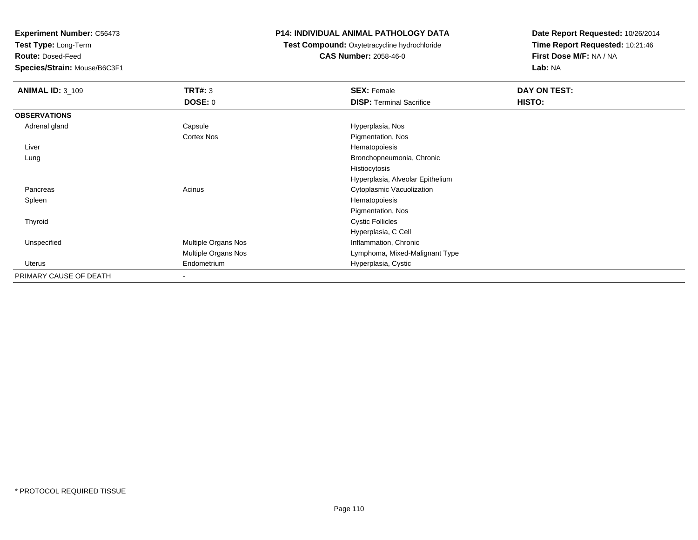**Test Type:** Long-Term

**Route:** Dosed-Feed

**Species/Strain:** Mouse/B6C3F1

#### **P14: INDIVIDUAL ANIMAL PATHOLOGY DATA**

 **Test Compound:** Oxytetracycline hydrochloride**CAS Number:** 2058-46-0

| <b>ANIMAL ID: 3_109</b> | TRT#: 3                  | <b>SEX: Female</b>               | DAY ON TEST:  |
|-------------------------|--------------------------|----------------------------------|---------------|
|                         | <b>DOSE: 0</b>           | <b>DISP: Terminal Sacrifice</b>  | <b>HISTO:</b> |
| <b>OBSERVATIONS</b>     |                          |                                  |               |
| Adrenal gland           | Capsule                  | Hyperplasia, Nos                 |               |
|                         | Cortex Nos               | Pigmentation, Nos                |               |
| Liver                   |                          | Hematopoiesis                    |               |
| Lung                    |                          | Bronchopneumonia, Chronic        |               |
|                         |                          | Histiocytosis                    |               |
|                         |                          | Hyperplasia, Alveolar Epithelium |               |
| Pancreas                | Acinus                   | Cytoplasmic Vacuolization        |               |
| Spleen                  |                          | Hematopoiesis                    |               |
|                         |                          | Pigmentation, Nos                |               |
| Thyroid                 |                          | <b>Cystic Follicles</b>          |               |
|                         |                          | Hyperplasia, C Cell              |               |
| Unspecified             | Multiple Organs Nos      | Inflammation, Chronic            |               |
|                         | Multiple Organs Nos      | Lymphoma, Mixed-Malignant Type   |               |
| Uterus                  | Endometrium              | Hyperplasia, Cystic              |               |
| PRIMARY CAUSE OF DEATH  | $\overline{\phantom{a}}$ |                                  |               |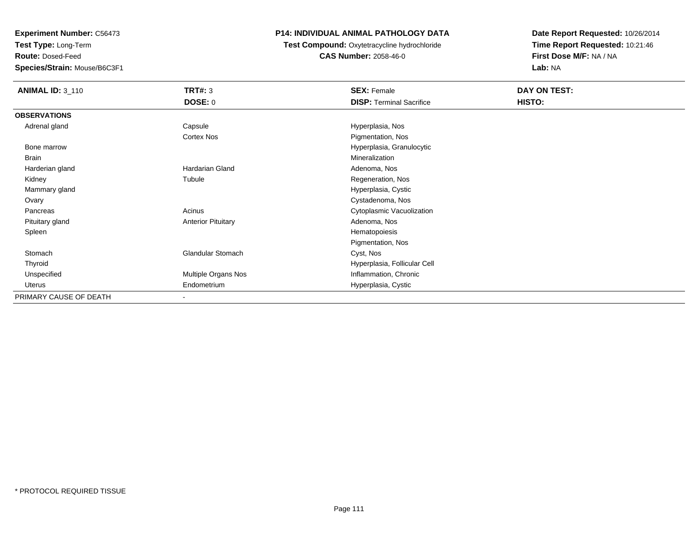**Test Type:** Long-Term

**Route:** Dosed-Feed

**Species/Strain:** Mouse/B6C3F1

# **P14: INDIVIDUAL ANIMAL PATHOLOGY DATA**

 **Test Compound:** Oxytetracycline hydrochloride**CAS Number:** 2058-46-0

| <b>ANIMAL ID: 3_110</b> | <b>TRT#: 3</b>            | <b>SEX: Female</b>              | DAY ON TEST: |  |
|-------------------------|---------------------------|---------------------------------|--------------|--|
|                         | <b>DOSE: 0</b>            | <b>DISP: Terminal Sacrifice</b> | HISTO:       |  |
| <b>OBSERVATIONS</b>     |                           |                                 |              |  |
| Adrenal gland           | Capsule                   | Hyperplasia, Nos                |              |  |
|                         | Cortex Nos                | Pigmentation, Nos               |              |  |
| Bone marrow             |                           | Hyperplasia, Granulocytic       |              |  |
| Brain                   |                           | Mineralization                  |              |  |
| Harderian gland         | Hardarian Gland           | Adenoma, Nos                    |              |  |
| Kidney                  | Tubule                    | Regeneration, Nos               |              |  |
| Mammary gland           |                           | Hyperplasia, Cystic             |              |  |
| Ovary                   |                           | Cystadenoma, Nos                |              |  |
| Pancreas                | Acinus                    | Cytoplasmic Vacuolization       |              |  |
| Pituitary gland         | <b>Anterior Pituitary</b> | Adenoma, Nos                    |              |  |
| Spleen                  |                           | Hematopoiesis                   |              |  |
|                         |                           | Pigmentation, Nos               |              |  |
| Stomach                 | Glandular Stomach         | Cyst, Nos                       |              |  |
| Thyroid                 |                           | Hyperplasia, Follicular Cell    |              |  |
| Unspecified             | Multiple Organs Nos       | Inflammation, Chronic           |              |  |
| Uterus                  | Endometrium               | Hyperplasia, Cystic             |              |  |
| PRIMARY CAUSE OF DEATH  | ۰                         |                                 |              |  |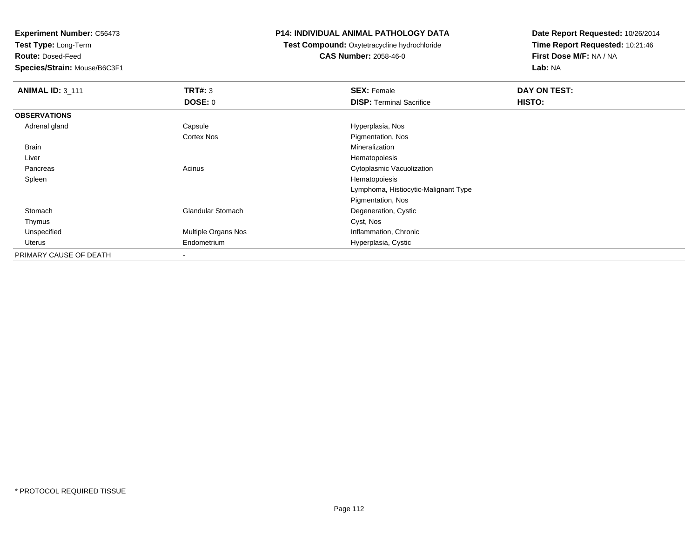**Test Type:** Long-Term

**Route:** Dosed-Feed

**Species/Strain:** Mouse/B6C3F1

#### **P14: INDIVIDUAL ANIMAL PATHOLOGY DATA**

 **Test Compound:** Oxytetracycline hydrochloride**CAS Number:** 2058-46-0

| <b>ANIMAL ID: 3_111</b> | TRT#: 3                  | <b>SEX: Female</b>                   | DAY ON TEST: |
|-------------------------|--------------------------|--------------------------------------|--------------|
|                         | <b>DOSE: 0</b>           | <b>DISP: Terminal Sacrifice</b>      | HISTO:       |
| <b>OBSERVATIONS</b>     |                          |                                      |              |
| Adrenal gland           | Capsule                  | Hyperplasia, Nos                     |              |
|                         | <b>Cortex Nos</b>        | Pigmentation, Nos                    |              |
| Brain                   |                          | Mineralization                       |              |
| Liver                   |                          | Hematopoiesis                        |              |
| Pancreas                | Acinus                   | Cytoplasmic Vacuolization            |              |
| Spleen                  |                          | Hematopoiesis                        |              |
|                         |                          | Lymphoma, Histiocytic-Malignant Type |              |
|                         |                          | Pigmentation, Nos                    |              |
| Stomach                 | <b>Glandular Stomach</b> | Degeneration, Cystic                 |              |
| Thymus                  |                          | Cyst, Nos                            |              |
| Unspecified             | Multiple Organs Nos      | Inflammation, Chronic                |              |
| Uterus                  | Endometrium              | Hyperplasia, Cystic                  |              |
| PRIMARY CAUSE OF DEATH  |                          |                                      |              |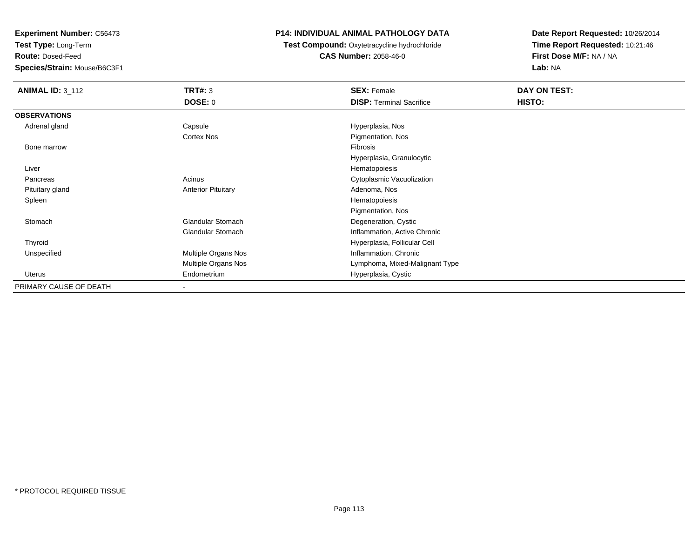**Test Type:** Long-Term

**Route:** Dosed-Feed

**Species/Strain:** Mouse/B6C3F1

# **P14: INDIVIDUAL ANIMAL PATHOLOGY DATA**

**Test Compound:** Oxytetracycline hydrochloride**CAS Number:** 2058-46-0

| <b>ANIMAL ID: 3_112</b> | <b>TRT#: 3</b>            | <b>SEX: Female</b>              | DAY ON TEST: |  |
|-------------------------|---------------------------|---------------------------------|--------------|--|
|                         | <b>DOSE: 0</b>            | <b>DISP: Terminal Sacrifice</b> | HISTO:       |  |
| <b>OBSERVATIONS</b>     |                           |                                 |              |  |
| Adrenal gland           | Capsule                   | Hyperplasia, Nos                |              |  |
|                         | Cortex Nos                | Pigmentation, Nos               |              |  |
| Bone marrow             |                           | Fibrosis                        |              |  |
|                         |                           | Hyperplasia, Granulocytic       |              |  |
| Liver                   |                           | Hematopoiesis                   |              |  |
| Pancreas                | Acinus                    | Cytoplasmic Vacuolization       |              |  |
| Pituitary gland         | <b>Anterior Pituitary</b> | Adenoma, Nos                    |              |  |
| Spleen                  |                           | Hematopoiesis                   |              |  |
|                         |                           | Pigmentation, Nos               |              |  |
| Stomach                 | Glandular Stomach         | Degeneration, Cystic            |              |  |
|                         | <b>Glandular Stomach</b>  | Inflammation, Active Chronic    |              |  |
| Thyroid                 |                           | Hyperplasia, Follicular Cell    |              |  |
| Unspecified             | Multiple Organs Nos       | Inflammation, Chronic           |              |  |
|                         | Multiple Organs Nos       | Lymphoma, Mixed-Malignant Type  |              |  |
| Uterus                  | Endometrium               | Hyperplasia, Cystic             |              |  |
| PRIMARY CAUSE OF DEATH  | $\blacksquare$            |                                 |              |  |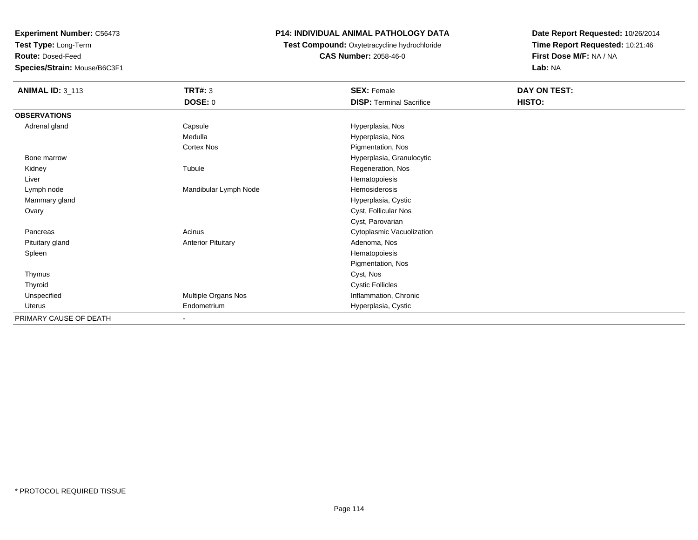**Test Type:** Long-Term

**Route:** Dosed-Feed

**Species/Strain:** Mouse/B6C3F1

# **P14: INDIVIDUAL ANIMAL PATHOLOGY DATA**

**Test Compound:** Oxytetracycline hydrochloride**CAS Number:** 2058-46-0

| <b>ANIMAL ID: 3_113</b> | <b>TRT#: 3</b>            | <b>SEX: Female</b>              | DAY ON TEST: |
|-------------------------|---------------------------|---------------------------------|--------------|
|                         | DOSE: 0                   | <b>DISP: Terminal Sacrifice</b> | HISTO:       |
| <b>OBSERVATIONS</b>     |                           |                                 |              |
| Adrenal gland           | Capsule                   | Hyperplasia, Nos                |              |
|                         | Medulla                   | Hyperplasia, Nos                |              |
|                         | Cortex Nos                | Pigmentation, Nos               |              |
| Bone marrow             |                           | Hyperplasia, Granulocytic       |              |
| Kidney                  | Tubule                    | Regeneration, Nos               |              |
| Liver                   |                           | Hematopoiesis                   |              |
| Lymph node              | Mandibular Lymph Node     | Hemosiderosis                   |              |
| Mammary gland           |                           | Hyperplasia, Cystic             |              |
| Ovary                   |                           | Cyst, Follicular Nos            |              |
|                         |                           | Cyst, Parovarian                |              |
| Pancreas                | Acinus                    | Cytoplasmic Vacuolization       |              |
| Pituitary gland         | <b>Anterior Pituitary</b> | Adenoma, Nos                    |              |
| Spleen                  |                           | Hematopoiesis                   |              |
|                         |                           | Pigmentation, Nos               |              |
| Thymus                  |                           | Cyst, Nos                       |              |
| Thyroid                 |                           | <b>Cystic Follicles</b>         |              |
| Unspecified             | Multiple Organs Nos       | Inflammation, Chronic           |              |
| Uterus                  | Endometrium               | Hyperplasia, Cystic             |              |
| PRIMARY CAUSE OF DEATH  | $\blacksquare$            |                                 |              |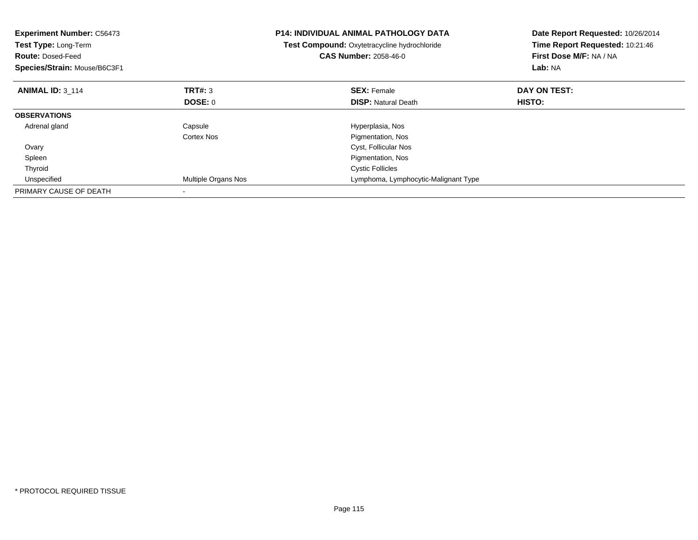| <b>Experiment Number: C56473</b><br><b>Test Type: Long-Term</b><br><b>Route: Dosed-Feed</b><br>Species/Strain: Mouse/B6C3F1 |                     | <b>P14: INDIVIDUAL ANIMAL PATHOLOGY DATA</b><br>Test Compound: Oxytetracycline hydrochloride<br><b>CAS Number: 2058-46-0</b> | Date Report Requested: 10/26/2014<br>Time Report Requested: 10:21:46<br>First Dose M/F: NA / NA<br>Lab: NA |
|-----------------------------------------------------------------------------------------------------------------------------|---------------------|------------------------------------------------------------------------------------------------------------------------------|------------------------------------------------------------------------------------------------------------|
| <b>ANIMAL ID: 3 114</b>                                                                                                     | <b>TRT#: 3</b>      | <b>SEX: Female</b>                                                                                                           | DAY ON TEST:                                                                                               |
|                                                                                                                             | DOSE: 0             | <b>DISP: Natural Death</b>                                                                                                   | HISTO:                                                                                                     |
| <b>OBSERVATIONS</b>                                                                                                         |                     |                                                                                                                              |                                                                                                            |
| Adrenal gland                                                                                                               | Capsule             | Hyperplasia, Nos                                                                                                             |                                                                                                            |
|                                                                                                                             | Cortex Nos          | Pigmentation, Nos                                                                                                            |                                                                                                            |
| Ovary                                                                                                                       |                     | Cyst, Follicular Nos                                                                                                         |                                                                                                            |
| Spleen                                                                                                                      |                     | Pigmentation, Nos                                                                                                            |                                                                                                            |
| Thyroid                                                                                                                     |                     | <b>Cystic Follicles</b>                                                                                                      |                                                                                                            |
| Unspecified                                                                                                                 | Multiple Organs Nos | Lymphoma, Lymphocytic-Malignant Type                                                                                         |                                                                                                            |
| PRIMARY CAUSE OF DEATH                                                                                                      |                     |                                                                                                                              |                                                                                                            |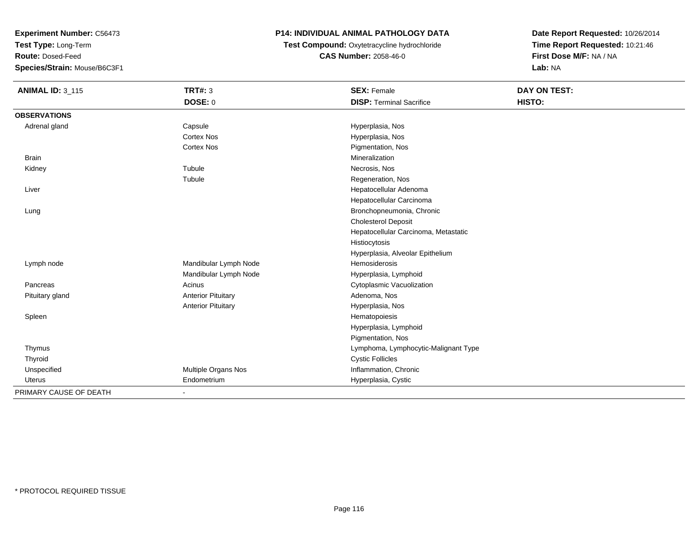**Test Type:** Long-Term

**Route:** Dosed-Feed

**Species/Strain:** Mouse/B6C3F1

# **P14: INDIVIDUAL ANIMAL PATHOLOGY DATA**

 **Test Compound:** Oxytetracycline hydrochloride**CAS Number:** 2058-46-0

| <b>ANIMAL ID: 3_115</b> | <b>TRT#: 3</b>            | <b>SEX: Female</b>                   | DAY ON TEST: |
|-------------------------|---------------------------|--------------------------------------|--------------|
|                         | <b>DOSE: 0</b>            | <b>DISP: Terminal Sacrifice</b>      | HISTO:       |
| <b>OBSERVATIONS</b>     |                           |                                      |              |
| Adrenal gland           | Capsule                   | Hyperplasia, Nos                     |              |
|                         | <b>Cortex Nos</b>         | Hyperplasia, Nos                     |              |
|                         | <b>Cortex Nos</b>         | Pigmentation, Nos                    |              |
| Brain                   |                           | Mineralization                       |              |
| Kidney                  | Tubule                    | Necrosis, Nos                        |              |
|                         | Tubule                    | Regeneration, Nos                    |              |
| Liver                   |                           | Hepatocellular Adenoma               |              |
|                         |                           | Hepatocellular Carcinoma             |              |
| Lung                    |                           | Bronchopneumonia, Chronic            |              |
|                         |                           | <b>Cholesterol Deposit</b>           |              |
|                         |                           | Hepatocellular Carcinoma, Metastatic |              |
|                         |                           | Histiocytosis                        |              |
|                         |                           | Hyperplasia, Alveolar Epithelium     |              |
| Lymph node              | Mandibular Lymph Node     | <b>Hemosiderosis</b>                 |              |
|                         | Mandibular Lymph Node     | Hyperplasia, Lymphoid                |              |
| Pancreas                | Acinus                    | Cytoplasmic Vacuolization            |              |
| Pituitary gland         | <b>Anterior Pituitary</b> | Adenoma, Nos                         |              |
|                         | <b>Anterior Pituitary</b> | Hyperplasia, Nos                     |              |
| Spleen                  |                           | Hematopoiesis                        |              |
|                         |                           | Hyperplasia, Lymphoid                |              |
|                         |                           | Pigmentation, Nos                    |              |
| Thymus                  |                           | Lymphoma, Lymphocytic-Malignant Type |              |
| Thyroid                 |                           | <b>Cystic Follicles</b>              |              |
| Unspecified             | Multiple Organs Nos       | Inflammation, Chronic                |              |
| Uterus                  | Endometrium               | Hyperplasia, Cystic                  |              |
| PRIMARY CAUSE OF DEATH  |                           |                                      |              |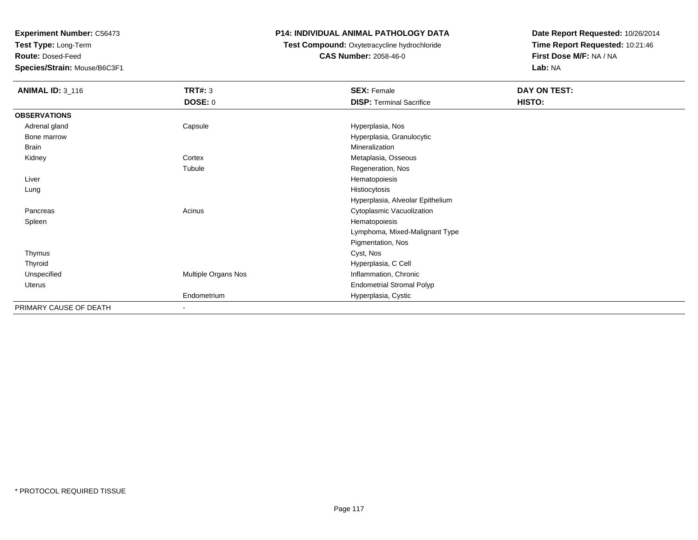**Test Type:** Long-Term

**Route:** Dosed-Feed

**Species/Strain:** Mouse/B6C3F1

# **P14: INDIVIDUAL ANIMAL PATHOLOGY DATA**

 **Test Compound:** Oxytetracycline hydrochloride**CAS Number:** 2058-46-0

| <b>ANIMAL ID: 3_116</b> | <b>TRT#: 3</b>           | <b>SEX: Female</b>               | DAY ON TEST: |  |
|-------------------------|--------------------------|----------------------------------|--------------|--|
|                         | DOSE: 0                  | <b>DISP: Terminal Sacrifice</b>  | HISTO:       |  |
| <b>OBSERVATIONS</b>     |                          |                                  |              |  |
| Adrenal gland           | Capsule                  | Hyperplasia, Nos                 |              |  |
| Bone marrow             |                          | Hyperplasia, Granulocytic        |              |  |
| Brain                   |                          | Mineralization                   |              |  |
| Kidney                  | Cortex                   | Metaplasia, Osseous              |              |  |
|                         | Tubule                   | Regeneration, Nos                |              |  |
| Liver                   |                          | Hematopoiesis                    |              |  |
| Lung                    |                          | Histiocytosis                    |              |  |
|                         |                          | Hyperplasia, Alveolar Epithelium |              |  |
| Pancreas                | Acinus                   | Cytoplasmic Vacuolization        |              |  |
| Spleen                  |                          | Hematopoiesis                    |              |  |
|                         |                          | Lymphoma, Mixed-Malignant Type   |              |  |
|                         |                          | Pigmentation, Nos                |              |  |
| Thymus                  |                          | Cyst, Nos                        |              |  |
| Thyroid                 |                          | Hyperplasia, C Cell              |              |  |
| Unspecified             | Multiple Organs Nos      | Inflammation, Chronic            |              |  |
| Uterus                  |                          | <b>Endometrial Stromal Polyp</b> |              |  |
|                         | Endometrium              | Hyperplasia, Cystic              |              |  |
| PRIMARY CAUSE OF DEATH  | $\overline{\phantom{0}}$ |                                  |              |  |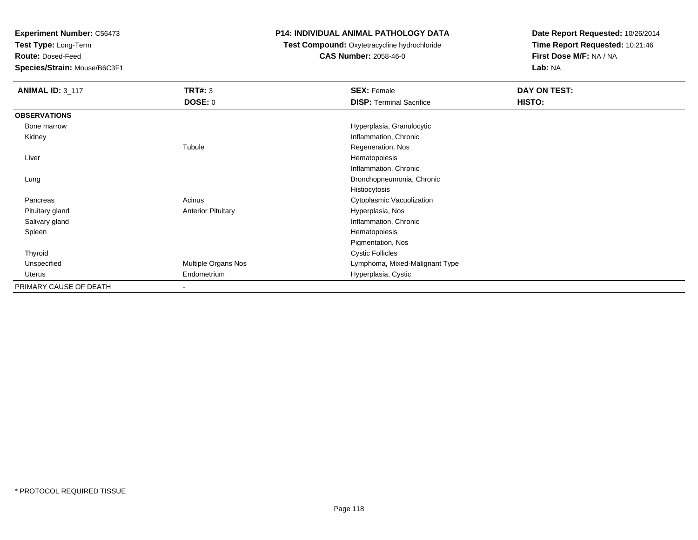**Test Type:** Long-Term

**Route:** Dosed-Feed

**Species/Strain:** Mouse/B6C3F1

# **P14: INDIVIDUAL ANIMAL PATHOLOGY DATA**

 **Test Compound:** Oxytetracycline hydrochloride**CAS Number:** 2058-46-0

| <b>ANIMAL ID: 3_117</b> | TRT#: 3                   | <b>SEX: Female</b>              | DAY ON TEST: |  |
|-------------------------|---------------------------|---------------------------------|--------------|--|
|                         | <b>DOSE: 0</b>            | <b>DISP: Terminal Sacrifice</b> | HISTO:       |  |
| <b>OBSERVATIONS</b>     |                           |                                 |              |  |
| Bone marrow             |                           | Hyperplasia, Granulocytic       |              |  |
| Kidney                  |                           | Inflammation, Chronic           |              |  |
|                         | Tubule                    | Regeneration, Nos               |              |  |
| Liver                   |                           | Hematopoiesis                   |              |  |
|                         |                           | Inflammation, Chronic           |              |  |
| Lung                    |                           | Bronchopneumonia, Chronic       |              |  |
|                         |                           | Histiocytosis                   |              |  |
| Pancreas                | Acinus                    | Cytoplasmic Vacuolization       |              |  |
| Pituitary gland         | <b>Anterior Pituitary</b> | Hyperplasia, Nos                |              |  |
| Salivary gland          |                           | Inflammation, Chronic           |              |  |
| Spleen                  |                           | Hematopoiesis                   |              |  |
|                         |                           | Pigmentation, Nos               |              |  |
| Thyroid                 |                           | <b>Cystic Follicles</b>         |              |  |
| Unspecified             | Multiple Organs Nos       | Lymphoma, Mixed-Malignant Type  |              |  |
| Uterus                  | Endometrium               | Hyperplasia, Cystic             |              |  |
| PRIMARY CAUSE OF DEATH  | -                         |                                 |              |  |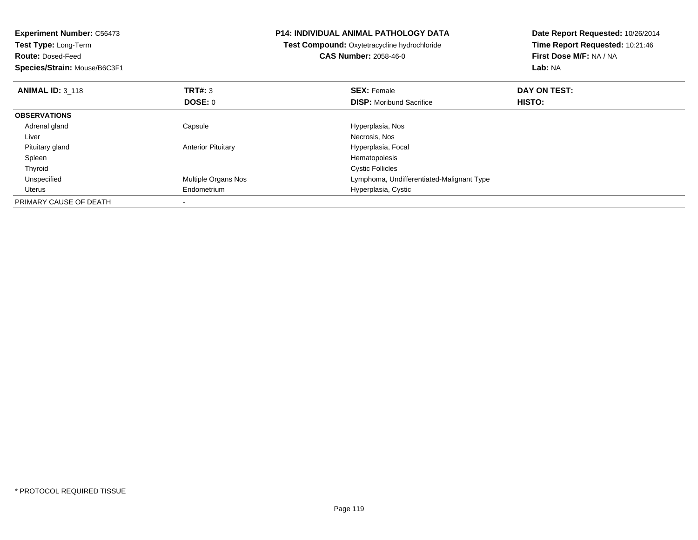| <b>Experiment Number: C56473</b><br>Test Type: Long-Term<br><b>Route: Dosed-Feed</b> |                           | <b>P14: INDIVIDUAL ANIMAL PATHOLOGY DATA</b><br>Test Compound: Oxytetracycline hydrochloride<br><b>CAS Number: 2058-46-0</b> | Date Report Requested: 10/26/2014<br>Time Report Requested: 10:21:46<br>First Dose M/F: NA / NA |
|--------------------------------------------------------------------------------------|---------------------------|------------------------------------------------------------------------------------------------------------------------------|-------------------------------------------------------------------------------------------------|
| Species/Strain: Mouse/B6C3F1                                                         |                           |                                                                                                                              | Lab: NA                                                                                         |
| <b>ANIMAL ID: 3 118</b>                                                              | <b>TRT#: 3</b>            | <b>SEX: Female</b>                                                                                                           | DAY ON TEST:                                                                                    |
|                                                                                      | DOSE: 0                   | <b>DISP:</b> Moribund Sacrifice                                                                                              | HISTO:                                                                                          |
| <b>OBSERVATIONS</b>                                                                  |                           |                                                                                                                              |                                                                                                 |
| Adrenal gland                                                                        | Capsule                   | Hyperplasia, Nos                                                                                                             |                                                                                                 |
| Liver                                                                                |                           | Necrosis, Nos                                                                                                                |                                                                                                 |
| Pituitary gland                                                                      | <b>Anterior Pituitary</b> | Hyperplasia, Focal                                                                                                           |                                                                                                 |
| Spleen                                                                               |                           | Hematopoiesis                                                                                                                |                                                                                                 |
| Thyroid                                                                              |                           | <b>Cystic Follicles</b>                                                                                                      |                                                                                                 |
| Unspecified                                                                          | Multiple Organs Nos       | Lymphoma, Undifferentiated-Malignant Type                                                                                    |                                                                                                 |
| Uterus                                                                               | Endometrium               | Hyperplasia, Cystic                                                                                                          |                                                                                                 |
| PRIMARY CAUSE OF DEATH                                                               |                           |                                                                                                                              |                                                                                                 |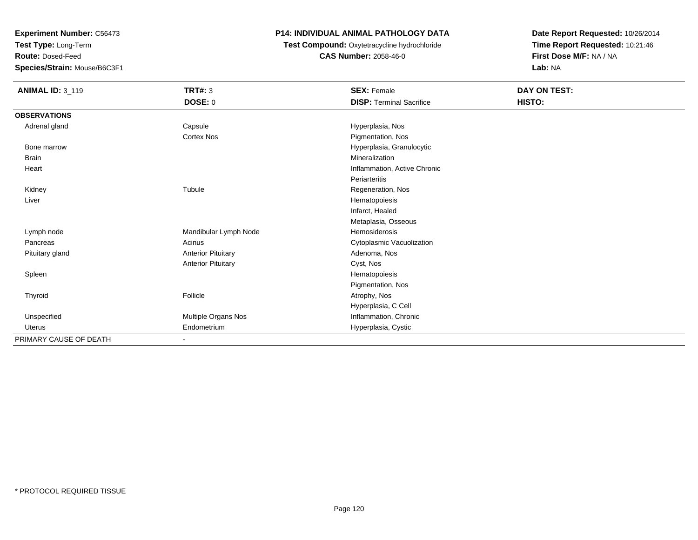**Test Type:** Long-Term

**Route:** Dosed-Feed

**Species/Strain:** Mouse/B6C3F1

# **P14: INDIVIDUAL ANIMAL PATHOLOGY DATA**

**Test Compound:** Oxytetracycline hydrochloride**CAS Number:** 2058-46-0

| <b>ANIMAL ID: 3_119</b> | <b>TRT#: 3</b>            | <b>SEX: Female</b>              | DAY ON TEST: |
|-------------------------|---------------------------|---------------------------------|--------------|
|                         | <b>DOSE: 0</b>            | <b>DISP: Terminal Sacrifice</b> | HISTO:       |
| <b>OBSERVATIONS</b>     |                           |                                 |              |
| Adrenal gland           | Capsule                   | Hyperplasia, Nos                |              |
|                         | Cortex Nos                | Pigmentation, Nos               |              |
| Bone marrow             |                           | Hyperplasia, Granulocytic       |              |
| <b>Brain</b>            |                           | Mineralization                  |              |
| Heart                   |                           | Inflammation, Active Chronic    |              |
|                         |                           | Periarteritis                   |              |
| Kidney                  | Tubule                    | Regeneration, Nos               |              |
| Liver                   |                           | Hematopoiesis                   |              |
|                         |                           | Infarct, Healed                 |              |
|                         |                           | Metaplasia, Osseous             |              |
| Lymph node              | Mandibular Lymph Node     | Hemosiderosis                   |              |
| Pancreas                | Acinus                    | Cytoplasmic Vacuolization       |              |
| Pituitary gland         | <b>Anterior Pituitary</b> | Adenoma, Nos                    |              |
|                         | <b>Anterior Pituitary</b> | Cyst, Nos                       |              |
| Spleen                  |                           | Hematopoiesis                   |              |
|                         |                           | Pigmentation, Nos               |              |
| Thyroid                 | Follicle                  | Atrophy, Nos                    |              |
|                         |                           | Hyperplasia, C Cell             |              |
| Unspecified             | Multiple Organs Nos       | Inflammation, Chronic           |              |
| Uterus                  | Endometrium               | Hyperplasia, Cystic             |              |
| PRIMARY CAUSE OF DEATH  |                           |                                 |              |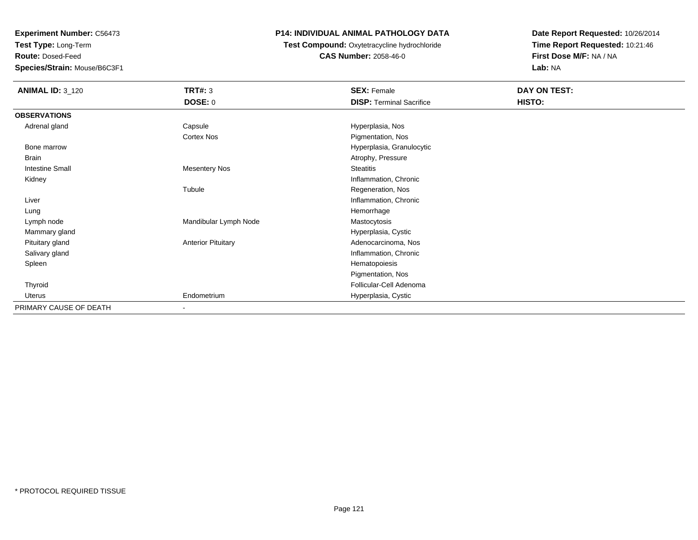**Test Type:** Long-Term

**Route:** Dosed-Feed

**Species/Strain:** Mouse/B6C3F1

# **P14: INDIVIDUAL ANIMAL PATHOLOGY DATA**

**Test Compound:** Oxytetracycline hydrochloride**CAS Number:** 2058-46-0

| <b>ANIMAL ID: 3_120</b> | TRT#: 3                   | <b>SEX: Female</b>              | DAY ON TEST: |
|-------------------------|---------------------------|---------------------------------|--------------|
|                         | <b>DOSE: 0</b>            | <b>DISP: Terminal Sacrifice</b> | HISTO:       |
| <b>OBSERVATIONS</b>     |                           |                                 |              |
| Adrenal gland           | Capsule                   | Hyperplasia, Nos                |              |
|                         | Cortex Nos                | Pigmentation, Nos               |              |
| Bone marrow             |                           | Hyperplasia, Granulocytic       |              |
| <b>Brain</b>            |                           | Atrophy, Pressure               |              |
| <b>Intestine Small</b>  | <b>Mesentery Nos</b>      | Steatitis                       |              |
| Kidney                  |                           | Inflammation, Chronic           |              |
|                         | Tubule                    | Regeneration, Nos               |              |
| Liver                   |                           | Inflammation, Chronic           |              |
| Lung                    |                           | Hemorrhage                      |              |
| Lymph node              | Mandibular Lymph Node     | Mastocytosis                    |              |
| Mammary gland           |                           | Hyperplasia, Cystic             |              |
| Pituitary gland         | <b>Anterior Pituitary</b> | Adenocarcinoma, Nos             |              |
| Salivary gland          |                           | Inflammation, Chronic           |              |
| Spleen                  |                           | Hematopoiesis                   |              |
|                         |                           | Pigmentation, Nos               |              |
| Thyroid                 |                           | Follicular-Cell Adenoma         |              |
| Uterus                  | Endometrium               | Hyperplasia, Cystic             |              |
| PRIMARY CAUSE OF DEATH  | $\sim$                    |                                 |              |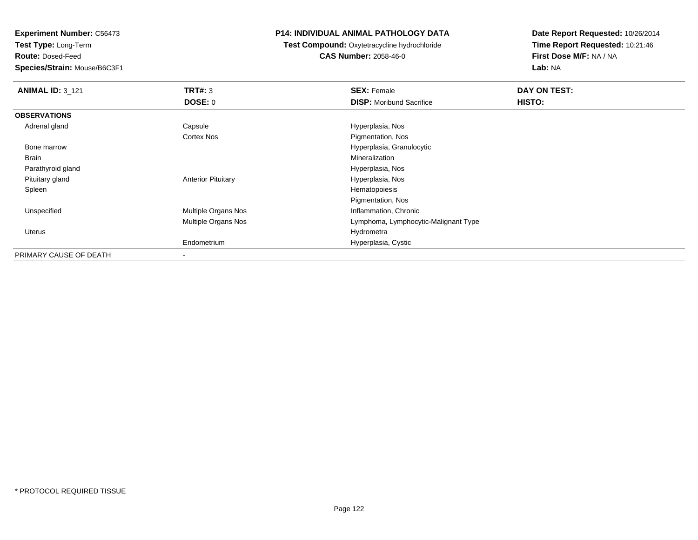**Test Type:** Long-Term

**Route:** Dosed-Feed

**Species/Strain:** Mouse/B6C3F1

#### **P14: INDIVIDUAL ANIMAL PATHOLOGY DATA**

 **Test Compound:** Oxytetracycline hydrochloride**CAS Number:** 2058-46-0

| <b>ANIMAL ID: 3 121</b> | TRT#: 3                   | <b>SEX: Female</b>                   | DAY ON TEST: |  |
|-------------------------|---------------------------|--------------------------------------|--------------|--|
|                         | DOSE: 0                   | <b>DISP:</b> Moribund Sacrifice      | HISTO:       |  |
| <b>OBSERVATIONS</b>     |                           |                                      |              |  |
| Adrenal gland           | Capsule                   | Hyperplasia, Nos                     |              |  |
|                         | Cortex Nos                | Pigmentation, Nos                    |              |  |
| Bone marrow             |                           | Hyperplasia, Granulocytic            |              |  |
| Brain                   |                           | Mineralization                       |              |  |
| Parathyroid gland       |                           | Hyperplasia, Nos                     |              |  |
| Pituitary gland         | <b>Anterior Pituitary</b> | Hyperplasia, Nos                     |              |  |
| Spleen                  |                           | Hematopoiesis                        |              |  |
|                         |                           | Pigmentation, Nos                    |              |  |
| Unspecified             | Multiple Organs Nos       | Inflammation, Chronic                |              |  |
|                         | Multiple Organs Nos       | Lymphoma, Lymphocytic-Malignant Type |              |  |
| Uterus                  |                           | Hydrometra                           |              |  |
|                         | Endometrium               | Hyperplasia, Cystic                  |              |  |
| PRIMARY CAUSE OF DEATH  |                           |                                      |              |  |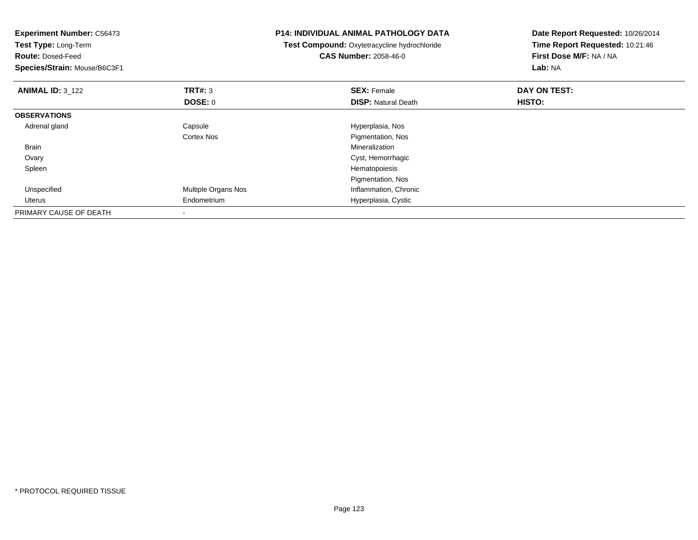| <b>Experiment Number: C56473</b><br>Test Type: Long-Term<br><b>Route: Dosed-Feed</b><br>Species/Strain: Mouse/B6C3F1 |                          | <b>P14: INDIVIDUAL ANIMAL PATHOLOGY DATA</b><br>Test Compound: Oxytetracycline hydrochloride<br><b>CAS Number: 2058-46-0</b> | Date Report Requested: 10/26/2014<br>Time Report Requested: 10:21:46<br>First Dose M/F: NA / NA<br>Lab: NA |
|----------------------------------------------------------------------------------------------------------------------|--------------------------|------------------------------------------------------------------------------------------------------------------------------|------------------------------------------------------------------------------------------------------------|
| <b>ANIMAL ID: 3 122</b>                                                                                              | <b>TRT#: 3</b>           | <b>SEX: Female</b>                                                                                                           | DAY ON TEST:                                                                                               |
|                                                                                                                      | DOSE: 0                  | <b>DISP: Natural Death</b>                                                                                                   | HISTO:                                                                                                     |
| <b>OBSERVATIONS</b>                                                                                                  |                          |                                                                                                                              |                                                                                                            |
| Adrenal gland                                                                                                        | Capsule                  | Hyperplasia, Nos                                                                                                             |                                                                                                            |
|                                                                                                                      | <b>Cortex Nos</b>        | Pigmentation, Nos                                                                                                            |                                                                                                            |
| <b>Brain</b>                                                                                                         |                          | Mineralization                                                                                                               |                                                                                                            |
| Ovary                                                                                                                |                          | Cyst, Hemorrhagic                                                                                                            |                                                                                                            |
| Spleen                                                                                                               |                          | Hematopoiesis                                                                                                                |                                                                                                            |
|                                                                                                                      |                          | Pigmentation, Nos                                                                                                            |                                                                                                            |
| Unspecified                                                                                                          | Multiple Organs Nos      | Inflammation, Chronic                                                                                                        |                                                                                                            |
| Uterus                                                                                                               | Endometrium              | Hyperplasia, Cystic                                                                                                          |                                                                                                            |
| PRIMARY CAUSE OF DEATH                                                                                               | $\overline{\phantom{a}}$ |                                                                                                                              |                                                                                                            |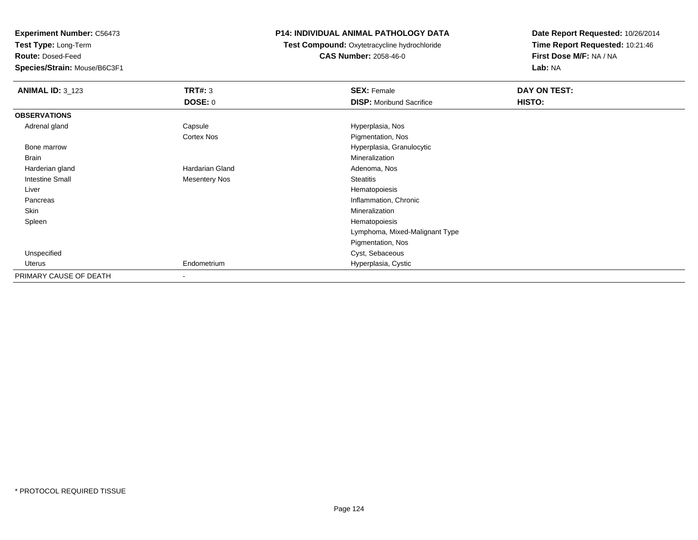**Test Type:** Long-Term

**Route:** Dosed-Feed

**Species/Strain:** Mouse/B6C3F1

# **P14: INDIVIDUAL ANIMAL PATHOLOGY DATA**

 **Test Compound:** Oxytetracycline hydrochloride**CAS Number:** 2058-46-0

| <b>ANIMAL ID: 3_123</b> | TRT#: 3              | <b>SEX: Female</b>              | DAY ON TEST: |
|-------------------------|----------------------|---------------------------------|--------------|
|                         | <b>DOSE: 0</b>       | <b>DISP:</b> Moribund Sacrifice | HISTO:       |
| <b>OBSERVATIONS</b>     |                      |                                 |              |
| Adrenal gland           | Capsule              | Hyperplasia, Nos                |              |
|                         | Cortex Nos           | Pigmentation, Nos               |              |
| Bone marrow             |                      | Hyperplasia, Granulocytic       |              |
| Brain                   |                      | Mineralization                  |              |
| Harderian gland         | Hardarian Gland      | Adenoma, Nos                    |              |
| <b>Intestine Small</b>  | <b>Mesentery Nos</b> | <b>Steatitis</b>                |              |
| Liver                   |                      | Hematopoiesis                   |              |
| Pancreas                |                      | Inflammation, Chronic           |              |
| Skin                    |                      | Mineralization                  |              |
| Spleen                  |                      | Hematopoiesis                   |              |
|                         |                      | Lymphoma, Mixed-Malignant Type  |              |
|                         |                      | Pigmentation, Nos               |              |
| Unspecified             |                      | Cyst, Sebaceous                 |              |
| Uterus                  | Endometrium          | Hyperplasia, Cystic             |              |
| PRIMARY CAUSE OF DEATH  | ٠                    |                                 |              |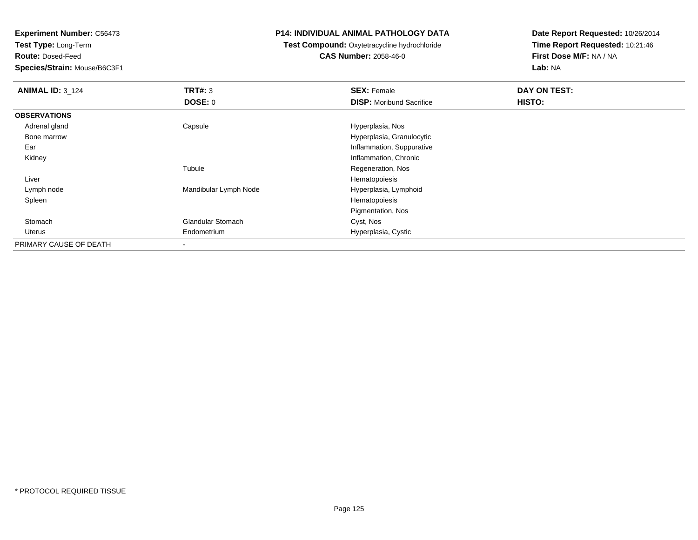**Test Type:** Long-Term

**Route:** Dosed-Feed

**Species/Strain:** Mouse/B6C3F1

#### **P14: INDIVIDUAL ANIMAL PATHOLOGY DATA**

# **Test Compound:** Oxytetracycline hydrochloride**CAS Number:** 2058-46-0

| <b>ANIMAL ID: 3 124</b> | TRT#: 3                  | <b>SEX: Female</b>              | DAY ON TEST: |  |
|-------------------------|--------------------------|---------------------------------|--------------|--|
|                         | DOSE: 0                  | <b>DISP:</b> Moribund Sacrifice | HISTO:       |  |
| <b>OBSERVATIONS</b>     |                          |                                 |              |  |
| Adrenal gland           | Capsule                  | Hyperplasia, Nos                |              |  |
| Bone marrow             |                          | Hyperplasia, Granulocytic       |              |  |
| Ear                     |                          | Inflammation, Suppurative       |              |  |
| Kidney                  |                          | Inflammation, Chronic           |              |  |
|                         | Tubule                   | Regeneration, Nos               |              |  |
| Liver                   |                          | Hematopoiesis                   |              |  |
| Lymph node              | Mandibular Lymph Node    | Hyperplasia, Lymphoid           |              |  |
| Spleen                  |                          | Hematopoiesis                   |              |  |
|                         |                          | Pigmentation, Nos               |              |  |
| Stomach                 | <b>Glandular Stomach</b> | Cyst, Nos                       |              |  |
| Uterus                  | Endometrium              | Hyperplasia, Cystic             |              |  |
| PRIMARY CAUSE OF DEATH  | $\overline{\phantom{a}}$ |                                 |              |  |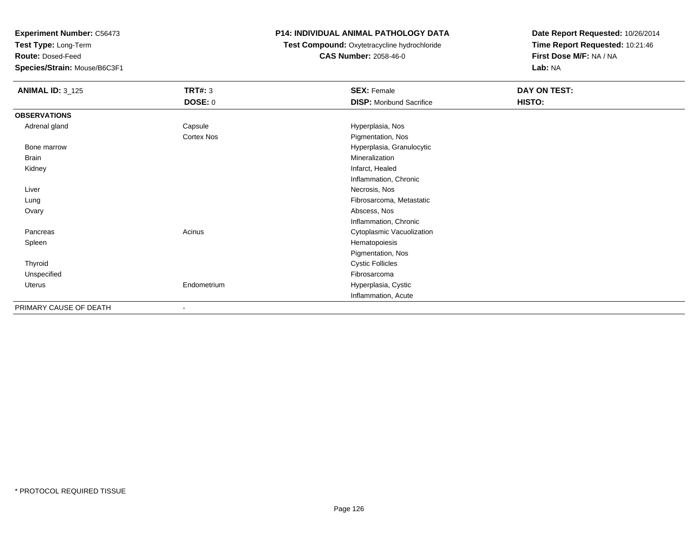**Test Type:** Long-Term

**Route:** Dosed-Feed

**Species/Strain:** Mouse/B6C3F1

# **P14: INDIVIDUAL ANIMAL PATHOLOGY DATA**

**Test Compound:** Oxytetracycline hydrochloride**CAS Number:** 2058-46-0

| <b>ANIMAL ID: 3_125</b> | <b>TRT#: 3</b>           | <b>SEX: Female</b>              | DAY ON TEST: |
|-------------------------|--------------------------|---------------------------------|--------------|
|                         | <b>DOSE: 0</b>           | <b>DISP:</b> Moribund Sacrifice | HISTO:       |
| <b>OBSERVATIONS</b>     |                          |                                 |              |
| Adrenal gland           | Capsule                  | Hyperplasia, Nos                |              |
|                         | Cortex Nos               | Pigmentation, Nos               |              |
| Bone marrow             |                          | Hyperplasia, Granulocytic       |              |
| Brain                   |                          | Mineralization                  |              |
| Kidney                  |                          | Infarct, Healed                 |              |
|                         |                          | Inflammation, Chronic           |              |
| Liver                   |                          | Necrosis, Nos                   |              |
| Lung                    |                          | Fibrosarcoma, Metastatic        |              |
| Ovary                   |                          | Abscess, Nos                    |              |
|                         |                          | Inflammation, Chronic           |              |
| Pancreas                | Acinus                   | Cytoplasmic Vacuolization       |              |
| Spleen                  |                          | Hematopoiesis                   |              |
|                         |                          | Pigmentation, Nos               |              |
| Thyroid                 |                          | <b>Cystic Follicles</b>         |              |
| Unspecified             |                          | Fibrosarcoma                    |              |
| Uterus                  | Endometrium              | Hyperplasia, Cystic             |              |
|                         |                          | Inflammation, Acute             |              |
| PRIMARY CAUSE OF DEATH  | $\overline{\phantom{a}}$ |                                 |              |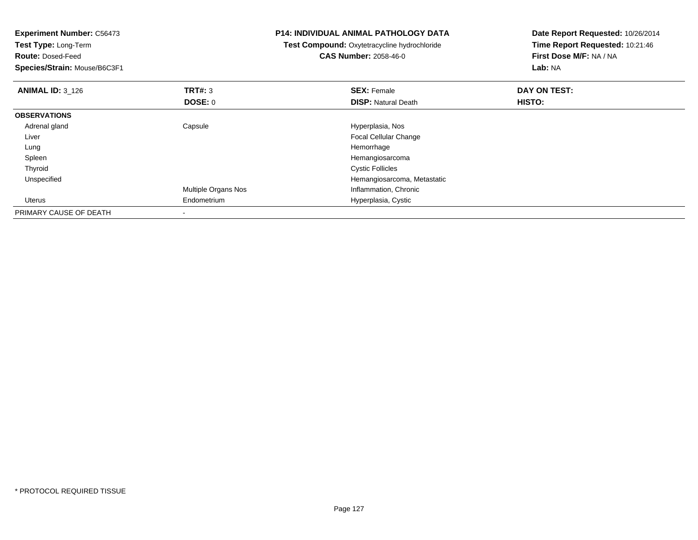| <b>Experiment Number: C56473</b><br>Test Type: Long-Term |                     | <b>P14: INDIVIDUAL ANIMAL PATHOLOGY DATA</b> | Date Report Requested: 10/26/2014 |
|----------------------------------------------------------|---------------------|----------------------------------------------|-----------------------------------|
|                                                          |                     | Test Compound: Oxytetracycline hydrochloride | Time Report Requested: 10:21:46   |
| <b>Route: Dosed-Feed</b>                                 |                     | <b>CAS Number: 2058-46-0</b>                 | First Dose M/F: NA / NA           |
| Species/Strain: Mouse/B6C3F1                             |                     |                                              | Lab: NA                           |
| <b>ANIMAL ID: 3 126</b>                                  | TRT#: 3             | <b>SEX: Female</b>                           | DAY ON TEST:                      |
|                                                          | DOSE: 0             | <b>DISP:</b> Natural Death                   | HISTO:                            |
| <b>OBSERVATIONS</b>                                      |                     |                                              |                                   |
| Adrenal gland                                            | Capsule             | Hyperplasia, Nos                             |                                   |
| Liver                                                    |                     | Focal Cellular Change                        |                                   |
| Lung                                                     |                     | Hemorrhage                                   |                                   |
| Spleen                                                   |                     | Hemangiosarcoma                              |                                   |
| Thyroid                                                  |                     | <b>Cystic Follicles</b>                      |                                   |
| Unspecified                                              |                     | Hemangiosarcoma, Metastatic                  |                                   |
|                                                          | Multiple Organs Nos | Inflammation, Chronic                        |                                   |
| Uterus                                                   | Endometrium         | Hyperplasia, Cystic                          |                                   |
| PRIMARY CAUSE OF DEATH                                   |                     |                                              |                                   |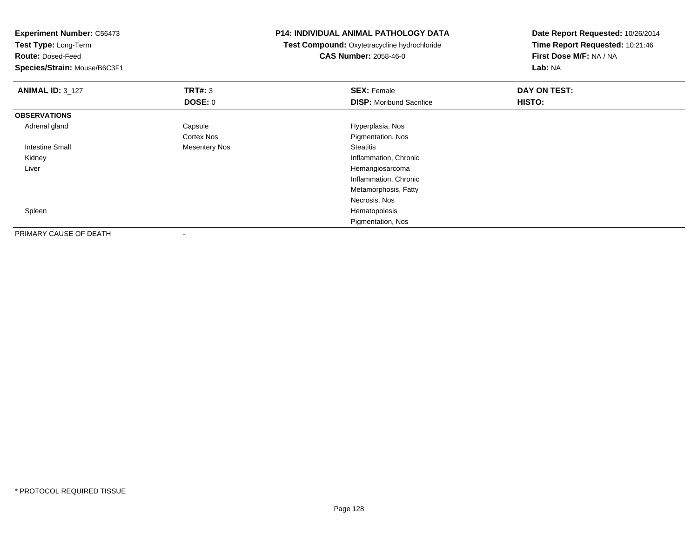|                      | Test Compound: Oxytetracycline hydrochloride<br><b>CAS Number: 2058-46-0</b> | Date Report Requested: 10/26/2014<br>Time Report Requested: 10:21:46<br>First Dose M/F: NA / NA<br>Lab: NA |  |
|----------------------|------------------------------------------------------------------------------|------------------------------------------------------------------------------------------------------------|--|
| TRT#: 3              | <b>SEX: Female</b>                                                           | DAY ON TEST:                                                                                               |  |
|                      |                                                                              | HISTO:                                                                                                     |  |
|                      |                                                                              |                                                                                                            |  |
| Capsule              | Hyperplasia, Nos                                                             |                                                                                                            |  |
| Cortex Nos           | Pigmentation, Nos                                                            |                                                                                                            |  |
| <b>Mesentery Nos</b> | <b>Steatitis</b>                                                             |                                                                                                            |  |
|                      | Inflammation, Chronic                                                        |                                                                                                            |  |
|                      | Hemangiosarcoma                                                              |                                                                                                            |  |
|                      | Inflammation, Chronic                                                        |                                                                                                            |  |
|                      | Metamorphosis, Fatty                                                         |                                                                                                            |  |
|                      | Necrosis, Nos                                                                |                                                                                                            |  |
|                      | Hematopoiesis                                                                |                                                                                                            |  |
|                      | Pigmentation, Nos                                                            |                                                                                                            |  |
|                      | <b>DOSE: 0</b>                                                               | <b>DISP:</b> Moribund Sacrifice                                                                            |  |

-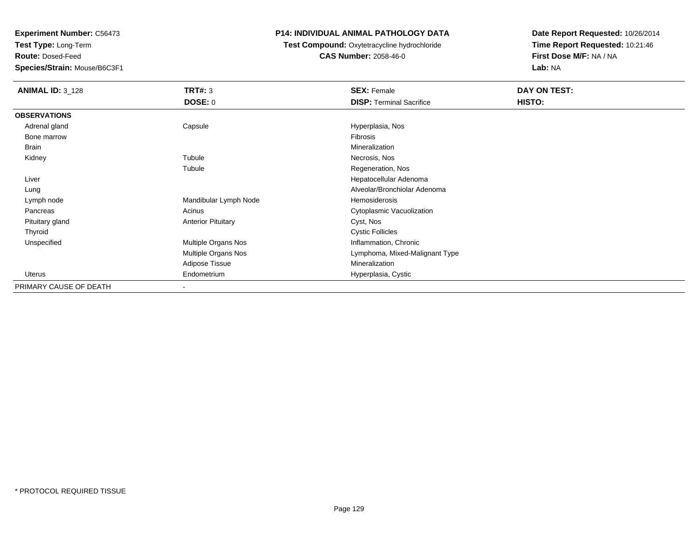**Test Type:** Long-Term

**Route:** Dosed-Feed

**Species/Strain:** Mouse/B6C3F1

# **P14: INDIVIDUAL ANIMAL PATHOLOGY DATA**

**Test Compound:** Oxytetracycline hydrochloride**CAS Number:** 2058-46-0

| <b>ANIMAL ID: 3_128</b> | <b>TRT#: 3</b>            | <b>SEX: Female</b>              | DAY ON TEST: |  |
|-------------------------|---------------------------|---------------------------------|--------------|--|
|                         | <b>DOSE: 0</b>            | <b>DISP: Terminal Sacrifice</b> | HISTO:       |  |
| <b>OBSERVATIONS</b>     |                           |                                 |              |  |
| Adrenal gland           | Capsule                   | Hyperplasia, Nos                |              |  |
| Bone marrow             |                           | Fibrosis                        |              |  |
| Brain                   |                           | Mineralization                  |              |  |
| Kidney                  | Tubule                    | Necrosis, Nos                   |              |  |
|                         | Tubule                    | Regeneration, Nos               |              |  |
| Liver                   |                           | Hepatocellular Adenoma          |              |  |
| Lung                    |                           | Alveolar/Bronchiolar Adenoma    |              |  |
| Lymph node              | Mandibular Lymph Node     | Hemosiderosis                   |              |  |
| Pancreas                | Acinus                    | Cytoplasmic Vacuolization       |              |  |
| Pituitary gland         | <b>Anterior Pituitary</b> | Cyst, Nos                       |              |  |
| Thyroid                 |                           | <b>Cystic Follicles</b>         |              |  |
| Unspecified             | Multiple Organs Nos       | Inflammation, Chronic           |              |  |
|                         | Multiple Organs Nos       | Lymphoma, Mixed-Malignant Type  |              |  |
|                         | Adipose Tissue            | Mineralization                  |              |  |
| Uterus                  | Endometrium               | Hyperplasia, Cystic             |              |  |
| PRIMARY CAUSE OF DEATH  |                           |                                 |              |  |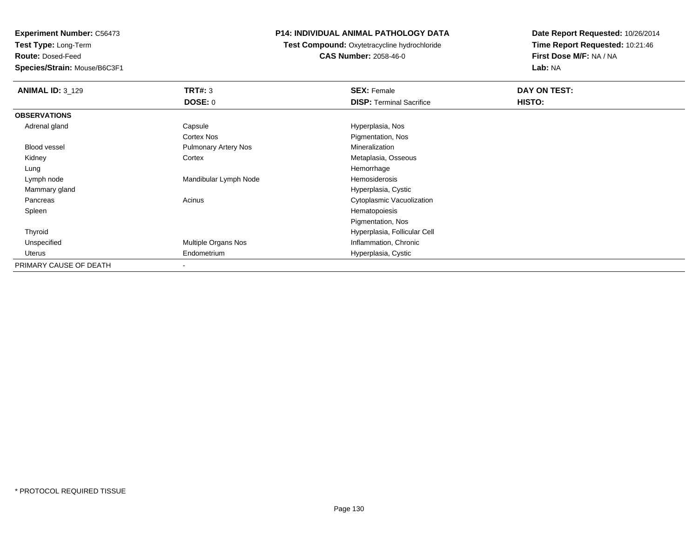**Test Type:** Long-Term

**Route:** Dosed-Feed

**Species/Strain:** Mouse/B6C3F1

# **P14: INDIVIDUAL ANIMAL PATHOLOGY DATA**

**Test Compound:** Oxytetracycline hydrochloride**CAS Number:** 2058-46-0

| <b>ANIMAL ID: 3_129</b> | TRT#: 3                     | <b>SEX: Female</b>              | DAY ON TEST: |
|-------------------------|-----------------------------|---------------------------------|--------------|
|                         | <b>DOSE: 0</b>              | <b>DISP: Terminal Sacrifice</b> | HISTO:       |
| <b>OBSERVATIONS</b>     |                             |                                 |              |
| Adrenal gland           | Capsule                     | Hyperplasia, Nos                |              |
|                         | <b>Cortex Nos</b>           | Pigmentation, Nos               |              |
| <b>Blood vessel</b>     | <b>Pulmonary Artery Nos</b> | Mineralization                  |              |
| Kidney                  | Cortex                      | Metaplasia, Osseous             |              |
| Lung                    |                             | Hemorrhage                      |              |
| Lymph node              | Mandibular Lymph Node       | Hemosiderosis                   |              |
| Mammary gland           |                             | Hyperplasia, Cystic             |              |
| Pancreas                | Acinus                      | Cytoplasmic Vacuolization       |              |
| Spleen                  |                             | Hematopoiesis                   |              |
|                         |                             | Pigmentation, Nos               |              |
| Thyroid                 |                             | Hyperplasia, Follicular Cell    |              |
| Unspecified             | Multiple Organs Nos         | Inflammation, Chronic           |              |
| Uterus                  | Endometrium                 | Hyperplasia, Cystic             |              |
| PRIMARY CAUSE OF DEATH  |                             |                                 |              |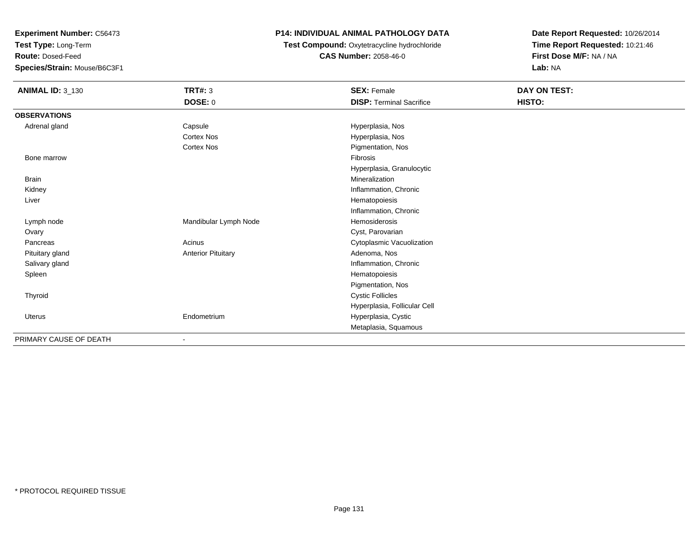**Test Type:** Long-Term

**Route:** Dosed-Feed

**Species/Strain:** Mouse/B6C3F1

# **P14: INDIVIDUAL ANIMAL PATHOLOGY DATA**

 **Test Compound:** Oxytetracycline hydrochloride**CAS Number:** 2058-46-0

| <b>ANIMAL ID: 3_130</b> | <b>TRT#: 3</b>            | <b>SEX: Female</b>              | DAY ON TEST: |
|-------------------------|---------------------------|---------------------------------|--------------|
|                         | <b>DOSE: 0</b>            | <b>DISP: Terminal Sacrifice</b> | HISTO:       |
| <b>OBSERVATIONS</b>     |                           |                                 |              |
| Adrenal gland           | Capsule                   | Hyperplasia, Nos                |              |
|                         | Cortex Nos                | Hyperplasia, Nos                |              |
|                         | Cortex Nos                | Pigmentation, Nos               |              |
| Bone marrow             |                           | Fibrosis                        |              |
|                         |                           | Hyperplasia, Granulocytic       |              |
| Brain                   |                           | Mineralization                  |              |
| Kidney                  |                           | Inflammation, Chronic           |              |
| Liver                   |                           | Hematopoiesis                   |              |
|                         |                           | Inflammation, Chronic           |              |
| Lymph node              | Mandibular Lymph Node     | Hemosiderosis                   |              |
| Ovary                   |                           | Cyst, Parovarian                |              |
| Pancreas                | Acinus                    | Cytoplasmic Vacuolization       |              |
| Pituitary gland         | <b>Anterior Pituitary</b> | Adenoma, Nos                    |              |
| Salivary gland          |                           | Inflammation, Chronic           |              |
| Spleen                  |                           | Hematopoiesis                   |              |
|                         |                           | Pigmentation, Nos               |              |
| Thyroid                 |                           | <b>Cystic Follicles</b>         |              |
|                         |                           | Hyperplasia, Follicular Cell    |              |
| Uterus                  | Endometrium               | Hyperplasia, Cystic             |              |
|                         |                           | Metaplasia, Squamous            |              |
| PRIMARY CAUSE OF DEATH  | $\overline{\phantom{a}}$  |                                 |              |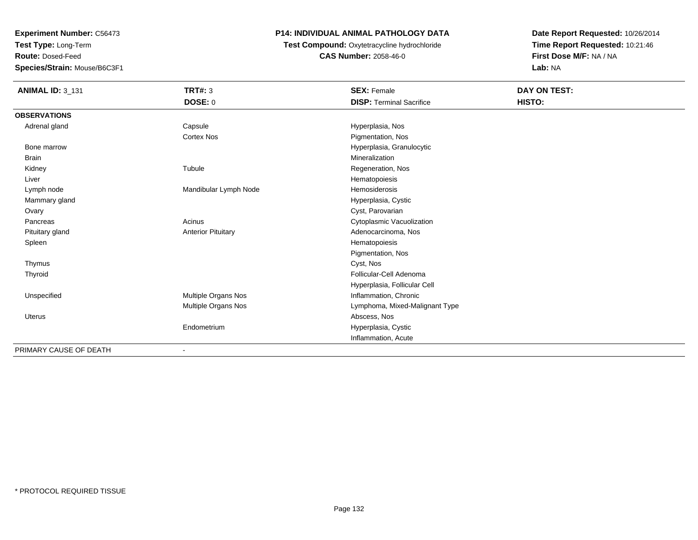**Test Type:** Long-Term

**Route:** Dosed-Feed

**Species/Strain:** Mouse/B6C3F1

# **P14: INDIVIDUAL ANIMAL PATHOLOGY DATA**

 **Test Compound:** Oxytetracycline hydrochloride**CAS Number:** 2058-46-0

| <b>ANIMAL ID: 3_131</b> | <b>TRT#: 3</b>            | <b>SEX: Female</b>              | DAY ON TEST: |  |
|-------------------------|---------------------------|---------------------------------|--------------|--|
|                         | <b>DOSE: 0</b>            | <b>DISP: Terminal Sacrifice</b> | HISTO:       |  |
| <b>OBSERVATIONS</b>     |                           |                                 |              |  |
| Adrenal gland           | Capsule                   | Hyperplasia, Nos                |              |  |
|                         | <b>Cortex Nos</b>         | Pigmentation, Nos               |              |  |
| Bone marrow             |                           | Hyperplasia, Granulocytic       |              |  |
| <b>Brain</b>            |                           | Mineralization                  |              |  |
| Kidney                  | Tubule                    | Regeneration, Nos               |              |  |
| Liver                   |                           | Hematopoiesis                   |              |  |
| Lymph node              | Mandibular Lymph Node     | Hemosiderosis                   |              |  |
| Mammary gland           |                           | Hyperplasia, Cystic             |              |  |
| Ovary                   |                           | Cyst, Parovarian                |              |  |
| Pancreas                | Acinus                    | Cytoplasmic Vacuolization       |              |  |
| Pituitary gland         | <b>Anterior Pituitary</b> | Adenocarcinoma, Nos             |              |  |
| Spleen                  |                           | Hematopoiesis                   |              |  |
|                         |                           | Pigmentation, Nos               |              |  |
| Thymus                  |                           | Cyst, Nos                       |              |  |
| Thyroid                 |                           | Follicular-Cell Adenoma         |              |  |
|                         |                           | Hyperplasia, Follicular Cell    |              |  |
| Unspecified             | Multiple Organs Nos       | Inflammation, Chronic           |              |  |
|                         | Multiple Organs Nos       | Lymphoma, Mixed-Malignant Type  |              |  |
| <b>Uterus</b>           |                           | Abscess, Nos                    |              |  |
|                         | Endometrium               | Hyperplasia, Cystic             |              |  |
|                         |                           | Inflammation, Acute             |              |  |
| PRIMARY CAUSE OF DEATH  |                           |                                 |              |  |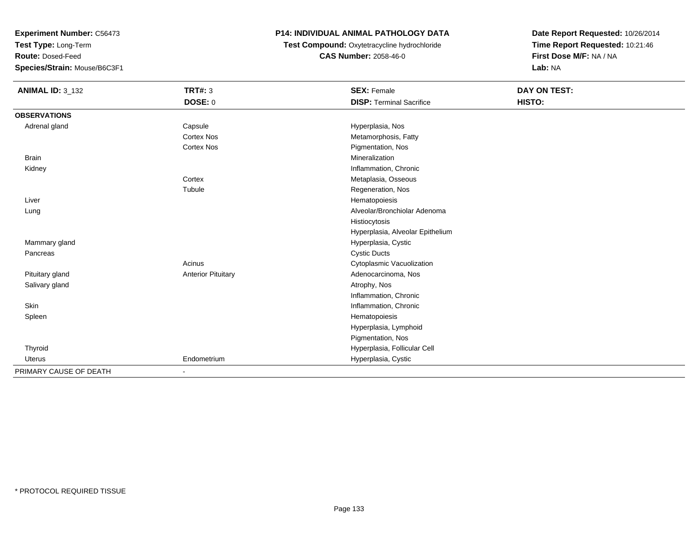**Test Type:** Long-Term

**Route:** Dosed-Feed

**Species/Strain:** Mouse/B6C3F1

# **P14: INDIVIDUAL ANIMAL PATHOLOGY DATA**

**Test Compound:** Oxytetracycline hydrochloride**CAS Number:** 2058-46-0

| <b>ANIMAL ID: 3_132</b> | <b>TRT#: 3</b>            | <b>SEX: Female</b>               | DAY ON TEST: |
|-------------------------|---------------------------|----------------------------------|--------------|
|                         | DOSE: 0                   | <b>DISP: Terminal Sacrifice</b>  | HISTO:       |
| <b>OBSERVATIONS</b>     |                           |                                  |              |
| Adrenal gland           | Capsule                   | Hyperplasia, Nos                 |              |
|                         | <b>Cortex Nos</b>         | Metamorphosis, Fatty             |              |
|                         | <b>Cortex Nos</b>         | Pigmentation, Nos                |              |
| <b>Brain</b>            |                           | Mineralization                   |              |
| Kidney                  |                           | Inflammation, Chronic            |              |
|                         | Cortex                    | Metaplasia, Osseous              |              |
|                         | Tubule                    | Regeneration, Nos                |              |
| Liver                   |                           | Hematopoiesis                    |              |
| Lung                    |                           | Alveolar/Bronchiolar Adenoma     |              |
|                         |                           | Histiocytosis                    |              |
|                         |                           | Hyperplasia, Alveolar Epithelium |              |
| Mammary gland           |                           | Hyperplasia, Cystic              |              |
| Pancreas                |                           | <b>Cystic Ducts</b>              |              |
|                         | Acinus                    | Cytoplasmic Vacuolization        |              |
| Pituitary gland         | <b>Anterior Pituitary</b> | Adenocarcinoma, Nos              |              |
| Salivary gland          |                           | Atrophy, Nos                     |              |
|                         |                           | Inflammation, Chronic            |              |
| Skin                    |                           | Inflammation, Chronic            |              |
| Spleen                  |                           | Hematopoiesis                    |              |
|                         |                           | Hyperplasia, Lymphoid            |              |
|                         |                           | Pigmentation, Nos                |              |
| Thyroid                 |                           | Hyperplasia, Follicular Cell     |              |
| Uterus                  | Endometrium               | Hyperplasia, Cystic              |              |
| PRIMARY CAUSE OF DEATH  |                           |                                  |              |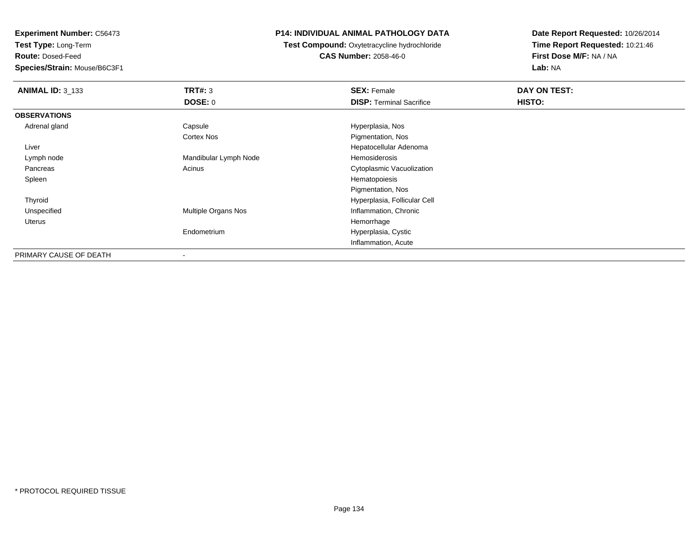**Test Type:** Long-Term

**Route:** Dosed-Feed

**Species/Strain:** Mouse/B6C3F1

#### **P14: INDIVIDUAL ANIMAL PATHOLOGY DATA**

**Test Compound:** Oxytetracycline hydrochloride**CAS Number:** 2058-46-0

| <b>ANIMAL ID: 3 133</b> | TRT#: 3                    | <b>SEX: Female</b>              | DAY ON TEST: |  |
|-------------------------|----------------------------|---------------------------------|--------------|--|
|                         | DOSE: 0                    | <b>DISP: Terminal Sacrifice</b> | HISTO:       |  |
| <b>OBSERVATIONS</b>     |                            |                                 |              |  |
| Adrenal gland           | Capsule                    | Hyperplasia, Nos                |              |  |
|                         | Cortex Nos                 | Pigmentation, Nos               |              |  |
| Liver                   |                            | Hepatocellular Adenoma          |              |  |
| Lymph node              | Mandibular Lymph Node      | <b>Hemosiderosis</b>            |              |  |
| Pancreas                | Acinus                     | Cytoplasmic Vacuolization       |              |  |
| Spleen                  |                            | Hematopoiesis                   |              |  |
|                         |                            | Pigmentation, Nos               |              |  |
| Thyroid                 |                            | Hyperplasia, Follicular Cell    |              |  |
| Unspecified             | <b>Multiple Organs Nos</b> | Inflammation, Chronic           |              |  |
| Uterus                  |                            | Hemorrhage                      |              |  |
|                         | Endometrium                | Hyperplasia, Cystic             |              |  |
|                         |                            | Inflammation, Acute             |              |  |
| PRIMARY CAUSE OF DEATH  | $\overline{\phantom{a}}$   |                                 |              |  |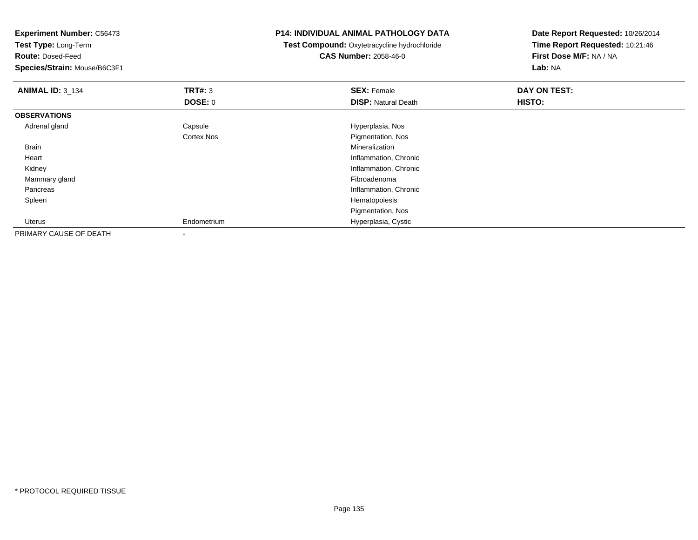**Experiment Number:** C56473**Test Type:** Long-Term**Route:** Dosed-Feed **Species/Strain:** Mouse/B6C3F1**P14: INDIVIDUAL ANIMAL PATHOLOGY DATATest Compound:** Oxytetracycline hydrochloride**CAS Number:** 2058-46-0**Date Report Requested:** 10/26/2014**Time Report Requested:** 10:21:46**First Dose M/F:** NA / NA**Lab:** NA**ANIMAL ID:** 3\_134**TRT#:** 3 **SEX:** Female **DAY ON TEST: DOSE:** 0**DISP:** Natural Death **HISTO: OBSERVATIONS** Adrenal glandCapsule **Capsule Hyperplasia**, Nos Cortex Nos Pigmentation, Nos Brainn and the control of the control of the control of the control of the control of the control of the control of the control of the control of the control of the control of the control of the control of the control of the co Heart Inflammation, Chronic**Inflammation, Chronic**  Kidney Mammary glandd and the control of the control of the control of the control of the control of the control of the control of the control of the control of the control of the control of the control of the control of the control of the co Pancreas Inflammation, Chronic Spleenn and the state of the state of the state of the state of the state of the state of the state of the state of the state of the state of the state of the state of the state of the state of the state of the state of the stat Pigmentation, Nosm Hyperplasia, Cystic Uterus EndometriumPRIMARY CAUSE OF DEATH-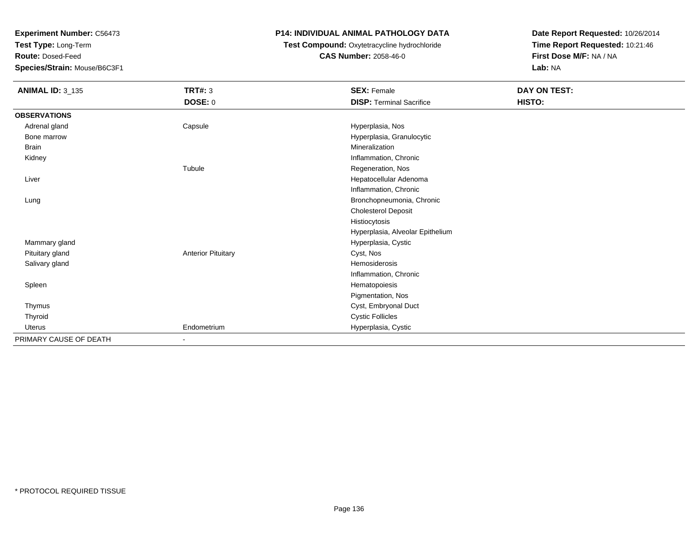**Test Type:** Long-Term

**Route:** Dosed-Feed

**Species/Strain:** Mouse/B6C3F1

# **P14: INDIVIDUAL ANIMAL PATHOLOGY DATA**

# **Test Compound:** Oxytetracycline hydrochloride**CAS Number:** 2058-46-0

| <b>ANIMAL ID: 3_135</b> | <b>TRT#: 3</b>            | <b>SEX: Female</b>               | DAY ON TEST: |
|-------------------------|---------------------------|----------------------------------|--------------|
|                         | <b>DOSE: 0</b>            | <b>DISP: Terminal Sacrifice</b>  | HISTO:       |
| <b>OBSERVATIONS</b>     |                           |                                  |              |
| Adrenal gland           | Capsule                   | Hyperplasia, Nos                 |              |
| Bone marrow             |                           | Hyperplasia, Granulocytic        |              |
| <b>Brain</b>            |                           | Mineralization                   |              |
| Kidney                  |                           | Inflammation, Chronic            |              |
|                         | Tubule                    | Regeneration, Nos                |              |
| Liver                   |                           | Hepatocellular Adenoma           |              |
|                         |                           | Inflammation, Chronic            |              |
| Lung                    |                           | Bronchopneumonia, Chronic        |              |
|                         |                           | <b>Cholesterol Deposit</b>       |              |
|                         |                           | Histiocytosis                    |              |
|                         |                           | Hyperplasia, Alveolar Epithelium |              |
| Mammary gland           |                           | Hyperplasia, Cystic              |              |
| Pituitary gland         | <b>Anterior Pituitary</b> | Cyst, Nos                        |              |
| Salivary gland          |                           | Hemosiderosis                    |              |
|                         |                           | Inflammation, Chronic            |              |
| Spleen                  |                           | Hematopoiesis                    |              |
|                         |                           | Pigmentation, Nos                |              |
| Thymus                  |                           | Cyst, Embryonal Duct             |              |
| Thyroid                 |                           | <b>Cystic Follicles</b>          |              |
| Uterus                  | Endometrium               | Hyperplasia, Cystic              |              |
| PRIMARY CAUSE OF DEATH  |                           |                                  |              |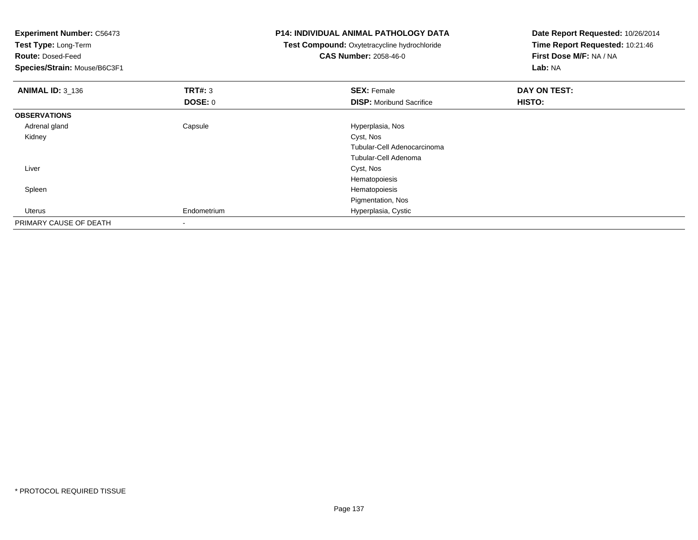| <b>Experiment Number: C56473</b><br>Test Type: Long-Term<br><b>Route: Dosed-Feed</b><br>Species/Strain: Mouse/B6C3F1 |                | <b>P14: INDIVIDUAL ANIMAL PATHOLOGY DATA</b><br>Test Compound: Oxytetracycline hydrochloride<br><b>CAS Number: 2058-46-0</b> | Date Report Requested: 10/26/2014<br>Time Report Requested: 10:21:46<br>First Dose M/F: NA / NA<br>Lab: NA |
|----------------------------------------------------------------------------------------------------------------------|----------------|------------------------------------------------------------------------------------------------------------------------------|------------------------------------------------------------------------------------------------------------|
| <b>ANIMAL ID: 3_136</b>                                                                                              | <b>TRT#: 3</b> | <b>SEX: Female</b>                                                                                                           | DAY ON TEST:                                                                                               |
|                                                                                                                      | DOSE: 0        | <b>DISP:</b> Moribund Sacrifice                                                                                              | HISTO:                                                                                                     |
| <b>OBSERVATIONS</b>                                                                                                  |                |                                                                                                                              |                                                                                                            |
| Adrenal gland                                                                                                        | Capsule        | Hyperplasia, Nos                                                                                                             |                                                                                                            |
| Kidney                                                                                                               |                | Cyst, Nos                                                                                                                    |                                                                                                            |
|                                                                                                                      |                | Tubular-Cell Adenocarcinoma                                                                                                  |                                                                                                            |
|                                                                                                                      |                | Tubular-Cell Adenoma                                                                                                         |                                                                                                            |
| Liver                                                                                                                |                | Cyst, Nos                                                                                                                    |                                                                                                            |
|                                                                                                                      |                | Hematopoiesis                                                                                                                |                                                                                                            |
| Spleen                                                                                                               |                | Hematopoiesis                                                                                                                |                                                                                                            |
|                                                                                                                      |                | Pigmentation, Nos                                                                                                            |                                                                                                            |
| Uterus                                                                                                               | Endometrium    | Hyperplasia, Cystic                                                                                                          |                                                                                                            |
| PRIMARY CAUSE OF DEATH                                                                                               | $\,$           |                                                                                                                              |                                                                                                            |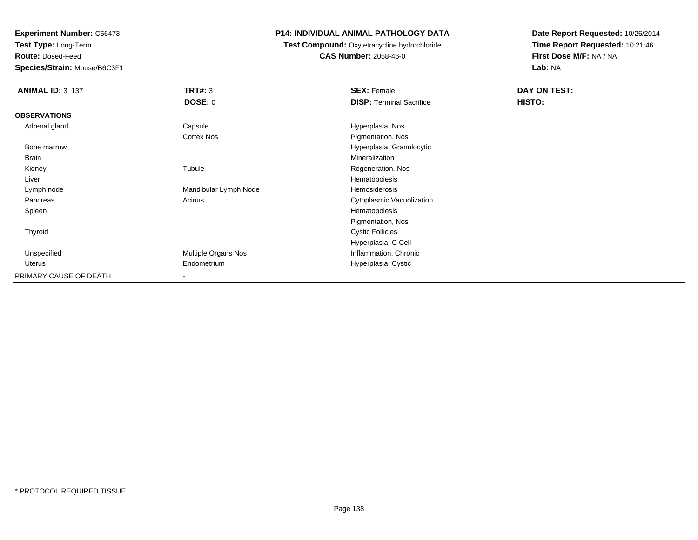**Test Type:** Long-Term

**Route:** Dosed-Feed

**Species/Strain:** Mouse/B6C3F1

#### **P14: INDIVIDUAL ANIMAL PATHOLOGY DATA**

 **Test Compound:** Oxytetracycline hydrochloride**CAS Number:** 2058-46-0

| <b>ANIMAL ID: 3_137</b> | TRT#: 3               | <b>SEX: Female</b>              | DAY ON TEST: |  |
|-------------------------|-----------------------|---------------------------------|--------------|--|
|                         | <b>DOSE: 0</b>        | <b>DISP: Terminal Sacrifice</b> | HISTO:       |  |
| <b>OBSERVATIONS</b>     |                       |                                 |              |  |
| Adrenal gland           | Capsule               | Hyperplasia, Nos                |              |  |
|                         | Cortex Nos            | Pigmentation, Nos               |              |  |
| Bone marrow             |                       | Hyperplasia, Granulocytic       |              |  |
| Brain                   |                       | Mineralization                  |              |  |
| Kidney                  | Tubule                | Regeneration, Nos               |              |  |
| Liver                   |                       | Hematopoiesis                   |              |  |
| Lymph node              | Mandibular Lymph Node | Hemosiderosis                   |              |  |
| Pancreas                | Acinus                | Cytoplasmic Vacuolization       |              |  |
| Spleen                  |                       | Hematopoiesis                   |              |  |
|                         |                       | Pigmentation, Nos               |              |  |
| Thyroid                 |                       | <b>Cystic Follicles</b>         |              |  |
|                         |                       | Hyperplasia, C Cell             |              |  |
| Unspecified             | Multiple Organs Nos   | Inflammation, Chronic           |              |  |
| Uterus                  | Endometrium           | Hyperplasia, Cystic             |              |  |
| PRIMARY CAUSE OF DEATH  | ٠                     |                                 |              |  |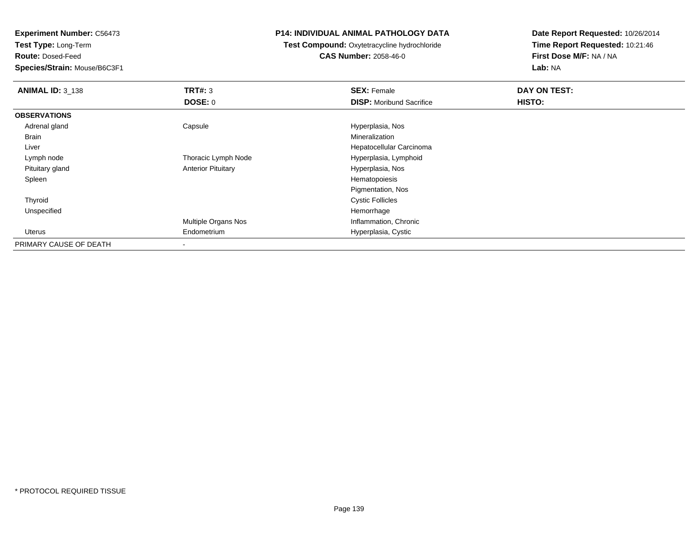**Test Type:** Long-Term

**Route:** Dosed-Feed

**Species/Strain:** Mouse/B6C3F1

#### **P14: INDIVIDUAL ANIMAL PATHOLOGY DATA**

**Test Compound:** Oxytetracycline hydrochloride**CAS Number:** 2058-46-0

| <b>ANIMAL ID: 3 138</b> | TRT#: 3                   | <b>SEX: Female</b>              | DAY ON TEST: |  |
|-------------------------|---------------------------|---------------------------------|--------------|--|
|                         | <b>DOSE: 0</b>            | <b>DISP:</b> Moribund Sacrifice | HISTO:       |  |
| <b>OBSERVATIONS</b>     |                           |                                 |              |  |
| Adrenal gland           | Capsule                   | Hyperplasia, Nos                |              |  |
| Brain                   |                           | Mineralization                  |              |  |
| Liver                   |                           | Hepatocellular Carcinoma        |              |  |
| Lymph node              | Thoracic Lymph Node       | Hyperplasia, Lymphoid           |              |  |
| Pituitary gland         | <b>Anterior Pituitary</b> | Hyperplasia, Nos                |              |  |
| Spleen                  |                           | Hematopoiesis                   |              |  |
|                         |                           | Pigmentation, Nos               |              |  |
| Thyroid                 |                           | <b>Cystic Follicles</b>         |              |  |
| Unspecified             |                           | Hemorrhage                      |              |  |
|                         | Multiple Organs Nos       | Inflammation, Chronic           |              |  |
| Uterus                  | Endometrium               | Hyperplasia, Cystic             |              |  |
| PRIMARY CAUSE OF DEATH  | $\blacksquare$            |                                 |              |  |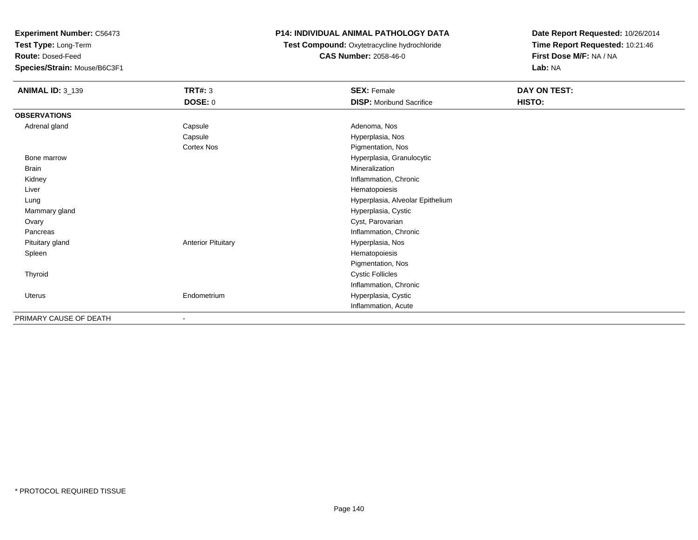**Test Type:** Long-Term

**Route:** Dosed-Feed

**Species/Strain:** Mouse/B6C3F1

#### **P14: INDIVIDUAL ANIMAL PATHOLOGY DATA**

**Test Compound:** Oxytetracycline hydrochloride**CAS Number:** 2058-46-0

| <b>ANIMAL ID: 3_139</b> | <b>TRT#: 3</b>            | <b>SEX: Female</b>               | DAY ON TEST: |  |
|-------------------------|---------------------------|----------------------------------|--------------|--|
|                         | DOSE: 0                   | <b>DISP:</b> Moribund Sacrifice  | HISTO:       |  |
| <b>OBSERVATIONS</b>     |                           |                                  |              |  |
| Adrenal gland           | Capsule                   | Adenoma, Nos                     |              |  |
|                         | Capsule                   | Hyperplasia, Nos                 |              |  |
|                         | <b>Cortex Nos</b>         | Pigmentation, Nos                |              |  |
| Bone marrow             |                           | Hyperplasia, Granulocytic        |              |  |
| <b>Brain</b>            |                           | Mineralization                   |              |  |
| Kidney                  |                           | Inflammation, Chronic            |              |  |
| Liver                   |                           | Hematopoiesis                    |              |  |
| Lung                    |                           | Hyperplasia, Alveolar Epithelium |              |  |
| Mammary gland           |                           | Hyperplasia, Cystic              |              |  |
| Ovary                   |                           | Cyst, Parovarian                 |              |  |
| Pancreas                |                           | Inflammation, Chronic            |              |  |
| Pituitary gland         | <b>Anterior Pituitary</b> | Hyperplasia, Nos                 |              |  |
| Spleen                  |                           | Hematopoiesis                    |              |  |
|                         |                           | Pigmentation, Nos                |              |  |
| Thyroid                 |                           | <b>Cystic Follicles</b>          |              |  |
|                         |                           | Inflammation, Chronic            |              |  |
| Uterus                  | Endometrium               | Hyperplasia, Cystic              |              |  |
|                         |                           | Inflammation, Acute              |              |  |
| PRIMARY CAUSE OF DEATH  | $\blacksquare$            |                                  |              |  |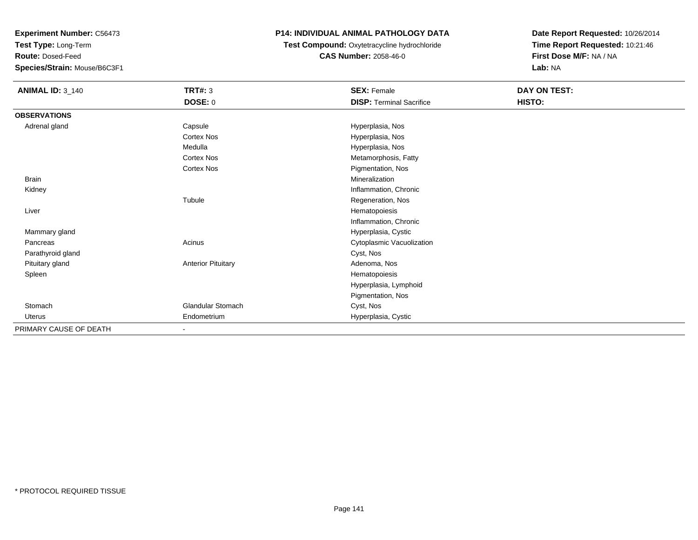**Test Type:** Long-Term

**Route:** Dosed-Feed

**Species/Strain:** Mouse/B6C3F1

# **P14: INDIVIDUAL ANIMAL PATHOLOGY DATA**

**Test Compound:** Oxytetracycline hydrochloride**CAS Number:** 2058-46-0

| <b>ANIMAL ID: 3_140</b> | <b>TRT#: 3</b>            | <b>SEX: Female</b>              | DAY ON TEST: |
|-------------------------|---------------------------|---------------------------------|--------------|
|                         | <b>DOSE: 0</b>            | <b>DISP: Terminal Sacrifice</b> | HISTO:       |
| <b>OBSERVATIONS</b>     |                           |                                 |              |
| Adrenal gland           | Capsule                   | Hyperplasia, Nos                |              |
|                         | Cortex Nos                | Hyperplasia, Nos                |              |
|                         | Medulla                   | Hyperplasia, Nos                |              |
|                         | <b>Cortex Nos</b>         | Metamorphosis, Fatty            |              |
|                         | <b>Cortex Nos</b>         | Pigmentation, Nos               |              |
| Brain                   |                           | Mineralization                  |              |
| Kidney                  |                           | Inflammation, Chronic           |              |
|                         | Tubule                    | Regeneration, Nos               |              |
| Liver                   |                           | Hematopoiesis                   |              |
|                         |                           | Inflammation, Chronic           |              |
| Mammary gland           |                           | Hyperplasia, Cystic             |              |
| Pancreas                | Acinus                    | Cytoplasmic Vacuolization       |              |
| Parathyroid gland       |                           | Cyst, Nos                       |              |
| Pituitary gland         | <b>Anterior Pituitary</b> | Adenoma, Nos                    |              |
| Spleen                  |                           | Hematopoiesis                   |              |
|                         |                           | Hyperplasia, Lymphoid           |              |
|                         |                           | Pigmentation, Nos               |              |
| Stomach                 | Glandular Stomach         | Cyst, Nos                       |              |
| Uterus                  | Endometrium               | Hyperplasia, Cystic             |              |
| PRIMARY CAUSE OF DEATH  | $\blacksquare$            |                                 |              |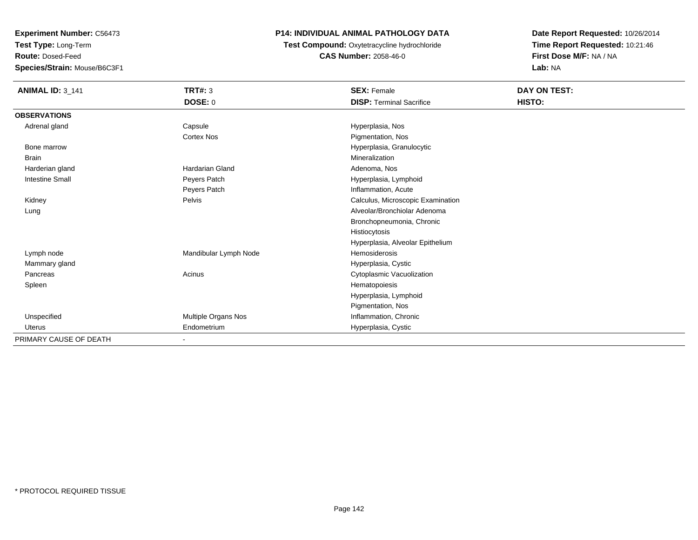**Test Type:** Long-Term

**Route:** Dosed-Feed

**Species/Strain:** Mouse/B6C3F1

# **P14: INDIVIDUAL ANIMAL PATHOLOGY DATA**

 **Test Compound:** Oxytetracycline hydrochloride**CAS Number:** 2058-46-0

| <b>ANIMAL ID: 3_141</b> | <b>TRT#: 3</b>         | <b>SEX: Female</b>                | DAY ON TEST: |
|-------------------------|------------------------|-----------------------------------|--------------|
|                         | <b>DOSE: 0</b>         | <b>DISP: Terminal Sacrifice</b>   | HISTO:       |
| <b>OBSERVATIONS</b>     |                        |                                   |              |
| Adrenal gland           | Capsule                | Hyperplasia, Nos                  |              |
|                         | Cortex Nos             | Pigmentation, Nos                 |              |
| Bone marrow             |                        | Hyperplasia, Granulocytic         |              |
| <b>Brain</b>            |                        | Mineralization                    |              |
| Harderian gland         | <b>Hardarian Gland</b> | Adenoma, Nos                      |              |
| <b>Intestine Small</b>  | Peyers Patch           | Hyperplasia, Lymphoid             |              |
|                         | Peyers Patch           | Inflammation, Acute               |              |
| Kidney                  | Pelvis                 | Calculus, Microscopic Examination |              |
| Lung                    |                        | Alveolar/Bronchiolar Adenoma      |              |
|                         |                        | Bronchopneumonia, Chronic         |              |
|                         |                        | Histiocytosis                     |              |
|                         |                        | Hyperplasia, Alveolar Epithelium  |              |
| Lymph node              | Mandibular Lymph Node  | Hemosiderosis                     |              |
| Mammary gland           |                        | Hyperplasia, Cystic               |              |
| Pancreas                | Acinus                 | Cytoplasmic Vacuolization         |              |
| Spleen                  |                        | Hematopoiesis                     |              |
|                         |                        | Hyperplasia, Lymphoid             |              |
|                         |                        | Pigmentation, Nos                 |              |
| Unspecified             | Multiple Organs Nos    | Inflammation, Chronic             |              |
| Uterus                  | Endometrium            | Hyperplasia, Cystic               |              |
| PRIMARY CAUSE OF DEATH  |                        |                                   |              |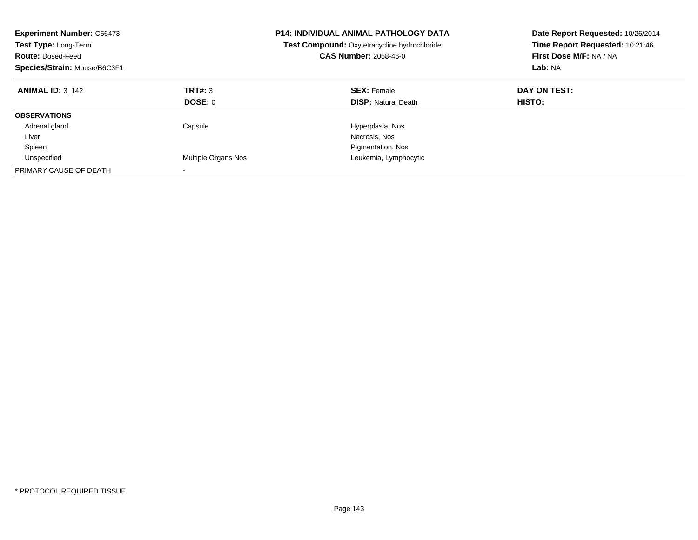| <b>Experiment Number: C56473</b><br><b>Test Type: Long-Term</b><br><b>Route: Dosed-Feed</b><br>Species/Strain: Mouse/B6C3F1 |                           | <b>P14: INDIVIDUAL ANIMAL PATHOLOGY DATA</b><br><b>Test Compound: Oxytetracycline hydrochloride</b><br><b>CAS Number: 2058-46-0</b> | Date Report Requested: 10/26/2014<br>Time Report Requested: 10:21:46<br>First Dose M/F: NA / NA<br>Lab: NA |
|-----------------------------------------------------------------------------------------------------------------------------|---------------------------|-------------------------------------------------------------------------------------------------------------------------------------|------------------------------------------------------------------------------------------------------------|
| <b>ANIMAL ID: 3 142</b>                                                                                                     | TRT#: 3<br><b>DOSE: 0</b> | <b>SEX: Female</b><br><b>DISP:</b> Natural Death                                                                                    | DAY ON TEST:<br>HISTO:                                                                                     |
| <b>OBSERVATIONS</b>                                                                                                         |                           |                                                                                                                                     |                                                                                                            |
| Adrenal gland                                                                                                               | Capsule                   | Hyperplasia, Nos                                                                                                                    |                                                                                                            |
| Liver                                                                                                                       |                           | Necrosis, Nos                                                                                                                       |                                                                                                            |
| Spleen                                                                                                                      |                           | Pigmentation, Nos                                                                                                                   |                                                                                                            |
| Unspecified                                                                                                                 | Multiple Organs Nos       | Leukemia, Lymphocytic                                                                                                               |                                                                                                            |
| PRIMARY CAUSE OF DEATH                                                                                                      |                           |                                                                                                                                     |                                                                                                            |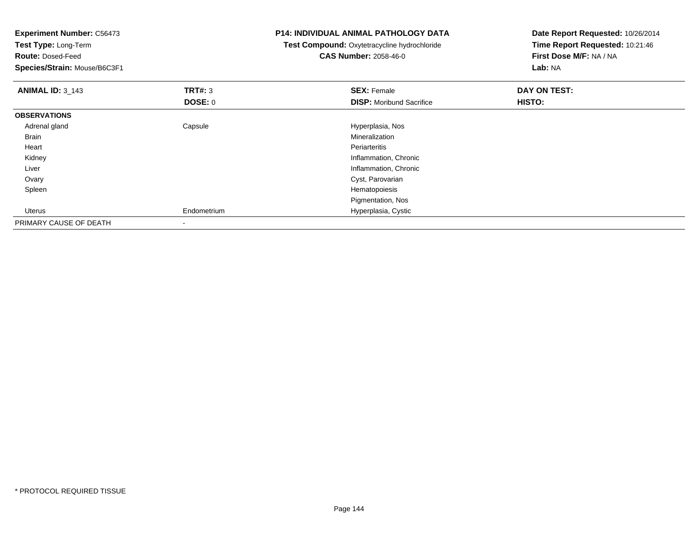| <b>Experiment Number: C56473</b><br>Test Type: Long-Term<br><b>Route: Dosed-Feed</b><br>Species/Strain: Mouse/B6C3F1 |                           | <b>P14: INDIVIDUAL ANIMAL PATHOLOGY DATA</b><br>Test Compound: Oxytetracycline hydrochloride<br><b>CAS Number: 2058-46-0</b> | Date Report Requested: 10/26/2014<br>Time Report Requested: 10:21:46<br>First Dose M/F: NA / NA<br>Lab: NA |
|----------------------------------------------------------------------------------------------------------------------|---------------------------|------------------------------------------------------------------------------------------------------------------------------|------------------------------------------------------------------------------------------------------------|
| <b>ANIMAL ID: 3_143</b>                                                                                              | <b>TRT#: 3</b><br>DOSE: 0 | <b>SEX: Female</b><br><b>DISP:</b> Moribund Sacrifice                                                                        | DAY ON TEST:<br>HISTO:                                                                                     |
| <b>OBSERVATIONS</b>                                                                                                  |                           |                                                                                                                              |                                                                                                            |
| Adrenal gland                                                                                                        | Capsule                   | Hyperplasia, Nos                                                                                                             |                                                                                                            |
| Brain                                                                                                                |                           | Mineralization                                                                                                               |                                                                                                            |
| Heart                                                                                                                |                           | Periarteritis                                                                                                                |                                                                                                            |
| Kidney                                                                                                               |                           | Inflammation, Chronic                                                                                                        |                                                                                                            |
| Liver                                                                                                                |                           | Inflammation, Chronic                                                                                                        |                                                                                                            |
| Ovary                                                                                                                |                           | Cyst, Parovarian                                                                                                             |                                                                                                            |
| Spleen                                                                                                               |                           | Hematopoiesis                                                                                                                |                                                                                                            |
|                                                                                                                      |                           | Pigmentation, Nos                                                                                                            |                                                                                                            |
| Uterus                                                                                                               | Endometrium               | Hyperplasia, Cystic                                                                                                          |                                                                                                            |
| PRIMARY CAUSE OF DEATH                                                                                               | $\overline{\phantom{a}}$  |                                                                                                                              |                                                                                                            |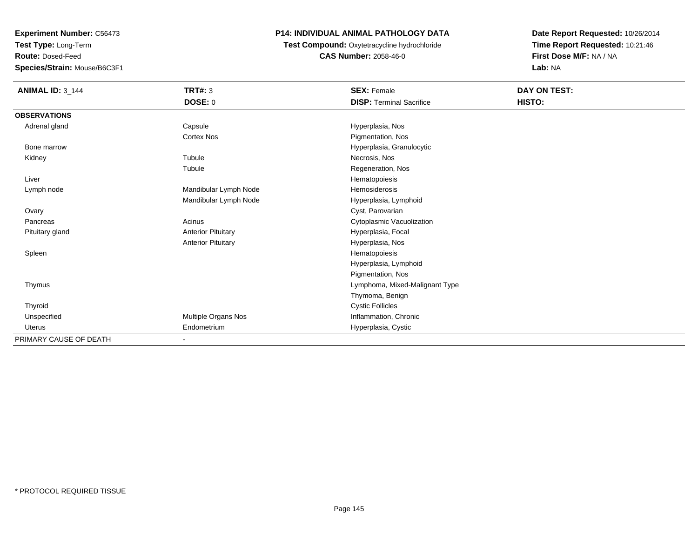**Test Type:** Long-Term

**Route:** Dosed-Feed

**Species/Strain:** Mouse/B6C3F1

# **P14: INDIVIDUAL ANIMAL PATHOLOGY DATA**

 **Test Compound:** Oxytetracycline hydrochloride**CAS Number:** 2058-46-0

| <b>ANIMAL ID: 3_144</b> | <b>TRT#: 3</b>            | <b>SEX: Female</b>              | DAY ON TEST: |
|-------------------------|---------------------------|---------------------------------|--------------|
|                         | <b>DOSE: 0</b>            | <b>DISP: Terminal Sacrifice</b> | HISTO:       |
| <b>OBSERVATIONS</b>     |                           |                                 |              |
| Adrenal gland           | Capsule                   | Hyperplasia, Nos                |              |
|                         | <b>Cortex Nos</b>         | Pigmentation, Nos               |              |
| Bone marrow             |                           | Hyperplasia, Granulocytic       |              |
| Kidney                  | Tubule                    | Necrosis, Nos                   |              |
|                         | Tubule                    | Regeneration, Nos               |              |
| Liver                   |                           | Hematopoiesis                   |              |
| Lymph node              | Mandibular Lymph Node     | Hemosiderosis                   |              |
|                         | Mandibular Lymph Node     | Hyperplasia, Lymphoid           |              |
| Ovary                   |                           | Cyst, Parovarian                |              |
| Pancreas                | Acinus                    | Cytoplasmic Vacuolization       |              |
| Pituitary gland         | <b>Anterior Pituitary</b> | Hyperplasia, Focal              |              |
|                         | <b>Anterior Pituitary</b> | Hyperplasia, Nos                |              |
| Spleen                  |                           | Hematopoiesis                   |              |
|                         |                           | Hyperplasia, Lymphoid           |              |
|                         |                           | Pigmentation, Nos               |              |
| Thymus                  |                           | Lymphoma, Mixed-Malignant Type  |              |
|                         |                           | Thymoma, Benign                 |              |
| Thyroid                 |                           | <b>Cystic Follicles</b>         |              |
| Unspecified             | Multiple Organs Nos       | Inflammation, Chronic           |              |
| Uterus                  | Endometrium               | Hyperplasia, Cystic             |              |
| PRIMARY CAUSE OF DEATH  |                           |                                 |              |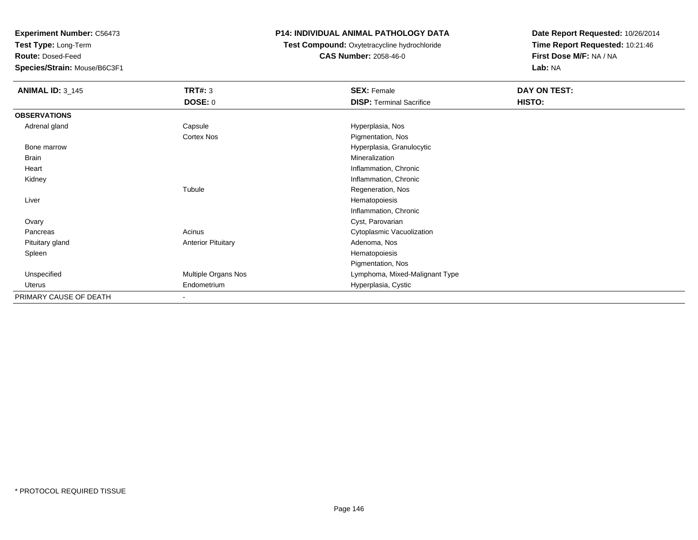**Test Type:** Long-Term

**Route:** Dosed-Feed

**Species/Strain:** Mouse/B6C3F1

### **P14: INDIVIDUAL ANIMAL PATHOLOGY DATA**

 **Test Compound:** Oxytetracycline hydrochloride**CAS Number:** 2058-46-0

| <b>ANIMAL ID: 3_145</b> | <b>TRT#: 3</b>            | <b>SEX: Female</b>              | DAY ON TEST: |  |
|-------------------------|---------------------------|---------------------------------|--------------|--|
|                         | <b>DOSE: 0</b>            | <b>DISP: Terminal Sacrifice</b> | HISTO:       |  |
| <b>OBSERVATIONS</b>     |                           |                                 |              |  |
| Adrenal gland           | Capsule                   | Hyperplasia, Nos                |              |  |
|                         | Cortex Nos                | Pigmentation, Nos               |              |  |
| Bone marrow             |                           | Hyperplasia, Granulocytic       |              |  |
| Brain                   |                           | Mineralization                  |              |  |
| Heart                   |                           | Inflammation, Chronic           |              |  |
| Kidney                  |                           | Inflammation, Chronic           |              |  |
|                         | Tubule                    | Regeneration, Nos               |              |  |
| Liver                   |                           | Hematopoiesis                   |              |  |
|                         |                           | Inflammation, Chronic           |              |  |
| Ovary                   |                           | Cyst, Parovarian                |              |  |
| Pancreas                | Acinus                    | Cytoplasmic Vacuolization       |              |  |
| Pituitary gland         | <b>Anterior Pituitary</b> | Adenoma, Nos                    |              |  |
| Spleen                  |                           | Hematopoiesis                   |              |  |
|                         |                           | Pigmentation, Nos               |              |  |
| Unspecified             | Multiple Organs Nos       | Lymphoma, Mixed-Malignant Type  |              |  |
| Uterus                  | Endometrium               | Hyperplasia, Cystic             |              |  |
| PRIMARY CAUSE OF DEATH  | $\blacksquare$            |                                 |              |  |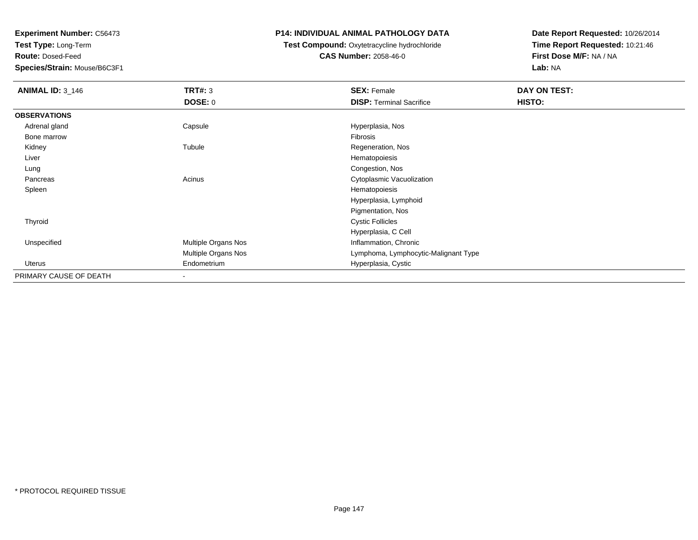**Test Type:** Long-Term

**Route:** Dosed-Feed

**Species/Strain:** Mouse/B6C3F1

### **P14: INDIVIDUAL ANIMAL PATHOLOGY DATA**

 **Test Compound:** Oxytetracycline hydrochloride**CAS Number:** 2058-46-0

| <b>ANIMAL ID: 3_146</b> | <b>TRT#: 3</b>      | <b>SEX: Female</b>                   | DAY ON TEST: |  |
|-------------------------|---------------------|--------------------------------------|--------------|--|
|                         | <b>DOSE: 0</b>      | <b>DISP: Terminal Sacrifice</b>      | HISTO:       |  |
| <b>OBSERVATIONS</b>     |                     |                                      |              |  |
| Adrenal gland           | Capsule             | Hyperplasia, Nos                     |              |  |
| Bone marrow             |                     | Fibrosis                             |              |  |
| Kidney                  | Tubule              | Regeneration, Nos                    |              |  |
| Liver                   |                     | Hematopoiesis                        |              |  |
| Lung                    |                     | Congestion, Nos                      |              |  |
| Pancreas                | Acinus              | Cytoplasmic Vacuolization            |              |  |
| Spleen                  |                     | Hematopoiesis                        |              |  |
|                         |                     | Hyperplasia, Lymphoid                |              |  |
|                         |                     | Pigmentation, Nos                    |              |  |
| Thyroid                 |                     | <b>Cystic Follicles</b>              |              |  |
|                         |                     | Hyperplasia, C Cell                  |              |  |
| Unspecified             | Multiple Organs Nos | Inflammation, Chronic                |              |  |
|                         | Multiple Organs Nos | Lymphoma, Lymphocytic-Malignant Type |              |  |
| Uterus                  | Endometrium         | Hyperplasia, Cystic                  |              |  |
| PRIMARY CAUSE OF DEATH  | -                   |                                      |              |  |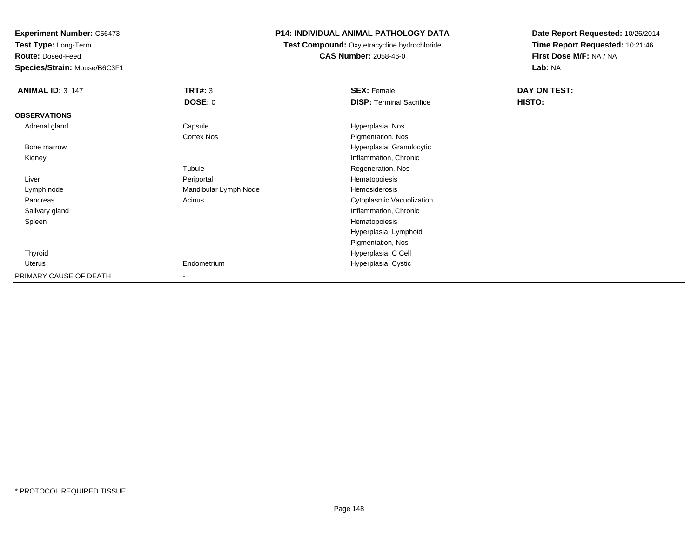**Test Type:** Long-Term

**Route:** Dosed-Feed

**Species/Strain:** Mouse/B6C3F1

## **P14: INDIVIDUAL ANIMAL PATHOLOGY DATA**

 **Test Compound:** Oxytetracycline hydrochloride**CAS Number:** 2058-46-0

| <b>ANIMAL ID: 3_147</b> | <b>TRT#: 3</b>           | <b>SEX: Female</b>              | DAY ON TEST: |
|-------------------------|--------------------------|---------------------------------|--------------|
|                         | <b>DOSE: 0</b>           | <b>DISP: Terminal Sacrifice</b> | HISTO:       |
| <b>OBSERVATIONS</b>     |                          |                                 |              |
| Adrenal gland           | Capsule                  | Hyperplasia, Nos                |              |
|                         | Cortex Nos               | Pigmentation, Nos               |              |
| Bone marrow             |                          | Hyperplasia, Granulocytic       |              |
| Kidney                  |                          | Inflammation, Chronic           |              |
|                         | Tubule                   | Regeneration, Nos               |              |
| Liver                   | Periportal               | Hematopoiesis                   |              |
| Lymph node              | Mandibular Lymph Node    | Hemosiderosis                   |              |
| Pancreas                | Acinus                   | Cytoplasmic Vacuolization       |              |
| Salivary gland          |                          | Inflammation, Chronic           |              |
| Spleen                  |                          | Hematopoiesis                   |              |
|                         |                          | Hyperplasia, Lymphoid           |              |
|                         |                          | Pigmentation, Nos               |              |
| Thyroid                 |                          | Hyperplasia, C Cell             |              |
| <b>Uterus</b>           | Endometrium              | Hyperplasia, Cystic             |              |
| PRIMARY CAUSE OF DEATH  | $\overline{\phantom{a}}$ |                                 |              |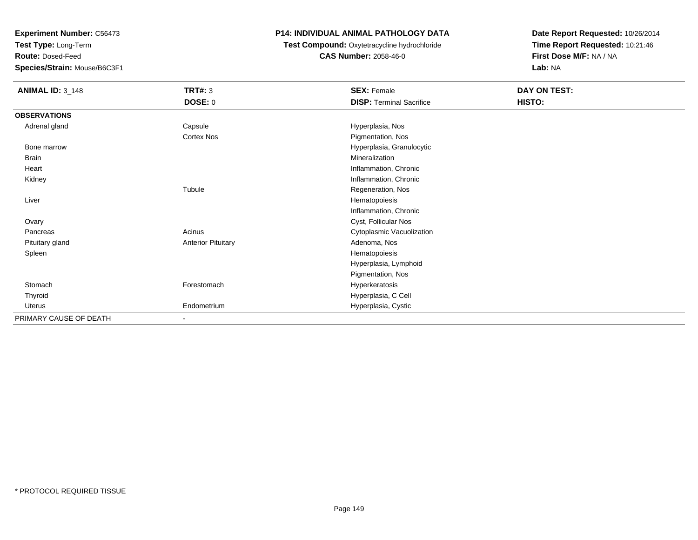**Test Type:** Long-Term

**Route:** Dosed-Feed

**Species/Strain:** Mouse/B6C3F1

## **P14: INDIVIDUAL ANIMAL PATHOLOGY DATA**

**Test Compound:** Oxytetracycline hydrochloride**CAS Number:** 2058-46-0

| <b>ANIMAL ID: 3_148</b> | <b>TRT#: 3</b>            | <b>SEX: Female</b>              | DAY ON TEST: |
|-------------------------|---------------------------|---------------------------------|--------------|
|                         | <b>DOSE: 0</b>            | <b>DISP: Terminal Sacrifice</b> | HISTO:       |
| <b>OBSERVATIONS</b>     |                           |                                 |              |
| Adrenal gland           | Capsule                   | Hyperplasia, Nos                |              |
|                         | Cortex Nos                | Pigmentation, Nos               |              |
| Bone marrow             |                           | Hyperplasia, Granulocytic       |              |
| Brain                   |                           | Mineralization                  |              |
| Heart                   |                           | Inflammation, Chronic           |              |
| Kidney                  |                           | Inflammation, Chronic           |              |
|                         | Tubule                    | Regeneration, Nos               |              |
| Liver                   |                           | Hematopoiesis                   |              |
|                         |                           | Inflammation, Chronic           |              |
| Ovary                   |                           | Cyst, Follicular Nos            |              |
| Pancreas                | Acinus                    | Cytoplasmic Vacuolization       |              |
| Pituitary gland         | <b>Anterior Pituitary</b> | Adenoma, Nos                    |              |
| Spleen                  |                           | Hematopoiesis                   |              |
|                         |                           | Hyperplasia, Lymphoid           |              |
|                         |                           | Pigmentation, Nos               |              |
| Stomach                 | Forestomach               | Hyperkeratosis                  |              |
| Thyroid                 |                           | Hyperplasia, C Cell             |              |
| Uterus                  | Endometrium               | Hyperplasia, Cystic             |              |
| PRIMARY CAUSE OF DEATH  | ٠                         |                                 |              |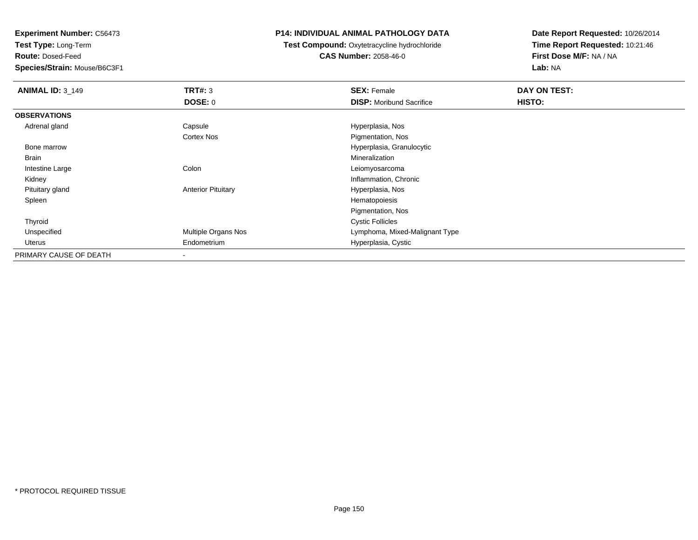**Test Type:** Long-Term

**Route:** Dosed-Feed

**Species/Strain:** Mouse/B6C3F1

#### **P14: INDIVIDUAL ANIMAL PATHOLOGY DATA**

**Test Compound:** Oxytetracycline hydrochloride**CAS Number:** 2058-46-0

| <b>ANIMAL ID: 3_149</b> | TRT#: 3                   | <b>SEX: Female</b>              | DAY ON TEST: |  |
|-------------------------|---------------------------|---------------------------------|--------------|--|
|                         | <b>DOSE: 0</b>            | <b>DISP:</b> Moribund Sacrifice | HISTO:       |  |
| <b>OBSERVATIONS</b>     |                           |                                 |              |  |
| Adrenal gland           | Capsule                   | Hyperplasia, Nos                |              |  |
|                         | Cortex Nos                | Pigmentation, Nos               |              |  |
| Bone marrow             |                           | Hyperplasia, Granulocytic       |              |  |
| Brain                   |                           | Mineralization                  |              |  |
| Intestine Large         | Colon                     | Leiomyosarcoma                  |              |  |
| Kidney                  |                           | Inflammation, Chronic           |              |  |
| Pituitary gland         | <b>Anterior Pituitary</b> | Hyperplasia, Nos                |              |  |
| Spleen                  |                           | Hematopoiesis                   |              |  |
|                         |                           | Pigmentation, Nos               |              |  |
| Thyroid                 |                           | <b>Cystic Follicles</b>         |              |  |
| Unspecified             | Multiple Organs Nos       | Lymphoma, Mixed-Malignant Type  |              |  |
| Uterus                  | Endometrium               | Hyperplasia, Cystic             |              |  |
| PRIMARY CAUSE OF DEATH  |                           |                                 |              |  |